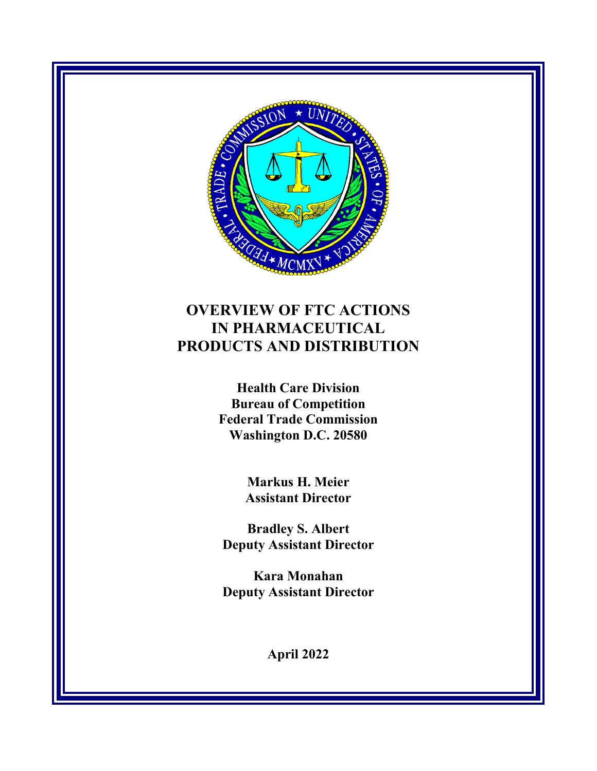

# **OVERVIEW OF FTC ACTIONS IN PHARMACEUTICAL PRODUCTS AND DISTRIBUTION**

**Health Care Division Bureau of Competition Federal Trade Commission Washington D.C. 20580**

> **Markus H. Meier Assistant Director**

**Bradley S. Albert Deputy Assistant Director**

**Kara Monahan Deputy Assistant Director**

**April 2022**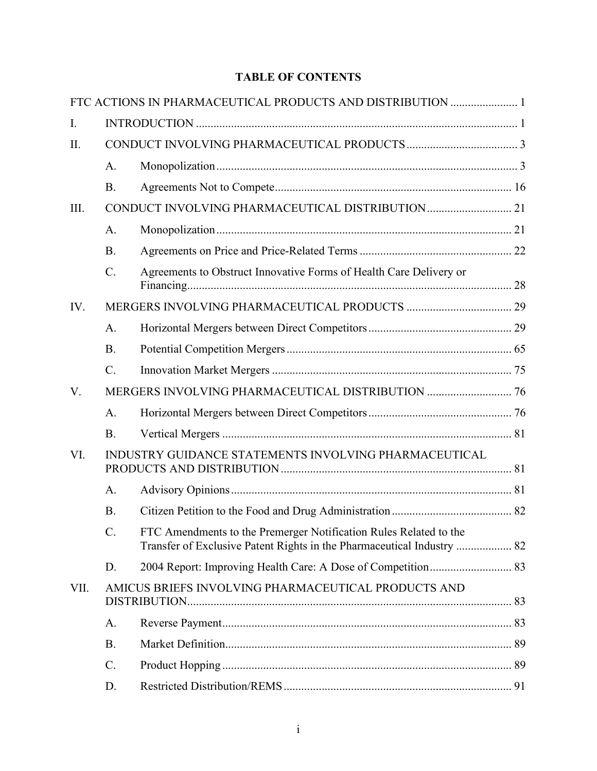# **TABLE OF CONTENTS**

|      |                                                       | FTC ACTIONS IN PHARMACEUTICAL PRODUCTS AND DISTRIBUTION  1                                                                                  |  |  |
|------|-------------------------------------------------------|---------------------------------------------------------------------------------------------------------------------------------------------|--|--|
| I.   |                                                       |                                                                                                                                             |  |  |
| Π.   |                                                       |                                                                                                                                             |  |  |
|      | A.                                                    |                                                                                                                                             |  |  |
|      | <b>B.</b>                                             |                                                                                                                                             |  |  |
| Ш.   |                                                       |                                                                                                                                             |  |  |
|      | A.                                                    |                                                                                                                                             |  |  |
|      | <b>B.</b>                                             |                                                                                                                                             |  |  |
|      | C.                                                    | Agreements to Obstruct Innovative Forms of Health Care Delivery or                                                                          |  |  |
| IV.  |                                                       |                                                                                                                                             |  |  |
|      | A.                                                    |                                                                                                                                             |  |  |
|      | <b>B.</b>                                             |                                                                                                                                             |  |  |
|      | $C_{\cdot}$                                           |                                                                                                                                             |  |  |
| V.   |                                                       |                                                                                                                                             |  |  |
|      | A.                                                    |                                                                                                                                             |  |  |
|      | <b>B.</b>                                             |                                                                                                                                             |  |  |
| VI.  | INDUSTRY GUIDANCE STATEMENTS INVOLVING PHARMACEUTICAL |                                                                                                                                             |  |  |
|      | A.                                                    |                                                                                                                                             |  |  |
|      | <b>B.</b>                                             |                                                                                                                                             |  |  |
|      | $C_{\cdot}$                                           | FTC Amendments to the Premerger Notification Rules Related to the<br>Transfer of Exclusive Patent Rights in the Pharmaceutical Industry  82 |  |  |
|      | D.                                                    |                                                                                                                                             |  |  |
| VII. | AMICUS BRIEFS INVOLVING PHARMACEUTICAL PRODUCTS AND   |                                                                                                                                             |  |  |
|      | A.                                                    |                                                                                                                                             |  |  |
|      | <b>B.</b>                                             |                                                                                                                                             |  |  |
|      | C.                                                    |                                                                                                                                             |  |  |
|      | D.                                                    |                                                                                                                                             |  |  |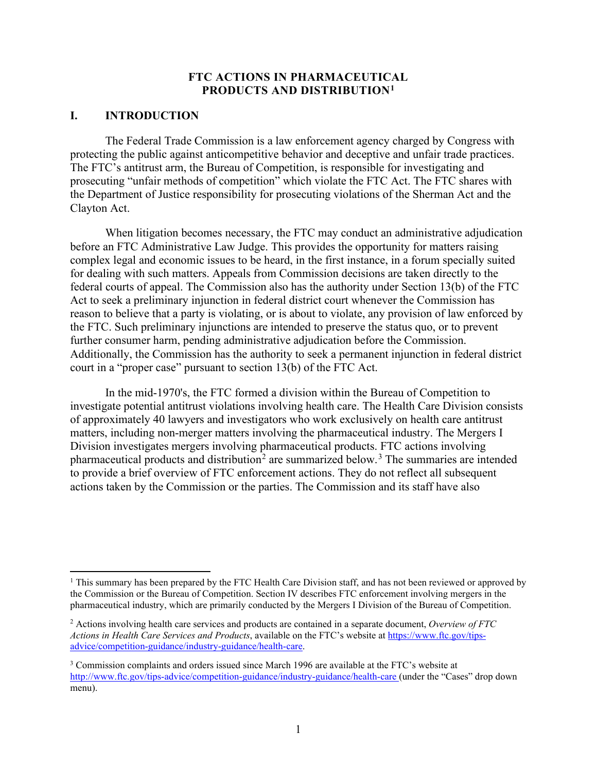#### **FTC ACTIONS IN PHARMACEUTICAL PRODUCTS AND DISTRIBUTION[1](#page-3-2)**

#### <span id="page-3-1"></span><span id="page-3-0"></span>**I. INTRODUCTION**

The Federal Trade Commission is a law enforcement agency charged by Congress with protecting the public against anticompetitive behavior and deceptive and unfair trade practices. The FTC's antitrust arm, the Bureau of Competition, is responsible for investigating and prosecuting "unfair methods of competition" which violate the FTC Act. The FTC shares with the Department of Justice responsibility for prosecuting violations of the Sherman Act and the Clayton Act.

When litigation becomes necessary, the FTC may conduct an administrative adjudication before an FTC Administrative Law Judge. This provides the opportunity for matters raising complex legal and economic issues to be heard, in the first instance, in a forum specially suited for dealing with such matters. Appeals from Commission decisions are taken directly to the federal courts of appeal. The Commission also has the authority under Section 13(b) of the FTC Act to seek a preliminary injunction in federal district court whenever the Commission has reason to believe that a party is violating, or is about to violate, any provision of law enforced by the FTC. Such preliminary injunctions are intended to preserve the status quo, or to prevent further consumer harm, pending administrative adjudication before the Commission. Additionally, the Commission has the authority to seek a permanent injunction in federal district court in a "proper case" pursuant to section 13(b) of the FTC Act.

In the mid-1970's, the FTC formed a division within the Bureau of Competition to investigate potential antitrust violations involving health care. The Health Care Division consists of approximately 40 lawyers and investigators who work exclusively on health care antitrust matters, including non-merger matters involving the pharmaceutical industry. The Mergers I Division investigates mergers involving pharmaceutical products. FTC actions involving pharmaceutical products and distribution<sup>[2](#page-3-3)</sup> are summarized below.<sup>[3](#page-3-4)</sup> The summaries are intended to provide a brief overview of FTC enforcement actions. They do not reflect all subsequent actions taken by the Commission or the parties. The Commission and its staff have also

<span id="page-3-2"></span><sup>&</sup>lt;sup>1</sup> This summary has been prepared by the FTC Health Care Division staff, and has not been reviewed or approved by the Commission or the Bureau of Competition. Section IV describes FTC enforcement involving mergers in the pharmaceutical industry, which are primarily conducted by the Mergers I Division of the Bureau of Competition.

<span id="page-3-3"></span><sup>2</sup> Actions involving health care services and products are contained in a separate document, *Overview of FTC Actions in Health Care Services and Products*, available on the FTC's website at [https://www.ftc.gov/tips](https://www.ftc.gov/tips-advice/competition-guidance/industry-guidance/health-care)[advice/competition-guidance/industry-guidance/health-care.](https://www.ftc.gov/tips-advice/competition-guidance/industry-guidance/health-care)

<span id="page-3-4"></span><sup>&</sup>lt;sup>3</sup> Commission complaints and orders issued since March 1996 are available at the FTC's website at <http://www.ftc.gov/tips-advice/competition-guidance/industry-guidance/health-care> (under the "Cases" drop down menu).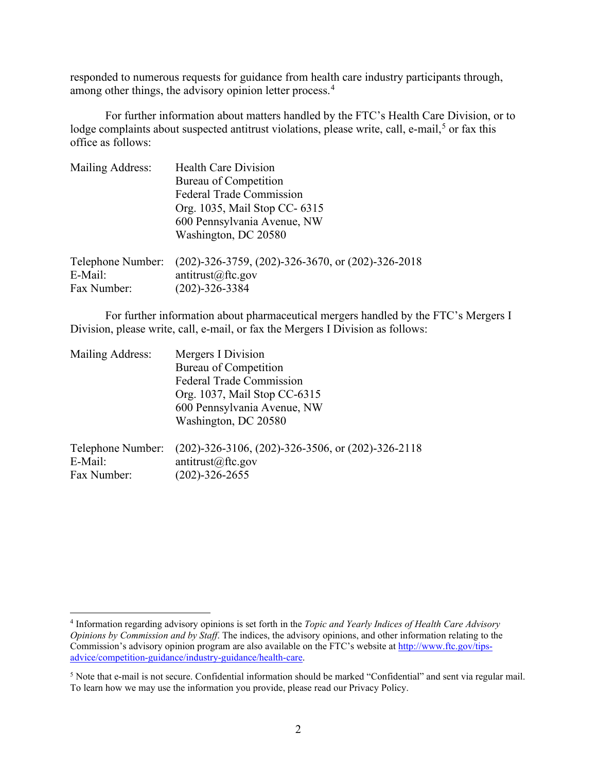responded to numerous requests for guidance from health care industry participants through, among other things, the advisory opinion letter process.<sup>[4](#page-4-0)</sup>

For further information about matters handled by the FTC's Health Care Division, or to lodge complaints about suspected antitrust violations, please write, call, e-mail,<sup>[5](#page-4-1)</sup> or fax this office as follows:

| Mailing Address:  | <b>Health Care Division</b>                                |
|-------------------|------------------------------------------------------------|
|                   | Bureau of Competition                                      |
|                   | <b>Federal Trade Commission</b>                            |
|                   | Org. 1035, Mail Stop CC- 6315                              |
|                   | 600 Pennsylvania Avenue, NW                                |
|                   | Washington, DC 20580                                       |
| Telephone Number: | $(202)$ -326-3759, $(202)$ -326-3670, or $(202)$ -326-2018 |
| E-Mail:           | antitrust@ftc.gov                                          |
| Fax Number:       | $(202) - 326 - 3384$                                       |

For further information about pharmaceutical mergers handled by the FTC's Mergers I Division, please write, call, e-mail, or fax the Mergers I Division as follows:

| Mailing Address:                            | Mergers I Division                                                                                  |
|---------------------------------------------|-----------------------------------------------------------------------------------------------------|
|                                             | Bureau of Competition                                                                               |
|                                             | <b>Federal Trade Commission</b>                                                                     |
|                                             | Org. 1037, Mail Stop CC-6315                                                                        |
|                                             | 600 Pennsylvania Avenue, NW                                                                         |
|                                             | Washington, DC 20580                                                                                |
| Telephone Number:<br>E-Mail:<br>Fax Number: | $(202)$ -326-3106, $(202)$ -326-3506, or $(202)$ -326-2118<br>antitrust@ftc.gov<br>$(202)-326-2655$ |

<span id="page-4-0"></span><sup>4</sup> Information regarding advisory opinions is set forth in the *Topic and Yearly Indices of Health Care Advisory Opinions by Commission and by Staff*. The indices, the advisory opinions, and other information relating to the Commission's advisory opinion program are also available on the FTC's website a[t http://www.ftc.gov/tips](http://www.ftc.gov/tips-advice/competition-guidance/industry-guidance/health-care)[advice/competition-guidance/industry-guidance/health-care.](http://www.ftc.gov/tips-advice/competition-guidance/industry-guidance/health-care)

<span id="page-4-1"></span><sup>5</sup> Note that e-mail is not secure. Confidential information should be marked "Confidential" and sent via regular mail. To learn how we may use the information you provide, please read our Privacy Policy.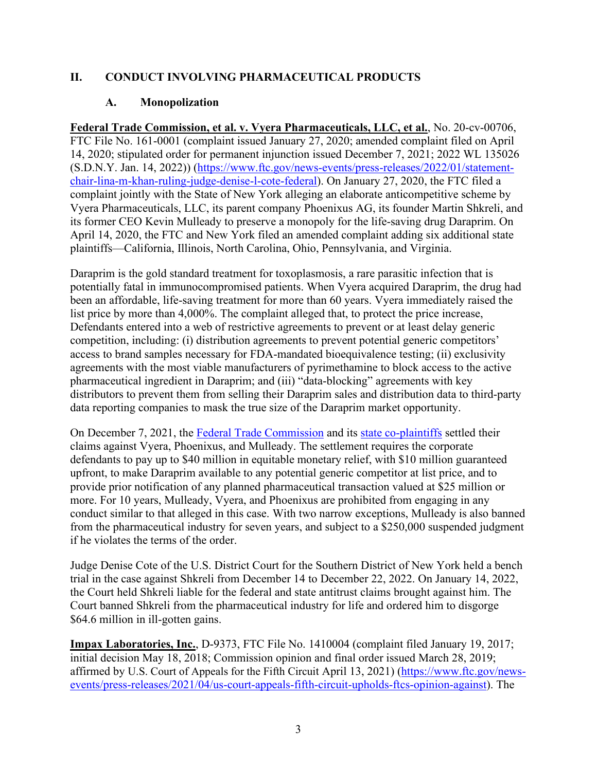## <span id="page-5-1"></span><span id="page-5-0"></span>**II. CONDUCT INVOLVING PHARMACEUTICAL PRODUCTS**

## **A. Monopolization**

**Federal Trade Commission, et al. v. Vyera Pharmaceuticals, LLC, et al.**, No. 20-cv-00706, FTC File No. 161-0001 (complaint issued January 27, 2020; amended complaint filed on April 14, 2020; stipulated order for permanent injunction issued December 7, 2021; 2022 WL 135026 (S.D.N.Y. Jan. 14, 2022)) [\(https://www.ftc.gov/news-events/press-releases/2022/01/statement](https://www.ftc.gov/news-events/press-releases/2022/01/statement-chair-lina-m-khan-ruling-judge-denise-l-cote-federal)[chair-lina-m-khan-ruling-judge-denise-l-cote-federal\)](https://www.ftc.gov/news-events/press-releases/2022/01/statement-chair-lina-m-khan-ruling-judge-denise-l-cote-federal). On January 27, 2020, the FTC filed a complaint jointly with the State of New York alleging an elaborate anticompetitive scheme by Vyera Pharmaceuticals, LLC, its parent company Phoenixus AG, its founder Martin Shkreli, and its former CEO Kevin Mulleady to preserve a monopoly for the life-saving drug Daraprim. On April 14, 2020, the FTC and New York filed an amended complaint adding six additional state plaintiffs—California, Illinois, North Carolina, Ohio, Pennsylvania, and Virginia.

Daraprim is the gold standard treatment for toxoplasmosis, a rare parasitic infection that is potentially fatal in immunocompromised patients. When Vyera acquired Daraprim, the drug had been an affordable, life-saving treatment for more than 60 years. Vyera immediately raised the list price by more than 4,000%. The complaint alleged that, to protect the price increase, Defendants entered into a web of restrictive agreements to prevent or at least delay generic competition, including: (i) distribution agreements to prevent potential generic competitors' access to brand samples necessary for FDA-mandated bioequivalence testing; (ii) exclusivity agreements with the most viable manufacturers of pyrimethamine to block access to the active pharmaceutical ingredient in Daraprim; and (iii) "data-blocking" agreements with key distributors to prevent them from selling their Daraprim sales and distribution data to third-party data reporting companies to mask the true size of the Daraprim market opportunity.

On December 7, 2021, the [Federal Trade Commission](https://www.ftc.gov/news-events/press-releases/2020/01/ftc-ny-attorney-general-charge-vyera-pharmaceuticals-martin) and its [state co-plaintiffs](https://www.ftc.gov/news-events/press-releases/2020/04/six-more-states-join-ftc-ny-attorney-generals-case-against-vyera) settled their claims against Vyera, Phoenixus, and Mulleady. The settlement requires the corporate defendants to pay up to \$40 million in equitable monetary relief, with \$10 million guaranteed upfront, to make Daraprim available to any potential generic competitor at list price, and to provide prior notification of any planned pharmaceutical transaction valued at \$25 million or more. For 10 years, Mulleady, Vyera, and Phoenixus are prohibited from engaging in any conduct similar to that alleged in this case. With two narrow exceptions, Mulleady is also banned from the pharmaceutical industry for seven years, and subject to a \$250,000 suspended judgment if he violates the terms of the order.

Judge Denise Cote of the U.S. District Court for the Southern District of New York held a bench trial in the case against Shkreli from December 14 to December 22, 2022. On January 14, 2022, the Court held Shkreli liable for the federal and state antitrust claims brought against him. The Court banned Shkreli from the pharmaceutical industry for life and ordered him to disgorge \$64.6 million in ill-gotten gains.

**Impax Laboratories, Inc.**, D-9373, FTC File No. 1410004 (complaint filed January 19, 2017; initial decision May 18, 2018; Commission opinion and final order issued March 28, 2019; affirmed by U.S. Court of Appeals for the Fifth Circuit April 13, 2021) [\(https://www.ftc.gov/news](https://www.ftc.gov/news-events/press-releases/2021/04/us-court-appeals-fifth-circuit-upholds-ftcs-opinion-against)[events/press-releases/2021/04/us-court-appeals-fifth-circuit-upholds-ftcs-opinion-against\)](https://www.ftc.gov/news-events/press-releases/2021/04/us-court-appeals-fifth-circuit-upholds-ftcs-opinion-against). The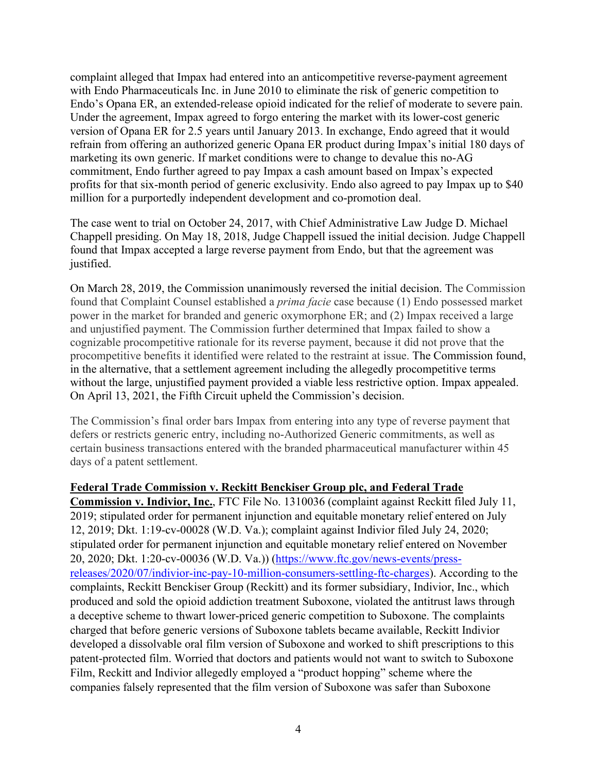complaint alleged that Impax had entered into an anticompetitive reverse-payment agreement with Endo Pharmaceuticals Inc. in June 2010 to eliminate the risk of generic competition to Endo's Opana ER, an extended-release opioid indicated for the relief of moderate to severe pain. Under the agreement, Impax agreed to forgo entering the market with its lower-cost generic version of Opana ER for 2.5 years until January 2013. In exchange, Endo agreed that it would refrain from offering an authorized generic Opana ER product during Impax's initial 180 days of marketing its own generic. If market conditions were to change to devalue this no-AG commitment, Endo further agreed to pay Impax a cash amount based on Impax's expected profits for that six-month period of generic exclusivity. Endo also agreed to pay Impax up to \$40 million for a purportedly independent development and co-promotion deal.

The case went to trial on October 24, 2017, with Chief Administrative Law Judge D. Michael Chappell presiding. On May 18, 2018, Judge Chappell issued the initial decision. Judge Chappell found that Impax accepted a large reverse payment from Endo, but that the agreement was justified.

On March 28, 2019, the Commission unanimously reversed the initial decision. The Commission found that Complaint Counsel established a *prima facie* case because (1) Endo possessed market power in the market for branded and generic oxymorphone ER; and (2) Impax received a large and unjustified payment. The Commission further determined that Impax failed to show a cognizable procompetitive rationale for its reverse payment, because it did not prove that the procompetitive benefits it identified were related to the restraint at issue. The Commission found, in the alternative, that a settlement agreement including the allegedly procompetitive terms without the large, unjustified payment provided a viable less restrictive option. Impax appealed. On April 13, 2021, the Fifth Circuit upheld the Commission's decision.

The Commission's final order bars Impax from entering into any type of reverse payment that defers or restricts generic entry, including no-Authorized Generic commitments, as well as certain business transactions entered with the branded pharmaceutical manufacturer within 45 days of a patent settlement.

#### **Federal Trade Commission v. Reckitt Benckiser Group plc, and Federal Trade**

**Commission v. Indivior, Inc.**, FTC File No. 1310036 (complaint against Reckitt filed July 11, 2019; stipulated order for permanent injunction and equitable monetary relief entered on July 12, 2019; Dkt. 1:19-cv-00028 (W.D. Va.); complaint against Indivior filed July 24, 2020; stipulated order for permanent injunction and equitable monetary relief entered on November 20, 2020; Dkt. 1:20-cv-00036 (W.D. Va.)) [\(https://www.ftc.gov/news-events/press](https://www.ftc.gov/news-events/press-releases/2020/07/indivior-inc-pay-10-million-consumers-settling-ftc-charges)[releases/2020/07/indivior-inc-pay-10-million-consumers-settling-ftc-charges\)](https://www.ftc.gov/news-events/press-releases/2020/07/indivior-inc-pay-10-million-consumers-settling-ftc-charges). According to the complaints, Reckitt Benckiser Group (Reckitt) and its former subsidiary, Indivior, Inc., which produced and sold the opioid addiction treatment Suboxone, violated the antitrust laws through a deceptive scheme to thwart lower-priced generic competition to Suboxone. The complaints charged that before generic versions of Suboxone tablets became available, Reckitt Indivior developed a dissolvable oral film version of Suboxone and worked to shift prescriptions to this patent-protected film. Worried that doctors and patients would not want to switch to Suboxone Film, Reckitt and Indivior allegedly employed a "product hopping" scheme where the companies falsely represented that the film version of Suboxone was safer than Suboxone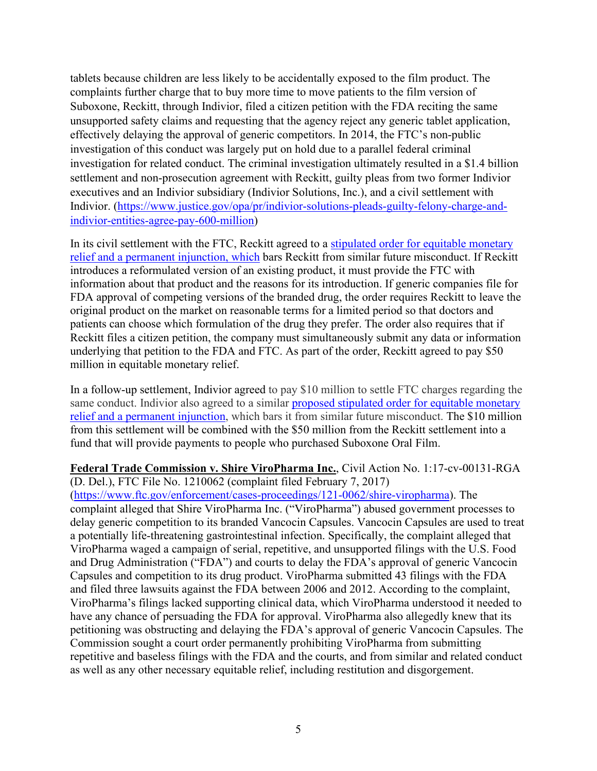tablets because children are less likely to be accidentally exposed to the film product. The complaints further charge that to buy more time to move patients to the film version of Suboxone, Reckitt, through Indivior, filed a citizen petition with the FDA reciting the same unsupported safety claims and requesting that the agency reject any generic tablet application, effectively delaying the approval of generic competitors. In 2014, the FTC's non-public investigation of this conduct was largely put on hold due to a parallel federal criminal investigation for related conduct. The criminal investigation ultimately resulted in a \$1.4 billion settlement and non-prosecution agreement with Reckitt, guilty pleas from two former Indivior executives and an Indivior subsidiary (Indivior Solutions, Inc.), and a civil settlement with Indivior. [\(https://www.justice.gov/opa/pr/indivior-solutions-pleads-guilty-felony-charge-and](https://www.justice.gov/opa/pr/indivior-solutions-pleads-guilty-felony-charge-and-indivior-entities-agree-pay-600-million)[indivior-entities-agree-pay-600-million\)](https://www.justice.gov/opa/pr/indivior-solutions-pleads-guilty-felony-charge-and-indivior-entities-agree-pay-600-million)

In its civil settlement with the FTC, Reckitt agreed to a [stipulated order for equitable monetary](https://www.ftc.gov/system/files/documents/cases/reckitt_joint_motion_for_stipulated_order_7-11-19.pdf)  [relief and a permanent injunction,](https://www.ftc.gov/system/files/documents/cases/reckitt_joint_motion_for_stipulated_order_7-11-19.pdf) which bars Reckitt from similar future misconduct. If Reckitt introduces a reformulated version of an existing product, it must provide the FTC with information about that product and the reasons for its introduction. If generic companies file for FDA approval of competing versions of the branded drug, the order requires Reckitt to leave the original product on the market on reasonable terms for a limited period so that doctors and patients can choose which formulation of the drug they prefer. The order also requires that if Reckitt files a citizen petition, the company must simultaneously submit any data or information underlying that petition to the FDA and FTC. As part of the order, Reckitt agreed to pay \$50 million in equitable monetary relief.

In a follow-up settlement, Indivior agreed to pay \$10 million to settle FTC charges regarding the same conduct. Indivior also agreed to a similar [proposed stipulated order](https://www.ftc.gov/system/files/documents/cases/jt_mtn.pdf) for equitable monetary [relief and a permanent injunction,](https://www.ftc.gov/system/files/documents/cases/jt_mtn.pdf) which bars it from similar future misconduct. The \$10 million from this settlement will be combined with the \$50 million from the Reckitt settlement into a fund that will provide payments to people who purchased Suboxone Oral Film.

**Federal Trade Commission v. Shire ViroPharma Inc.**, Civil Action No. 1:17-cv-00131-RGA (D. Del.), FTC File No. 1210062 (complaint filed February 7, 2017)

[\(https://www.ftc.gov/enforcement/cases-proceedings/121-0062/shire-viropharma\)](https://www.ftc.gov/enforcement/cases-proceedings/121-0062/shire-viropharma). The complaint alleged that Shire ViroPharma Inc. ("ViroPharma") abused government processes to delay generic competition to its branded Vancocin Capsules. Vancocin Capsules are used to treat a potentially life-threatening gastrointestinal infection. Specifically, the complaint alleged that ViroPharma waged a campaign of serial, repetitive, and unsupported filings with the U.S. Food and Drug Administration ("FDA") and courts to delay the FDA's approval of generic Vancocin Capsules and competition to its drug product. ViroPharma submitted 43 filings with the FDA and filed three lawsuits against the FDA between 2006 and 2012. According to the complaint, ViroPharma's filings lacked supporting clinical data, which ViroPharma understood it needed to have any chance of persuading the FDA for approval. ViroPharma also allegedly knew that its petitioning was obstructing and delaying the FDA's approval of generic Vancocin Capsules. The Commission sought a court order permanently prohibiting ViroPharma from submitting repetitive and baseless filings with the FDA and the courts, and from similar and related conduct as well as any other necessary equitable relief, including restitution and disgorgement.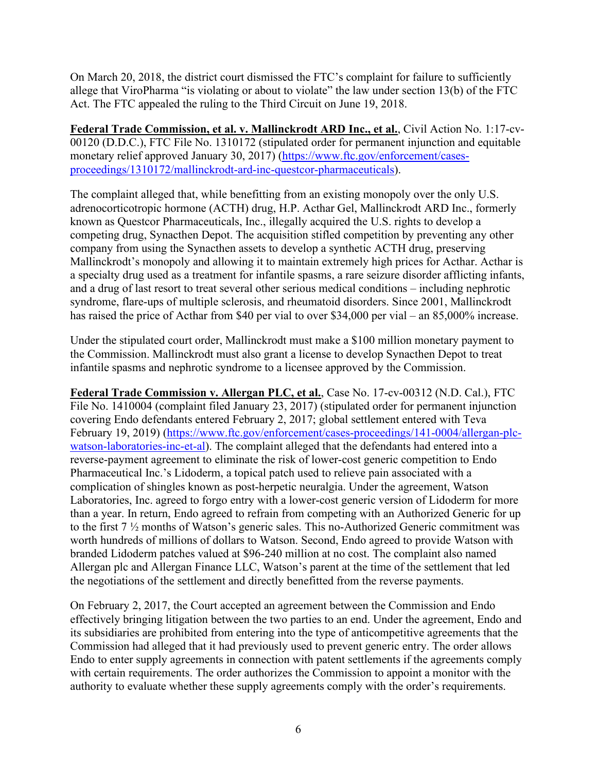On March 20, 2018, the district court dismissed the FTC's complaint for failure to sufficiently allege that ViroPharma "is violating or about to violate" the law under section 13(b) of the FTC Act. The FTC appealed the ruling to the Third Circuit on June 19, 2018.

**Federal Trade Commission, et al. v. Mallinckrodt ARD Inc., et al.**, Civil Action No. 1:17-cv-00120 (D.D.C.), FTC File No. 1310172 (stipulated order for permanent injunction and equitable monetary relief approved January 30, 2017) [\(https://www.ftc.gov/enforcement/cases](https://www.ftc.gov/enforcement/cases-proceedings/1310172/mallinckrodt-ard-inc-questcor-pharmaceuticals)[proceedings/1310172/mallinckrodt-ard-inc-questcor-pharmaceuticals\)](https://www.ftc.gov/enforcement/cases-proceedings/1310172/mallinckrodt-ard-inc-questcor-pharmaceuticals).

The complaint alleged that, while benefitting from an existing monopoly over the only U.S. adrenocorticotropic hormone (ACTH) drug, H.P. Acthar Gel, Mallinckrodt ARD Inc., formerly known as Questcor Pharmaceuticals, Inc., illegally acquired the U.S. rights to develop a competing drug, Synacthen Depot. The acquisition stifled competition by preventing any other company from using the Synacthen assets to develop a synthetic ACTH drug, preserving Mallinckrodt's monopoly and allowing it to maintain extremely high prices for Acthar. Acthar is a specialty drug used as a treatment for infantile spasms, a rare seizure disorder afflicting infants, and a drug of last resort to treat several other serious medical conditions – including nephrotic syndrome, flare-ups of multiple sclerosis, and rheumatoid disorders. Since 2001, Mallinckrodt has raised the price of Acthar from \$40 per vial to over \$34,000 per vial – an 85,000% increase.

Under the stipulated court order, Mallinckrodt must make a \$100 million monetary payment to the Commission. Mallinckrodt must also grant a license to develop Synacthen Depot to treat infantile spasms and nephrotic syndrome to a licensee approved by the Commission.

**Federal Trade Commission v. Allergan PLC, et al.**, Case No. 17-cv-00312 (N.D. Cal.), FTC File No. 1410004 (complaint filed January 23, 2017) (stipulated order for permanent injunction covering Endo defendants entered February 2, 2017; global settlement entered with Teva February 19, 2019) [\(https://www.ftc.gov/enforcement/cases-proceedings/141-0004/allergan-plc](https://www.ftc.gov/enforcement/cases-proceedings/141-0004/allergan-plc-watson-laboratories-inc-et-al)[watson-laboratories-inc-et-al\)](https://www.ftc.gov/enforcement/cases-proceedings/141-0004/allergan-plc-watson-laboratories-inc-et-al). The complaint alleged that the defendants had entered into a reverse-payment agreement to eliminate the risk of lower-cost generic competition to Endo Pharmaceutical Inc.'s Lidoderm, a topical patch used to relieve pain associated with a complication of shingles known as post-herpetic neuralgia. Under the agreement, Watson Laboratories, Inc. agreed to forgo entry with a lower-cost generic version of Lidoderm for more than a year. In return, Endo agreed to refrain from competing with an Authorized Generic for up to the first 7 ½ months of Watson's generic sales. This no-Authorized Generic commitment was worth hundreds of millions of dollars to Watson. Second, Endo agreed to provide Watson with branded Lidoderm patches valued at \$96-240 million at no cost. The complaint also named Allergan plc and Allergan Finance LLC, Watson's parent at the time of the settlement that led the negotiations of the settlement and directly benefitted from the reverse payments.

On February 2, 2017, the Court accepted an agreement between the Commission and Endo effectively bringing litigation between the two parties to an end. Under the agreement, Endo and its subsidiaries are prohibited from entering into the type of anticompetitive agreements that the Commission had alleged that it had previously used to prevent generic entry. The order allows Endo to enter supply agreements in connection with patent settlements if the agreements comply with certain requirements. The order authorizes the Commission to appoint a monitor with the authority to evaluate whether these supply agreements comply with the order's requirements.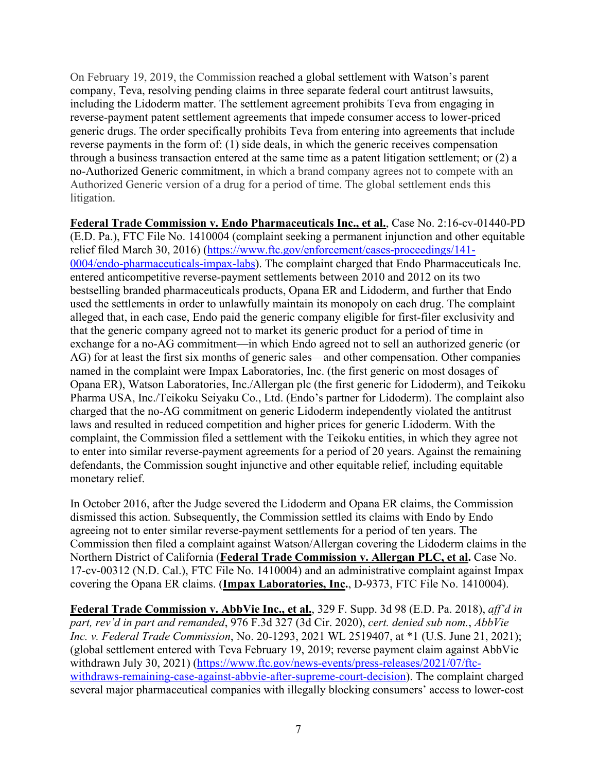On February 19, 2019, the Commission reached a global settlement with Watson's parent company, Teva, resolving pending claims in three separate federal court antitrust lawsuits, including the Lidoderm matter. The settlement agreement prohibits Teva from engaging in reverse-payment patent settlement agreements that impede consumer access to lower-priced generic drugs. The order specifically prohibits Teva from entering into agreements that include reverse payments in the form of: (1) side deals, in which the generic receives compensation through a business transaction entered at the same time as a patent litigation settlement; or (2) a no-Authorized Generic commitment, in which a brand company agrees not to compete with an Authorized Generic version of a drug for a period of time. The global settlement ends this litigation.

**Federal Trade Commission v. Endo Pharmaceuticals Inc., et al.**, Case No. 2:16-cv-01440-PD (E.D. Pa.), FTC File No. 1410004 (complaint seeking a permanent injunction and other equitable relief filed March 30, 2016) [\(https://www.ftc.gov/enforcement/cases-proceedings/141-](https://www.ftc.gov/enforcement/cases-proceedings/141-0004/endo-pharmaceuticals-impax-labs) [0004/endo-pharmaceuticals-impax-labs\)](https://www.ftc.gov/enforcement/cases-proceedings/141-0004/endo-pharmaceuticals-impax-labs). The complaint charged that Endo Pharmaceuticals Inc. entered anticompetitive reverse-payment settlements between 2010 and 2012 on its two bestselling branded pharmaceuticals products, Opana ER and Lidoderm, and further that Endo used the settlements in order to unlawfully maintain its monopoly on each drug. The complaint alleged that, in each case, Endo paid the generic company eligible for first-filer exclusivity and that the generic company agreed not to market its generic product for a period of time in exchange for a no-AG commitment—in which Endo agreed not to sell an authorized generic (or AG) for at least the first six months of generic sales—and other compensation. Other companies named in the complaint were Impax Laboratories, Inc. (the first generic on most dosages of Opana ER), Watson Laboratories, Inc./Allergan plc (the first generic for Lidoderm), and Teikoku Pharma USA, Inc./Teikoku Seiyaku Co., Ltd. (Endo's partner for Lidoderm). The complaint also charged that the no-AG commitment on generic Lidoderm independently violated the antitrust laws and resulted in reduced competition and higher prices for generic Lidoderm. With the complaint, the Commission filed a settlement with the Teikoku entities, in which they agree not to enter into similar reverse-payment agreements for a period of 20 years. Against the remaining defendants, the Commission sought injunctive and other equitable relief, including equitable monetary relief.

In October 2016, after the Judge severed the Lidoderm and Opana ER claims, the Commission dismissed this action. Subsequently, the Commission settled its claims with Endo by Endo agreeing not to enter similar reverse-payment settlements for a period of ten years. The Commission then filed a complaint against Watson/Allergan covering the Lidoderm claims in the Northern District of California (**Federal Trade Commission v. Allergan PLC, et al.** Case No. 17-cv-00312 (N.D. Cal.), FTC File No. 1410004) and an administrative complaint against Impax covering the Opana ER claims. (**Impax Laboratories, Inc.**, D-9373, FTC File No. 1410004).

**Federal Trade Commission v. AbbVie Inc., et al.**, 329 F. Supp. 3d 98 (E.D. Pa. 2018), *aff'd in part, rev'd in part and remanded*, 976 F.3d 327 (3d Cir. 2020), *cert. denied sub nom.*, *AbbVie Inc. v. Federal Trade Commission*, No. 20-1293, 2021 WL 2519407, at \*1 (U.S. June 21, 2021); (global settlement entered with Teva February 19, 2019; reverse payment claim against AbbVie withdrawn July 30, 2021) [\(https://www.ftc.gov/news-events/press-releases/2021/07/ftc](https://www.ftc.gov/news-events/press-releases/2021/07/ftc-withdraws-remaining-case-against-abbvie-after-supreme-court-decision)[withdraws-remaining-case-against-abbvie-after-supreme-court-decision\)](https://www.ftc.gov/news-events/press-releases/2021/07/ftc-withdraws-remaining-case-against-abbvie-after-supreme-court-decision). The complaint charged several major pharmaceutical companies with illegally blocking consumers' access to lower-cost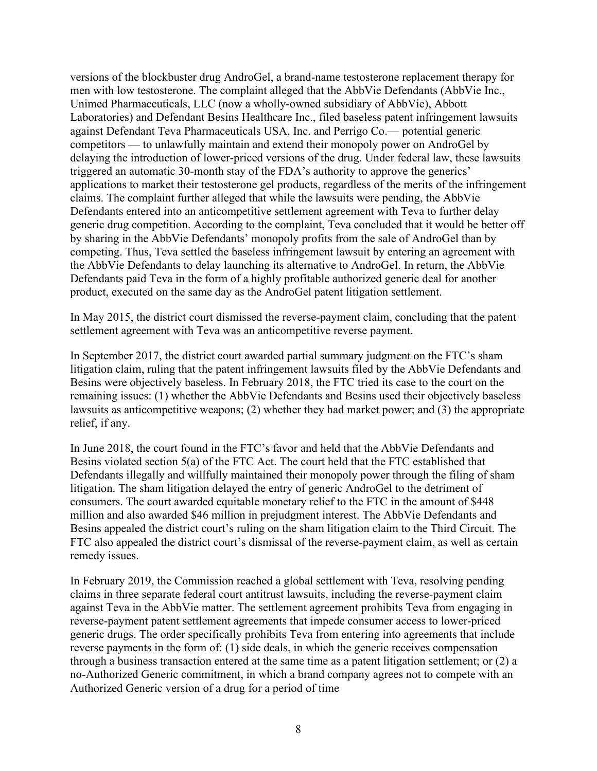versions of the blockbuster drug AndroGel, a brand-name testosterone replacement therapy for men with low testosterone. The complaint alleged that the AbbVie Defendants (AbbVie Inc., Unimed Pharmaceuticals, LLC (now a wholly-owned subsidiary of AbbVie), Abbott Laboratories) and Defendant Besins Healthcare Inc., filed baseless patent infringement lawsuits against Defendant Teva Pharmaceuticals USA, Inc. and Perrigo Co.— potential generic competitors — to unlawfully maintain and extend their monopoly power on AndroGel by delaying the introduction of lower-priced versions of the drug. Under federal law, these lawsuits triggered an automatic 30-month stay of the FDA's authority to approve the generics' applications to market their testosterone gel products, regardless of the merits of the infringement claims. The complaint further alleged that while the lawsuits were pending, the AbbVie Defendants entered into an anticompetitive settlement agreement with Teva to further delay generic drug competition. According to the complaint, Teva concluded that it would be better off by sharing in the AbbVie Defendants' monopoly profits from the sale of AndroGel than by competing. Thus, Teva settled the baseless infringement lawsuit by entering an agreement with the AbbVie Defendants to delay launching its alternative to AndroGel. In return, the AbbVie Defendants paid Teva in the form of a highly profitable authorized generic deal for another product, executed on the same day as the AndroGel patent litigation settlement.

In May 2015, the district court dismissed the reverse-payment claim, concluding that the patent settlement agreement with Teva was an anticompetitive reverse payment.

In September 2017, the district court awarded partial summary judgment on the FTC's sham litigation claim, ruling that the patent infringement lawsuits filed by the AbbVie Defendants and Besins were objectively baseless. In February 2018, the FTC tried its case to the court on the remaining issues: (1) whether the AbbVie Defendants and Besins used their objectively baseless lawsuits as anticompetitive weapons; (2) whether they had market power; and (3) the appropriate relief, if any.

In June 2018, the court found in the FTC's favor and held that the AbbVie Defendants and Besins violated section 5(a) of the FTC Act. The court held that the FTC established that Defendants illegally and willfully maintained their monopoly power through the filing of sham litigation. The sham litigation delayed the entry of generic AndroGel to the detriment of consumers. The court awarded equitable monetary relief to the FTC in the amount of \$448 million and also awarded \$46 million in prejudgment interest. The AbbVie Defendants and Besins appealed the district court's ruling on the sham litigation claim to the Third Circuit. The FTC also appealed the district court's dismissal of the reverse-payment claim, as well as certain remedy issues.

In February 2019, the Commission reached a global settlement with Teva, resolving pending claims in three separate federal court antitrust lawsuits, including the reverse-payment claim against Teva in the AbbVie matter. The settlement agreement prohibits Teva from engaging in reverse-payment patent settlement agreements that impede consumer access to lower-priced generic drugs. The order specifically prohibits Teva from entering into agreements that include reverse payments in the form of: (1) side deals, in which the generic receives compensation through a business transaction entered at the same time as a patent litigation settlement; or (2) a no-Authorized Generic commitment, in which a brand company agrees not to compete with an Authorized Generic version of a drug for a period of time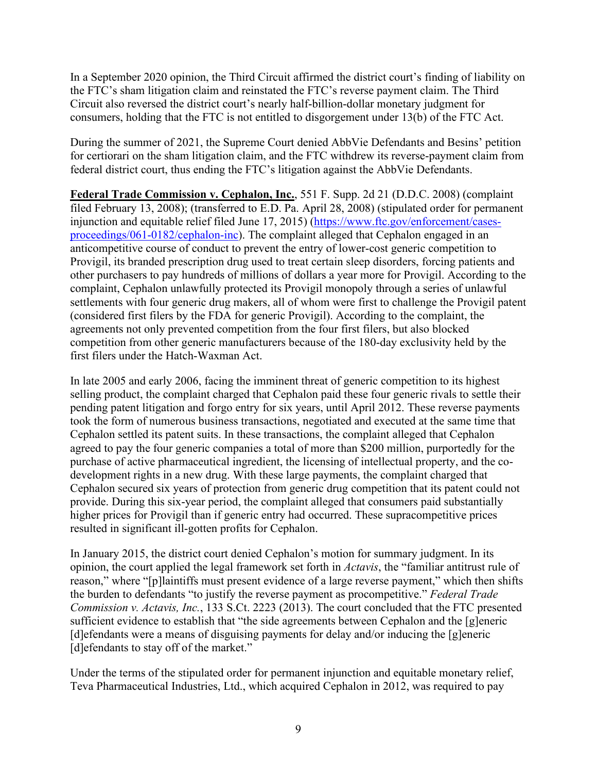In a September 2020 opinion, the Third Circuit affirmed the district court's finding of liability on the FTC's sham litigation claim and reinstated the FTC's reverse payment claim. The Third Circuit also reversed the district court's nearly half-billion-dollar monetary judgment for consumers, holding that the FTC is not entitled to disgorgement under 13(b) of the FTC Act.

During the summer of 2021, the Supreme Court denied AbbVie Defendants and Besins' petition for certiorari on the sham litigation claim, and the FTC withdrew its reverse-payment claim from federal district court, thus ending the FTC's litigation against the AbbVie Defendants.

**Federal Trade Commission v. Cephalon, Inc.**, 551 F. Supp. 2d 21 (D.D.C. 2008) (complaint filed February 13, 2008); (transferred to E.D. Pa. April 28, 2008) (stipulated order for permanent injunction and equitable relief filed June 17, 2015) [\(https://www.ftc.gov/enforcement/cases](https://www.ftc.gov/enforcement/cases-proceedings/061-0182/cephalon-inc)[proceedings/061-0182/cephalon-inc\)](https://www.ftc.gov/enforcement/cases-proceedings/061-0182/cephalon-inc). The complaint alleged that Cephalon engaged in an anticompetitive course of conduct to prevent the entry of lower-cost generic competition to Provigil, its branded prescription drug used to treat certain sleep disorders, forcing patients and other purchasers to pay hundreds of millions of dollars a year more for Provigil. According to the complaint, Cephalon unlawfully protected its Provigil monopoly through a series of unlawful settlements with four generic drug makers, all of whom were first to challenge the Provigil patent (considered first filers by the FDA for generic Provigil). According to the complaint, the agreements not only prevented competition from the four first filers, but also blocked competition from other generic manufacturers because of the 180-day exclusivity held by the first filers under the Hatch-Waxman Act.

In late 2005 and early 2006, facing the imminent threat of generic competition to its highest selling product, the complaint charged that Cephalon paid these four generic rivals to settle their pending patent litigation and forgo entry for six years, until April 2012. These reverse payments took the form of numerous business transactions, negotiated and executed at the same time that Cephalon settled its patent suits. In these transactions, the complaint alleged that Cephalon agreed to pay the four generic companies a total of more than \$200 million, purportedly for the purchase of active pharmaceutical ingredient, the licensing of intellectual property, and the codevelopment rights in a new drug. With these large payments, the complaint charged that Cephalon secured six years of protection from generic drug competition that its patent could not provide. During this six-year period, the complaint alleged that consumers paid substantially higher prices for Provigil than if generic entry had occurred. These supracompetitive prices resulted in significant ill-gotten profits for Cephalon.

In January 2015, the district court denied Cephalon's motion for summary judgment. In its opinion, the court applied the legal framework set forth in *Actavis*, the "familiar antitrust rule of reason," where "[p]laintiffs must present evidence of a large reverse payment," which then shifts the burden to defendants "to justify the reverse payment as procompetitive." *Federal Trade Commission v. Actavis, Inc.*, 133 S.Ct. 2223 (2013). The court concluded that the FTC presented sufficient evidence to establish that "the side agreements between Cephalon and the [g]eneric [d]efendants were a means of disguising payments for delay and/or inducing the [g]eneric [d]efendants to stay off of the market."

Under the terms of the stipulated order for permanent injunction and equitable monetary relief, Teva Pharmaceutical Industries, Ltd., which acquired Cephalon in 2012, was required to pay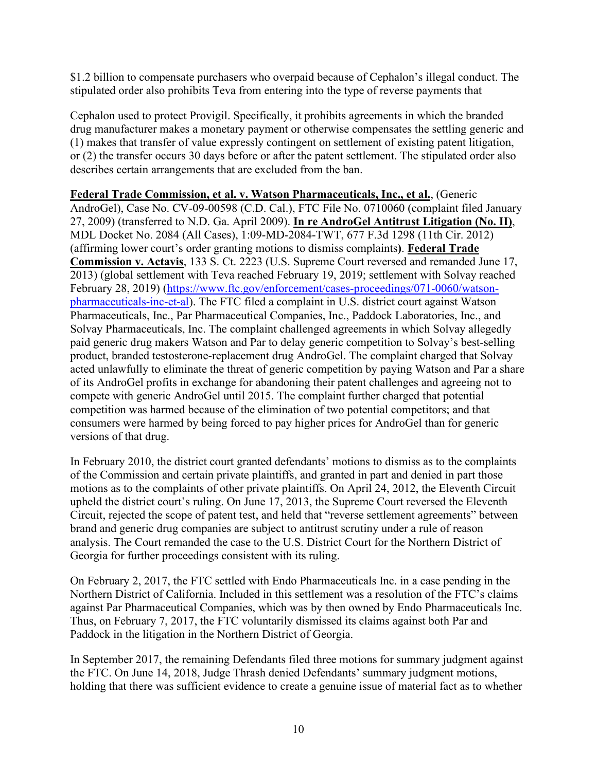\$1.2 billion to compensate purchasers who overpaid because of Cephalon's illegal conduct. The stipulated order also prohibits Teva from entering into the type of reverse payments that

Cephalon used to protect Provigil. Specifically, it prohibits agreements in which the branded drug manufacturer makes a monetary payment or otherwise compensates the settling generic and (1) makes that transfer of value expressly contingent on settlement of existing patent litigation, or (2) the transfer occurs 30 days before or after the patent settlement. The stipulated order also describes certain arrangements that are excluded from the ban.

**Federal Trade Commission, et al. v. Watson Pharmaceuticals, Inc., et al.**, (Generic AndroGel), Case No. CV-09-00598 (C.D. Cal.), FTC File No. 0710060 (complaint filed January 27, 2009) (transferred to N.D. Ga. April 2009). **In re AndroGel Antitrust Litigation (No. II)**, MDL Docket No. 2084 (All Cases), 1:09-MD-2084-TWT, 677 F.3d 1298 (11th Cir. 2012) (affirming lower court's order granting motions to dismiss complaints**)**. **Federal Trade Commission v. Actavis**, 133 S. Ct. 2223 (U.S. Supreme Court reversed and remanded June 17, 2013) (global settlement with Teva reached February 19, 2019; settlement with Solvay reached February 28, 2019) [\(https://www.ftc.gov/enforcement/cases-proceedings/071-0060/watson](https://www.ftc.gov/enforcement/cases-proceedings/071-0060/watson-pharmaceuticals-inc-et-al)[pharmaceuticals-inc-et-al\)](https://www.ftc.gov/enforcement/cases-proceedings/071-0060/watson-pharmaceuticals-inc-et-al). The FTC filed a complaint in U.S. district court against Watson Pharmaceuticals, Inc., Par Pharmaceutical Companies, Inc., Paddock Laboratories, Inc., and Solvay Pharmaceuticals, Inc. The complaint challenged agreements in which Solvay allegedly paid generic drug makers Watson and Par to delay generic competition to Solvay's best-selling product, branded testosterone-replacement drug AndroGel. The complaint charged that Solvay acted unlawfully to eliminate the threat of generic competition by paying Watson and Par a share of its AndroGel profits in exchange for abandoning their patent challenges and agreeing not to compete with generic AndroGel until 2015. The complaint further charged that potential competition was harmed because of the elimination of two potential competitors; and that consumers were harmed by being forced to pay higher prices for AndroGel than for generic versions of that drug.

In February 2010, the district court granted defendants' motions to dismiss as to the complaints of the Commission and certain private plaintiffs, and granted in part and denied in part those motions as to the complaints of other private plaintiffs. On April 24, 2012, the Eleventh Circuit upheld the district court's ruling. On June 17, 2013, the Supreme Court reversed the Eleventh Circuit, rejected the scope of patent test, and held that "reverse settlement agreements" between brand and generic drug companies are subject to antitrust scrutiny under a rule of reason analysis. The Court remanded the case to the U.S. District Court for the Northern District of Georgia for further proceedings consistent with its ruling.

On February 2, 2017, the FTC settled with Endo Pharmaceuticals Inc. in a case pending in the Northern District of California. Included in this settlement was a resolution of the FTC's claims against Par Pharmaceutical Companies, which was by then owned by Endo Pharmaceuticals Inc. Thus, on February 7, 2017, the FTC voluntarily dismissed its claims against both Par and Paddock in the litigation in the Northern District of Georgia.

In September 2017, the remaining Defendants filed three motions for summary judgment against the FTC. On June 14, 2018, Judge Thrash denied Defendants' summary judgment motions, holding that there was sufficient evidence to create a genuine issue of material fact as to whether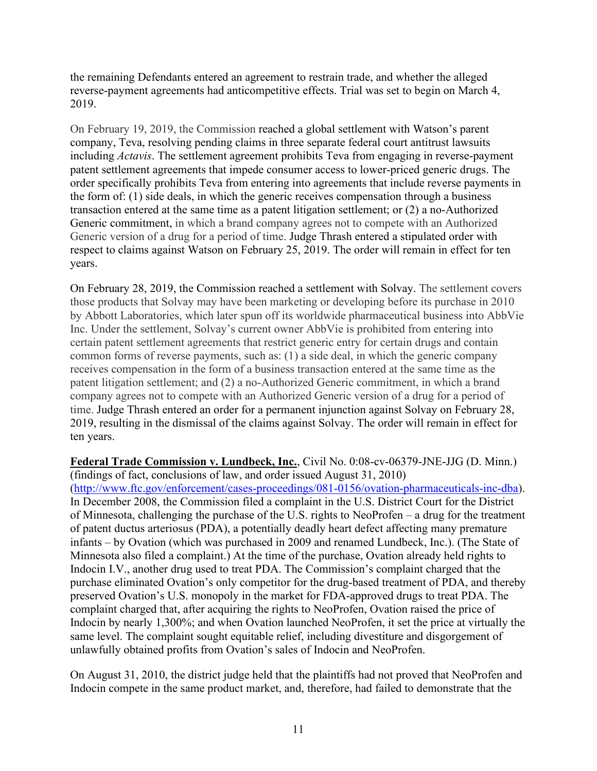the remaining Defendants entered an agreement to restrain trade, and whether the alleged reverse-payment agreements had anticompetitive effects. Trial was set to begin on March 4, 2019.

On February 19, 2019, the Commission reached a global settlement with Watson's parent company, Teva, resolving pending claims in three separate federal court antitrust lawsuits including *Actavis*. The settlement agreement prohibits Teva from engaging in reverse-payment patent settlement agreements that impede consumer access to lower-priced generic drugs. The order specifically prohibits Teva from entering into agreements that include reverse payments in the form of: (1) side deals, in which the generic receives compensation through a business transaction entered at the same time as a patent litigation settlement; or (2) a no-Authorized Generic commitment, in which a brand company agrees not to compete with an Authorized Generic version of a drug for a period of time. Judge Thrash entered a stipulated order with respect to claims against Watson on February 25, 2019. The order will remain in effect for ten years.

On February 28, 2019, the Commission reached a settlement with Solvay. The settlement covers those products that Solvay may have been marketing or developing before its purchase in 2010 by Abbott Laboratories, which later spun off its worldwide pharmaceutical business into AbbVie Inc. Under the settlement, Solvay's current owner AbbVie is prohibited from entering into certain patent settlement agreements that restrict generic entry for certain drugs and contain common forms of reverse payments, such as: (1) a side deal, in which the generic company receives compensation in the form of a business transaction entered at the same time as the patent litigation settlement; and (2) a no-Authorized Generic commitment, in which a brand company agrees not to compete with an Authorized Generic version of a drug for a period of time. Judge Thrash entered an order for a permanent injunction against Solvay on February 28, 2019, resulting in the dismissal of the claims against Solvay. The order will remain in effect for ten years.

**Federal Trade Commission v. Lundbeck, Inc.**, Civil No. 0:08-cv-06379-JNE-JJG (D. Minn.) (findings of fact, conclusions of law, and order issued August 31, 2010) [\(http://www.ftc.gov/enforcement/cases-proceedings/081-0156/ovation-pharmaceuticals-inc-dba\)](http://www.ftc.gov/enforcement/cases-proceedings/081-0156/ovation-pharmaceuticals-inc-dba). In December 2008, the Commission filed a complaint in the U.S. District Court for the District of Minnesota, challenging the purchase of the U.S. rights to NeoProfen – a drug for the treatment of patent ductus arteriosus (PDA), a potentially deadly heart defect affecting many premature infants – by Ovation (which was purchased in 2009 and renamed Lundbeck, Inc.). (The State of Minnesota also filed a complaint.) At the time of the purchase, Ovation already held rights to Indocin I.V., another drug used to treat PDA. The Commission's complaint charged that the purchase eliminated Ovation's only competitor for the drug-based treatment of PDA, and thereby preserved Ovation's U.S. monopoly in the market for FDA-approved drugs to treat PDA. The complaint charged that, after acquiring the rights to NeoProfen, Ovation raised the price of Indocin by nearly 1,300%; and when Ovation launched NeoProfen, it set the price at virtually the same level. The complaint sought equitable relief, including divestiture and disgorgement of unlawfully obtained profits from Ovation's sales of Indocin and NeoProfen.

On August 31, 2010, the district judge held that the plaintiffs had not proved that NeoProfen and Indocin compete in the same product market, and, therefore, had failed to demonstrate that the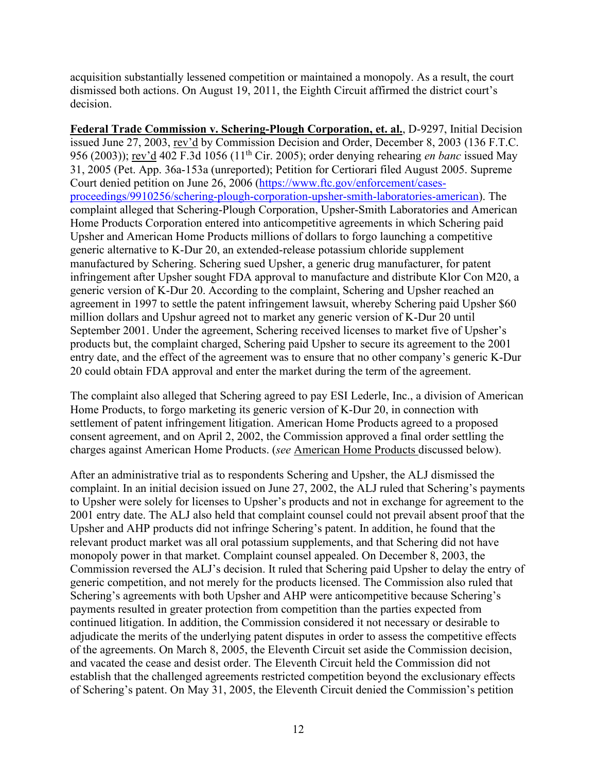acquisition substantially lessened competition or maintained a monopoly. As a result, the court dismissed both actions. On August 19, 2011, the Eighth Circuit affirmed the district court's decision.

**Federal Trade Commission v. Schering-Plough Corporation, et. al.**, D-9297, Initial Decision issued June 27, 2003, rev'd by Commission Decision and Order, December 8, 2003 (136 F.T.C. 956 (2003)); rev'd 402 F.3d 1056 (11th Cir. 2005); order denying rehearing *en banc* issued May 31, 2005 (Pet. App. 36a-153a (unreported); Petition for Certiorari filed August 2005. Supreme Court denied petition on June 26, 2006 [\(https://www.ftc.gov/enforcement/cases](https://www.ftc.gov/enforcement/cases-proceedings/9910256/schering-plough-corporation-upsher-smith-laboratories-american)[proceedings/9910256/schering-plough-corporation-upsher-smith-laboratories-american\)](https://www.ftc.gov/enforcement/cases-proceedings/9910256/schering-plough-corporation-upsher-smith-laboratories-american). The complaint alleged that Schering-Plough Corporation, Upsher-Smith Laboratories and American Home Products Corporation entered into anticompetitive agreements in which Schering paid Upsher and American Home Products millions of dollars to forgo launching a competitive generic alternative to K-Dur 20, an extended-release potassium chloride supplement manufactured by Schering. Schering sued Upsher, a generic drug manufacturer, for patent infringement after Upsher sought FDA approval to manufacture and distribute Klor Con M20, a generic version of K-Dur 20. According to the complaint, Schering and Upsher reached an agreement in 1997 to settle the patent infringement lawsuit, whereby Schering paid Upsher \$60 million dollars and Upshur agreed not to market any generic version of K-Dur 20 until September 2001. Under the agreement, Schering received licenses to market five of Upsher's products but, the complaint charged, Schering paid Upsher to secure its agreement to the 2001 entry date, and the effect of the agreement was to ensure that no other company's generic K-Dur 20 could obtain FDA approval and enter the market during the term of the agreement.

The complaint also alleged that Schering agreed to pay ESI Lederle, Inc., a division of American Home Products, to forgo marketing its generic version of K-Dur 20, in connection with settlement of patent infringement litigation. American Home Products agreed to a proposed consent agreement, and on April 2, 2002, the Commission approved a final order settling the charges against American Home Products. (*see* American Home Products discussed below).

After an administrative trial as to respondents Schering and Upsher, the ALJ dismissed the complaint. In an initial decision issued on June 27, 2002, the ALJ ruled that Schering's payments to Upsher were solely for licenses to Upsher's products and not in exchange for agreement to the 2001 entry date. The ALJ also held that complaint counsel could not prevail absent proof that the Upsher and AHP products did not infringe Schering's patent. In addition, he found that the relevant product market was all oral potassium supplements, and that Schering did not have monopoly power in that market. Complaint counsel appealed. On December 8, 2003, the Commission reversed the ALJ's decision. It ruled that Schering paid Upsher to delay the entry of generic competition, and not merely for the products licensed. The Commission also ruled that Schering's agreements with both Upsher and AHP were anticompetitive because Schering's payments resulted in greater protection from competition than the parties expected from continued litigation. In addition, the Commission considered it not necessary or desirable to adjudicate the merits of the underlying patent disputes in order to assess the competitive effects of the agreements. On March 8, 2005, the Eleventh Circuit set aside the Commission decision, and vacated the cease and desist order. The Eleventh Circuit held the Commission did not establish that the challenged agreements restricted competition beyond the exclusionary effects of Schering's patent. On May 31, 2005, the Eleventh Circuit denied the Commission's petition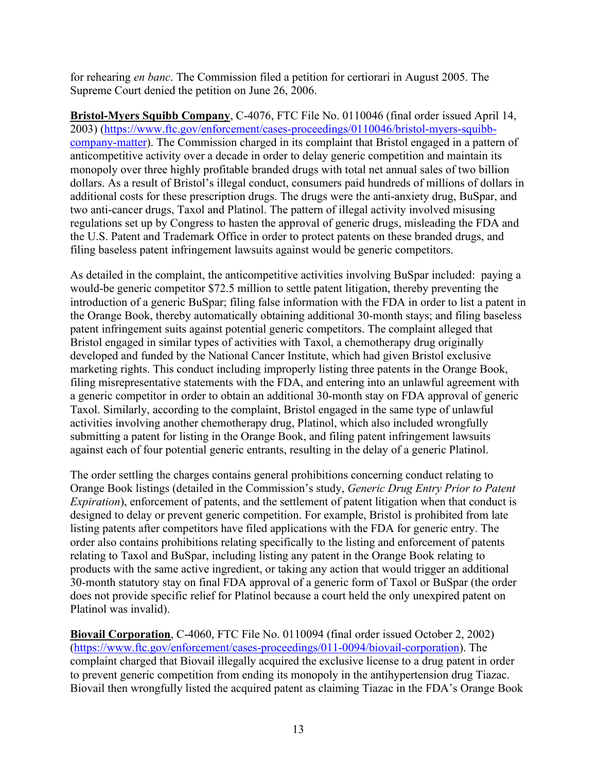for rehearing *en banc*. The Commission filed a petition for certiorari in August 2005. The Supreme Court denied the petition on June 26, 2006.

**Bristol-Myers Squibb Company**, C-4076, FTC File No. 0110046 (final order issued April 14, 2003) [\(https://www.ftc.gov/enforcement/cases-proceedings/0110046/bristol-myers-squibb](https://www.ftc.gov/enforcement/cases-proceedings/0110046/bristol-myers-squibb-company-matter)[company-matter\)](https://www.ftc.gov/enforcement/cases-proceedings/0110046/bristol-myers-squibb-company-matter). The Commission charged in its complaint that Bristol engaged in a pattern of anticompetitive activity over a decade in order to delay generic competition and maintain its monopoly over three highly profitable branded drugs with total net annual sales of two billion dollars. As a result of Bristol's illegal conduct, consumers paid hundreds of millions of dollars in additional costs for these prescription drugs. The drugs were the anti-anxiety drug, BuSpar, and two anti-cancer drugs, Taxol and Platinol. The pattern of illegal activity involved misusing regulations set up by Congress to hasten the approval of generic drugs, misleading the FDA and the U.S. Patent and Trademark Office in order to protect patents on these branded drugs, and filing baseless patent infringement lawsuits against would be generic competitors.

As detailed in the complaint, the anticompetitive activities involving BuSpar included: paying a would-be generic competitor \$72.5 million to settle patent litigation, thereby preventing the introduction of a generic BuSpar; filing false information with the FDA in order to list a patent in the Orange Book, thereby automatically obtaining additional 30-month stays; and filing baseless patent infringement suits against potential generic competitors. The complaint alleged that Bristol engaged in similar types of activities with Taxol, a chemotherapy drug originally developed and funded by the National Cancer Institute, which had given Bristol exclusive marketing rights. This conduct including improperly listing three patents in the Orange Book, filing misrepresentative statements with the FDA, and entering into an unlawful agreement with a generic competitor in order to obtain an additional 30-month stay on FDA approval of generic Taxol. Similarly, according to the complaint, Bristol engaged in the same type of unlawful activities involving another chemotherapy drug, Platinol, which also included wrongfully submitting a patent for listing in the Orange Book, and filing patent infringement lawsuits against each of four potential generic entrants, resulting in the delay of a generic Platinol.

The order settling the charges contains general prohibitions concerning conduct relating to Orange Book listings (detailed in the Commission's study, *Generic Drug Entry Prior to Patent Expiration*), enforcement of patents, and the settlement of patent litigation when that conduct is designed to delay or prevent generic competition. For example, Bristol is prohibited from late listing patents after competitors have filed applications with the FDA for generic entry. The order also contains prohibitions relating specifically to the listing and enforcement of patents relating to Taxol and BuSpar, including listing any patent in the Orange Book relating to products with the same active ingredient, or taking any action that would trigger an additional 30-month statutory stay on final FDA approval of a generic form of Taxol or BuSpar (the order does not provide specific relief for Platinol because a court held the only unexpired patent on Platinol was invalid).

**Biovail Corporation**, C-4060, FTC File No. 0110094 (final order issued October 2, 2002) [\(https://www.ftc.gov/enforcement/cases-proceedings/011-0094/biovail-corporation\)](https://www.ftc.gov/enforcement/cases-proceedings/011-0094/biovail-corporation). The complaint charged that Biovail illegally acquired the exclusive license to a drug patent in order to prevent generic competition from ending its monopoly in the antihypertension drug Tiazac. Biovail then wrongfully listed the acquired patent as claiming Tiazac in the FDA's Orange Book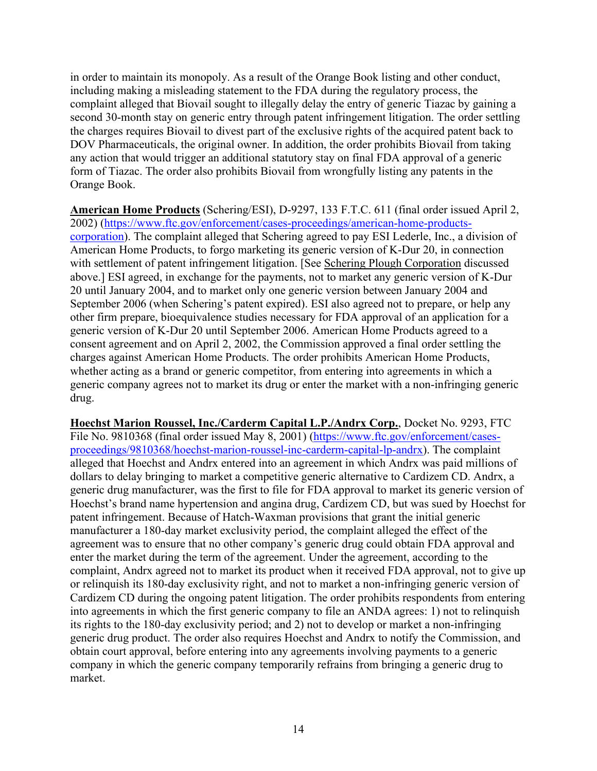in order to maintain its monopoly. As a result of the Orange Book listing and other conduct, including making a misleading statement to the FDA during the regulatory process, the complaint alleged that Biovail sought to illegally delay the entry of generic Tiazac by gaining a second 30-month stay on generic entry through patent infringement litigation. The order settling the charges requires Biovail to divest part of the exclusive rights of the acquired patent back to DOV Pharmaceuticals, the original owner. In addition, the order prohibits Biovail from taking any action that would trigger an additional statutory stay on final FDA approval of a generic form of Tiazac. The order also prohibits Biovail from wrongfully listing any patents in the Orange Book.

**American Home Products** (Schering/ESI), D-9297, 133 F.T.C. 611 (final order issued April 2, 2002) [\(https://www.ftc.gov/enforcement/cases-proceedings/american-home-products](https://www.ftc.gov/enforcement/cases-proceedings/american-home-products-corporation)[corporation\)](https://www.ftc.gov/enforcement/cases-proceedings/american-home-products-corporation). The complaint alleged that Schering agreed to pay ESI Lederle, Inc., a division of American Home Products, to forgo marketing its generic version of K-Dur 20, in connection with settlement of patent infringement litigation. [See Schering Plough Corporation discussed above.] ESI agreed, in exchange for the payments, not to market any generic version of K-Dur 20 until January 2004, and to market only one generic version between January 2004 and September 2006 (when Schering's patent expired). ESI also agreed not to prepare, or help any other firm prepare, bioequivalence studies necessary for FDA approval of an application for a generic version of K-Dur 20 until September 2006. American Home Products agreed to a consent agreement and on April 2, 2002, the Commission approved a final order settling the charges against American Home Products. The order prohibits American Home Products, whether acting as a brand or generic competitor, from entering into agreements in which a generic company agrees not to market its drug or enter the market with a non-infringing generic drug.

**Hoechst Marion Roussel, Inc./Carderm Capital L.P./Andrx Corp.**, Docket No. 9293, FTC File No. 9810368 (final order issued May 8, 2001) [\(https://www.ftc.gov/enforcement/cases](https://www.ftc.gov/enforcement/cases-proceedings/9810368/hoechst-marion-roussel-inc-carderm-capital-lp-andrx)[proceedings/9810368/hoechst-marion-roussel-inc-carderm-capital-lp-andrx\)](https://www.ftc.gov/enforcement/cases-proceedings/9810368/hoechst-marion-roussel-inc-carderm-capital-lp-andrx). The complaint alleged that Hoechst and Andrx entered into an agreement in which Andrx was paid millions of dollars to delay bringing to market a competitive generic alternative to Cardizem CD. Andrx, a generic drug manufacturer, was the first to file for FDA approval to market its generic version of Hoechst's brand name hypertension and angina drug, Cardizem CD, but was sued by Hoechst for patent infringement. Because of Hatch-Waxman provisions that grant the initial generic manufacturer a 180-day market exclusivity period, the complaint alleged the effect of the agreement was to ensure that no other company's generic drug could obtain FDA approval and enter the market during the term of the agreement. Under the agreement, according to the complaint, Andrx agreed not to market its product when it received FDA approval, not to give up or relinquish its 180-day exclusivity right, and not to market a non-infringing generic version of Cardizem CD during the ongoing patent litigation. The order prohibits respondents from entering into agreements in which the first generic company to file an ANDA agrees: 1) not to relinquish its rights to the 180-day exclusivity period; and 2) not to develop or market a non-infringing generic drug product. The order also requires Hoechst and Andrx to notify the Commission, and obtain court approval, before entering into any agreements involving payments to a generic company in which the generic company temporarily refrains from bringing a generic drug to market.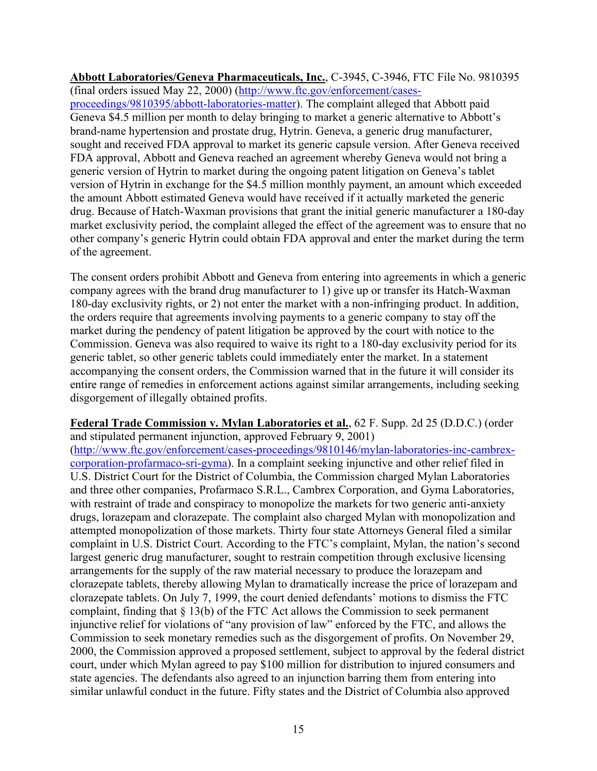**Abbott Laboratories/Geneva Pharmaceuticals, Inc.**, C-3945, C-3946, FTC File No. 9810395 (final orders issued May 22, 2000) [\(http://www.ftc.gov/enforcement/cases](http://www.ftc.gov/enforcement/cases-proceedings/9810395/abbott-laboratories-matter)[proceedings/9810395/abbott-laboratories-matter\)](http://www.ftc.gov/enforcement/cases-proceedings/9810395/abbott-laboratories-matter). The complaint alleged that Abbott paid Geneva \$4.5 million per month to delay bringing to market a generic alternative to Abbott's brand-name hypertension and prostate drug, Hytrin. Geneva, a generic drug manufacturer, sought and received FDA approval to market its generic capsule version. After Geneva received FDA approval, Abbott and Geneva reached an agreement whereby Geneva would not bring a generic version of Hytrin to market during the ongoing patent litigation on Geneva's tablet version of Hytrin in exchange for the \$4.5 million monthly payment, an amount which exceeded the amount Abbott estimated Geneva would have received if it actually marketed the generic drug. Because of Hatch-Waxman provisions that grant the initial generic manufacturer a 180-day market exclusivity period, the complaint alleged the effect of the agreement was to ensure that no other company's generic Hytrin could obtain FDA approval and enter the market during the term of the agreement.

The consent orders prohibit Abbott and Geneva from entering into agreements in which a generic company agrees with the brand drug manufacturer to 1) give up or transfer its Hatch-Waxman 180-day exclusivity rights, or 2) not enter the market with a non-infringing product. In addition, the orders require that agreements involving payments to a generic company to stay off the market during the pendency of patent litigation be approved by the court with notice to the Commission. Geneva was also required to waive its right to a 180-day exclusivity period for its generic tablet, so other generic tablets could immediately enter the market. In a statement accompanying the consent orders, the Commission warned that in the future it will consider its entire range of remedies in enforcement actions against similar arrangements, including seeking disgorgement of illegally obtained profits.

**Federal Trade Commission v. Mylan Laboratories et al.**, 62 F. Supp. 2d 25 (D.D.C.) (order and stipulated permanent injunction, approved February 9, 2001) [\(http://www.ftc.gov/enforcement/cases-proceedings/9810146/mylan-laboratories-inc-cambrex](http://www.ftc.gov/enforcement/cases-proceedings/9810146/mylan-laboratories-inc-cambrex-corporation-profarmaco-sri-gyma)[corporation-profarmaco-sri-gyma\)](http://www.ftc.gov/enforcement/cases-proceedings/9810146/mylan-laboratories-inc-cambrex-corporation-profarmaco-sri-gyma). In a complaint seeking injunctive and other relief filed in U.S. District Court for the District of Columbia, the Commission charged Mylan Laboratories and three other companies, Profarmaco S.R.L., Cambrex Corporation, and Gyma Laboratories, with restraint of trade and conspiracy to monopolize the markets for two generic anti-anxiety drugs, lorazepam and clorazepate. The complaint also charged Mylan with monopolization and attempted monopolization of those markets. Thirty four state Attorneys General filed a similar complaint in U.S. District Court. According to the FTC's complaint, Mylan, the nation's second largest generic drug manufacturer, sought to restrain competition through exclusive licensing arrangements for the supply of the raw material necessary to produce the lorazepam and clorazepate tablets, thereby allowing Mylan to dramatically increase the price of lorazepam and clorazepate tablets. On July 7, 1999, the court denied defendants' motions to dismiss the FTC complaint, finding that § 13(b) of the FTC Act allows the Commission to seek permanent injunctive relief for violations of "any provision of law" enforced by the FTC, and allows the Commission to seek monetary remedies such as the disgorgement of profits. On November 29, 2000, the Commission approved a proposed settlement, subject to approval by the federal district court, under which Mylan agreed to pay \$100 million for distribution to injured consumers and state agencies. The defendants also agreed to an injunction barring them from entering into similar unlawful conduct in the future. Fifty states and the District of Columbia also approved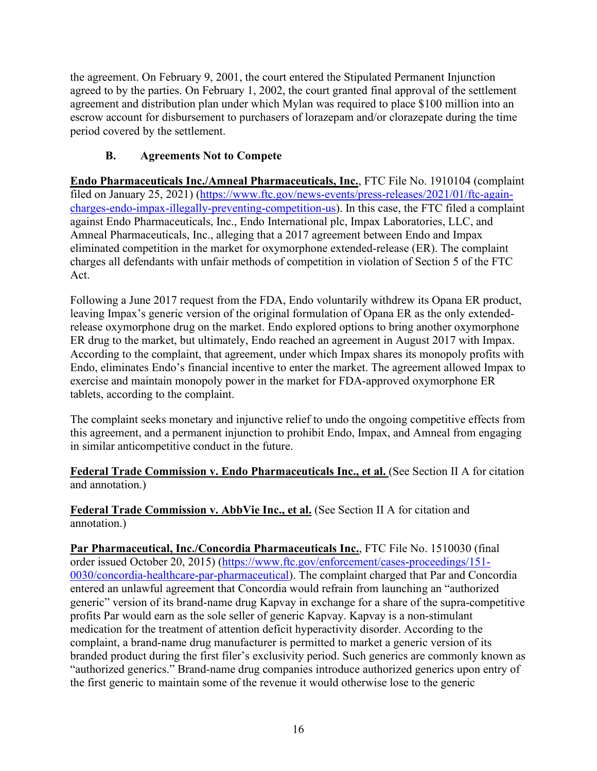the agreement. On February 9, 2001, the court entered the Stipulated Permanent Injunction agreed to by the parties. On February 1, 2002, the court granted final approval of the settlement agreement and distribution plan under which Mylan was required to place \$100 million into an escrow account for disbursement to purchasers of lorazepam and/or clorazepate during the time period covered by the settlement.

# **B. Agreements Not to Compete**

<span id="page-18-0"></span>**Endo Pharmaceuticals Inc./Amneal Pharmaceuticals, Inc.**, FTC File No. 1910104 (complaint filed on January 25, 2021) [\(https://www.ftc.gov/news-events/press-releases/2021/01/ftc-again](https://www.ftc.gov/news-events/press-releases/2021/01/ftc-again-charges-endo-impax-illegally-preventing-competition-us)[charges-endo-impax-illegally-preventing-competition-us\)](https://www.ftc.gov/news-events/press-releases/2021/01/ftc-again-charges-endo-impax-illegally-preventing-competition-us). In this case, the FTC filed a complaint against Endo Pharmaceuticals, Inc., Endo International plc, Impax Laboratories, LLC, and Amneal Pharmaceuticals, Inc., alleging that a 2017 agreement between Endo and Impax eliminated competition in the market for oxymorphone extended-release (ER). The complaint charges all defendants with unfair methods of competition in violation of Section 5 of the FTC Act.

Following a June 2017 request from the FDA, Endo voluntarily withdrew its Opana ER product, leaving Impax's generic version of the original formulation of Opana ER as the only extendedrelease oxymorphone drug on the market. Endo explored options to bring another oxymorphone ER drug to the market, but ultimately, Endo reached an agreement in August 2017 with Impax. According to the complaint, that agreement, under which Impax shares its monopoly profits with Endo, eliminates Endo's financial incentive to enter the market. The agreement allowed Impax to exercise and maintain monopoly power in the market for FDA-approved oxymorphone ER tablets, according to the complaint.

The complaint seeks monetary and injunctive relief to undo the ongoing competitive effects from this agreement, and a permanent injunction to prohibit Endo, Impax, and Amneal from engaging in similar anticompetitive conduct in the future.

**Federal Trade Commission v. Endo Pharmaceuticals Inc., et al.** (See Section II A for citation and annotation.)

**Federal Trade Commission v. AbbVie Inc., et al.** (See Section II A for citation and annotation.)

**Par Pharmaceutical, Inc./Concordia Pharmaceuticals Inc.**, FTC File No. 1510030 (final order issued October 20, 2015) [\(https://www.ftc.gov/enforcement/cases-proceedings/151-](https://www.ftc.gov/enforcement/cases-proceedings/151-0030/concordia-healthcare-par-pharmaceutical) [0030/concordia-healthcare-par-pharmaceutical\)](https://www.ftc.gov/enforcement/cases-proceedings/151-0030/concordia-healthcare-par-pharmaceutical). The complaint charged that Par and Concordia entered an unlawful agreement that Concordia would refrain from launching an "authorized generic" version of its brand-name drug Kapvay in exchange for a share of the supra-competitive profits Par would earn as the sole seller of generic Kapvay. Kapvay is a non-stimulant medication for the treatment of attention deficit hyperactivity disorder. According to the complaint, a brand-name drug manufacturer is permitted to market a generic version of its branded product during the first filer's exclusivity period. Such generics are commonly known as "authorized generics." Brand-name drug companies introduce authorized generics upon entry of the first generic to maintain some of the revenue it would otherwise lose to the generic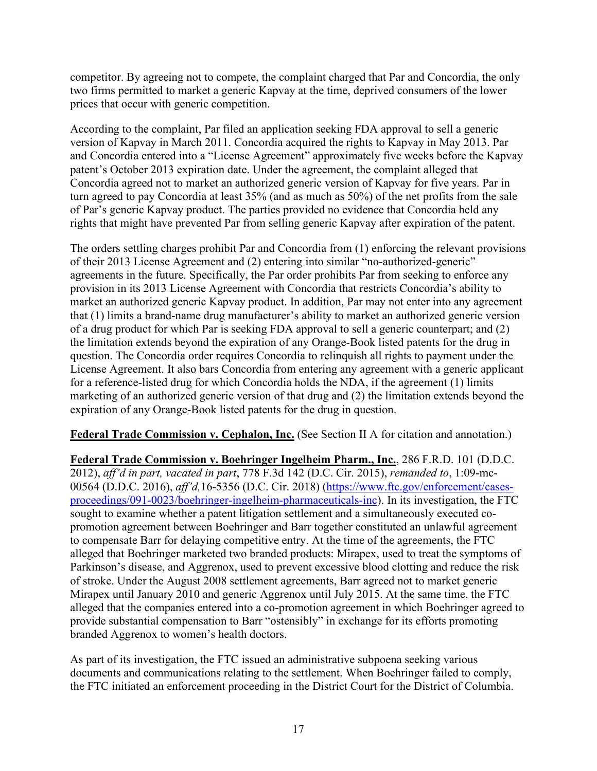competitor. By agreeing not to compete, the complaint charged that Par and Concordia, the only two firms permitted to market a generic Kapvay at the time, deprived consumers of the lower prices that occur with generic competition.

According to the complaint, Par filed an application seeking FDA approval to sell a generic version of Kapvay in March 2011. Concordia acquired the rights to Kapvay in May 2013. Par and Concordia entered into a "License Agreement" approximately five weeks before the Kapvay patent's October 2013 expiration date. Under the agreement, the complaint alleged that Concordia agreed not to market an authorized generic version of Kapvay for five years. Par in turn agreed to pay Concordia at least 35% (and as much as 50%) of the net profits from the sale of Par's generic Kapvay product. The parties provided no evidence that Concordia held any rights that might have prevented Par from selling generic Kapvay after expiration of the patent.

The orders settling charges prohibit Par and Concordia from (1) enforcing the relevant provisions of their 2013 License Agreement and (2) entering into similar "no-authorized-generic" agreements in the future. Specifically, the Par order prohibits Par from seeking to enforce any provision in its 2013 License Agreement with Concordia that restricts Concordia's ability to market an authorized generic Kapvay product. In addition, Par may not enter into any agreement that (1) limits a brand-name drug manufacturer's ability to market an authorized generic version of a drug product for which Par is seeking FDA approval to sell a generic counterpart; and (2) the limitation extends beyond the expiration of any Orange-Book listed patents for the drug in question. The Concordia order requires Concordia to relinquish all rights to payment under the License Agreement. It also bars Concordia from entering any agreement with a generic applicant for a reference-listed drug for which Concordia holds the NDA, if the agreement (1) limits marketing of an authorized generic version of that drug and (2) the limitation extends beyond the expiration of any Orange-Book listed patents for the drug in question.

**Federal Trade Commission v. Cephalon, Inc.** (See Section II A for citation and annotation.)

**Federal Trade Commission v. Boehringer Ingelheim Pharm., Inc.**, 286 F.R.D. 101 (D.D.C. 2012), *aff'd in part, vacated in part*, 778 F.3d 142 (D.C. Cir. 2015), *remanded to*, 1:09-mc-00564 (D.D.C. 2016), *aff'd,*16-5356 (D.C. Cir. 2018) [\(https://www.ftc.gov/enforcement/cases](https://www.ftc.gov/enforcement/cases-proceedings/091-0023/boehringer-ingelheim-pharmaceuticals-inc)[proceedings/091-0023/boehringer-ingelheim-pharmaceuticals-inc\)](https://www.ftc.gov/enforcement/cases-proceedings/091-0023/boehringer-ingelheim-pharmaceuticals-inc). In its investigation, the FTC sought to examine whether a patent litigation settlement and a simultaneously executed copromotion agreement between Boehringer and Barr together constituted an unlawful agreement to compensate Barr for delaying competitive entry. At the time of the agreements, the FTC alleged that Boehringer marketed two branded products: Mirapex, used to treat the symptoms of Parkinson's disease, and Aggrenox, used to prevent excessive blood clotting and reduce the risk of stroke. Under the August 2008 settlement agreements, Barr agreed not to market generic Mirapex until January 2010 and generic Aggrenox until July 2015. At the same time, the FTC alleged that the companies entered into a co-promotion agreement in which Boehringer agreed to provide substantial compensation to Barr "ostensibly" in exchange for its efforts promoting branded Aggrenox to women's health doctors.

As part of its investigation, the FTC issued an administrative subpoena seeking various documents and communications relating to the settlement. When Boehringer failed to comply, the FTC initiated an enforcement proceeding in the District Court for the District of Columbia.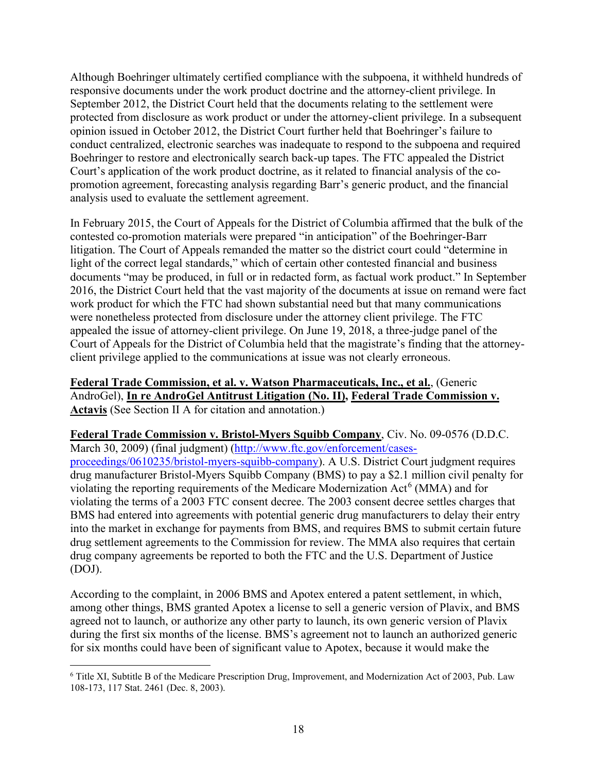Although Boehringer ultimately certified compliance with the subpoena, it withheld hundreds of responsive documents under the work product doctrine and the attorney-client privilege. In September 2012, the District Court held that the documents relating to the settlement were protected from disclosure as work product or under the attorney-client privilege. In a subsequent opinion issued in October 2012, the District Court further held that Boehringer's failure to conduct centralized, electronic searches was inadequate to respond to the subpoena and required Boehringer to restore and electronically search back-up tapes. The FTC appealed the District Court's application of the work product doctrine, as it related to financial analysis of the copromotion agreement, forecasting analysis regarding Barr's generic product, and the financial analysis used to evaluate the settlement agreement.

In February 2015, the Court of Appeals for the District of Columbia affirmed that the bulk of the contested co-promotion materials were prepared "in anticipation" of the Boehringer-Barr litigation. The Court of Appeals remanded the matter so the district court could "determine in light of the correct legal standards," which of certain other contested financial and business documents "may be produced, in full or in redacted form, as factual work product." In September 2016, the District Court held that the vast majority of the documents at issue on remand were fact work product for which the FTC had shown substantial need but that many communications were nonetheless protected from disclosure under the attorney client privilege. The FTC appealed the issue of attorney-client privilege. On June 19, 2018, a three-judge panel of the Court of Appeals for the District of Columbia held that the magistrate's finding that the attorneyclient privilege applied to the communications at issue was not clearly erroneous.

**Federal Trade Commission, et al. v. Watson Pharmaceuticals, Inc., et al.**, (Generic AndroGel), **In re AndroGel Antitrust Litigation (No. II), Federal Trade Commission v. Actavis** (See Section II A for citation and annotation.)

**Federal Trade Commission v. Bristol-Myers Squibb Company**, Civ. No. 09-0576 (D.D.C. March 30, 2009) (final judgment) [\(http://www.ftc.gov/enforcement/cases](http://www.ftc.gov/enforcement/cases-proceedings/0610235/bristol-myers-squibb-company)[proceedings/0610235/bristol-myers-squibb-company\)](http://www.ftc.gov/enforcement/cases-proceedings/0610235/bristol-myers-squibb-company). A U.S. District Court judgment requires drug manufacturer Bristol-Myers Squibb Company (BMS) to pay a \$2.1 million civil penalty for violating the reporting requirements of the Medicare Modernization Act<sup>[6](#page-22-0)</sup> (MMA) and for violating the terms of a 2003 FTC consent decree. The 2003 consent decree settles charges that BMS had entered into agreements with potential generic drug manufacturers to delay their entry into the market in exchange for payments from BMS, and requires BMS to submit certain future drug settlement agreements to the Commission for review. The MMA also requires that certain drug company agreements be reported to both the FTC and the U.S. Department of Justice (DOJ).

According to the complaint, in 2006 BMS and Apotex entered a patent settlement, in which, among other things, BMS granted Apotex a license to sell a generic version of Plavix, and BMS agreed not to launch, or authorize any other party to launch, its own generic version of Plavix during the first six months of the license. BMS's agreement not to launch an authorized generic for six months could have been of significant value to Apotex, because it would make the

<sup>6</sup> Title XI, Subtitle B of the Medicare Prescription Drug, Improvement, and Modernization Act of 2003, Pub. Law 108-173, 117 Stat. 2461 (Dec. 8, 2003).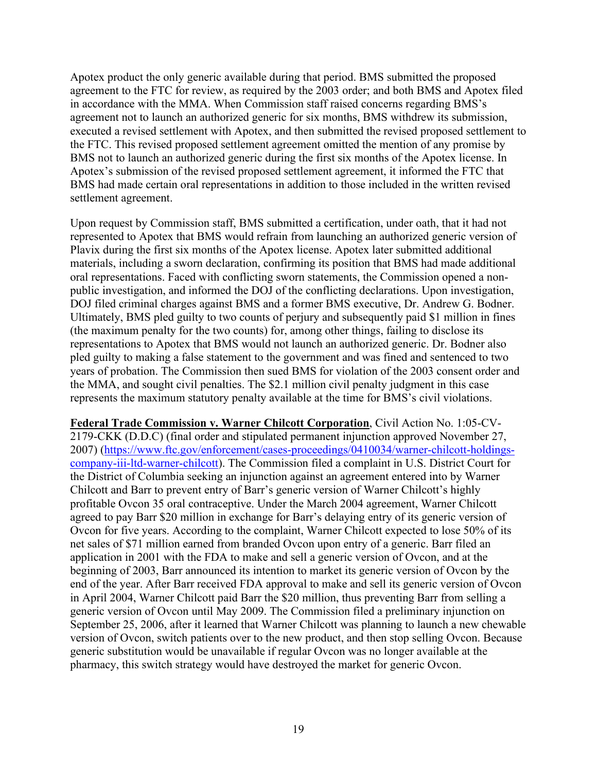Apotex product the only generic available during that period. BMS submitted the proposed agreement to the FTC for review, as required by the 2003 order; and both BMS and Apotex filed in accordance with the MMA. When Commission staff raised concerns regarding BMS's agreement not to launch an authorized generic for six months, BMS withdrew its submission, executed a revised settlement with Apotex, and then submitted the revised proposed settlement to the FTC. This revised proposed settlement agreement omitted the mention of any promise by BMS not to launch an authorized generic during the first six months of the Apotex license. In Apotex's submission of the revised proposed settlement agreement, it informed the FTC that BMS had made certain oral representations in addition to those included in the written revised settlement agreement.

Upon request by Commission staff, BMS submitted a certification, under oath, that it had not represented to Apotex that BMS would refrain from launching an authorized generic version of Plavix during the first six months of the Apotex license. Apotex later submitted additional materials, including a sworn declaration, confirming its position that BMS had made additional oral representations. Faced with conflicting sworn statements, the Commission opened a nonpublic investigation, and informed the DOJ of the conflicting declarations. Upon investigation, DOJ filed criminal charges against BMS and a former BMS executive, Dr. Andrew G. Bodner. Ultimately, BMS pled guilty to two counts of perjury and subsequently paid \$1 million in fines (the maximum penalty for the two counts) for, among other things, failing to disclose its representations to Apotex that BMS would not launch an authorized generic. Dr. Bodner also pled guilty to making a false statement to the government and was fined and sentenced to two years of probation. The Commission then sued BMS for violation of the 2003 consent order and the MMA, and sought civil penalties. The \$2.1 million civil penalty judgment in this case represents the maximum statutory penalty available at the time for BMS's civil violations.

**Federal Trade Commission v. Warner Chilcott Corporation**, Civil Action No. 1:05-CV-2179-CKK (D.D.C) (final order and stipulated permanent injunction approved November 27, 2007) [\(https://www.ftc.gov/enforcement/cases-proceedings/0410034/warner-chilcott-holdings](https://www.ftc.gov/enforcement/cases-proceedings/0410034/warner-chilcott-holdings-company-iii-ltd-warner-chilcott)[company-iii-ltd-warner-chilcott\)](https://www.ftc.gov/enforcement/cases-proceedings/0410034/warner-chilcott-holdings-company-iii-ltd-warner-chilcott). The Commission filed a complaint in U.S. District Court for the District of Columbia seeking an injunction against an agreement entered into by Warner Chilcott and Barr to prevent entry of Barr's generic version of Warner Chilcott's highly profitable Ovcon 35 oral contraceptive. Under the March 2004 agreement, Warner Chilcott agreed to pay Barr \$20 million in exchange for Barr's delaying entry of its generic version of Ovcon for five years. According to the complaint, Warner Chilcott expected to lose 50% of its net sales of \$71 million earned from branded Ovcon upon entry of a generic. Barr filed an application in 2001 with the FDA to make and sell a generic version of Ovcon, and at the beginning of 2003, Barr announced its intention to market its generic version of Ovcon by the end of the year. After Barr received FDA approval to make and sell its generic version of Ovcon in April 2004, Warner Chilcott paid Barr the \$20 million, thus preventing Barr from selling a generic version of Ovcon until May 2009. The Commission filed a preliminary injunction on September 25, 2006, after it learned that Warner Chilcott was planning to launch a new chewable version of Ovcon, switch patients over to the new product, and then stop selling Ovcon. Because generic substitution would be unavailable if regular Ovcon was no longer available at the pharmacy, this switch strategy would have destroyed the market for generic Ovcon.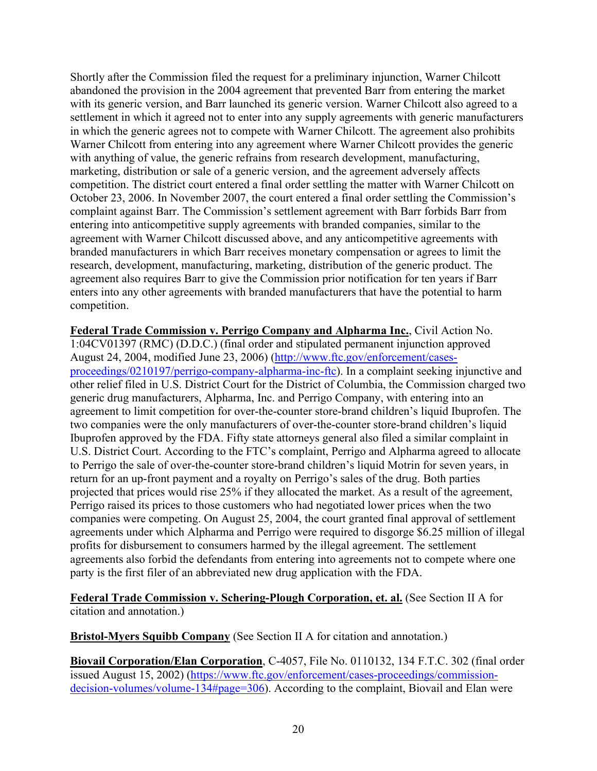Shortly after the Commission filed the request for a preliminary injunction, Warner Chilcott abandoned the provision in the 2004 agreement that prevented Barr from entering the market with its generic version, and Barr launched its generic version. Warner Chilcott also agreed to a settlement in which it agreed not to enter into any supply agreements with generic manufacturers in which the generic agrees not to compete with Warner Chilcott. The agreement also prohibits Warner Chilcott from entering into any agreement where Warner Chilcott provides the generic with anything of value, the generic refrains from research development, manufacturing, marketing, distribution or sale of a generic version, and the agreement adversely affects competition. The district court entered a final order settling the matter with Warner Chilcott on October 23, 2006. In November 2007, the court entered a final order settling the Commission's complaint against Barr. The Commission's settlement agreement with Barr forbids Barr from entering into anticompetitive supply agreements with branded companies, similar to the agreement with Warner Chilcott discussed above, and any anticompetitive agreements with branded manufacturers in which Barr receives monetary compensation or agrees to limit the research, development, manufacturing, marketing, distribution of the generic product. The agreement also requires Barr to give the Commission prior notification for ten years if Barr enters into any other agreements with branded manufacturers that have the potential to harm competition.

**Federal Trade Commission v. Perrigo Company and Alpharma Inc.**, Civil Action No. 1:04CV01397 (RMC) (D.D.C.) (final order and stipulated permanent injunction approved August 24, 2004, modified June 23, 2006) [\(http://www.ftc.gov/enforcement/cases](http://www.ftc.gov/enforcement/cases-proceedings/0210197/perrigo-company-alpharma-inc-ftc)[proceedings/0210197/perrigo-company-alpharma-inc-ftc\)](http://www.ftc.gov/enforcement/cases-proceedings/0210197/perrigo-company-alpharma-inc-ftc). In a complaint seeking injunctive and other relief filed in U.S. District Court for the District of Columbia, the Commission charged two generic drug manufacturers, Alpharma, Inc. and Perrigo Company, with entering into an agreement to limit competition for over-the-counter store-brand children's liquid Ibuprofen. The two companies were the only manufacturers of over-the-counter store-brand children's liquid Ibuprofen approved by the FDA. Fifty state attorneys general also filed a similar complaint in U.S. District Court. According to the FTC's complaint, Perrigo and Alpharma agreed to allocate to Perrigo the sale of over-the-counter store-brand children's liquid Motrin for seven years, in return for an up-front payment and a royalty on Perrigo's sales of the drug. Both parties projected that prices would rise 25% if they allocated the market. As a result of the agreement, Perrigo raised its prices to those customers who had negotiated lower prices when the two companies were competing. On August 25, 2004, the court granted final approval of settlement agreements under which Alpharma and Perrigo were required to disgorge \$6.25 million of illegal profits for disbursement to consumers harmed by the illegal agreement. The settlement agreements also forbid the defendants from entering into agreements not to compete where one party is the first filer of an abbreviated new drug application with the FDA.

#### **Federal Trade Commission v. Schering-Plough Corporation, et. al.** (See Section II A for citation and annotation.)

**Bristol-Myers Squibb Company** (See Section II A for citation and annotation.)

<span id="page-22-0"></span>**Biovail Corporation/Elan Corporation**, C-4057, File No. 0110132, 134 F.T.C. 302 (final order issued August 15, 2002) [\(https://www.ftc.gov/enforcement/cases-proceedings/commission](https://www.ftc.gov/enforcement/cases-proceedings/commission-decision-volumes/volume-134#page=306)[decision-volumes/volume-134#page=306\)](https://www.ftc.gov/enforcement/cases-proceedings/commission-decision-volumes/volume-134#page=306). According to the complaint, Biovail and Elan were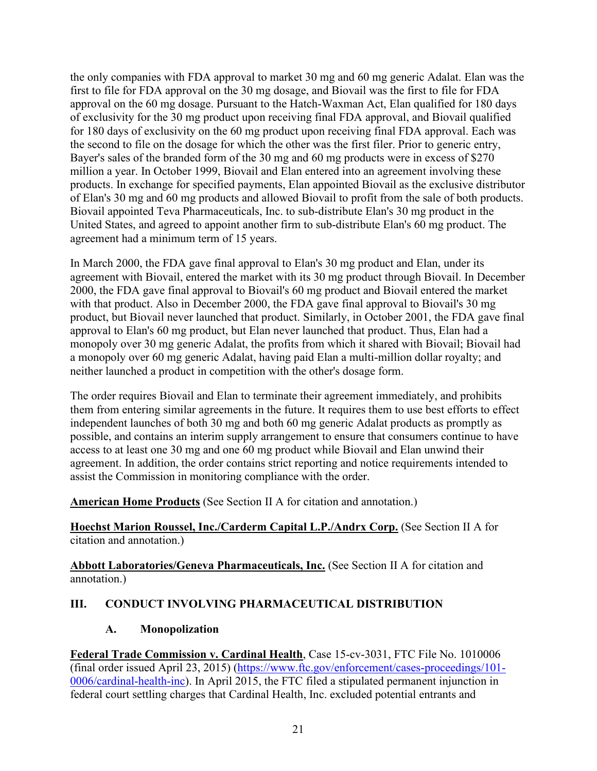the only companies with FDA approval to market 30 mg and 60 mg generic Adalat. Elan was the first to file for FDA approval on the 30 mg dosage, and Biovail was the first to file for FDA approval on the 60 mg dosage. Pursuant to the Hatch-Waxman Act, Elan qualified for 180 days of exclusivity for the 30 mg product upon receiving final FDA approval, and Biovail qualified for 180 days of exclusivity on the 60 mg product upon receiving final FDA approval. Each was the second to file on the dosage for which the other was the first filer. Prior to generic entry, Bayer's sales of the branded form of the 30 mg and 60 mg products were in excess of \$270 million a year. In October 1999, Biovail and Elan entered into an agreement involving these products. In exchange for specified payments, Elan appointed Biovail as the exclusive distributor of Elan's 30 mg and 60 mg products and allowed Biovail to profit from the sale of both products. Biovail appointed Teva Pharmaceuticals, Inc. to sub-distribute Elan's 30 mg product in the United States, and agreed to appoint another firm to sub-distribute Elan's 60 mg product. The agreement had a minimum term of 15 years.

In March 2000, the FDA gave final approval to Elan's 30 mg product and Elan, under its agreement with Biovail, entered the market with its 30 mg product through Biovail. In December 2000, the FDA gave final approval to Biovail's 60 mg product and Biovail entered the market with that product. Also in December 2000, the FDA gave final approval to Biovail's 30 mg product, but Biovail never launched that product. Similarly, in October 2001, the FDA gave final approval to Elan's 60 mg product, but Elan never launched that product. Thus, Elan had a monopoly over 30 mg generic Adalat, the profits from which it shared with Biovail; Biovail had a monopoly over 60 mg generic Adalat, having paid Elan a multi-million dollar royalty; and neither launched a product in competition with the other's dosage form.

The order requires Biovail and Elan to terminate their agreement immediately, and prohibits them from entering similar agreements in the future. It requires them to use best efforts to effect independent launches of both 30 mg and both 60 mg generic Adalat products as promptly as possible, and contains an interim supply arrangement to ensure that consumers continue to have access to at least one 30 mg and one 60 mg product while Biovail and Elan unwind their agreement. In addition, the order contains strict reporting and notice requirements intended to assist the Commission in monitoring compliance with the order.

**American Home Products** (See Section II A for citation and annotation.)

**Hoechst Marion Roussel, Inc./Carderm Capital L.P./Andrx Corp.** (See Section II A for citation and annotation.)

**Abbott Laboratories/Geneva Pharmaceuticals, Inc.** (See Section II A for citation and annotation.)

# <span id="page-23-1"></span><span id="page-23-0"></span>**III. CONDUCT INVOLVING PHARMACEUTICAL DISTRIBUTION**

# **A. Monopolization**

**Federal Trade Commission v. Cardinal Health**, Case 15-cv-3031, FTC File No. 1010006 (final order issued April 23, 2015) [\(https://www.ftc.gov/enforcement/cases-proceedings/101-](https://www.ftc.gov/enforcement/cases-proceedings/101-0006/cardinal-health-inc) [0006/cardinal-health-inc\)](https://www.ftc.gov/enforcement/cases-proceedings/101-0006/cardinal-health-inc). In April 2015, the FTC filed a stipulated permanent injunction in federal court settling charges that Cardinal Health, Inc. excluded potential entrants and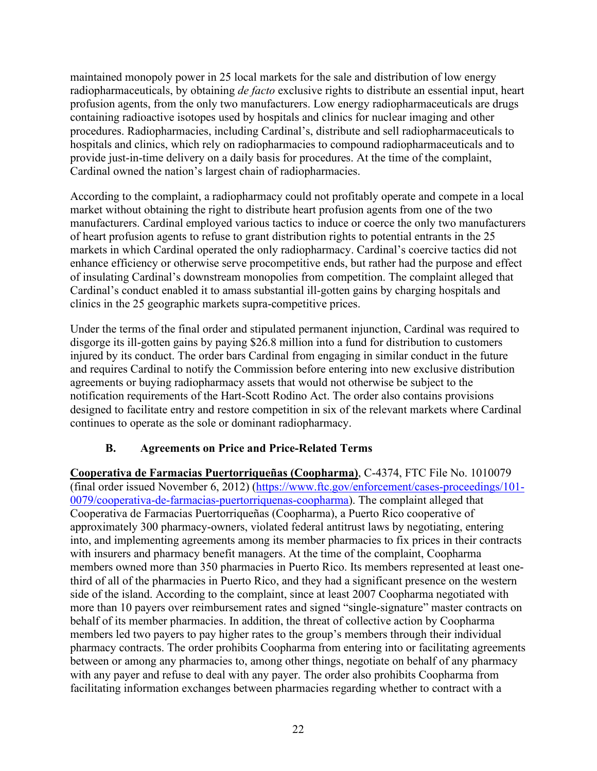maintained monopoly power in 25 local markets for the sale and distribution of low energy radiopharmaceuticals, by obtaining *de facto* exclusive rights to distribute an essential input, heart profusion agents, from the only two manufacturers. Low energy radiopharmaceuticals are drugs containing radioactive isotopes used by hospitals and clinics for nuclear imaging and other procedures. Radiopharmacies, including Cardinal's, distribute and sell radiopharmaceuticals to hospitals and clinics, which rely on radiopharmacies to compound radiopharmaceuticals and to provide just-in-time delivery on a daily basis for procedures. At the time of the complaint, Cardinal owned the nation's largest chain of radiopharmacies.

According to the complaint, a radiopharmacy could not profitably operate and compete in a local market without obtaining the right to distribute heart profusion agents from one of the two manufacturers. Cardinal employed various tactics to induce or coerce the only two manufacturers of heart profusion agents to refuse to grant distribution rights to potential entrants in the 25 markets in which Cardinal operated the only radiopharmacy. Cardinal's coercive tactics did not enhance efficiency or otherwise serve procompetitive ends, but rather had the purpose and effect of insulating Cardinal's downstream monopolies from competition. The complaint alleged that Cardinal's conduct enabled it to amass substantial ill-gotten gains by charging hospitals and clinics in the 25 geographic markets supra-competitive prices.

Under the terms of the final order and stipulated permanent injunction, Cardinal was required to disgorge its ill-gotten gains by paying \$26.8 million into a fund for distribution to customers injured by its conduct. The order bars Cardinal from engaging in similar conduct in the future and requires Cardinal to notify the Commission before entering into new exclusive distribution agreements or buying radiopharmacy assets that would not otherwise be subject to the notification requirements of the Hart-Scott Rodino Act. The order also contains provisions designed to facilitate entry and restore competition in six of the relevant markets where Cardinal continues to operate as the sole or dominant radiopharmacy.

# **B. Agreements on Price and Price-Related Terms**

<span id="page-24-0"></span>**Cooperativa de Farmacias Puertorriqueñas (Coopharma)**, C-4374, FTC File No. 1010079 (final order issued November 6, 2012) [\(https://www.ftc.gov/enforcement/cases-proceedings/101-](https://www.ftc.gov/enforcement/cases-proceedings/101-0079/cooperativa-de-farmacias-puertorriquenas-coopharma) [0079/cooperativa-de-farmacias-puertorriquenas-coopharma\)](https://www.ftc.gov/enforcement/cases-proceedings/101-0079/cooperativa-de-farmacias-puertorriquenas-coopharma). The complaint alleged that Cooperativa de Farmacias Puertorriqueñas (Coopharma), a Puerto Rico cooperative of approximately 300 pharmacy-owners, violated federal antitrust laws by negotiating, entering into, and implementing agreements among its member pharmacies to fix prices in their contracts with insurers and pharmacy benefit managers. At the time of the complaint, Coopharma members owned more than 350 pharmacies in Puerto Rico. Its members represented at least onethird of all of the pharmacies in Puerto Rico, and they had a significant presence on the western side of the island. According to the complaint, since at least 2007 Coopharma negotiated with more than 10 payers over reimbursement rates and signed "single-signature" master contracts on behalf of its member pharmacies. In addition, the threat of collective action by Coopharma members led two payers to pay higher rates to the group's members through their individual pharmacy contracts. The order prohibits Coopharma from entering into or facilitating agreements between or among any pharmacies to, among other things, negotiate on behalf of any pharmacy with any payer and refuse to deal with any payer. The order also prohibits Coopharma from facilitating information exchanges between pharmacies regarding whether to contract with a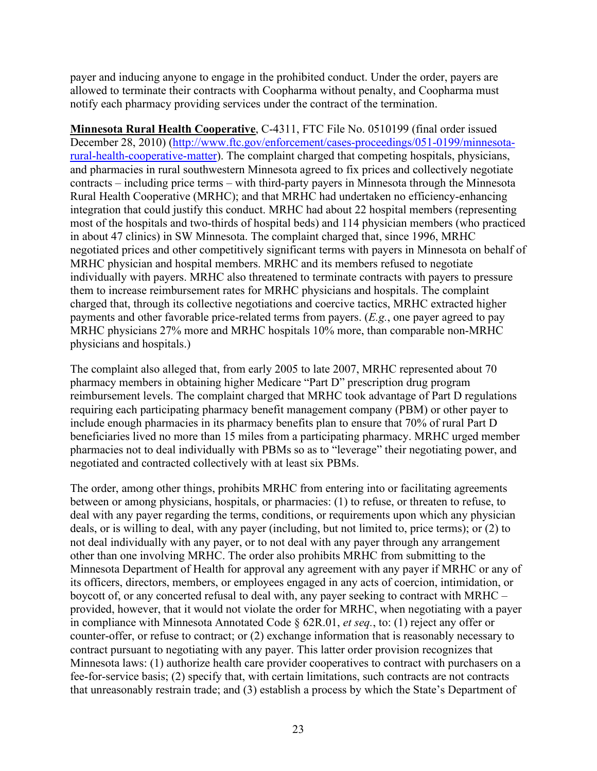payer and inducing anyone to engage in the prohibited conduct. Under the order, payers are allowed to terminate their contracts with Coopharma without penalty, and Coopharma must notify each pharmacy providing services under the contract of the termination.

**Minnesota Rural Health Cooperative**, C-4311, FTC File No. 0510199 (final order issued December 28, 2010) [\(http://www.ftc.gov/enforcement/cases-proceedings/051-0199/minnesota](http://www.ftc.gov/enforcement/cases-proceedings/051-0199/minnesota-rural-health-cooperative-matter)[rural-health-cooperative-matter\)](http://www.ftc.gov/enforcement/cases-proceedings/051-0199/minnesota-rural-health-cooperative-matter). The complaint charged that competing hospitals, physicians, and pharmacies in rural southwestern Minnesota agreed to fix prices and collectively negotiate contracts – including price terms – with third-party payers in Minnesota through the Minnesota Rural Health Cooperative (MRHC); and that MRHC had undertaken no efficiency-enhancing integration that could justify this conduct. MRHC had about 22 hospital members (representing most of the hospitals and two-thirds of hospital beds) and 114 physician members (who practiced in about 47 clinics) in SW Minnesota. The complaint charged that, since 1996, MRHC negotiated prices and other competitively significant terms with payers in Minnesota on behalf of MRHC physician and hospital members. MRHC and its members refused to negotiate individually with payers. MRHC also threatened to terminate contracts with payers to pressure them to increase reimbursement rates for MRHC physicians and hospitals. The complaint charged that, through its collective negotiations and coercive tactics, MRHC extracted higher payments and other favorable price-related terms from payers. (*E.g.*, one payer agreed to pay MRHC physicians 27% more and MRHC hospitals 10% more, than comparable non-MRHC physicians and hospitals.)

The complaint also alleged that, from early 2005 to late 2007, MRHC represented about 70 pharmacy members in obtaining higher Medicare "Part D" prescription drug program reimbursement levels. The complaint charged that MRHC took advantage of Part D regulations requiring each participating pharmacy benefit management company (PBM) or other payer to include enough pharmacies in its pharmacy benefits plan to ensure that 70% of rural Part D beneficiaries lived no more than 15 miles from a participating pharmacy. MRHC urged member pharmacies not to deal individually with PBMs so as to "leverage" their negotiating power, and negotiated and contracted collectively with at least six PBMs.

The order, among other things, prohibits MRHC from entering into or facilitating agreements between or among physicians, hospitals, or pharmacies: (1) to refuse, or threaten to refuse, to deal with any payer regarding the terms, conditions, or requirements upon which any physician deals, or is willing to deal, with any payer (including, but not limited to, price terms); or (2) to not deal individually with any payer, or to not deal with any payer through any arrangement other than one involving MRHC. The order also prohibits MRHC from submitting to the Minnesota Department of Health for approval any agreement with any payer if MRHC or any of its officers, directors, members, or employees engaged in any acts of coercion, intimidation, or boycott of, or any concerted refusal to deal with, any payer seeking to contract with MRHC – provided, however, that it would not violate the order for MRHC, when negotiating with a payer in compliance with Minnesota Annotated Code § 62R.01, *et seq.*, to: (1) reject any offer or counter-offer, or refuse to contract; or (2) exchange information that is reasonably necessary to contract pursuant to negotiating with any payer. This latter order provision recognizes that Minnesota laws: (1) authorize health care provider cooperatives to contract with purchasers on a fee-for-service basis; (2) specify that, with certain limitations, such contracts are not contracts that unreasonably restrain trade; and (3) establish a process by which the State's Department of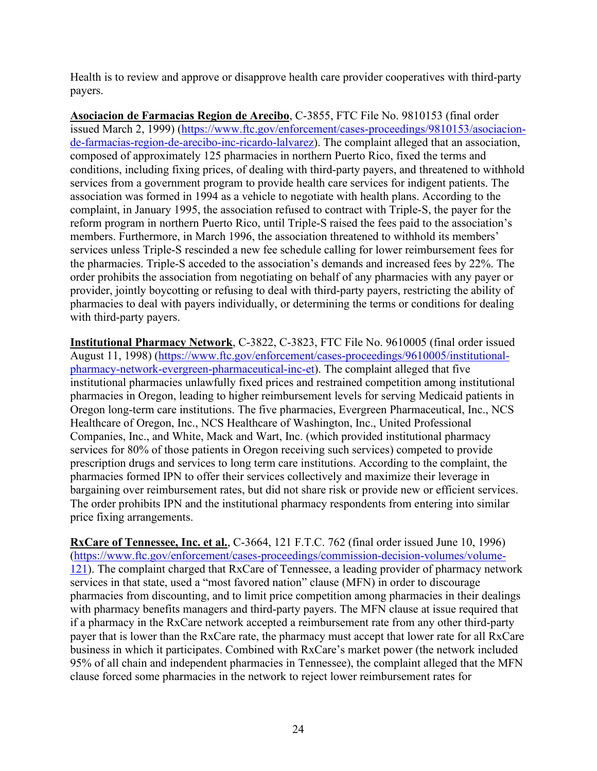Health is to review and approve or disapprove health care provider cooperatives with third-party payers.

**Asociacion de Farmacias Region de Arecibo**, C-3855, FTC File No. 9810153 (final order issued March 2, 1999) [\(https://www.ftc.gov/enforcement/cases-proceedings/9810153/asociacion](https://www.ftc.gov/enforcement/cases-proceedings/9810153/asociacion-de-farmacias-region-de-arecibo-inc-ricardo-lalvarez)[de-farmacias-region-de-arecibo-inc-ricardo-lalvarez\)](https://www.ftc.gov/enforcement/cases-proceedings/9810153/asociacion-de-farmacias-region-de-arecibo-inc-ricardo-lalvarez). The complaint alleged that an association, composed of approximately 125 pharmacies in northern Puerto Rico, fixed the terms and conditions, including fixing prices, of dealing with third-party payers, and threatened to withhold services from a government program to provide health care services for indigent patients. The association was formed in 1994 as a vehicle to negotiate with health plans. According to the complaint, in January 1995, the association refused to contract with Triple-S, the payer for the reform program in northern Puerto Rico, until Triple-S raised the fees paid to the association's members. Furthermore, in March 1996, the association threatened to withhold its members' services unless Triple-S rescinded a new fee schedule calling for lower reimbursement fees for the pharmacies. Triple-S acceded to the association's demands and increased fees by 22%. The order prohibits the association from negotiating on behalf of any pharmacies with any payer or provider, jointly boycotting or refusing to deal with third-party payers, restricting the ability of pharmacies to deal with payers individually, or determining the terms or conditions for dealing with third-party payers.

**Institutional Pharmacy Network**, C-3822, C-3823, FTC File No. 9610005 (final order issued August 11, 1998) [\(https://www.ftc.gov/enforcement/cases-proceedings/9610005/institutional](https://www.ftc.gov/enforcement/cases-proceedings/9610005/institutional-pharmacy-network-evergreen-pharmaceutical-inc-et)[pharmacy-network-evergreen-pharmaceutical-inc-et\)](https://www.ftc.gov/enforcement/cases-proceedings/9610005/institutional-pharmacy-network-evergreen-pharmaceutical-inc-et). The complaint alleged that five institutional pharmacies unlawfully fixed prices and restrained competition among institutional pharmacies in Oregon, leading to higher reimbursement levels for serving Medicaid patients in Oregon long-term care institutions. The five pharmacies, Evergreen Pharmaceutical, Inc., NCS Healthcare of Oregon, Inc., NCS Healthcare of Washington, Inc., United Professional Companies, Inc., and White, Mack and Wart, Inc. (which provided institutional pharmacy services for 80% of those patients in Oregon receiving such services) competed to provide prescription drugs and services to long term care institutions. According to the complaint, the pharmacies formed IPN to offer their services collectively and maximize their leverage in bargaining over reimbursement rates, but did not share risk or provide new or efficient services. The order prohibits IPN and the institutional pharmacy respondents from entering into similar price fixing arrangements.

**RxCare of Tennessee, Inc. et al.**, C-3664, 121 F.T.C. 762 (final order issued June 10, 1996) [\(https://www.ftc.gov/enforcement/cases-proceedings/commission-decision-volumes/volume-](https://www.ftc.gov/enforcement/cases-proceedings/commission-decision-volumes/volume-121)[121\)](https://www.ftc.gov/enforcement/cases-proceedings/commission-decision-volumes/volume-121). The complaint charged that RxCare of Tennessee, a leading provider of pharmacy network services in that state, used a "most favored nation" clause (MFN) in order to discourage pharmacies from discounting, and to limit price competition among pharmacies in their dealings with pharmacy benefits managers and third-party payers. The MFN clause at issue required that if a pharmacy in the RxCare network accepted a reimbursement rate from any other third-party payer that is lower than the RxCare rate, the pharmacy must accept that lower rate for all RxCare business in which it participates. Combined with RxCare's market power (the network included 95% of all chain and independent pharmacies in Tennessee), the complaint alleged that the MFN clause forced some pharmacies in the network to reject lower reimbursement rates for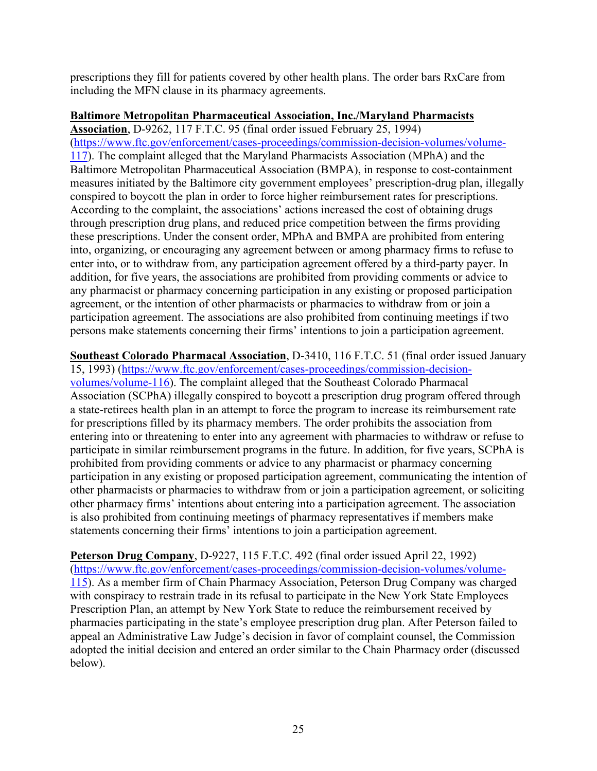prescriptions they fill for patients covered by other health plans. The order bars RxCare from including the MFN clause in its pharmacy agreements.

#### **Baltimore Metropolitan Pharmaceutical Association, Inc./Maryland Pharmacists**

**Association**, D-9262, 117 F.T.C. 95 (final order issued February 25, 1994) [\(https://www.ftc.gov/enforcement/cases-proceedings/commission-decision-volumes/volume-](https://www.ftc.gov/enforcement/cases-proceedings/commission-decision-volumes/volume-117)[117\)](https://www.ftc.gov/enforcement/cases-proceedings/commission-decision-volumes/volume-117). The complaint alleged that the Maryland Pharmacists Association (MPhA) and the Baltimore Metropolitan Pharmaceutical Association (BMPA), in response to cost-containment measures initiated by the Baltimore city government employees' prescription-drug plan, illegally conspired to boycott the plan in order to force higher reimbursement rates for prescriptions. According to the complaint, the associations' actions increased the cost of obtaining drugs through prescription drug plans, and reduced price competition between the firms providing these prescriptions. Under the consent order, MPhA and BMPA are prohibited from entering into, organizing, or encouraging any agreement between or among pharmacy firms to refuse to enter into, or to withdraw from, any participation agreement offered by a third-party payer. In addition, for five years, the associations are prohibited from providing comments or advice to any pharmacist or pharmacy concerning participation in any existing or proposed participation agreement, or the intention of other pharmacists or pharmacies to withdraw from or join a participation agreement. The associations are also prohibited from continuing meetings if two persons make statements concerning their firms' intentions to join a participation agreement.

**Southeast Colorado Pharmacal Association**, D-3410, 116 F.T.C. 51 (final order issued January 15, 1993) [\(https://www.ftc.gov/enforcement/cases-proceedings/commission-decision](https://www.ftc.gov/enforcement/cases-proceedings/commission-decision-volumes/volume-116)[volumes/volume-116\)](https://www.ftc.gov/enforcement/cases-proceedings/commission-decision-volumes/volume-116). The complaint alleged that the Southeast Colorado Pharmacal Association (SCPhA) illegally conspired to boycott a prescription drug program offered through a state-retirees health plan in an attempt to force the program to increase its reimbursement rate for prescriptions filled by its pharmacy members. The order prohibits the association from entering into or threatening to enter into any agreement with pharmacies to withdraw or refuse to participate in similar reimbursement programs in the future. In addition, for five years, SCPhA is prohibited from providing comments or advice to any pharmacist or pharmacy concerning participation in any existing or proposed participation agreement, communicating the intention of other pharmacists or pharmacies to withdraw from or join a participation agreement, or soliciting other pharmacy firms' intentions about entering into a participation agreement. The association is also prohibited from continuing meetings of pharmacy representatives if members make statements concerning their firms' intentions to join a participation agreement.

**Peterson Drug Company**, D-9227, 115 F.T.C. 492 (final order issued April 22, 1992) [\(https://www.ftc.gov/enforcement/cases-proceedings/commission-decision-volumes/volume-](https://www.ftc.gov/enforcement/cases-proceedings/commission-decision-volumes/volume-115)[115\)](https://www.ftc.gov/enforcement/cases-proceedings/commission-decision-volumes/volume-115). As a member firm of Chain Pharmacy Association, Peterson Drug Company was charged with conspiracy to restrain trade in its refusal to participate in the New York State Employees Prescription Plan, an attempt by New York State to reduce the reimbursement received by pharmacies participating in the state's employee prescription drug plan. After Peterson failed to appeal an Administrative Law Judge's decision in favor of complaint counsel, the Commission adopted the initial decision and entered an order similar to the Chain Pharmacy order (discussed below).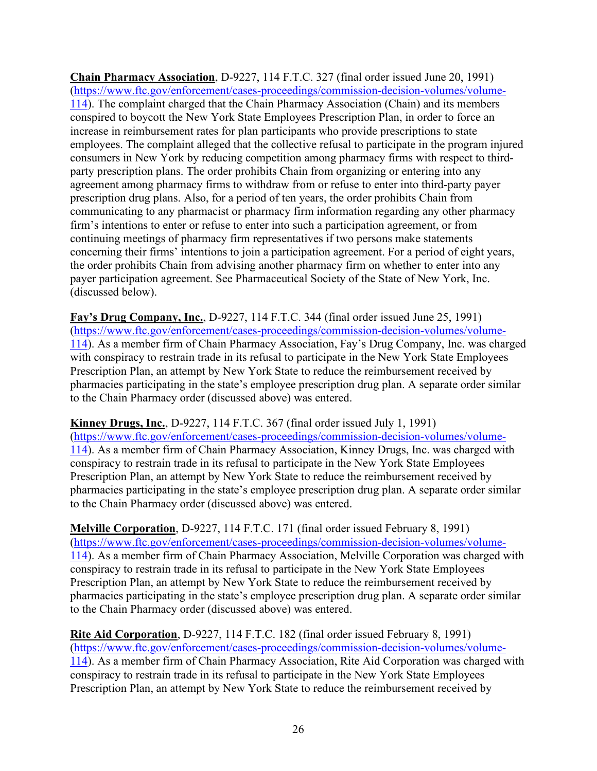**Chain Pharmacy Association**, D-9227, 114 F.T.C. 327 (final order issued June 20, 1991) [\(https://www.ftc.gov/enforcement/cases-proceedings/commission-decision-volumes/volume-](https://www.ftc.gov/enforcement/cases-proceedings/commission-decision-volumes/volume-114)[114\)](https://www.ftc.gov/enforcement/cases-proceedings/commission-decision-volumes/volume-114). The complaint charged that the Chain Pharmacy Association (Chain) and its members conspired to boycott the New York State Employees Prescription Plan, in order to force an increase in reimbursement rates for plan participants who provide prescriptions to state employees. The complaint alleged that the collective refusal to participate in the program injured consumers in New York by reducing competition among pharmacy firms with respect to thirdparty prescription plans. The order prohibits Chain from organizing or entering into any agreement among pharmacy firms to withdraw from or refuse to enter into third-party payer prescription drug plans. Also, for a period of ten years, the order prohibits Chain from communicating to any pharmacist or pharmacy firm information regarding any other pharmacy firm's intentions to enter or refuse to enter into such a participation agreement, or from continuing meetings of pharmacy firm representatives if two persons make statements concerning their firms' intentions to join a participation agreement. For a period of eight years, the order prohibits Chain from advising another pharmacy firm on whether to enter into any payer participation agreement. See Pharmaceutical Society of the State of New York, Inc. (discussed below).

**Fay's Drug Company, Inc.**, D-9227, 114 F.T.C. 344 (final order issued June 25, 1991) [\(https://www.ftc.gov/enforcement/cases-proceedings/commission-decision-volumes/volume-](https://www.ftc.gov/enforcement/cases-proceedings/commission-decision-volumes/volume-114)[114\)](https://www.ftc.gov/enforcement/cases-proceedings/commission-decision-volumes/volume-114). As a member firm of Chain Pharmacy Association, Fay's Drug Company, Inc. was charged with conspiracy to restrain trade in its refusal to participate in the New York State Employees Prescription Plan, an attempt by New York State to reduce the reimbursement received by pharmacies participating in the state's employee prescription drug plan. A separate order similar to the Chain Pharmacy order (discussed above) was entered.

**Kinney Drugs, Inc.**, D-9227, 114 F.T.C. 367 (final order issued July 1, 1991)

[\(https://www.ftc.gov/enforcement/cases-proceedings/commission-decision-volumes/volume-](https://www.ftc.gov/enforcement/cases-proceedings/commission-decision-volumes/volume-114)[114\)](https://www.ftc.gov/enforcement/cases-proceedings/commission-decision-volumes/volume-114). As a member firm of Chain Pharmacy Association, Kinney Drugs, Inc. was charged with conspiracy to restrain trade in its refusal to participate in the New York State Employees Prescription Plan, an attempt by New York State to reduce the reimbursement received by pharmacies participating in the state's employee prescription drug plan. A separate order similar to the Chain Pharmacy order (discussed above) was entered.

**Melville Corporation**, D-9227, 114 F.T.C. 171 (final order issued February 8, 1991) [\(https://www.ftc.gov/enforcement/cases-proceedings/commission-decision-volumes/volume-](https://www.ftc.gov/enforcement/cases-proceedings/commission-decision-volumes/volume-114)[114\)](https://www.ftc.gov/enforcement/cases-proceedings/commission-decision-volumes/volume-114). As a member firm of Chain Pharmacy Association, Melville Corporation was charged with conspiracy to restrain trade in its refusal to participate in the New York State Employees Prescription Plan, an attempt by New York State to reduce the reimbursement received by pharmacies participating in the state's employee prescription drug plan. A separate order similar to the Chain Pharmacy order (discussed above) was entered.

**Rite Aid Corporation**, D-9227, 114 F.T.C. 182 (final order issued February 8, 1991) [\(https://www.ftc.gov/enforcement/cases-proceedings/commission-decision-volumes/volume-](https://www.ftc.gov/enforcement/cases-proceedings/commission-decision-volumes/volume-114)[114\)](https://www.ftc.gov/enforcement/cases-proceedings/commission-decision-volumes/volume-114). As a member firm of Chain Pharmacy Association, Rite Aid Corporation was charged with conspiracy to restrain trade in its refusal to participate in the New York State Employees Prescription Plan, an attempt by New York State to reduce the reimbursement received by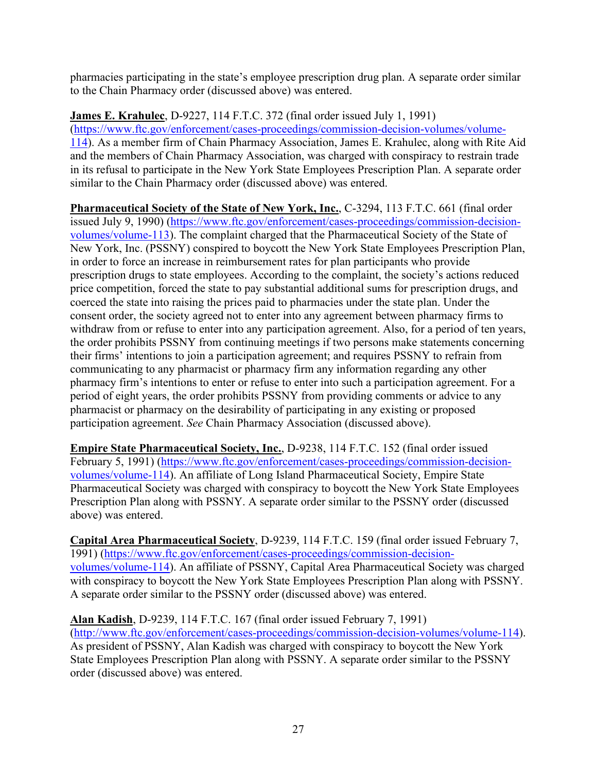pharmacies participating in the state's employee prescription drug plan. A separate order similar to the Chain Pharmacy order (discussed above) was entered.

**James E. Krahulec**, D-9227, 114 F.T.C. 372 (final order issued July 1, 1991) [\(https://www.ftc.gov/enforcement/cases-proceedings/commission-decision-volumes/volume-](https://www.ftc.gov/enforcement/cases-proceedings/commission-decision-volumes/volume-114)[114\)](https://www.ftc.gov/enforcement/cases-proceedings/commission-decision-volumes/volume-114). As a member firm of Chain Pharmacy Association, James E. Krahulec, along with Rite Aid and the members of Chain Pharmacy Association, was charged with conspiracy to restrain trade in its refusal to participate in the New York State Employees Prescription Plan. A separate order similar to the Chain Pharmacy order (discussed above) was entered.

**Pharmaceutical Society of the State of New York, Inc.**, C-3294, 113 F.T.C. 661 (final order issued July 9, 1990) [\(https://www.ftc.gov/enforcement/cases-proceedings/commission-decision](https://www.ftc.gov/enforcement/cases-proceedings/commission-decision-volumes/volume-113)[volumes/volume-113\)](https://www.ftc.gov/enforcement/cases-proceedings/commission-decision-volumes/volume-113). The complaint charged that the Pharmaceutical Society of the State of New York, Inc. (PSSNY) conspired to boycott the New York State Employees Prescription Plan, in order to force an increase in reimbursement rates for plan participants who provide prescription drugs to state employees. According to the complaint, the society's actions reduced price competition, forced the state to pay substantial additional sums for prescription drugs, and coerced the state into raising the prices paid to pharmacies under the state plan. Under the consent order, the society agreed not to enter into any agreement between pharmacy firms to withdraw from or refuse to enter into any participation agreement. Also, for a period of ten years, the order prohibits PSSNY from continuing meetings if two persons make statements concerning their firms' intentions to join a participation agreement; and requires PSSNY to refrain from communicating to any pharmacist or pharmacy firm any information regarding any other pharmacy firm's intentions to enter or refuse to enter into such a participation agreement. For a period of eight years, the order prohibits PSSNY from providing comments or advice to any pharmacist or pharmacy on the desirability of participating in any existing or proposed participation agreement. *See* Chain Pharmacy Association (discussed above).

**Empire State Pharmaceutical Society, Inc.**, D-9238, 114 F.T.C. 152 (final order issued February 5, 1991) [\(https://www.ftc.gov/enforcement/cases-proceedings/commission-decision](https://www.ftc.gov/enforcement/cases-proceedings/commission-decision-volumes/volume-114)[volumes/volume-114\)](https://www.ftc.gov/enforcement/cases-proceedings/commission-decision-volumes/volume-114). An affiliate of Long Island Pharmaceutical Society, Empire State Pharmaceutical Society was charged with conspiracy to boycott the New York State Employees Prescription Plan along with PSSNY. A separate order similar to the PSSNY order (discussed above) was entered.

**Capital Area Pharmaceutical Society**, D-9239, 114 F.T.C. 159 (final order issued February 7, 1991) [\(https://www.ftc.gov/enforcement/cases-proceedings/commission-decision](https://www.ftc.gov/enforcement/cases-proceedings/commission-decision-volumes/volume-114)[volumes/volume-114\)](https://www.ftc.gov/enforcement/cases-proceedings/commission-decision-volumes/volume-114). An affiliate of PSSNY, Capital Area Pharmaceutical Society was charged with conspiracy to boycott the New York State Employees Prescription Plan along with PSSNY. A separate order similar to the PSSNY order (discussed above) was entered.

**Alan Kadish**, D-9239, 114 F.T.C. 167 (final order issued February 7, 1991) [\(http://www.ftc.gov/enforcement/cases-proceedings/commission-decision-volumes/volume-114\)](http://www.ftc.gov/enforcement/cases-proceedings/commission-decision-volumes/volume-114). As president of PSSNY, Alan Kadish was charged with conspiracy to boycott the New York State Employees Prescription Plan along with PSSNY. A separate order similar to the PSSNY order (discussed above) was entered.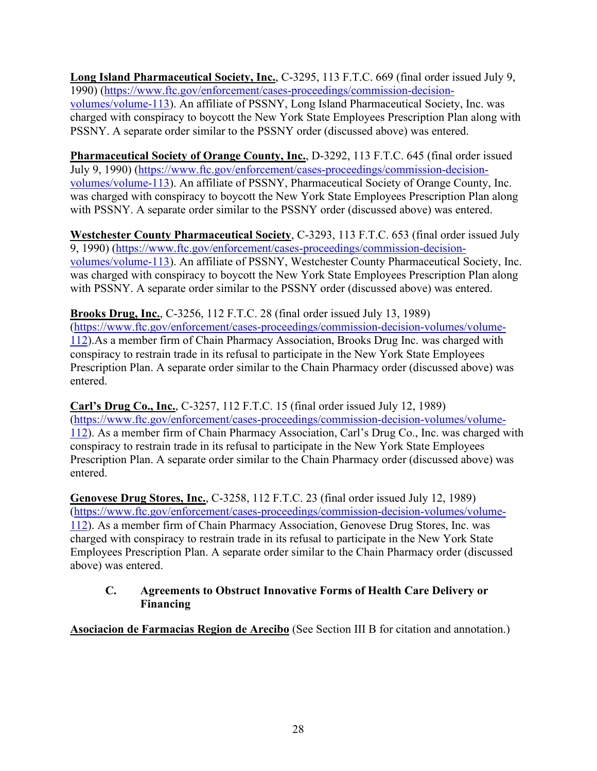**Long Island Pharmaceutical Society, Inc.**, C-3295, 113 F.T.C. 669 (final order issued July 9, 1990) [\(https://www.ftc.gov/enforcement/cases-proceedings/commission-decision](https://www.ftc.gov/enforcement/cases-proceedings/commission-decision-volumes/volume-113)[volumes/volume-113\)](https://www.ftc.gov/enforcement/cases-proceedings/commission-decision-volumes/volume-113). An affiliate of PSSNY, Long Island Pharmaceutical Society, Inc. was charged with conspiracy to boycott the New York State Employees Prescription Plan along with PSSNY. A separate order similar to the PSSNY order (discussed above) was entered.

**Pharmaceutical Society of Orange County, Inc.**, D-3292, 113 F.T.C. 645 (final order issued July 9, 1990) [\(https://www.ftc.gov/enforcement/cases-proceedings/commission-decision](https://www.ftc.gov/enforcement/cases-proceedings/commission-decision-volumes/volume-113)[volumes/volume-113\)](https://www.ftc.gov/enforcement/cases-proceedings/commission-decision-volumes/volume-113). An affiliate of PSSNY, Pharmaceutical Society of Orange County, Inc. was charged with conspiracy to boycott the New York State Employees Prescription Plan along with PSSNY. A separate order similar to the PSSNY order (discussed above) was entered.

**Westchester County Pharmaceutical Society**, C-3293, 113 F.T.C. 653 (final order issued July 9, 1990) [\(https://www.ftc.gov/enforcement/cases-proceedings/commission-decision](https://www.ftc.gov/enforcement/cases-proceedings/commission-decision-volumes/volume-113)[volumes/volume-113\)](https://www.ftc.gov/enforcement/cases-proceedings/commission-decision-volumes/volume-113). An affiliate of PSSNY, Westchester County Pharmaceutical Society, Inc. was charged with conspiracy to boycott the New York State Employees Prescription Plan along with PSSNY. A separate order similar to the PSSNY order (discussed above) was entered.

**Brooks Drug, Inc.**, C-3256, 112 F.T.C. 28 (final order issued July 13, 1989) [\(https://www.ftc.gov/enforcement/cases-proceedings/commission-decision-volumes/volume-](https://www.ftc.gov/enforcement/cases-proceedings/commission-decision-volumes/volume-112)[112\)](https://www.ftc.gov/enforcement/cases-proceedings/commission-decision-volumes/volume-112).As a member firm of Chain Pharmacy Association, Brooks Drug Inc. was charged with conspiracy to restrain trade in its refusal to participate in the New York State Employees Prescription Plan. A separate order similar to the Chain Pharmacy order (discussed above) was entered.

**Carl's Drug Co., Inc.**, C-3257, 112 F.T.C. 15 (final order issued July 12, 1989) [\(https://www.ftc.gov/enforcement/cases-proceedings/commission-decision-volumes/volume-](https://www.ftc.gov/enforcement/cases-proceedings/commission-decision-volumes/volume-112)[112\)](https://www.ftc.gov/enforcement/cases-proceedings/commission-decision-volumes/volume-112). As a member firm of Chain Pharmacy Association, Carl's Drug Co., Inc. was charged with conspiracy to restrain trade in its refusal to participate in the New York State Employees Prescription Plan. A separate order similar to the Chain Pharmacy order (discussed above) was entered.

**Genovese Drug Stores, Inc.**, C-3258, 112 F.T.C. 23 (final order issued July 12, 1989) [\(https://www.ftc.gov/enforcement/cases-proceedings/commission-decision-volumes/volume-](https://www.ftc.gov/enforcement/cases-proceedings/commission-decision-volumes/volume-112)[112\)](https://www.ftc.gov/enforcement/cases-proceedings/commission-decision-volumes/volume-112). As a member firm of Chain Pharmacy Association, Genovese Drug Stores, Inc. was charged with conspiracy to restrain trade in its refusal to participate in the New York State Employees Prescription Plan. A separate order similar to the Chain Pharmacy order (discussed above) was entered.

# <span id="page-30-0"></span>**C. Agreements to Obstruct Innovative Forms of Health Care Delivery or Financing**

**Asociacion de Farmacias Region de Arecibo** (See Section III B for citation and annotation.)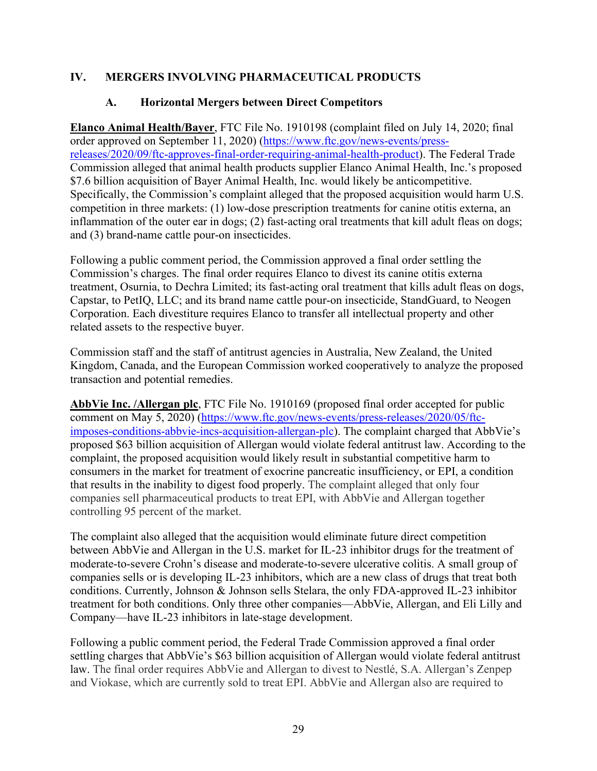# <span id="page-31-1"></span><span id="page-31-0"></span>**IV. MERGERS INVOLVING PHARMACEUTICAL PRODUCTS**

## **A. Horizontal Mergers between Direct Competitors**

**Elanco Animal Health/Bayer**, FTC File No. 1910198 (complaint filed on July 14, 2020; final order approved on September 11, 2020) [\(https://www.ftc.gov/news-events/press](https://www.ftc.gov/news-events/press-releases/2020/09/ftc-approves-final-order-requiring-animal-health-product)[releases/2020/09/ftc-approves-final-order-requiring-animal-health-product\)](https://www.ftc.gov/news-events/press-releases/2020/09/ftc-approves-final-order-requiring-animal-health-product). The Federal Trade Commission alleged that animal health products supplier Elanco Animal Health, Inc.'s proposed \$7.6 billion acquisition of Bayer Animal Health, Inc. would likely be anticompetitive. Specifically, the Commission's complaint alleged that the proposed acquisition would harm U.S. competition in three markets: (1) low-dose prescription treatments for canine otitis externa, an inflammation of the outer ear in dogs; (2) fast-acting oral treatments that kill adult fleas on dogs; and (3) brand-name cattle pour-on insecticides.

Following a public comment period, the Commission approved a final order settling the Commission's charges. The final order requires Elanco to divest its canine otitis externa treatment, Osurnia, to Dechra Limited; its fast-acting oral treatment that kills adult fleas on dogs, Capstar, to PetIQ, LLC; and its brand name cattle pour-on insecticide, StandGuard, to Neogen Corporation. Each divestiture requires Elanco to transfer all intellectual property and other related assets to the respective buyer.

Commission staff and the staff of antitrust agencies in Australia, New Zealand, the United Kingdom, Canada, and the European Commission worked cooperatively to analyze the proposed transaction and potential remedies.

**AbbVie Inc. /Allergan plc**, FTC File No. 1910169 (proposed final order accepted for public comment on May 5, 2020) [\(https://www.ftc.gov/news-events/press-releases/2020/05/ftc](https://www.ftc.gov/news-events/press-releases/2020/05/ftc-imposes-conditions-abbvie-incs-acquisition-allergan-plc)[imposes-conditions-abbvie-incs-acquisition-allergan-plc\)](https://www.ftc.gov/news-events/press-releases/2020/05/ftc-imposes-conditions-abbvie-incs-acquisition-allergan-plc). The complaint charged that AbbVie's proposed \$63 billion acquisition of Allergan would violate federal antitrust law. According to the complaint, the proposed acquisition would likely result in substantial competitive harm to consumers in the market for treatment of exocrine pancreatic insufficiency, or EPI, a condition that results in the inability to digest food properly. The complaint alleged that only four companies sell pharmaceutical products to treat EPI, with AbbVie and Allergan together controlling 95 percent of the market.

The complaint also alleged that the acquisition would eliminate future direct competition between AbbVie and Allergan in the U.S. market for IL-23 inhibitor drugs for the treatment of moderate-to-severe Crohn's disease and moderate-to-severe ulcerative colitis. A small group of companies sells or is developing IL-23 inhibitors, which are a new class of drugs that treat both conditions. Currently, Johnson & Johnson sells Stelara, the only FDA-approved IL-23 inhibitor treatment for both conditions. Only three other companies—AbbVie, Allergan, and Eli Lilly and Company—have IL-23 inhibitors in late-stage development.

Following a public comment period, the Federal Trade Commission approved a final order settling charges that AbbVie's \$63 billion acquisition of Allergan would violate federal antitrust law. The final order requires AbbVie and Allergan to divest to Nestlé, S.A. Allergan's Zenpep and Viokase, which are currently sold to treat EPI. AbbVie and Allergan also are required to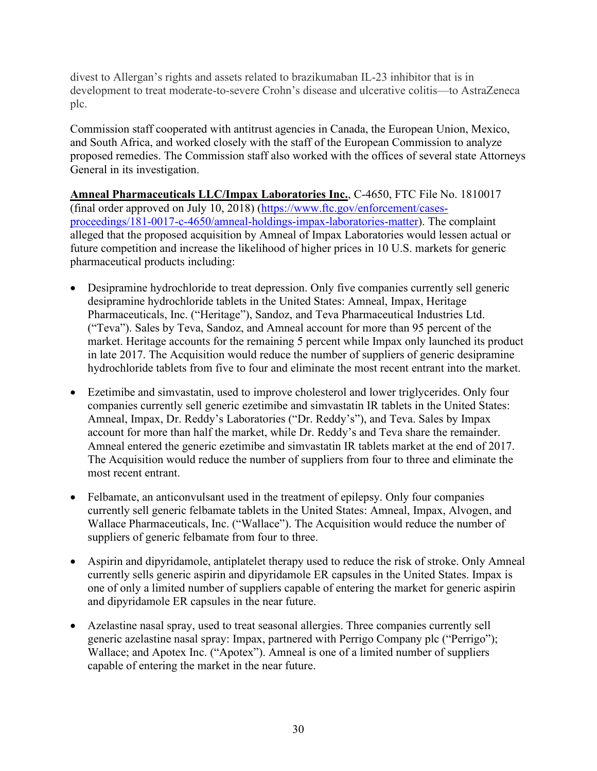divest to Allergan's rights and assets related to brazikumaban IL-23 inhibitor that is in development to treat moderate-to-severe Crohn's disease and ulcerative colitis—to AstraZeneca plc.

Commission staff cooperated with antitrust agencies in Canada, the European Union, Mexico, and South Africa, and worked closely with the staff of the European Commission to analyze proposed remedies. The Commission staff also worked with the offices of several state Attorneys General in its investigation.

**Amneal Pharmaceuticals LLC/Impax Laboratories Inc.**, C-4650, FTC File No. 1810017 (final order approved on July 10, 2018) [\(https://www.ftc.gov/enforcement/cases](https://www.ftc.gov/enforcement/cases-proceedings/181-0017-c-4650/amneal-holdings-impax-laboratories-matter)[proceedings/181-0017-c-4650/amneal-holdings-impax-laboratories-matter\)](https://www.ftc.gov/enforcement/cases-proceedings/181-0017-c-4650/amneal-holdings-impax-laboratories-matter). The complaint alleged that the proposed acquisition by Amneal of Impax Laboratories would lessen actual or future competition and increase the likelihood of higher prices in 10 U.S. markets for generic pharmaceutical products including:

- Desipramine hydrochloride to treat depression. Only five companies currently sell generic desipramine hydrochloride tablets in the United States: Amneal, Impax, Heritage Pharmaceuticals, Inc. ("Heritage"), Sandoz, and Teva Pharmaceutical Industries Ltd. ("Teva"). Sales by Teva, Sandoz, and Amneal account for more than 95 percent of the market. Heritage accounts for the remaining 5 percent while Impax only launched its product in late 2017. The Acquisition would reduce the number of suppliers of generic desipramine hydrochloride tablets from five to four and eliminate the most recent entrant into the market.
- Ezetimibe and simvastatin, used to improve cholesterol and lower triglycerides. Only four companies currently sell generic ezetimibe and simvastatin IR tablets in the United States: Amneal, Impax, Dr. Reddy's Laboratories ("Dr. Reddy's"), and Teva. Sales by Impax account for more than half the market, while Dr. Reddy's and Teva share the remainder. Amneal entered the generic ezetimibe and simvastatin IR tablets market at the end of 2017. The Acquisition would reduce the number of suppliers from four to three and eliminate the most recent entrant.
- Felbamate, an anticonvulsant used in the treatment of epilepsy. Only four companies currently sell generic felbamate tablets in the United States: Amneal, Impax, Alvogen, and Wallace Pharmaceuticals, Inc. ("Wallace"). The Acquisition would reduce the number of suppliers of generic felbamate from four to three.
- Aspirin and dipyridamole, antiplatelet therapy used to reduce the risk of stroke. Only Amneal currently sells generic aspirin and dipyridamole ER capsules in the United States. Impax is one of only a limited number of suppliers capable of entering the market for generic aspirin and dipyridamole ER capsules in the near future.
- Azelastine nasal spray, used to treat seasonal allergies. Three companies currently sell generic azelastine nasal spray: Impax, partnered with Perrigo Company plc ("Perrigo"); Wallace; and Apotex Inc. ("Apotex"). Amneal is one of a limited number of suppliers capable of entering the market in the near future.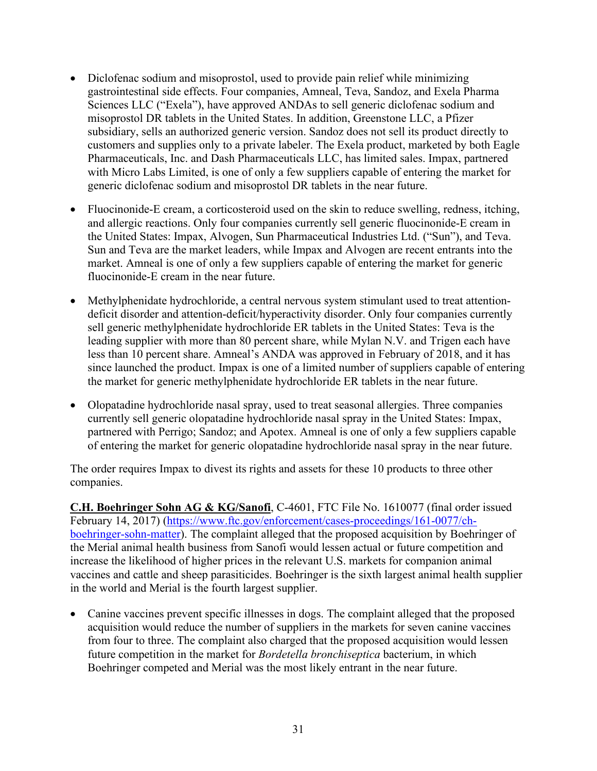- Diclofenac sodium and misoprostol, used to provide pain relief while minimizing gastrointestinal side effects. Four companies, Amneal, Teva, Sandoz, and Exela Pharma Sciences LLC ("Exela"), have approved ANDAs to sell generic diclofenac sodium and misoprostol DR tablets in the United States. In addition, Greenstone LLC, a Pfizer subsidiary, sells an authorized generic version. Sandoz does not sell its product directly to customers and supplies only to a private labeler. The Exela product, marketed by both Eagle Pharmaceuticals, Inc. and Dash Pharmaceuticals LLC, has limited sales. Impax, partnered with Micro Labs Limited, is one of only a few suppliers capable of entering the market for generic diclofenac sodium and misoprostol DR tablets in the near future.
- Fluocinonide-E cream, a corticosteroid used on the skin to reduce swelling, redness, itching, and allergic reactions. Only four companies currently sell generic fluocinonide-E cream in the United States: Impax, Alvogen, Sun Pharmaceutical Industries Ltd. ("Sun"), and Teva. Sun and Teva are the market leaders, while Impax and Alvogen are recent entrants into the market. Amneal is one of only a few suppliers capable of entering the market for generic fluocinonide-E cream in the near future.
- Methylphenidate hydrochloride, a central nervous system stimulant used to treat attentiondeficit disorder and attention-deficit/hyperactivity disorder. Only four companies currently sell generic methylphenidate hydrochloride ER tablets in the United States: Teva is the leading supplier with more than 80 percent share, while Mylan N.V. and Trigen each have less than 10 percent share. Amneal's ANDA was approved in February of 2018, and it has since launched the product. Impax is one of a limited number of suppliers capable of entering the market for generic methylphenidate hydrochloride ER tablets in the near future.
- Olopatadine hydrochloride nasal spray, used to treat seasonal allergies. Three companies currently sell generic olopatadine hydrochloride nasal spray in the United States: Impax, partnered with Perrigo; Sandoz; and Apotex. Amneal is one of only a few suppliers capable of entering the market for generic olopatadine hydrochloride nasal spray in the near future.

The order requires Impax to divest its rights and assets for these 10 products to three other companies.

**C.H. Boehringer Sohn AG & KG/Sanofi**, C-4601, FTC File No. 1610077 (final order issued February 14, 2017) [\(https://www.ftc.gov/enforcement/cases-proceedings/161-0077/ch](https://www.ftc.gov/enforcement/cases-proceedings/161-0077/ch-boehringer-sohn-matter)[boehringer-sohn-matter\)](https://www.ftc.gov/enforcement/cases-proceedings/161-0077/ch-boehringer-sohn-matter). The complaint alleged that the proposed acquisition by Boehringer of the Merial animal health business from Sanofi would lessen actual or future competition and increase the likelihood of higher prices in the relevant U.S. markets for companion animal vaccines and cattle and sheep parasiticides. Boehringer is the sixth largest animal health supplier in the world and Merial is the fourth largest supplier.

• Canine vaccines prevent specific illnesses in dogs. The complaint alleged that the proposed acquisition would reduce the number of suppliers in the markets for seven canine vaccines from four to three. The complaint also charged that the proposed acquisition would lessen future competition in the market for *Bordetella bronchiseptica* bacterium, in which Boehringer competed and Merial was the most likely entrant in the near future.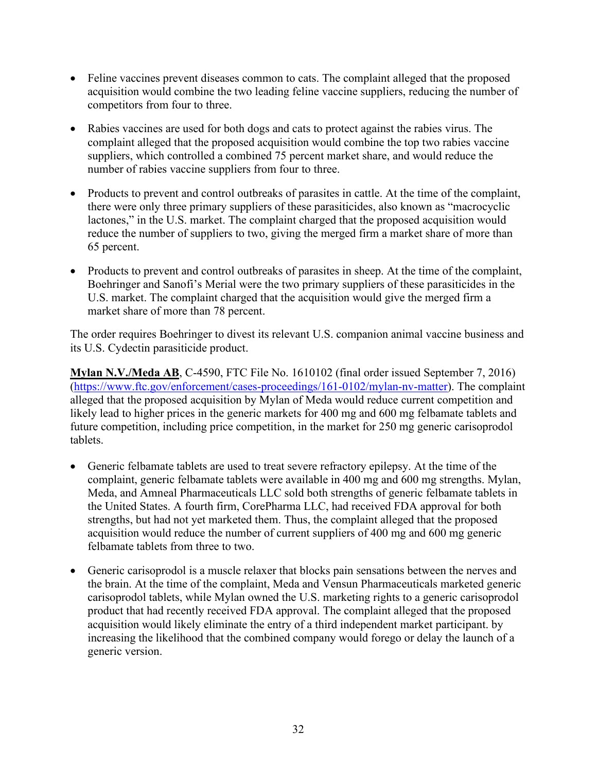- Feline vaccines prevent diseases common to cats. The complaint alleged that the proposed acquisition would combine the two leading feline vaccine suppliers, reducing the number of competitors from four to three.
- Rabies vaccines are used for both dogs and cats to protect against the rabies virus. The complaint alleged that the proposed acquisition would combine the top two rabies vaccine suppliers, which controlled a combined 75 percent market share, and would reduce the number of rabies vaccine suppliers from four to three.
- Products to prevent and control outbreaks of parasites in cattle. At the time of the complaint, there were only three primary suppliers of these parasiticides, also known as "macrocyclic lactones," in the U.S. market. The complaint charged that the proposed acquisition would reduce the number of suppliers to two, giving the merged firm a market share of more than 65 percent.
- Products to prevent and control outbreaks of parasites in sheep. At the time of the complaint, Boehringer and Sanofi's Merial were the two primary suppliers of these parasiticides in the U.S. market. The complaint charged that the acquisition would give the merged firm a market share of more than 78 percent.

The order requires Boehringer to divest its relevant U.S. companion animal vaccine business and its U.S. Cydectin parasiticide product.

**Mylan N.V./Meda AB**, C-4590, FTC File No. 1610102 (final order issued September 7, 2016) [\(https://www.ftc.gov/enforcement/cases-proceedings/161-0102/mylan-nv-matter\)](https://www.ftc.gov/enforcement/cases-proceedings/161-0102/mylan-nv-matter). The complaint alleged that the proposed acquisition by Mylan of Meda would reduce current competition and likely lead to higher prices in the generic markets for 400 mg and 600 mg felbamate tablets and future competition, including price competition, in the market for 250 mg generic carisoprodol tablets.

- Generic felbamate tablets are used to treat severe refractory epilepsy. At the time of the complaint, generic felbamate tablets were available in 400 mg and 600 mg strengths. Mylan, Meda, and Amneal Pharmaceuticals LLC sold both strengths of generic felbamate tablets in the United States. A fourth firm, CorePharma LLC, had received FDA approval for both strengths, but had not yet marketed them. Thus, the complaint alleged that the proposed acquisition would reduce the number of current suppliers of 400 mg and 600 mg generic felbamate tablets from three to two.
- Generic carisoprodol is a muscle relaxer that blocks pain sensations between the nerves and the brain. At the time of the complaint, Meda and Vensun Pharmaceuticals marketed generic carisoprodol tablets, while Mylan owned the U.S. marketing rights to a generic carisoprodol product that had recently received FDA approval. The complaint alleged that the proposed acquisition would likely eliminate the entry of a third independent market participant. by increasing the likelihood that the combined company would forego or delay the launch of a generic version.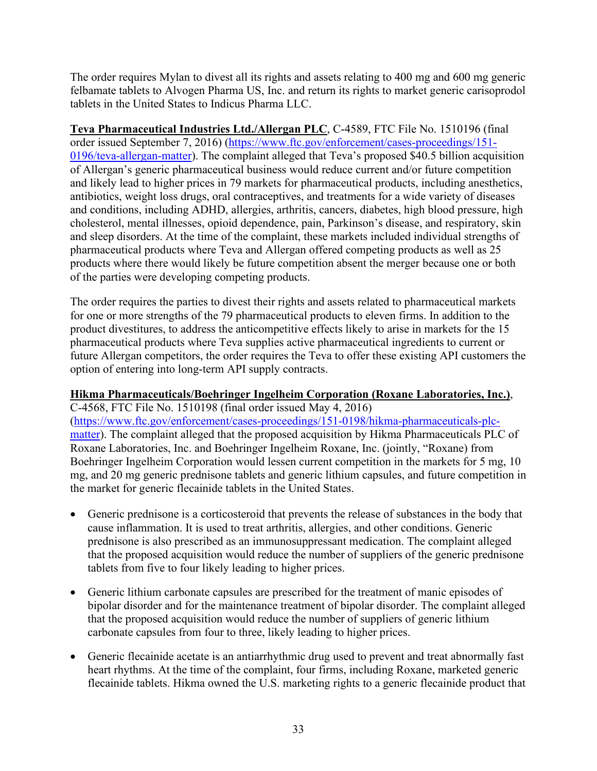The order requires Mylan to divest all its rights and assets relating to 400 mg and 600 mg generic felbamate tablets to Alvogen Pharma US, Inc. and return its rights to market generic carisoprodol tablets in the United States to Indicus Pharma LLC.

**Teva Pharmaceutical Industries Ltd./Allergan PLC**, C-4589, FTC File No. 1510196 (final order issued September 7, 2016) [\(https://www.ftc.gov/enforcement/cases-proceedings/151-](https://www.ftc.gov/enforcement/cases-proceedings/151-0196/teva-allergan-matter) [0196/teva-allergan-matter\)](https://www.ftc.gov/enforcement/cases-proceedings/151-0196/teva-allergan-matter). The complaint alleged that Teva's proposed \$40.5 billion acquisition of Allergan's generic pharmaceutical business would reduce current and/or future competition and likely lead to higher prices in 79 markets for pharmaceutical products, including anesthetics, antibiotics, weight loss drugs, oral contraceptives, and treatments for a wide variety of diseases and conditions, including ADHD, allergies, arthritis, cancers, diabetes, high blood pressure, high cholesterol, mental illnesses, opioid dependence, pain, Parkinson's disease, and respiratory, skin and sleep disorders. At the time of the complaint, these markets included individual strengths of pharmaceutical products where Teva and Allergan offered competing products as well as 25 products where there would likely be future competition absent the merger because one or both of the parties were developing competing products.

The order requires the parties to divest their rights and assets related to pharmaceutical markets for one or more strengths of the 79 pharmaceutical products to eleven firms. In addition to the product divestitures, to address the anticompetitive effects likely to arise in markets for the 15 pharmaceutical products where Teva supplies active pharmaceutical ingredients to current or future Allergan competitors, the order requires the Teva to offer these existing API customers the option of entering into long-term API supply contracts.

## **Hikma Pharmaceuticals/Boehringer Ingelheim Corporation (Roxane Laboratories, Inc.)**,

C-4568, FTC File No. 1510198 (final order issued May 4, 2016) [\(https://www.ftc.gov/enforcement/cases-proceedings/151-0198/hikma-pharmaceuticals-plc](https://www.ftc.gov/enforcement/cases-proceedings/151-0198/hikma-pharmaceuticals-plc-matter)[matter\)](https://www.ftc.gov/enforcement/cases-proceedings/151-0198/hikma-pharmaceuticals-plc-matter). The complaint alleged that the proposed acquisition by Hikma Pharmaceuticals PLC of Roxane Laboratories, Inc. and Boehringer Ingelheim Roxane, Inc. (jointly, "Roxane) from Boehringer Ingelheim Corporation would lessen current competition in the markets for 5 mg, 10 mg, and 20 mg generic prednisone tablets and generic lithium capsules, and future competition in the market for generic flecainide tablets in the United States.

- Generic prednisone is a corticosteroid that prevents the release of substances in the body that cause inflammation. It is used to treat arthritis, allergies, and other conditions. Generic prednisone is also prescribed as an immunosuppressant medication. The complaint alleged that the proposed acquisition would reduce the number of suppliers of the generic prednisone tablets from five to four likely leading to higher prices.
- Generic lithium carbonate capsules are prescribed for the treatment of manic episodes of bipolar disorder and for the maintenance treatment of bipolar disorder. The complaint alleged that the proposed acquisition would reduce the number of suppliers of generic lithium carbonate capsules from four to three, likely leading to higher prices.
- Generic flecainide acetate is an antiarrhythmic drug used to prevent and treat abnormally fast heart rhythms. At the time of the complaint, four firms, including Roxane, marketed generic flecainide tablets. Hikma owned the U.S. marketing rights to a generic flecainide product that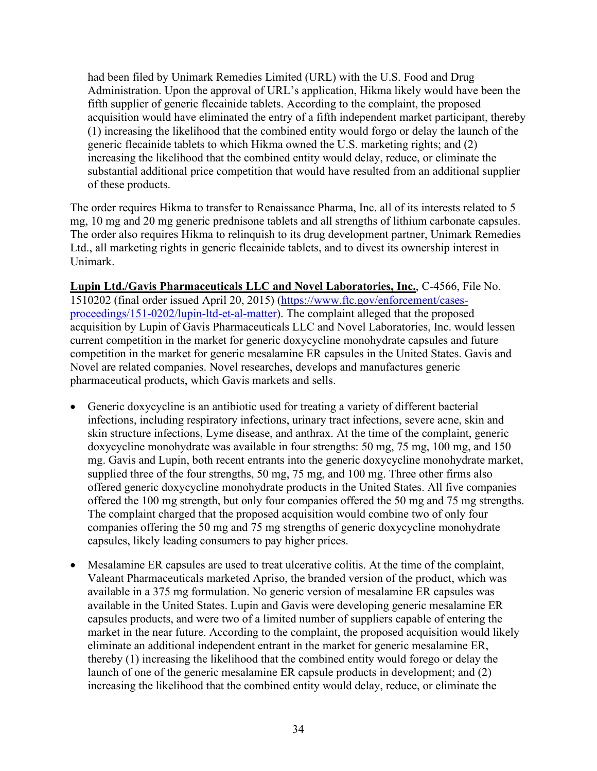had been filed by Unimark Remedies Limited (URL) with the U.S. Food and Drug Administration. Upon the approval of URL's application, Hikma likely would have been the fifth supplier of generic flecainide tablets. According to the complaint, the proposed acquisition would have eliminated the entry of a fifth independent market participant, thereby (1) increasing the likelihood that the combined entity would forgo or delay the launch of the generic flecainide tablets to which Hikma owned the U.S. marketing rights; and (2) increasing the likelihood that the combined entity would delay, reduce, or eliminate the substantial additional price competition that would have resulted from an additional supplier of these products.

The order requires Hikma to transfer to Renaissance Pharma, Inc. all of its interests related to 5 mg, 10 mg and 20 mg generic prednisone tablets and all strengths of lithium carbonate capsules. The order also requires Hikma to relinquish to its drug development partner, Unimark Remedies Ltd., all marketing rights in generic flecainide tablets, and to divest its ownership interest in Unimark.

**Lupin Ltd./Gavis Pharmaceuticals LLC and Novel Laboratories, Inc.**, C-4566, File No. 1510202 (final order issued April 20, 2015) [\(https://www.ftc.gov/enforcement/cases](https://www.ftc.gov/enforcement/cases-proceedings/151-0202/lupin-ltd-et-al-matter)[proceedings/151-0202/lupin-ltd-et-al-matter\)](https://www.ftc.gov/enforcement/cases-proceedings/151-0202/lupin-ltd-et-al-matter). The complaint alleged that the proposed acquisition by Lupin of Gavis Pharmaceuticals LLC and Novel Laboratories, Inc. would lessen current competition in the market for generic doxycycline monohydrate capsules and future competition in the market for generic mesalamine ER capsules in the United States. Gavis and Novel are related companies. Novel researches, develops and manufactures generic pharmaceutical products, which Gavis markets and sells.

- Generic doxycycline is an antibiotic used for treating a variety of different bacterial infections, including respiratory infections, urinary tract infections, severe acne, skin and skin structure infections, Lyme disease, and anthrax. At the time of the complaint, generic doxycycline monohydrate was available in four strengths: 50 mg, 75 mg, 100 mg, and 150 mg. Gavis and Lupin, both recent entrants into the generic doxycycline monohydrate market, supplied three of the four strengths, 50 mg, 75 mg, and 100 mg. Three other firms also offered generic doxycycline monohydrate products in the United States. All five companies offered the 100 mg strength, but only four companies offered the 50 mg and 75 mg strengths. The complaint charged that the proposed acquisition would combine two of only four companies offering the 50 mg and 75 mg strengths of generic doxycycline monohydrate capsules, likely leading consumers to pay higher prices.
- Mesalamine ER capsules are used to treat ulcerative colitis. At the time of the complaint, Valeant Pharmaceuticals marketed Apriso, the branded version of the product, which was available in a 375 mg formulation. No generic version of mesalamine ER capsules was available in the United States. Lupin and Gavis were developing generic mesalamine ER capsules products, and were two of a limited number of suppliers capable of entering the market in the near future. According to the complaint, the proposed acquisition would likely eliminate an additional independent entrant in the market for generic mesalamine ER, thereby (1) increasing the likelihood that the combined entity would forego or delay the launch of one of the generic mesalamine ER capsule products in development; and (2) increasing the likelihood that the combined entity would delay, reduce, or eliminate the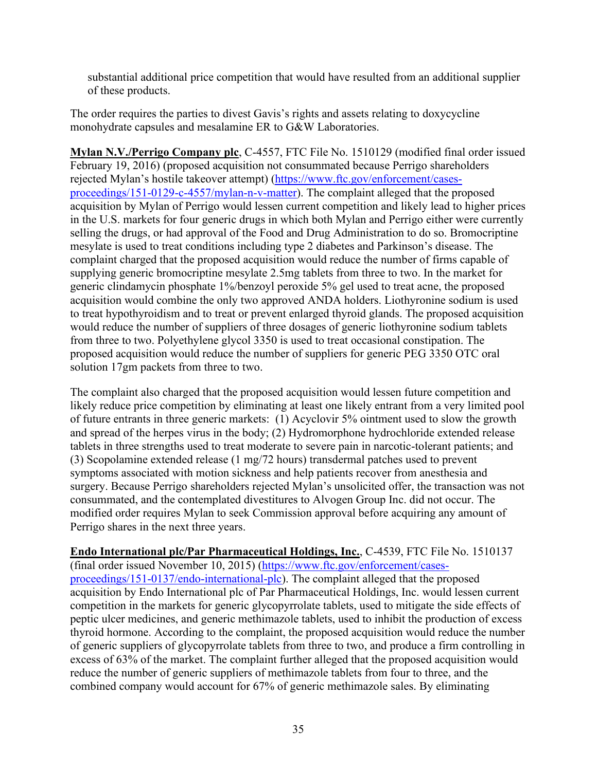substantial additional price competition that would have resulted from an additional supplier of these products.

The order requires the parties to divest Gavis's rights and assets relating to doxycycline monohydrate capsules and mesalamine ER to G&W Laboratories.

**Mylan N.V./Perrigo Company plc**, C-4557, FTC File No. 1510129 (modified final order issued February 19, 2016) (proposed acquisition not consummated because Perrigo shareholders rejected Mylan's hostile takeover attempt) [\(https://www.ftc.gov/enforcement/cases](https://www.ftc.gov/enforcement/cases-proceedings/151-0129-c-4557/mylan-n-v-matter)[proceedings/151-0129-c-4557/mylan-n-v-matter\)](https://www.ftc.gov/enforcement/cases-proceedings/151-0129-c-4557/mylan-n-v-matter). The complaint alleged that the proposed acquisition by Mylan of Perrigo would lessen current competition and likely lead to higher prices in the U.S. markets for four generic drugs in which both Mylan and Perrigo either were currently selling the drugs, or had approval of the Food and Drug Administration to do so. Bromocriptine mesylate is used to treat conditions including type 2 diabetes and Parkinson's disease. The complaint charged that the proposed acquisition would reduce the number of firms capable of supplying generic bromocriptine mesylate 2.5mg tablets from three to two. In the market for generic clindamycin phosphate 1%/benzoyl peroxide 5% gel used to treat acne, the proposed acquisition would combine the only two approved ANDA holders. Liothyronine sodium is used to treat hypothyroidism and to treat or prevent enlarged thyroid glands. The proposed acquisition would reduce the number of suppliers of three dosages of generic liothyronine sodium tablets from three to two. Polyethylene glycol 3350 is used to treat occasional constipation. The proposed acquisition would reduce the number of suppliers for generic PEG 3350 OTC oral solution 17gm packets from three to two.

The complaint also charged that the proposed acquisition would lessen future competition and likely reduce price competition by eliminating at least one likely entrant from a very limited pool of future entrants in three generic markets: (1) Acyclovir 5% ointment used to slow the growth and spread of the herpes virus in the body; (2) Hydromorphone hydrochloride extended release tablets in three strengths used to treat moderate to severe pain in narcotic-tolerant patients; and (3) Scopolamine extended release (1 mg/72 hours) transdermal patches used to prevent symptoms associated with motion sickness and help patients recover from anesthesia and surgery. Because Perrigo shareholders rejected Mylan's unsolicited offer, the transaction was not consummated, and the contemplated divestitures to Alvogen Group Inc. did not occur. The modified order requires Mylan to seek Commission approval before acquiring any amount of Perrigo shares in the next three years.

**Endo International plc/Par Pharmaceutical Holdings, Inc.**, C-4539, FTC File No. 1510137 (final order issued November 10, 2015) [\(https://www.ftc.gov/enforcement/cases](https://www.ftc.gov/enforcement/cases-proceedings/151-0137/endo-international-plc)[proceedings/151-0137/endo-international-plc\)](https://www.ftc.gov/enforcement/cases-proceedings/151-0137/endo-international-plc). The complaint alleged that the proposed acquisition by Endo International plc of Par Pharmaceutical Holdings, Inc. would lessen current competition in the markets for generic glycopyrrolate tablets, used to mitigate the side effects of peptic ulcer medicines, and generic methimazole tablets, used to inhibit the production of excess thyroid hormone. According to the complaint, the proposed acquisition would reduce the number of generic suppliers of glycopyrrolate tablets from three to two, and produce a firm controlling in excess of 63% of the market. The complaint further alleged that the proposed acquisition would reduce the number of generic suppliers of methimazole tablets from four to three, and the combined company would account for 67% of generic methimazole sales. By eliminating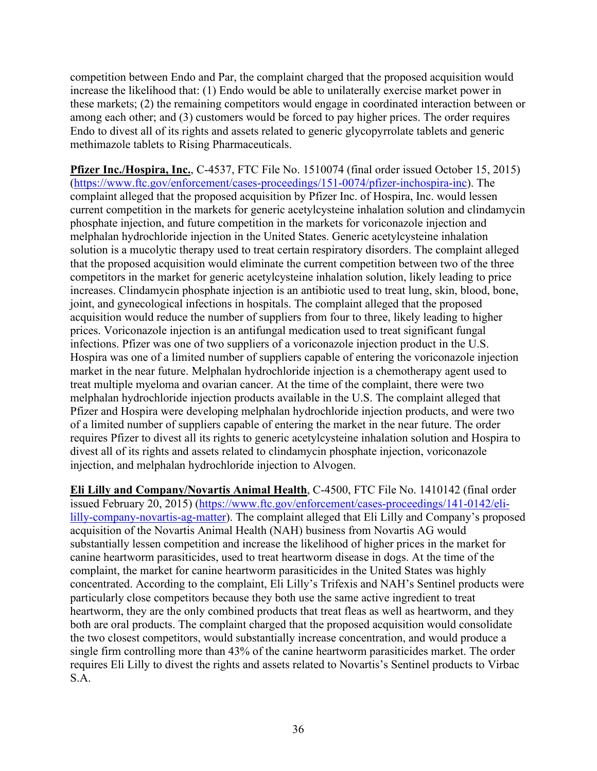competition between Endo and Par, the complaint charged that the proposed acquisition would increase the likelihood that: (1) Endo would be able to unilaterally exercise market power in these markets; (2) the remaining competitors would engage in coordinated interaction between or among each other; and (3) customers would be forced to pay higher prices. The order requires Endo to divest all of its rights and assets related to generic glycopyrrolate tablets and generic methimazole tablets to Rising Pharmaceuticals.

**Pfizer Inc./Hospira, Inc.**, C-4537, FTC File No. 1510074 (final order issued October 15, 2015) [\(https://www.ftc.gov/enforcement/cases-proceedings/151-0074/pfizer-inchospira-inc\)](https://www.ftc.gov/enforcement/cases-proceedings/151-0074/pfizer-inchospira-inc). The complaint alleged that the proposed acquisition by Pfizer Inc. of Hospira, Inc. would lessen current competition in the markets for generic acetylcysteine inhalation solution and clindamycin phosphate injection, and future competition in the markets for voriconazole injection and melphalan hydrochloride injection in the United States. Generic acetylcysteine inhalation solution is a mucolytic therapy used to treat certain respiratory disorders. The complaint alleged that the proposed acquisition would eliminate the current competition between two of the three competitors in the market for generic acetylcysteine inhalation solution, likely leading to price increases. Clindamycin phosphate injection is an antibiotic used to treat lung, skin, blood, bone, joint, and gynecological infections in hospitals. The complaint alleged that the proposed acquisition would reduce the number of suppliers from four to three, likely leading to higher prices. Voriconazole injection is an antifungal medication used to treat significant fungal infections. Pfizer was one of two suppliers of a voriconazole injection product in the U.S. Hospira was one of a limited number of suppliers capable of entering the voriconazole injection market in the near future. Melphalan hydrochloride injection is a chemotherapy agent used to treat multiple myeloma and ovarian cancer. At the time of the complaint, there were two melphalan hydrochloride injection products available in the U.S. The complaint alleged that Pfizer and Hospira were developing melphalan hydrochloride injection products, and were two of a limited number of suppliers capable of entering the market in the near future. The order requires Pfizer to divest all its rights to generic acetylcysteine inhalation solution and Hospira to divest all of its rights and assets related to clindamycin phosphate injection, voriconazole injection, and melphalan hydrochloride injection to Alvogen.

**Eli Lilly and Company/Novartis Animal Health**, C-4500, FTC File No. 1410142 (final order issued February 20, 2015) [\(https://www.ftc.gov/enforcement/cases-proceedings/141-0142/eli](https://www.ftc.gov/enforcement/cases-proceedings/141-0142/eli-lilly-company-novartis-ag-matter)[lilly-company-novartis-ag-matter\)](https://www.ftc.gov/enforcement/cases-proceedings/141-0142/eli-lilly-company-novartis-ag-matter). The complaint alleged that Eli Lilly and Company's proposed acquisition of the Novartis Animal Health (NAH) business from Novartis AG would substantially lessen competition and increase the likelihood of higher prices in the market for canine heartworm parasiticides, used to treat heartworm disease in dogs. At the time of the complaint, the market for canine heartworm parasiticides in the United States was highly concentrated. According to the complaint, Eli Lilly's Trifexis and NAH's Sentinel products were particularly close competitors because they both use the same active ingredient to treat heartworm, they are the only combined products that treat fleas as well as heartworm, and they both are oral products. The complaint charged that the proposed acquisition would consolidate the two closest competitors, would substantially increase concentration, and would produce a single firm controlling more than 43% of the canine heartworm parasiticides market. The order requires Eli Lilly to divest the rights and assets related to Novartis's Sentinel products to Virbac S.A.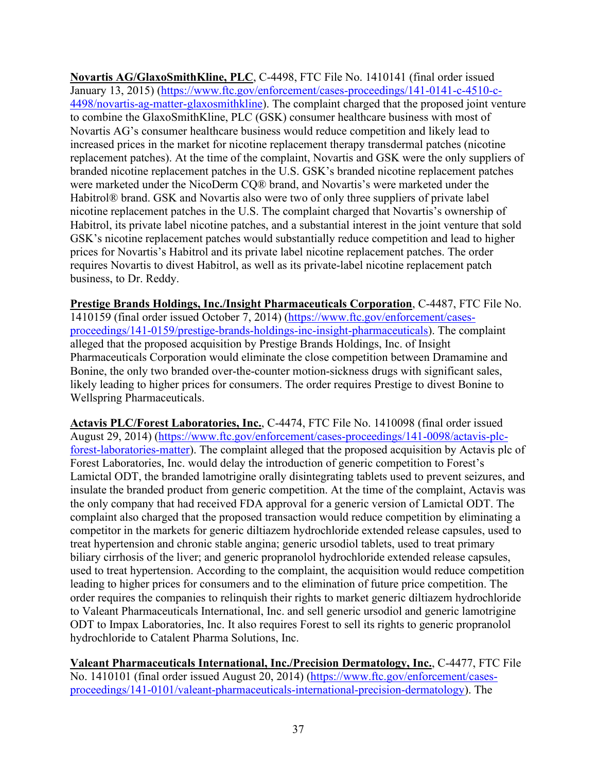**Novartis AG/GlaxoSmithKline, PLC**, C-4498, FTC File No. 1410141 (final order issued January 13, 2015) [\(https://www.ftc.gov/enforcement/cases-proceedings/141-0141-c-4510-c-](https://www.ftc.gov/enforcement/cases-proceedings/141-0141-c-4510-c-4498/novartis-ag-matter-glaxosmithkline)[4498/novartis-ag-matter-glaxosmithkline\)](https://www.ftc.gov/enforcement/cases-proceedings/141-0141-c-4510-c-4498/novartis-ag-matter-glaxosmithkline). The complaint charged that the proposed joint venture to combine the GlaxoSmithKline, PLC (GSK) consumer healthcare business with most of Novartis AG's consumer healthcare business would reduce competition and likely lead to increased prices in the market for nicotine replacement therapy transdermal patches (nicotine replacement patches). At the time of the complaint, Novartis and GSK were the only suppliers of branded nicotine replacement patches in the U.S. GSK's branded nicotine replacement patches were marketed under the NicoDerm CQ® brand, and Novartis's were marketed under the Habitrol® brand. GSK and Novartis also were two of only three suppliers of private label nicotine replacement patches in the U.S. The complaint charged that Novartis's ownership of Habitrol, its private label nicotine patches, and a substantial interest in the joint venture that sold GSK's nicotine replacement patches would substantially reduce competition and lead to higher prices for Novartis's Habitrol and its private label nicotine replacement patches. The order requires Novartis to divest Habitrol, as well as its private-label nicotine replacement patch business, to Dr. Reddy.

**Prestige Brands Holdings, Inc./Insight Pharmaceuticals Corporation**, C-4487, FTC File No. 1410159 (final order issued October 7, 2014) [\(https://www.ftc.gov/enforcement/cases](https://www.ftc.gov/enforcement/cases-proceedings/141-0159/prestige-brands-holdings-inc-insight-pharmaceuticals)[proceedings/141-0159/prestige-brands-holdings-inc-insight-pharmaceuticals\)](https://www.ftc.gov/enforcement/cases-proceedings/141-0159/prestige-brands-holdings-inc-insight-pharmaceuticals). The complaint alleged that the proposed acquisition by Prestige Brands Holdings, Inc. of Insight Pharmaceuticals Corporation would eliminate the close competition between Dramamine and Bonine, the only two branded over-the-counter motion-sickness drugs with significant sales, likely leading to higher prices for consumers. The order requires Prestige to divest Bonine to Wellspring Pharmaceuticals.

**Actavis PLC/Forest Laboratories, Inc.**, C-4474, FTC File No. 1410098 (final order issued August 29, 2014) [\(https://www.ftc.gov/enforcement/cases-proceedings/141-0098/actavis-plc](https://www.ftc.gov/enforcement/cases-proceedings/141-0098/actavis-plc-forest-laboratories-matter)[forest-laboratories-matter\)](https://www.ftc.gov/enforcement/cases-proceedings/141-0098/actavis-plc-forest-laboratories-matter). The complaint alleged that the proposed acquisition by Actavis plc of Forest Laboratories, Inc. would delay the introduction of generic competition to Forest's Lamictal ODT, the branded lamotrigine orally disintegrating tablets used to prevent seizures, and insulate the branded product from generic competition. At the time of the complaint, Actavis was the only company that had received FDA approval for a generic version of Lamictal ODT. The complaint also charged that the proposed transaction would reduce competition by eliminating a competitor in the markets for generic diltiazem hydrochloride extended release capsules, used to treat hypertension and chronic stable angina; generic ursodiol tablets, used to treat primary biliary cirrhosis of the liver; and generic propranolol hydrochloride extended release capsules, used to treat hypertension. According to the complaint, the acquisition would reduce competition leading to higher prices for consumers and to the elimination of future price competition. The order requires the companies to relinquish their rights to market generic diltiazem hydrochloride to Valeant Pharmaceuticals International, Inc. and sell generic ursodiol and generic lamotrigine ODT to Impax Laboratories, Inc. It also requires Forest to sell its rights to generic propranolol hydrochloride to Catalent Pharma Solutions, Inc.

**Valeant Pharmaceuticals International, Inc./Precision Dermatology, Inc.**, C-4477, FTC File No. 1410101 (final order issued August 20, 2014) [\(https://www.ftc.gov/enforcement/cases](https://www.ftc.gov/enforcement/cases-proceedings/141-0101/valeant-pharmaceuticals-international-precision-dermatology)[proceedings/141-0101/valeant-pharmaceuticals-international-precision-dermatology\)](https://www.ftc.gov/enforcement/cases-proceedings/141-0101/valeant-pharmaceuticals-international-precision-dermatology). The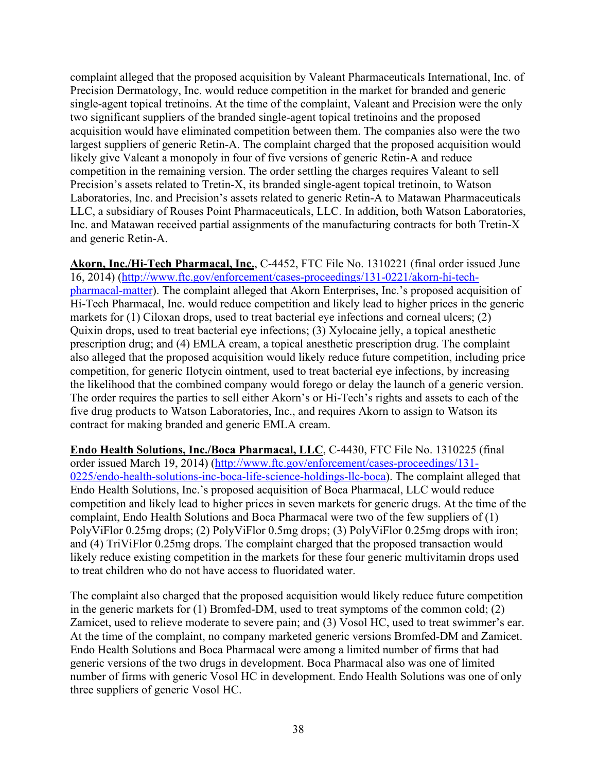complaint alleged that the proposed acquisition by Valeant Pharmaceuticals International, Inc. of Precision Dermatology, Inc. would reduce competition in the market for branded and generic single-agent topical tretinoins. At the time of the complaint, Valeant and Precision were the only two significant suppliers of the branded single-agent topical tretinoins and the proposed acquisition would have eliminated competition between them. The companies also were the two largest suppliers of generic Retin-A. The complaint charged that the proposed acquisition would likely give Valeant a monopoly in four of five versions of generic Retin-A and reduce competition in the remaining version. The order settling the charges requires Valeant to sell Precision's assets related to Tretin-X, its branded single-agent topical tretinoin, to Watson Laboratories, Inc. and Precision's assets related to generic Retin-A to Matawan Pharmaceuticals LLC, a subsidiary of Rouses Point Pharmaceuticals, LLC. In addition, both Watson Laboratories, Inc. and Matawan received partial assignments of the manufacturing contracts for both Tretin-X and generic Retin-A.

**Akorn, Inc./Hi-Tech Pharmacal, Inc.**, C-4452, FTC File No. 1310221 (final order issued June 16, 2014) [\(http://www.ftc.gov/enforcement/cases-proceedings/131-0221/akorn-hi-tech](http://www.ftc.gov/enforcement/cases-proceedings/131-0221/akorn-hi-tech-pharmacal-matter)[pharmacal-matter\)](http://www.ftc.gov/enforcement/cases-proceedings/131-0221/akorn-hi-tech-pharmacal-matter). The complaint alleged that Akorn Enterprises, Inc.'s proposed acquisition of Hi-Tech Pharmacal, Inc. would reduce competition and likely lead to higher prices in the generic markets for (1) Ciloxan drops, used to treat bacterial eye infections and corneal ulcers; (2) Quixin drops, used to treat bacterial eye infections; (3) Xylocaine jelly, a topical anesthetic prescription drug; and (4) EMLA cream, a topical anesthetic prescription drug. The complaint also alleged that the proposed acquisition would likely reduce future competition, including price competition, for generic Ilotycin ointment, used to treat bacterial eye infections, by increasing the likelihood that the combined company would forego or delay the launch of a generic version. The order requires the parties to sell either Akorn's or Hi-Tech's rights and assets to each of the five drug products to Watson Laboratories, Inc., and requires Akorn to assign to Watson its contract for making branded and generic EMLA cream.

**Endo Health Solutions, Inc./Boca Pharmacal, LLC**, C-4430, FTC File No. 1310225 (final order issued March 19, 2014) [\(http://www.ftc.gov/enforcement/cases-proceedings/131-](http://www.ftc.gov/enforcement/cases-proceedings/131-0225/endo-health-solutions-inc-boca-life-science-holdings-llc-boca) [0225/endo-health-solutions-inc-boca-life-science-holdings-llc-boca\)](http://www.ftc.gov/enforcement/cases-proceedings/131-0225/endo-health-solutions-inc-boca-life-science-holdings-llc-boca). The complaint alleged that Endo Health Solutions, Inc.'s proposed acquisition of Boca Pharmacal, LLC would reduce competition and likely lead to higher prices in seven markets for generic drugs. At the time of the complaint, Endo Health Solutions and Boca Pharmacal were two of the few suppliers of (1) PolyViFlor 0.25mg drops; (2) PolyViFlor 0.5mg drops; (3) PolyViFlor 0.25mg drops with iron; and (4) TriViFlor 0.25mg drops. The complaint charged that the proposed transaction would likely reduce existing competition in the markets for these four generic multivitamin drops used to treat children who do not have access to fluoridated water.

The complaint also charged that the proposed acquisition would likely reduce future competition in the generic markets for (1) Bromfed-DM, used to treat symptoms of the common cold; (2) Zamicet, used to relieve moderate to severe pain; and (3) Vosol HC, used to treat swimmer's ear. At the time of the complaint, no company marketed generic versions Bromfed-DM and Zamicet. Endo Health Solutions and Boca Pharmacal were among a limited number of firms that had generic versions of the two drugs in development. Boca Pharmacal also was one of limited number of firms with generic Vosol HC in development. Endo Health Solutions was one of only three suppliers of generic Vosol HC.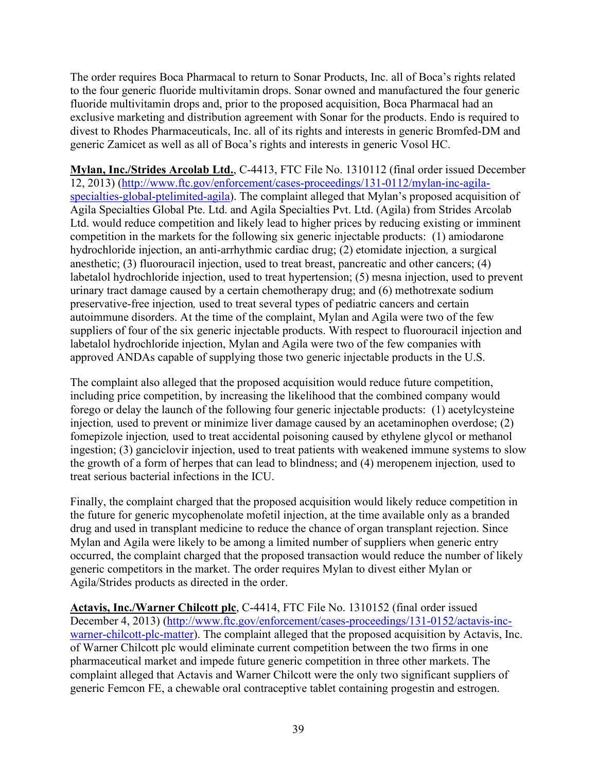The order requires Boca Pharmacal to return to Sonar Products, Inc. all of Boca's rights related to the four generic fluoride multivitamin drops. Sonar owned and manufactured the four generic fluoride multivitamin drops and, prior to the proposed acquisition, Boca Pharmacal had an exclusive marketing and distribution agreement with Sonar for the products. Endo is required to divest to Rhodes Pharmaceuticals, Inc. all of its rights and interests in generic Bromfed-DM and generic Zamicet as well as all of Boca's rights and interests in generic Vosol HC.

**Mylan, Inc./Strides Arcolab Ltd.**, C-4413, FTC File No. 1310112 (final order issued December 12, 2013) [\(http://www.ftc.gov/enforcement/cases-proceedings/131-0112/mylan-inc-agila](http://www.ftc.gov/enforcement/cases-proceedings/131-0112/mylan-inc-agila-specialties-global-ptelimited-agila)[specialties-global-ptelimited-agila\)](http://www.ftc.gov/enforcement/cases-proceedings/131-0112/mylan-inc-agila-specialties-global-ptelimited-agila). The complaint alleged that Mylan's proposed acquisition of Agila Specialties Global Pte. Ltd. and Agila Specialties Pvt. Ltd. (Agila) from Strides Arcolab Ltd. would reduce competition and likely lead to higher prices by reducing existing or imminent competition in the markets for the following six generic injectable products: (1) amiodarone hydrochloride injection, an anti-arrhythmic cardiac drug; (2) etomidate injection*,* a surgical anesthetic; (3) fluorouracil injection, used to treat breast, pancreatic and other cancers; (4) labetalol hydrochloride injection, used to treat hypertension; (5) mesna injection, used to prevent urinary tract damage caused by a certain chemotherapy drug; and (6) methotrexate sodium preservative-free injection*,* used to treat several types of pediatric cancers and certain autoimmune disorders. At the time of the complaint, Mylan and Agila were two of the few suppliers of four of the six generic injectable products. With respect to fluorouracil injection and labetalol hydrochloride injection, Mylan and Agila were two of the few companies with approved ANDAs capable of supplying those two generic injectable products in the U.S.

The complaint also alleged that the proposed acquisition would reduce future competition, including price competition, by increasing the likelihood that the combined company would forego or delay the launch of the following four generic injectable products: (1) acetylcysteine injection, used to prevent or minimize liver damage caused by an acetaminophen overdose; (2) fomepizole injection*,* used to treat accidental poisoning caused by ethylene glycol or methanol ingestion; (3) ganciclovir injection, used to treat patients with weakened immune systems to slow the growth of a form of herpes that can lead to blindness; and (4) meropenem injection*,* used to treat serious bacterial infections in the ICU.

Finally, the complaint charged that the proposed acquisition would likely reduce competition in the future for generic mycophenolate mofetil injection, at the time available only as a branded drug and used in transplant medicine to reduce the chance of organ transplant rejection. Since Mylan and Agila were likely to be among a limited number of suppliers when generic entry occurred, the complaint charged that the proposed transaction would reduce the number of likely generic competitors in the market. The order requires Mylan to divest either Mylan or Agila/Strides products as directed in the order.

**Actavis, Inc./Warner Chilcott plc**, C-4414, FTC File No. 1310152 (final order issued December 4, 2013) [\(http://www.ftc.gov/enforcement/cases-proceedings/131-0152/actavis-inc](http://www.ftc.gov/enforcement/cases-proceedings/131-0152/actavis-inc-warner-chilcott-plc-matter)[warner-chilcott-plc-matter\)](http://www.ftc.gov/enforcement/cases-proceedings/131-0152/actavis-inc-warner-chilcott-plc-matter). The complaint alleged that the proposed acquisition by Actavis, Inc. of Warner Chilcott plc would eliminate current competition between the two firms in one pharmaceutical market and impede future generic competition in three other markets. The complaint alleged that Actavis and Warner Chilcott were the only two significant suppliers of generic Femcon FE, a chewable oral contraceptive tablet containing progestin and estrogen.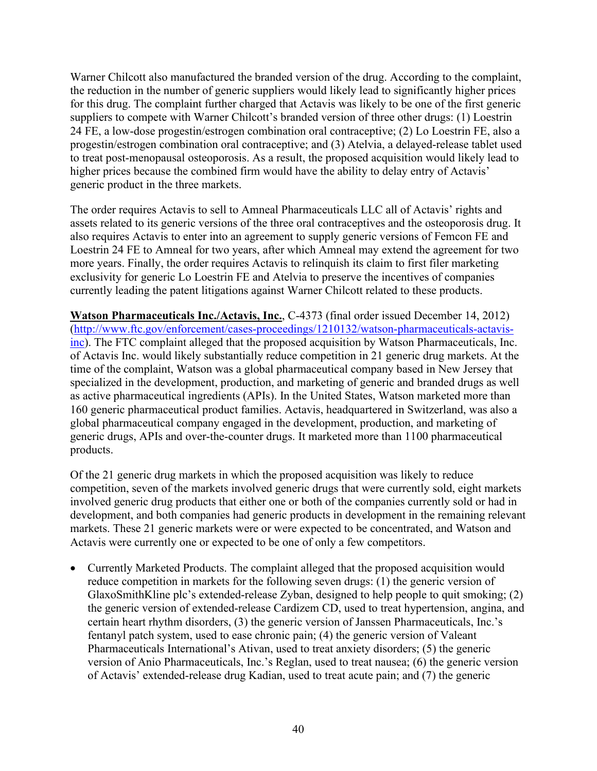Warner Chilcott also manufactured the branded version of the drug. According to the complaint, the reduction in the number of generic suppliers would likely lead to significantly higher prices for this drug. The complaint further charged that Actavis was likely to be one of the first generic suppliers to compete with Warner Chilcott's branded version of three other drugs: (1) Loestrin 24 FE, a low-dose progestin/estrogen combination oral contraceptive; (2) Lo Loestrin FE, also a progestin/estrogen combination oral contraceptive; and (3) Atelvia, a delayed-release tablet used to treat post-menopausal osteoporosis. As a result, the proposed acquisition would likely lead to higher prices because the combined firm would have the ability to delay entry of Actavis' generic product in the three markets.

The order requires Actavis to sell to Amneal Pharmaceuticals LLC all of Actavis' rights and assets related to its generic versions of the three oral contraceptives and the osteoporosis drug. It also requires Actavis to enter into an agreement to supply generic versions of Femcon FE and Loestrin 24 FE to Amneal for two years, after which Amneal may extend the agreement for two more years. Finally, the order requires Actavis to relinquish its claim to first filer marketing exclusivity for generic Lo Loestrin FE and Atelvia to preserve the incentives of companies currently leading the patent litigations against Warner Chilcott related to these products.

**Watson Pharmaceuticals Inc./Actavis, Inc.**, C-4373 (final order issued December 14, 2012) [\(http://www.ftc.gov/enforcement/cases-proceedings/1210132/watson-pharmaceuticals-actavis](http://www.ftc.gov/enforcement/cases-proceedings/1210132/watson-pharmaceuticals-actavis-inc)[inc\)](http://www.ftc.gov/enforcement/cases-proceedings/1210132/watson-pharmaceuticals-actavis-inc). The FTC complaint alleged that the proposed acquisition by Watson Pharmaceuticals, Inc. of Actavis Inc. would likely substantially reduce competition in 21 generic drug markets. At the time of the complaint, Watson was a global pharmaceutical company based in New Jersey that specialized in the development, production, and marketing of generic and branded drugs as well as active pharmaceutical ingredients (APIs). In the United States, Watson marketed more than 160 generic pharmaceutical product families. Actavis, headquartered in Switzerland, was also a global pharmaceutical company engaged in the development, production, and marketing of generic drugs, APIs and over-the-counter drugs. It marketed more than 1100 pharmaceutical products.

Of the 21 generic drug markets in which the proposed acquisition was likely to reduce competition, seven of the markets involved generic drugs that were currently sold, eight markets involved generic drug products that either one or both of the companies currently sold or had in development, and both companies had generic products in development in the remaining relevant markets. These 21 generic markets were or were expected to be concentrated, and Watson and Actavis were currently one or expected to be one of only a few competitors.

• Currently Marketed Products. The complaint alleged that the proposed acquisition would reduce competition in markets for the following seven drugs: (1) the generic version of GlaxoSmithKline plc's extended-release Zyban, designed to help people to quit smoking; (2) the generic version of extended-release Cardizem CD, used to treat hypertension, angina, and certain heart rhythm disorders, (3) the generic version of Janssen Pharmaceuticals, Inc.'s fentanyl patch system, used to ease chronic pain; (4) the generic version of Valeant Pharmaceuticals International's Ativan, used to treat anxiety disorders; (5) the generic version of Anio Pharmaceuticals, Inc.'s Reglan, used to treat nausea; (6) the generic version of Actavis' extended-release drug Kadian, used to treat acute pain; and (7) the generic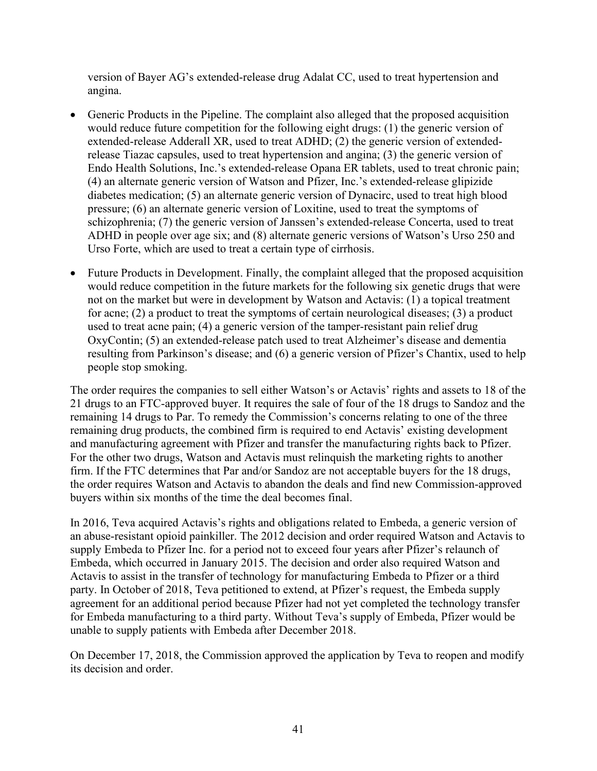version of Bayer AG's extended-release drug Adalat CC, used to treat hypertension and angina.

- Generic Products in the Pipeline. The complaint also alleged that the proposed acquisition would reduce future competition for the following eight drugs: (1) the generic version of extended-release Adderall XR, used to treat ADHD; (2) the generic version of extendedrelease Tiazac capsules, used to treat hypertension and angina; (3) the generic version of Endo Health Solutions, Inc.'s extended-release Opana ER tablets, used to treat chronic pain; (4) an alternate generic version of Watson and Pfizer, Inc.'s extended-release glipizide diabetes medication; (5) an alternate generic version of Dynacirc, used to treat high blood pressure; (6) an alternate generic version of Loxitine, used to treat the symptoms of schizophrenia; (7) the generic version of Janssen's extended-release Concerta, used to treat ADHD in people over age six; and (8) alternate generic versions of Watson's Urso 250 and Urso Forte, which are used to treat a certain type of cirrhosis.
- Future Products in Development. Finally, the complaint alleged that the proposed acquisition would reduce competition in the future markets for the following six genetic drugs that were not on the market but were in development by Watson and Actavis: (1) a topical treatment for acne; (2) a product to treat the symptoms of certain neurological diseases; (3) a product used to treat acne pain; (4) a generic version of the tamper-resistant pain relief drug OxyContin; (5) an extended-release patch used to treat Alzheimer's disease and dementia resulting from Parkinson's disease; and (6) a generic version of Pfizer's Chantix, used to help people stop smoking.

The order requires the companies to sell either Watson's or Actavis' rights and assets to 18 of the 21 drugs to an FTC-approved buyer. It requires the sale of four of the 18 drugs to Sandoz and the remaining 14 drugs to Par. To remedy the Commission's concerns relating to one of the three remaining drug products, the combined firm is required to end Actavis' existing development and manufacturing agreement with Pfizer and transfer the manufacturing rights back to Pfizer. For the other two drugs, Watson and Actavis must relinquish the marketing rights to another firm. If the FTC determines that Par and/or Sandoz are not acceptable buyers for the 18 drugs, the order requires Watson and Actavis to abandon the deals and find new Commission-approved buyers within six months of the time the deal becomes final.

In 2016, Teva acquired Actavis's rights and obligations related to Embeda, a generic version of an abuse-resistant opioid painkiller. The 2012 decision and order required Watson and Actavis to supply Embeda to Pfizer Inc. for a period not to exceed four years after Pfizer's relaunch of Embeda, which occurred in January 2015. The decision and order also required Watson and Actavis to assist in the transfer of technology for manufacturing Embeda to Pfizer or a third party. In October of 2018, Teva petitioned to extend, at Pfizer's request, the Embeda supply agreement for an additional period because Pfizer had not yet completed the technology transfer for Embeda manufacturing to a third party. Without Teva's supply of Embeda, Pfizer would be unable to supply patients with Embeda after December 2018.

On December 17, 2018, the Commission approved the application by Teva to reopen and modify its decision and order.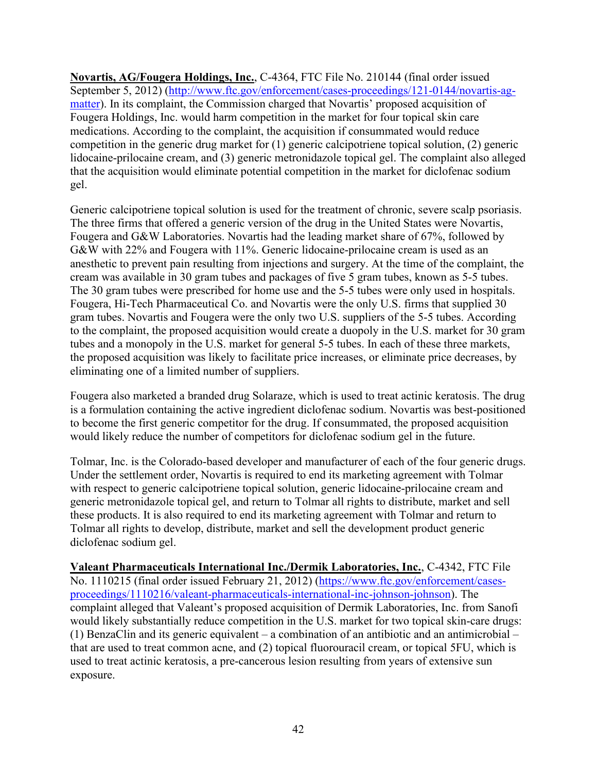**Novartis, AG/Fougera Holdings, Inc.**, C-4364, FTC File No. 210144 (final order issued September 5, 2012) [\(http://www.ftc.gov/enforcement/cases-proceedings/121-0144/novartis-ag](http://www.ftc.gov/enforcement/cases-proceedings/121-0144/novartis-ag-matter)[matter\)](http://www.ftc.gov/enforcement/cases-proceedings/121-0144/novartis-ag-matter). In its complaint, the Commission charged that Novartis' proposed acquisition of Fougera Holdings, Inc. would harm competition in the market for four topical skin care medications. According to the complaint, the acquisition if consummated would reduce competition in the generic drug market for (1) generic calcipotriene topical solution, (2) generic lidocaine-prilocaine cream, and (3) generic metronidazole topical gel. The complaint also alleged that the acquisition would eliminate potential competition in the market for diclofenac sodium gel.

Generic calcipotriene topical solution is used for the treatment of chronic, severe scalp psoriasis. The three firms that offered a generic version of the drug in the United States were Novartis, Fougera and G&W Laboratories. Novartis had the leading market share of 67%, followed by G&W with 22% and Fougera with 11%. Generic lidocaine-prilocaine cream is used as an anesthetic to prevent pain resulting from injections and surgery. At the time of the complaint, the cream was available in 30 gram tubes and packages of five 5 gram tubes, known as 5-5 tubes. The 30 gram tubes were prescribed for home use and the 5-5 tubes were only used in hospitals. Fougera, Hi-Tech Pharmaceutical Co. and Novartis were the only U.S. firms that supplied 30 gram tubes. Novartis and Fougera were the only two U.S. suppliers of the 5-5 tubes. According to the complaint, the proposed acquisition would create a duopoly in the U.S. market for 30 gram tubes and a monopoly in the U.S. market for general 5-5 tubes. In each of these three markets, the proposed acquisition was likely to facilitate price increases, or eliminate price decreases, by eliminating one of a limited number of suppliers.

Fougera also marketed a branded drug Solaraze, which is used to treat actinic keratosis. The drug is a formulation containing the active ingredient diclofenac sodium. Novartis was best-positioned to become the first generic competitor for the drug. If consummated, the proposed acquisition would likely reduce the number of competitors for diclofenac sodium gel in the future.

Tolmar, Inc. is the Colorado-based developer and manufacturer of each of the four generic drugs. Under the settlement order, Novartis is required to end its marketing agreement with Tolmar with respect to generic calcipotriene topical solution, generic lidocaine-prilocaine cream and generic metronidazole topical gel, and return to Tolmar all rights to distribute, market and sell these products. It is also required to end its marketing agreement with Tolmar and return to Tolmar all rights to develop, distribute, market and sell the development product generic diclofenac sodium gel.

**Valeant Pharmaceuticals International Inc./Dermik Laboratories, Inc.**, C-4342, FTC File No. 1110215 (final order issued February 21, 2012) [\(https://www.ftc.gov/enforcement/cases](https://www.ftc.gov/enforcement/cases-proceedings/1110216/valeant-pharmaceuticals-international-inc-johnson-johnson)[proceedings/1110216/valeant-pharmaceuticals-international-inc-johnson-johnson\)](https://www.ftc.gov/enforcement/cases-proceedings/1110216/valeant-pharmaceuticals-international-inc-johnson-johnson). The complaint alleged that Valeant's proposed acquisition of Dermik Laboratories, Inc. from Sanofi would likely substantially reduce competition in the U.S. market for two topical skin-care drugs: (1) BenzaClin and its generic equivalent – a combination of an antibiotic and an antimicrobial – that are used to treat common acne, and (2) topical fluorouracil cream, or topical 5FU, which is used to treat actinic keratosis, a pre-cancerous lesion resulting from years of extensive sun exposure.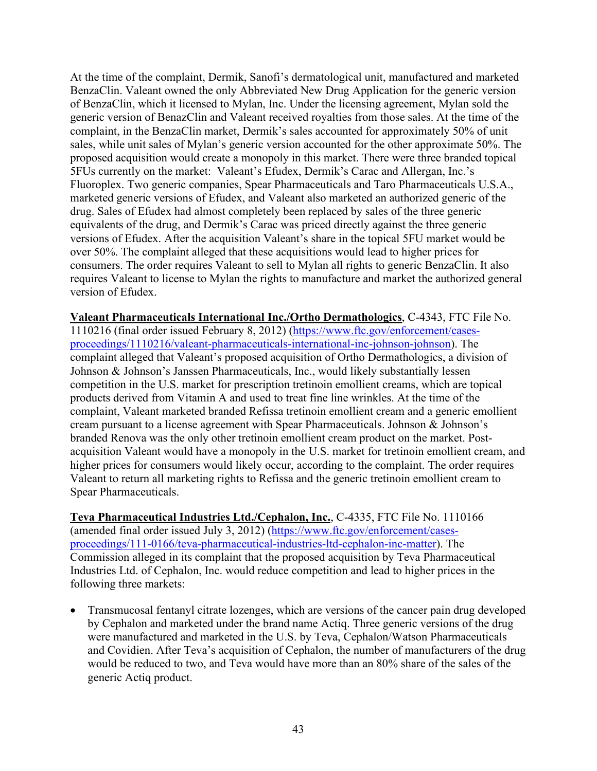At the time of the complaint, Dermik, Sanofi's dermatological unit, manufactured and marketed BenzaClin. Valeant owned the only Abbreviated New Drug Application for the generic version of BenzaClin, which it licensed to Mylan, Inc. Under the licensing agreement, Mylan sold the generic version of BenazClin and Valeant received royalties from those sales. At the time of the complaint, in the BenzaClin market, Dermik's sales accounted for approximately 50% of unit sales, while unit sales of Mylan's generic version accounted for the other approximate 50%. The proposed acquisition would create a monopoly in this market. There were three branded topical 5FUs currently on the market: Valeant's Efudex, Dermik's Carac and Allergan, Inc.'s Fluoroplex. Two generic companies, Spear Pharmaceuticals and Taro Pharmaceuticals U.S.A., marketed generic versions of Efudex, and Valeant also marketed an authorized generic of the drug. Sales of Efudex had almost completely been replaced by sales of the three generic equivalents of the drug, and Dermik's Carac was priced directly against the three generic versions of Efudex. After the acquisition Valeant's share in the topical 5FU market would be over 50%. The complaint alleged that these acquisitions would lead to higher prices for consumers. The order requires Valeant to sell to Mylan all rights to generic BenzaClin. It also requires Valeant to license to Mylan the rights to manufacture and market the authorized general version of Efudex.

**Valeant Pharmaceuticals International Inc./Ortho Dermathologics**, C-4343, FTC File No. 1110216 (final order issued February 8, 2012) [\(https://www.ftc.gov/enforcement/cases](https://www.ftc.gov/enforcement/cases-proceedings/1110216/valeant-pharmaceuticals-international-inc-johnson-johnson)[proceedings/1110216/valeant-pharmaceuticals-international-inc-johnson-johnson\)](https://www.ftc.gov/enforcement/cases-proceedings/1110216/valeant-pharmaceuticals-international-inc-johnson-johnson). The complaint alleged that Valeant's proposed acquisition of Ortho Dermathologics, a division of Johnson & Johnson's Janssen Pharmaceuticals, Inc., would likely substantially lessen competition in the U.S. market for prescription tretinoin emollient creams, which are topical products derived from Vitamin A and used to treat fine line wrinkles. At the time of the complaint, Valeant marketed branded Refissa tretinoin emollient cream and a generic emollient cream pursuant to a license agreement with Spear Pharmaceuticals. Johnson & Johnson's branded Renova was the only other tretinoin emollient cream product on the market. Postacquisition Valeant would have a monopoly in the U.S. market for tretinoin emollient cream, and higher prices for consumers would likely occur, according to the complaint. The order requires Valeant to return all marketing rights to Refissa and the generic tretinoin emollient cream to Spear Pharmaceuticals.

**Teva Pharmaceutical Industries Ltd./Cephalon, Inc.**, C-4335, FTC File No. 1110166 (amended final order issued July 3, 2012) [\(https://www.ftc.gov/enforcement/cases](https://www.ftc.gov/enforcement/cases-proceedings/111-0166/teva-pharmaceutical-industries-ltd-cephalon-inc-matter)[proceedings/111-0166/teva-pharmaceutical-industries-ltd-cephalon-inc-matter\)](https://www.ftc.gov/enforcement/cases-proceedings/111-0166/teva-pharmaceutical-industries-ltd-cephalon-inc-matter). The Commission alleged in its complaint that the proposed acquisition by Teva Pharmaceutical Industries Ltd. of Cephalon, Inc. would reduce competition and lead to higher prices in the following three markets:

• Transmucosal fentanyl citrate lozenges, which are versions of the cancer pain drug developed by Cephalon and marketed under the brand name Actiq. Three generic versions of the drug were manufactured and marketed in the U.S. by Teva, Cephalon/Watson Pharmaceuticals and Covidien. After Teva's acquisition of Cephalon, the number of manufacturers of the drug would be reduced to two, and Teva would have more than an 80% share of the sales of the generic Actiq product.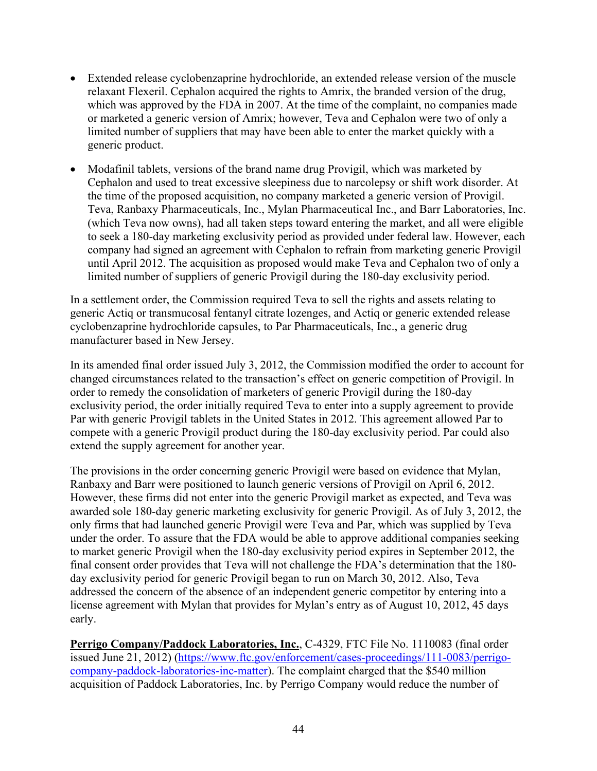- Extended release cyclobenzaprine hydrochloride, an extended release version of the muscle relaxant Flexeril. Cephalon acquired the rights to Amrix, the branded version of the drug, which was approved by the FDA in 2007. At the time of the complaint, no companies made or marketed a generic version of Amrix; however, Teva and Cephalon were two of only a limited number of suppliers that may have been able to enter the market quickly with a generic product.
- Modafinil tablets, versions of the brand name drug Provigil, which was marketed by Cephalon and used to treat excessive sleepiness due to narcolepsy or shift work disorder. At the time of the proposed acquisition, no company marketed a generic version of Provigil. Teva, Ranbaxy Pharmaceuticals, Inc., Mylan Pharmaceutical Inc., and Barr Laboratories, Inc. (which Teva now owns), had all taken steps toward entering the market, and all were eligible to seek a 180-day marketing exclusivity period as provided under federal law. However, each company had signed an agreement with Cephalon to refrain from marketing generic Provigil until April 2012. The acquisition as proposed would make Teva and Cephalon two of only a limited number of suppliers of generic Provigil during the 180-day exclusivity period.

In a settlement order, the Commission required Teva to sell the rights and assets relating to generic Actiq or transmucosal fentanyl citrate lozenges, and Actiq or generic extended release cyclobenzaprine hydrochloride capsules, to Par Pharmaceuticals, Inc., a generic drug manufacturer based in New Jersey.

In its amended final order issued July 3, 2012, the Commission modified the order to account for changed circumstances related to the transaction's effect on generic competition of Provigil. In order to remedy the consolidation of marketers of generic Provigil during the 180-day exclusivity period, the order initially required Teva to enter into a supply agreement to provide Par with generic Provigil tablets in the United States in 2012. This agreement allowed Par to compete with a generic Provigil product during the 180-day exclusivity period. Par could also extend the supply agreement for another year.

The provisions in the order concerning generic Provigil were based on evidence that Mylan, Ranbaxy and Barr were positioned to launch generic versions of Provigil on April 6, 2012. However, these firms did not enter into the generic Provigil market as expected, and Teva was awarded sole 180-day generic marketing exclusivity for generic Provigil. As of July 3, 2012, the only firms that had launched generic Provigil were Teva and Par, which was supplied by Teva under the order. To assure that the FDA would be able to approve additional companies seeking to market generic Provigil when the 180-day exclusivity period expires in September 2012, the final consent order provides that Teva will not challenge the FDA's determination that the 180 day exclusivity period for generic Provigil began to run on March 30, 2012. Also, Teva addressed the concern of the absence of an independent generic competitor by entering into a license agreement with Mylan that provides for Mylan's entry as of August 10, 2012, 45 days early.

**Perrigo Company/Paddock Laboratories, Inc.**, C-4329, FTC File No. 1110083 (final order issued June 21, 2012) [\(https://www.ftc.gov/enforcement/cases-proceedings/111-0083/perrigo](https://www.ftc.gov/enforcement/cases-proceedings/111-0083/perrigo-company-paddock-laboratories-inc-matter)[company-paddock-laboratories-inc-matter\)](https://www.ftc.gov/enforcement/cases-proceedings/111-0083/perrigo-company-paddock-laboratories-inc-matter). The complaint charged that the \$540 million acquisition of Paddock Laboratories, Inc. by Perrigo Company would reduce the number of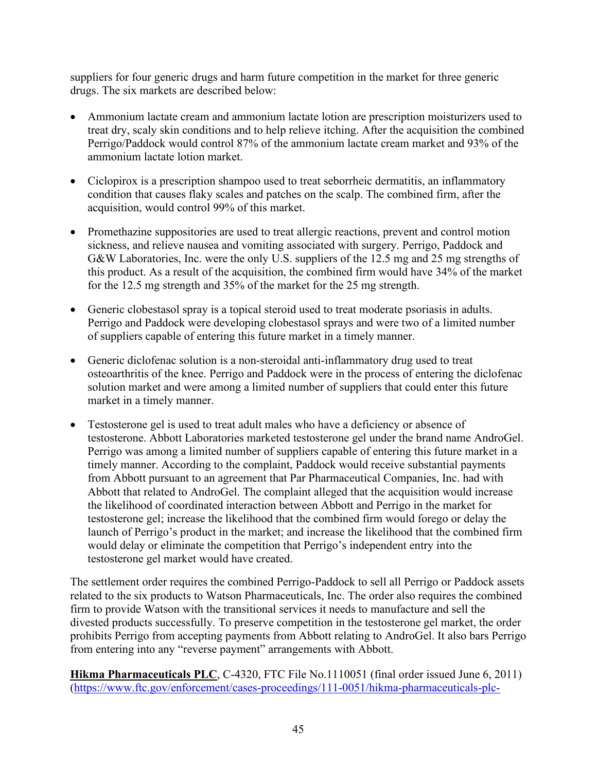suppliers for four generic drugs and harm future competition in the market for three generic drugs. The six markets are described below:

- Ammonium lactate cream and ammonium lactate lotion are prescription moisturizers used to treat dry, scaly skin conditions and to help relieve itching. After the acquisition the combined Perrigo/Paddock would control 87% of the ammonium lactate cream market and 93% of the ammonium lactate lotion market.
- Ciclopirox is a prescription shampoo used to treat seborrheic dermatitis, an inflammatory condition that causes flaky scales and patches on the scalp. The combined firm, after the acquisition, would control 99% of this market.
- Promethazine suppositories are used to treat allergic reactions, prevent and control motion sickness, and relieve nausea and vomiting associated with surgery. Perrigo, Paddock and G&W Laboratories, Inc. were the only U.S. suppliers of the 12.5 mg and 25 mg strengths of this product. As a result of the acquisition, the combined firm would have 34% of the market for the 12.5 mg strength and 35% of the market for the 25 mg strength.
- Generic clobestasol spray is a topical steroid used to treat moderate psoriasis in adults. Perrigo and Paddock were developing clobestasol sprays and were two of a limited number of suppliers capable of entering this future market in a timely manner.
- Generic diclofenac solution is a non-steroidal anti-inflammatory drug used to treat osteoarthritis of the knee. Perrigo and Paddock were in the process of entering the diclofenac solution market and were among a limited number of suppliers that could enter this future market in a timely manner.
- Testosterone gel is used to treat adult males who have a deficiency or absence of testosterone. Abbott Laboratories marketed testosterone gel under the brand name AndroGel. Perrigo was among a limited number of suppliers capable of entering this future market in a timely manner. According to the complaint, Paddock would receive substantial payments from Abbott pursuant to an agreement that Par Pharmaceutical Companies, Inc. had with Abbott that related to AndroGel. The complaint alleged that the acquisition would increase the likelihood of coordinated interaction between Abbott and Perrigo in the market for testosterone gel; increase the likelihood that the combined firm would forego or delay the launch of Perrigo's product in the market; and increase the likelihood that the combined firm would delay or eliminate the competition that Perrigo's independent entry into the testosterone gel market would have created.

The settlement order requires the combined Perrigo-Paddock to sell all Perrigo or Paddock assets related to the six products to Watson Pharmaceuticals, Inc. The order also requires the combined firm to provide Watson with the transitional services it needs to manufacture and sell the divested products successfully. To preserve competition in the testosterone gel market, the order prohibits Perrigo from accepting payments from Abbott relating to AndroGel. It also bars Perrigo from entering into any "reverse payment" arrangements with Abbott.

**Hikma Pharmaceuticals PLC**, C-4320, FTC File No.1110051 (final order issued June 6, 2011) [\(https://www.ftc.gov/enforcement/cases-proceedings/111-0051/hikma-pharmaceuticals-plc-](https://www.ftc.gov/enforcement/cases-proceedings/111-0051/hikma-pharmaceuticals-plc-matter)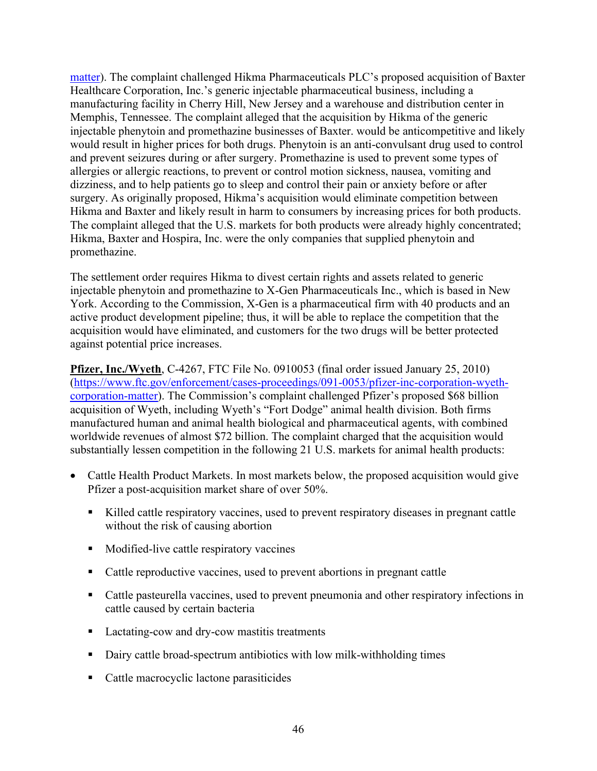[matter\)](https://www.ftc.gov/enforcement/cases-proceedings/111-0051/hikma-pharmaceuticals-plc-matter). The complaint challenged Hikma Pharmaceuticals PLC's proposed acquisition of Baxter Healthcare Corporation, Inc.'s generic injectable pharmaceutical business, including a manufacturing facility in Cherry Hill, New Jersey and a warehouse and distribution center in Memphis, Tennessee. The complaint alleged that the acquisition by Hikma of the generic injectable phenytoin and promethazine businesses of Baxter. would be anticompetitive and likely would result in higher prices for both drugs. Phenytoin is an anti-convulsant drug used to control and prevent seizures during or after surgery. Promethazine is used to prevent some types of allergies or allergic reactions, to prevent or control motion sickness, nausea, vomiting and dizziness, and to help patients go to sleep and control their pain or anxiety before or after surgery. As originally proposed, Hikma's acquisition would eliminate competition between Hikma and Baxter and likely result in harm to consumers by increasing prices for both products. The complaint alleged that the U.S. markets for both products were already highly concentrated; Hikma, Baxter and Hospira, Inc. were the only companies that supplied phenytoin and promethazine.

The settlement order requires Hikma to divest certain rights and assets related to generic injectable phenytoin and promethazine to X-Gen Pharmaceuticals Inc., which is based in New York. According to the Commission, X-Gen is a pharmaceutical firm with 40 products and an active product development pipeline; thus, it will be able to replace the competition that the acquisition would have eliminated, and customers for the two drugs will be better protected against potential price increases.

**Pfizer, Inc./Wyeth**, C-4267, FTC File No. 0910053 (final order issued January 25, 2010) [\(https://www.ftc.gov/enforcement/cases-proceedings/091-0053/pfizer-inc-corporation-wyeth](https://www.ftc.gov/enforcement/cases-proceedings/091-0053/pfizer-inc-corporation-wyeth-corporation-matter)[corporation-matter\)](https://www.ftc.gov/enforcement/cases-proceedings/091-0053/pfizer-inc-corporation-wyeth-corporation-matter). The Commission's complaint challenged Pfizer's proposed \$68 billion acquisition of Wyeth, including Wyeth's "Fort Dodge" animal health division. Both firms manufactured human and animal health biological and pharmaceutical agents, with combined worldwide revenues of almost \$72 billion. The complaint charged that the acquisition would substantially lessen competition in the following 21 U.S. markets for animal health products:

- Cattle Health Product Markets. In most markets below, the proposed acquisition would give Pfizer a post-acquisition market share of over 50%.
	- Killed cattle respiratory vaccines, used to prevent respiratory diseases in pregnant cattle without the risk of causing abortion
	- Modified-live cattle respiratory vaccines
	- Cattle reproductive vaccines, used to prevent abortions in pregnant cattle
	- Cattle pasteurella vaccines, used to prevent pneumonia and other respiratory infections in cattle caused by certain bacteria
	- Lactating-cow and dry-cow mastitis treatments
	- Dairy cattle broad-spectrum antibiotics with low milk-withholding times
	- Cattle macrocyclic lactone parasiticides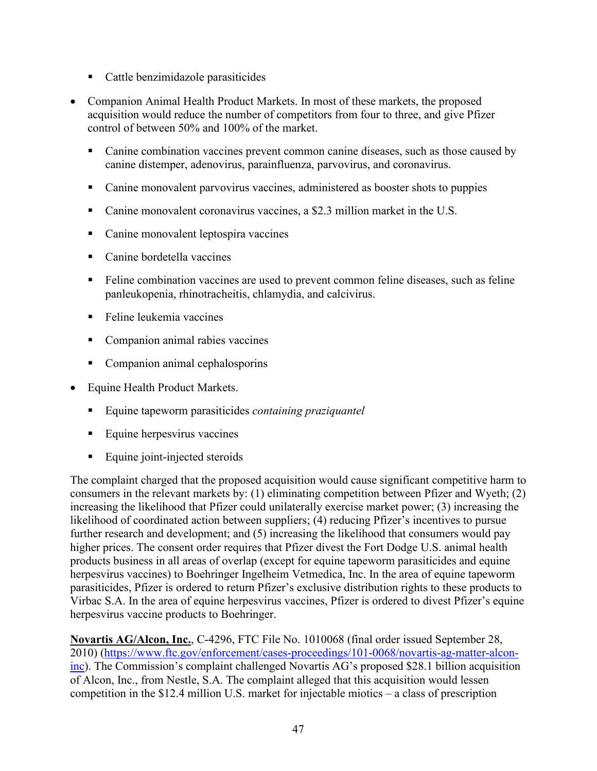- Cattle benzimidazole parasiticides
- Companion Animal Health Product Markets. In most of these markets, the proposed acquisition would reduce the number of competitors from four to three, and give Pfizer control of between 50% and 100% of the market.
	- Canine combination vaccines prevent common canine diseases, such as those caused by canine distemper, adenovirus, parainfluenza, parvovirus, and coronavirus.
	- Canine monovalent parvovirus vaccines, administered as booster shots to puppies
	- Canine monovalent coronavirus vaccines, a \$2.3 million market in the U.S.
	- **Canine monovalent leptospira vaccines**
	- Canine bordetella vaccines
	- Feline combination vaccines are used to prevent common feline diseases, such as feline panleukopenia, rhinotracheitis, chlamydia, and calcivirus.
	- **Feline leukemia vaccines**
	- Companion animal rabies vaccines
	- Companion animal cephalosporins
- Equine Health Product Markets.
	- Equine tapeworm parasiticides *containing praziquantel*
	- **Equine herpesvirus vaccines**
	- Equine joint-injected steroids

The complaint charged that the proposed acquisition would cause significant competitive harm to consumers in the relevant markets by: (1) eliminating competition between Pfizer and Wyeth; (2) increasing the likelihood that Pfizer could unilaterally exercise market power; (3) increasing the likelihood of coordinated action between suppliers; (4) reducing Pfizer's incentives to pursue further research and development; and (5) increasing the likelihood that consumers would pay higher prices. The consent order requires that Pfizer divest the Fort Dodge U.S. animal health products business in all areas of overlap (except for equine tapeworm parasiticides and equine herpesvirus vaccines) to Boehringer Ingelheim Vetmedica, Inc. In the area of equine tapeworm parasiticides, Pfizer is ordered to return Pfizer's exclusive distribution rights to these products to Virbac S.A. In the area of equine herpesvirus vaccines, Pfizer is ordered to divest Pfizer's equine herpesvirus vaccine products to Boehringer.

**Novartis AG/Alcon, Inc.**, C-4296, FTC File No. 1010068 (final order issued September 28, 2010) [\(https://www.ftc.gov/enforcement/cases-proceedings/101-0068/novartis-ag-matter-alcon](https://www.ftc.gov/enforcement/cases-proceedings/101-0068/novartis-ag-matter-alcon-inc)[inc\)](https://www.ftc.gov/enforcement/cases-proceedings/101-0068/novartis-ag-matter-alcon-inc). The Commission's complaint challenged Novartis AG's proposed \$28.1 billion acquisition of Alcon, Inc., from Nestle, S.A. The complaint alleged that this acquisition would lessen competition in the \$12.4 million U.S. market for injectable miotics – a class of prescription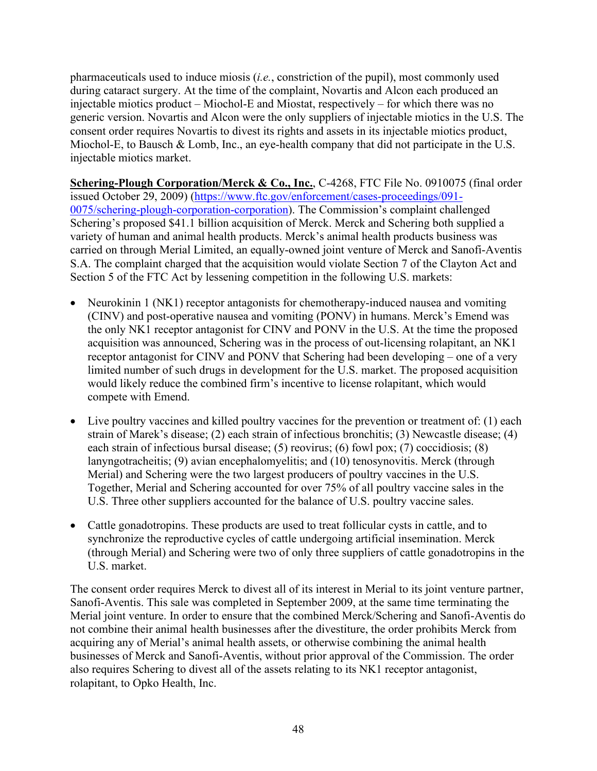pharmaceuticals used to induce miosis (*i.e.*, constriction of the pupil), most commonly used during cataract surgery. At the time of the complaint, Novartis and Alcon each produced an injectable miotics product – Miochol-E and Miostat, respectively – for which there was no generic version. Novartis and Alcon were the only suppliers of injectable miotics in the U.S. The consent order requires Novartis to divest its rights and assets in its injectable miotics product, Miochol-E, to Bausch & Lomb, Inc., an eye-health company that did not participate in the U.S. injectable miotics market.

**Schering-Plough Corporation/Merck & Co., Inc.**, C-4268, FTC File No. 0910075 (final order issued October 29, 2009) [\(https://www.ftc.gov/enforcement/cases-proceedings/091-](https://www.ftc.gov/enforcement/cases-proceedings/091-0075/schering-plough-corporation-corporation) [0075/schering-plough-corporation-corporation\)](https://www.ftc.gov/enforcement/cases-proceedings/091-0075/schering-plough-corporation-corporation). The Commission's complaint challenged Schering's proposed \$41.1 billion acquisition of Merck. Merck and Schering both supplied a variety of human and animal health products. Merck's animal health products business was carried on through Merial Limited, an equally-owned joint venture of Merck and Sanofi-Aventis S.A. The complaint charged that the acquisition would violate Section 7 of the Clayton Act and Section 5 of the FTC Act by lessening competition in the following U.S. markets:

- Neurokinin 1 (NK1) receptor antagonists for chemotherapy-induced nausea and vomiting (CINV) and post-operative nausea and vomiting (PONV) in humans. Merck's Emend was the only NK1 receptor antagonist for CINV and PONV in the U.S. At the time the proposed acquisition was announced, Schering was in the process of out-licensing rolapitant, an NK1 receptor antagonist for CINV and PONV that Schering had been developing – one of a very limited number of such drugs in development for the U.S. market. The proposed acquisition would likely reduce the combined firm's incentive to license rolapitant, which would compete with Emend.
- Live poultry vaccines and killed poultry vaccines for the prevention or treatment of: (1) each strain of Marek's disease; (2) each strain of infectious bronchitis; (3) Newcastle disease; (4) each strain of infectious bursal disease; (5) reovirus; (6) fowl pox; (7) coccidiosis; (8) lanyngotracheitis; (9) avian encephalomyelitis; and (10) tenosynovitis. Merck (through Merial) and Schering were the two largest producers of poultry vaccines in the U.S. Together, Merial and Schering accounted for over 75% of all poultry vaccine sales in the U.S. Three other suppliers accounted for the balance of U.S. poultry vaccine sales.
- Cattle gonadotropins. These products are used to treat follicular cysts in cattle, and to synchronize the reproductive cycles of cattle undergoing artificial insemination. Merck (through Merial) and Schering were two of only three suppliers of cattle gonadotropins in the U.S. market.

The consent order requires Merck to divest all of its interest in Merial to its joint venture partner, Sanofi-Aventis. This sale was completed in September 2009, at the same time terminating the Merial joint venture. In order to ensure that the combined Merck/Schering and Sanofi-Aventis do not combine their animal health businesses after the divestiture, the order prohibits Merck from acquiring any of Merial's animal health assets, or otherwise combining the animal health businesses of Merck and Sanofi-Aventis, without prior approval of the Commission. The order also requires Schering to divest all of the assets relating to its NK1 receptor antagonist, rolapitant, to Opko Health, Inc.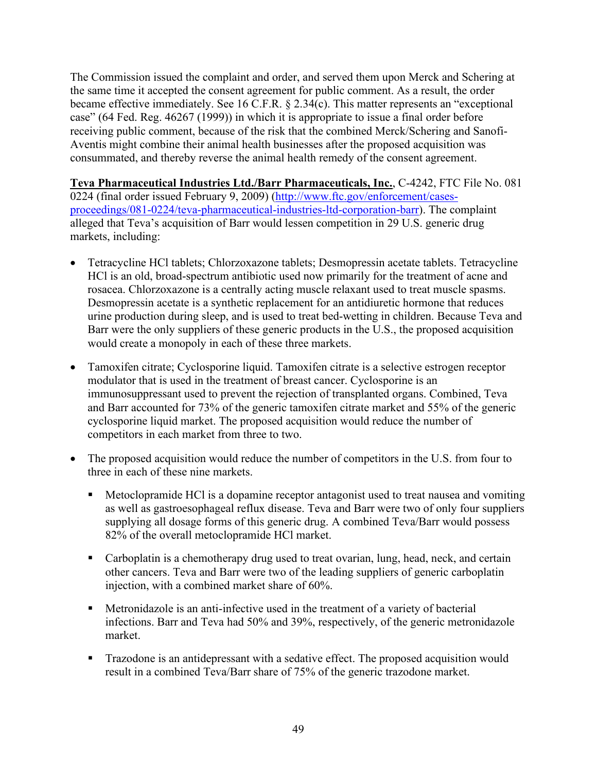The Commission issued the complaint and order, and served them upon Merck and Schering at the same time it accepted the consent agreement for public comment. As a result, the order became effective immediately. See 16 C.F.R. § 2.34(c). This matter represents an "exceptional case" (64 Fed. Reg. 46267 (1999)) in which it is appropriate to issue a final order before receiving public comment, because of the risk that the combined Merck/Schering and Sanofi-Aventis might combine their animal health businesses after the proposed acquisition was consummated, and thereby reverse the animal health remedy of the consent agreement.

**Teva Pharmaceutical Industries Ltd./Barr Pharmaceuticals, Inc.**, C-4242, FTC File No. 081 0224 (final order issued February 9, 2009) [\(http://www.ftc.gov/enforcement/cases](http://www.ftc.gov/enforcement/cases-proceedings/081-0224/teva-pharmaceutical-industries-ltd-corporation-barr)[proceedings/081-0224/teva-pharmaceutical-industries-ltd-corporation-barr\)](http://www.ftc.gov/enforcement/cases-proceedings/081-0224/teva-pharmaceutical-industries-ltd-corporation-barr). The complaint alleged that Teva's acquisition of Barr would lessen competition in 29 U.S. generic drug markets, including:

- Tetracycline HCl tablets; Chlorzoxazone tablets; Desmopressin acetate tablets. Tetracycline HCl is an old, broad-spectrum antibiotic used now primarily for the treatment of acne and rosacea. Chlorzoxazone is a centrally acting muscle relaxant used to treat muscle spasms. Desmopressin acetate is a synthetic replacement for an antidiuretic hormone that reduces urine production during sleep, and is used to treat bed-wetting in children. Because Teva and Barr were the only suppliers of these generic products in the U.S., the proposed acquisition would create a monopoly in each of these three markets.
- Tamoxifen citrate; Cyclosporine liquid. Tamoxifen citrate is a selective estrogen receptor modulator that is used in the treatment of breast cancer. Cyclosporine is an immunosuppressant used to prevent the rejection of transplanted organs. Combined, Teva and Barr accounted for 73% of the generic tamoxifen citrate market and 55% of the generic cyclosporine liquid market. The proposed acquisition would reduce the number of competitors in each market from three to two.
- The proposed acquisition would reduce the number of competitors in the U.S. from four to three in each of these nine markets.
	- Metoclopramide HCl is a dopamine receptor antagonist used to treat nausea and vomiting as well as gastroesophageal reflux disease. Teva and Barr were two of only four suppliers supplying all dosage forms of this generic drug. A combined Teva/Barr would possess 82% of the overall metoclopramide HCl market.
	- Carboplatin is a chemotherapy drug used to treat ovarian, lung, head, neck, and certain other cancers. Teva and Barr were two of the leading suppliers of generic carboplatin injection, with a combined market share of 60%.
	- Metronidazole is an anti-infective used in the treatment of a variety of bacterial infections. Barr and Teva had 50% and 39%, respectively, of the generic metronidazole market.
	- **Trazodone is an antidepressant with a sedative effect. The proposed acquisition would** result in a combined Teva/Barr share of 75% of the generic trazodone market.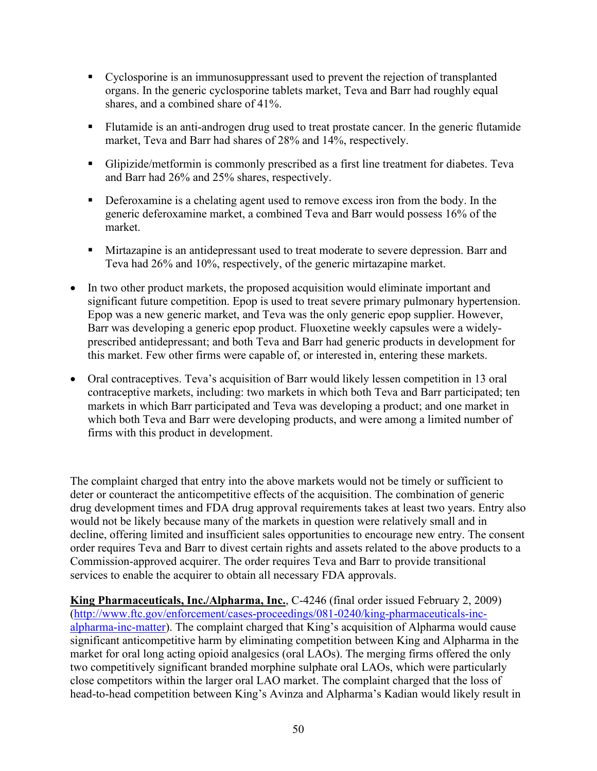- Cyclosporine is an immunosuppressant used to prevent the rejection of transplanted organs. In the generic cyclosporine tablets market, Teva and Barr had roughly equal shares, and a combined share of 41%.
- Flutamide is an anti-androgen drug used to treat prostate cancer. In the generic flutamide market, Teva and Barr had shares of 28% and 14%, respectively.
- Glipizide/metformin is commonly prescribed as a first line treatment for diabetes. Teva and Barr had 26% and 25% shares, respectively.
- Deferoxamine is a chelating agent used to remove excess iron from the body. In the generic deferoxamine market, a combined Teva and Barr would possess 16% of the market.
- **Mirtazapine is an antidepressant used to treat moderate to severe depression. Barr and** Teva had 26% and 10%, respectively, of the generic mirtazapine market.
- In two other product markets, the proposed acquisition would eliminate important and significant future competition. Epop is used to treat severe primary pulmonary hypertension. Epop was a new generic market, and Teva was the only generic epop supplier. However, Barr was developing a generic epop product. Fluoxetine weekly capsules were a widelyprescribed antidepressant; and both Teva and Barr had generic products in development for this market. Few other firms were capable of, or interested in, entering these markets.
- Oral contraceptives. Teva's acquisition of Barr would likely lessen competition in 13 oral contraceptive markets, including: two markets in which both Teva and Barr participated; ten markets in which Barr participated and Teva was developing a product; and one market in which both Teva and Barr were developing products, and were among a limited number of firms with this product in development.

The complaint charged that entry into the above markets would not be timely or sufficient to deter or counteract the anticompetitive effects of the acquisition. The combination of generic drug development times and FDA drug approval requirements takes at least two years. Entry also would not be likely because many of the markets in question were relatively small and in decline, offering limited and insufficient sales opportunities to encourage new entry. The consent order requires Teva and Barr to divest certain rights and assets related to the above products to a Commission-approved acquirer. The order requires Teva and Barr to provide transitional services to enable the acquirer to obtain all necessary FDA approvals.

**King Pharmaceuticals, Inc./Alpharma, Inc.**, C-4246 (final order issued February 2, 2009) [\(http://www.ftc.gov/enforcement/cases-proceedings/081-0240/king-pharmaceuticals-inc](http://www.ftc.gov/enforcement/cases-proceedings/081-0240/king-pharmaceuticals-inc-alpharma-inc-matter)[alpharma-inc-matter\)](http://www.ftc.gov/enforcement/cases-proceedings/081-0240/king-pharmaceuticals-inc-alpharma-inc-matter). The complaint charged that King's acquisition of Alpharma would cause significant anticompetitive harm by eliminating competition between King and Alpharma in the market for oral long acting opioid analgesics (oral LAOs). The merging firms offered the only two competitively significant branded morphine sulphate oral LAOs, which were particularly close competitors within the larger oral LAO market. The complaint charged that the loss of head-to-head competition between King's Avinza and Alpharma's Kadian would likely result in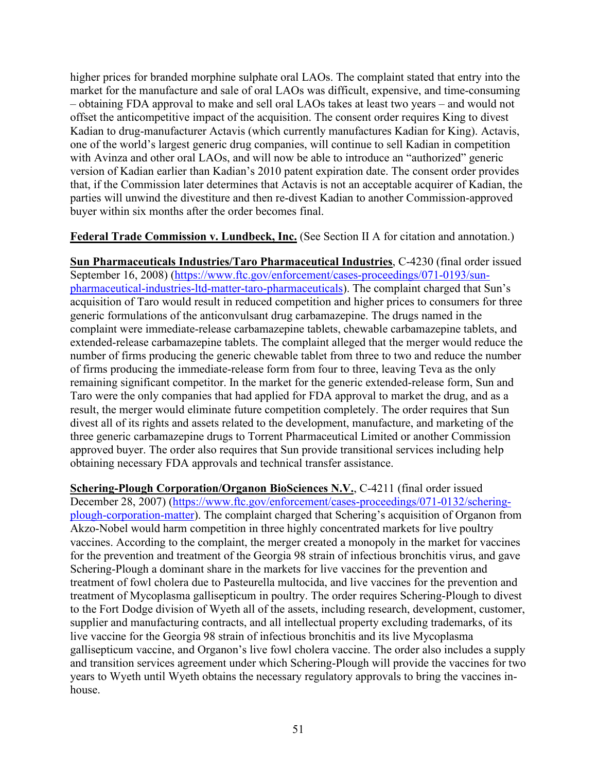higher prices for branded morphine sulphate oral LAOs. The complaint stated that entry into the market for the manufacture and sale of oral LAOs was difficult, expensive, and time-consuming – obtaining FDA approval to make and sell oral LAOs takes at least two years – and would not offset the anticompetitive impact of the acquisition. The consent order requires King to divest Kadian to drug-manufacturer Actavis (which currently manufactures Kadian for King). Actavis, one of the world's largest generic drug companies, will continue to sell Kadian in competition with Avinza and other oral LAOs, and will now be able to introduce an "authorized" generic version of Kadian earlier than Kadian's 2010 patent expiration date. The consent order provides that, if the Commission later determines that Actavis is not an acceptable acquirer of Kadian, the parties will unwind the divestiture and then re-divest Kadian to another Commission-approved buyer within six months after the order becomes final.

**Federal Trade Commission v. Lundbeck, Inc.** (See Section II A for citation and annotation.)

**Sun Pharmaceuticals Industries/Taro Pharmaceutical Industries**, C-4230 (final order issued September 16, 2008) [\(https://www.ftc.gov/enforcement/cases-proceedings/071-0193/sun](https://www.ftc.gov/enforcement/cases-proceedings/071-0193/sun-pharmaceutical-industries-ltd-matter-taro-pharmaceuticals)[pharmaceutical-industries-ltd-matter-taro-pharmaceuticals\)](https://www.ftc.gov/enforcement/cases-proceedings/071-0193/sun-pharmaceutical-industries-ltd-matter-taro-pharmaceuticals). The complaint charged that Sun's acquisition of Taro would result in reduced competition and higher prices to consumers for three generic formulations of the anticonvulsant drug carbamazepine. The drugs named in the complaint were immediate-release carbamazepine tablets, chewable carbamazepine tablets, and extended-release carbamazepine tablets. The complaint alleged that the merger would reduce the number of firms producing the generic chewable tablet from three to two and reduce the number of firms producing the immediate-release form from four to three, leaving Teva as the only remaining significant competitor. In the market for the generic extended-release form, Sun and Taro were the only companies that had applied for FDA approval to market the drug, and as a result, the merger would eliminate future competition completely. The order requires that Sun divest all of its rights and assets related to the development, manufacture, and marketing of the three generic carbamazepine drugs to Torrent Pharmaceutical Limited or another Commission approved buyer. The order also requires that Sun provide transitional services including help obtaining necessary FDA approvals and technical transfer assistance.

**Schering-Plough Corporation/Organon BioSciences N.V.**, C-4211 (final order issued December 28, 2007) [\(https://www.ftc.gov/enforcement/cases-proceedings/071-0132/schering](https://www.ftc.gov/enforcement/cases-proceedings/071-0132/schering-plough-corporation-matter)[plough-corporation-matter\)](https://www.ftc.gov/enforcement/cases-proceedings/071-0132/schering-plough-corporation-matter). The complaint charged that Schering's acquisition of Organon from Akzo-Nobel would harm competition in three highly concentrated markets for live poultry vaccines. According to the complaint, the merger created a monopoly in the market for vaccines for the prevention and treatment of the Georgia 98 strain of infectious bronchitis virus, and gave Schering-Plough a dominant share in the markets for live vaccines for the prevention and treatment of fowl cholera due to Pasteurella multocida, and live vaccines for the prevention and treatment of Mycoplasma gallisepticum in poultry. The order requires Schering-Plough to divest to the Fort Dodge division of Wyeth all of the assets, including research, development, customer, supplier and manufacturing contracts, and all intellectual property excluding trademarks, of its live vaccine for the Georgia 98 strain of infectious bronchitis and its live Mycoplasma gallisepticum vaccine, and Organon's live fowl cholera vaccine. The order also includes a supply and transition services agreement under which Schering-Plough will provide the vaccines for two years to Wyeth until Wyeth obtains the necessary regulatory approvals to bring the vaccines inhouse.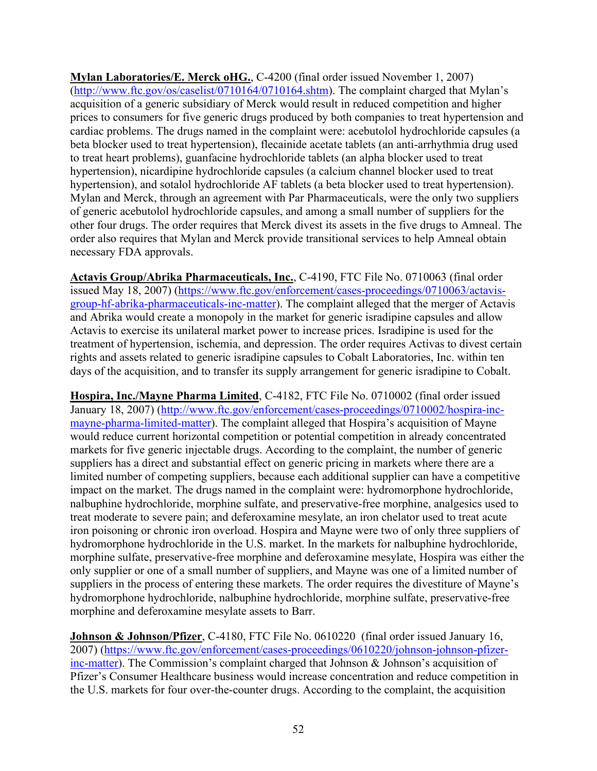**Mylan Laboratories/E. Merck oHG.**, C-4200 (final order issued November 1, 2007) [\(http://www.ftc.gov/os/caselist/0710164/0710164.shtm\)](http://www.ftc.gov/os/caselist/0710164/0710164.shtm). The complaint charged that Mylan's acquisition of a generic subsidiary of Merck would result in reduced competition and higher prices to consumers for five generic drugs produced by both companies to treat hypertension and cardiac problems. The drugs named in the complaint were: acebutolol hydrochloride capsules (a beta blocker used to treat hypertension), flecainide acetate tablets (an anti-arrhythmia drug used to treat heart problems), guanfacine hydrochloride tablets (an alpha blocker used to treat hypertension), nicardipine hydrochloride capsules (a calcium channel blocker used to treat hypertension), and sotalol hydrochloride AF tablets (a beta blocker used to treat hypertension). Mylan and Merck, through an agreement with Par Pharmaceuticals, were the only two suppliers of generic acebutolol hydrochloride capsules, and among a small number of suppliers for the other four drugs. The order requires that Merck divest its assets in the five drugs to Amneal. The order also requires that Mylan and Merck provide transitional services to help Amneal obtain necessary FDA approvals.

**Actavis Group/Abrika Pharmaceuticals, Inc.**, C-4190, FTC File No. 0710063 (final order issued May 18, 2007) [\(https://www.ftc.gov/enforcement/cases-proceedings/0710063/actavis](https://www.ftc.gov/enforcement/cases-proceedings/0710063/actavis-group-hf-abrika-pharmaceuticals-inc-matter)[group-hf-abrika-pharmaceuticals-inc-matter\)](https://www.ftc.gov/enforcement/cases-proceedings/0710063/actavis-group-hf-abrika-pharmaceuticals-inc-matter). The complaint alleged that the merger of Actavis and Abrika would create a monopoly in the market for generic isradipine capsules and allow Actavis to exercise its unilateral market power to increase prices. Isradipine is used for the treatment of hypertension, ischemia, and depression. The order requires Activas to divest certain rights and assets related to generic isradipine capsules to Cobalt Laboratories, Inc. within ten days of the acquisition, and to transfer its supply arrangement for generic isradipine to Cobalt.

**Hospira, Inc./Mayne Pharma Limited**, C-4182, FTC File No. 0710002 (final order issued January 18, 2007) [\(http://www.ftc.gov/enforcement/cases-proceedings/0710002/hospira-inc](http://www.ftc.gov/enforcement/cases-proceedings/0710002/hospira-inc-mayne-pharma-limited-matter)[mayne-pharma-limited-matter\)](http://www.ftc.gov/enforcement/cases-proceedings/0710002/hospira-inc-mayne-pharma-limited-matter). The complaint alleged that Hospira's acquisition of Mayne would reduce current horizontal competition or potential competition in already concentrated markets for five generic injectable drugs. According to the complaint, the number of generic suppliers has a direct and substantial effect on generic pricing in markets where there are a limited number of competing suppliers, because each additional supplier can have a competitive impact on the market. The drugs named in the complaint were: hydromorphone hydrochloride, nalbuphine hydrochloride, morphine sulfate, and preservative-free morphine, analgesics used to treat moderate to severe pain; and deferoxamine mesylate, an iron chelator used to treat acute iron poisoning or chronic iron overload. Hospira and Mayne were two of only three suppliers of hydromorphone hydrochloride in the U.S. market. In the markets for nalbuphine hydrochloride, morphine sulfate, preservative-free morphine and deferoxamine mesylate, Hospira was either the only supplier or one of a small number of suppliers, and Mayne was one of a limited number of suppliers in the process of entering these markets. The order requires the divestiture of Mayne's hydromorphone hydrochloride, nalbuphine hydrochloride, morphine sulfate, preservative-free morphine and deferoxamine mesylate assets to Barr.

**Johnson & Johnson/Pfizer**, C-4180, FTC File No. 0610220 (final order issued January 16, 2007) [\(https://www.ftc.gov/enforcement/cases-proceedings/0610220/johnson-johnson-pfizer](https://www.ftc.gov/enforcement/cases-proceedings/0610220/johnson-johnson-pfizer-inc-matter)[inc-matter\)](https://www.ftc.gov/enforcement/cases-proceedings/0610220/johnson-johnson-pfizer-inc-matter). The Commission's complaint charged that Johnson & Johnson's acquisition of Pfizer's Consumer Healthcare business would increase concentration and reduce competition in the U.S. markets for four over-the-counter drugs. According to the complaint, the acquisition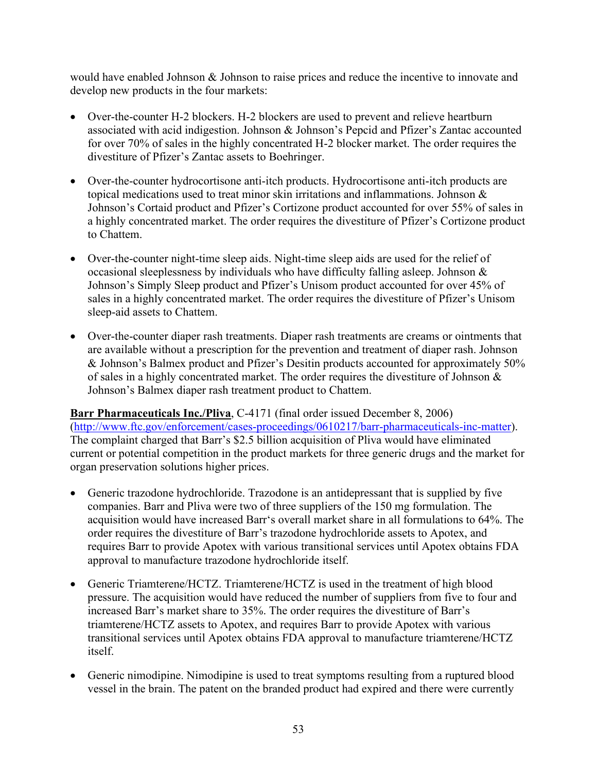would have enabled Johnson & Johnson to raise prices and reduce the incentive to innovate and develop new products in the four markets:

- Over-the-counter H-2 blockers. H-2 blockers are used to prevent and relieve heartburn associated with acid indigestion. Johnson & Johnson's Pepcid and Pfizer's Zantac accounted for over 70% of sales in the highly concentrated H-2 blocker market. The order requires the divestiture of Pfizer's Zantac assets to Boehringer.
- Over-the-counter hydrocortisone anti-itch products. Hydrocortisone anti-itch products are topical medications used to treat minor skin irritations and inflammations. Johnson & Johnson's Cortaid product and Pfizer's Cortizone product accounted for over 55% of sales in a highly concentrated market. The order requires the divestiture of Pfizer's Cortizone product to Chattem.
- Over-the-counter night-time sleep aids. Night-time sleep aids are used for the relief of occasional sleeplessness by individuals who have difficulty falling asleep. Johnson & Johnson's Simply Sleep product and Pfizer's Unisom product accounted for over 45% of sales in a highly concentrated market. The order requires the divestiture of Pfizer's Unisom sleep-aid assets to Chattem.
- Over-the-counter diaper rash treatments. Diaper rash treatments are creams or ointments that are available without a prescription for the prevention and treatment of diaper rash. Johnson & Johnson's Balmex product and Pfizer's Desitin products accounted for approximately 50% of sales in a highly concentrated market. The order requires the divestiture of Johnson & Johnson's Balmex diaper rash treatment product to Chattem.

**Barr Pharmaceuticals Inc./Pliva**, C-4171 (final order issued December 8, 2006) [\(http://www.ftc.gov/enforcement/cases-proceedings/0610217/barr-pharmaceuticals-inc-matter\)](http://www.ftc.gov/enforcement/cases-proceedings/0610217/barr-pharmaceuticals-inc-matter). The complaint charged that Barr's \$2.5 billion acquisition of Pliva would have eliminated current or potential competition in the product markets for three generic drugs and the market for organ preservation solutions higher prices.

- Generic trazodone hydrochloride. Trazodone is an antidepressant that is supplied by five companies. Barr and Pliva were two of three suppliers of the 150 mg formulation. The acquisition would have increased Barr's overall market share in all formulations to 64%. The order requires the divestiture of Barr's trazodone hydrochloride assets to Apotex, and requires Barr to provide Apotex with various transitional services until Apotex obtains FDA approval to manufacture trazodone hydrochloride itself.
- Generic Triamterene/HCTZ. Triamterene/HCTZ is used in the treatment of high blood pressure. The acquisition would have reduced the number of suppliers from five to four and increased Barr's market share to 35%. The order requires the divestiture of Barr's triamterene/HCTZ assets to Apotex, and requires Barr to provide Apotex with various transitional services until Apotex obtains FDA approval to manufacture triamterene/HCTZ itself.
- Generic nimodipine. Nimodipine is used to treat symptoms resulting from a ruptured blood vessel in the brain. The patent on the branded product had expired and there were currently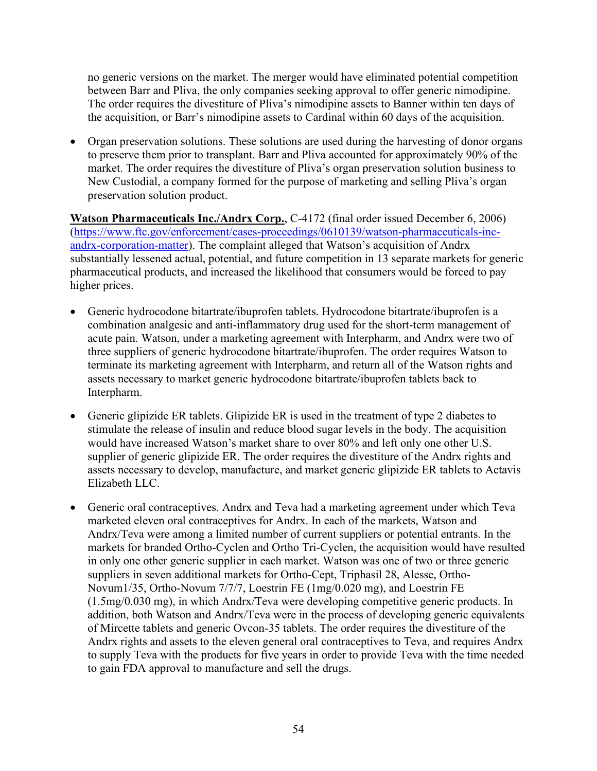no generic versions on the market. The merger would have eliminated potential competition between Barr and Pliva, the only companies seeking approval to offer generic nimodipine. The order requires the divestiture of Pliva's nimodipine assets to Banner within ten days of the acquisition, or Barr's nimodipine assets to Cardinal within 60 days of the acquisition.

• Organ preservation solutions. These solutions are used during the harvesting of donor organs to preserve them prior to transplant. Barr and Pliva accounted for approximately 90% of the market. The order requires the divestiture of Pliva's organ preservation solution business to New Custodial, a company formed for the purpose of marketing and selling Pliva's organ preservation solution product.

**Watson Pharmaceuticals Inc./Andrx Corp.**, C-4172 (final order issued December 6, 2006) [\(https://www.ftc.gov/enforcement/cases-proceedings/0610139/watson-pharmaceuticals-inc](https://www.ftc.gov/enforcement/cases-proceedings/0610139/watson-pharmaceuticals-inc-andrx-corporation-matter)[andrx-corporation-matter\)](https://www.ftc.gov/enforcement/cases-proceedings/0610139/watson-pharmaceuticals-inc-andrx-corporation-matter). The complaint alleged that Watson's acquisition of Andrx substantially lessened actual, potential, and future competition in 13 separate markets for generic pharmaceutical products, and increased the likelihood that consumers would be forced to pay higher prices.

- Generic hydrocodone bitartrate/ibuprofen tablets. Hydrocodone bitartrate/ibuprofen is a combination analgesic and anti-inflammatory drug used for the short-term management of acute pain. Watson, under a marketing agreement with Interpharm, and Andrx were two of three suppliers of generic hydrocodone bitartrate/ibuprofen. The order requires Watson to terminate its marketing agreement with Interpharm, and return all of the Watson rights and assets necessary to market generic hydrocodone bitartrate/ibuprofen tablets back to Interpharm.
- Generic glipizide ER tablets. Glipizide ER is used in the treatment of type 2 diabetes to stimulate the release of insulin and reduce blood sugar levels in the body. The acquisition would have increased Watson's market share to over 80% and left only one other U.S. supplier of generic glipizide ER. The order requires the divestiture of the Andrx rights and assets necessary to develop, manufacture, and market generic glipizide ER tablets to Actavis Elizabeth LLC.
- Generic oral contraceptives. Andrx and Teva had a marketing agreement under which Teva marketed eleven oral contraceptives for Andrx. In each of the markets, Watson and Andrx/Teva were among a limited number of current suppliers or potential entrants. In the markets for branded Ortho-Cyclen and Ortho Tri-Cyclen, the acquisition would have resulted in only one other generic supplier in each market. Watson was one of two or three generic suppliers in seven additional markets for Ortho-Cept, Triphasil 28, Alesse, Ortho-Novum1/35, Ortho-Novum 7/7/7, Loestrin FE (1mg/0.020 mg), and Loestrin FE (1.5mg/0.030 mg), in which Andrx/Teva were developing competitive generic products. In addition, both Watson and Andrx/Teva were in the process of developing generic equivalents of Mircette tablets and generic Ovcon-35 tablets. The order requires the divestiture of the Andrx rights and assets to the eleven general oral contraceptives to Teva, and requires Andrx to supply Teva with the products for five years in order to provide Teva with the time needed to gain FDA approval to manufacture and sell the drugs.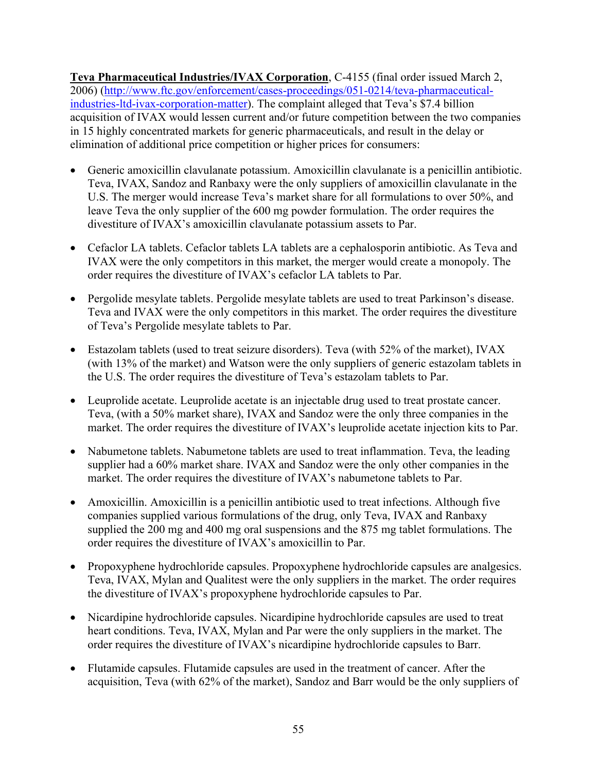**Teva Pharmaceutical Industries/IVAX Corporation**, C-4155 (final order issued March 2, 2006) [\(http://www.ftc.gov/enforcement/cases-proceedings/051-0214/teva-pharmaceutical](http://www.ftc.gov/enforcement/cases-proceedings/051-0214/teva-pharmaceutical-industries-ltd-ivax-corporation-matter)[industries-ltd-ivax-corporation-matter\)](http://www.ftc.gov/enforcement/cases-proceedings/051-0214/teva-pharmaceutical-industries-ltd-ivax-corporation-matter). The complaint alleged that Teva's \$7.4 billion acquisition of IVAX would lessen current and/or future competition between the two companies in 15 highly concentrated markets for generic pharmaceuticals, and result in the delay or elimination of additional price competition or higher prices for consumers:

- Generic amoxicillin clavulanate potassium. Amoxicillin clavulanate is a penicillin antibiotic. Teva, IVAX, Sandoz and Ranbaxy were the only suppliers of amoxicillin clavulanate in the U.S. The merger would increase Teva's market share for all formulations to over 50%, and leave Teva the only supplier of the 600 mg powder formulation. The order requires the divestiture of IVAX's amoxicillin clavulanate potassium assets to Par.
- Cefaclor LA tablets. Cefaclor tablets LA tablets are a cephalosporin antibiotic. As Teva and IVAX were the only competitors in this market, the merger would create a monopoly. The order requires the divestiture of IVAX's cefaclor LA tablets to Par.
- Pergolide mesylate tablets. Pergolide mesylate tablets are used to treat Parkinson's disease. Teva and IVAX were the only competitors in this market. The order requires the divestiture of Teva's Pergolide mesylate tablets to Par.
- Estazolam tablets (used to treat seizure disorders). Teva (with 52% of the market), IVAX (with 13% of the market) and Watson were the only suppliers of generic estazolam tablets in the U.S. The order requires the divestiture of Teva's estazolam tablets to Par.
- Leuprolide acetate. Leuprolide acetate is an injectable drug used to treat prostate cancer. Teva, (with a 50% market share), IVAX and Sandoz were the only three companies in the market. The order requires the divestiture of IVAX's leuprolide acetate injection kits to Par.
- Nabumetone tablets. Nabumetone tablets are used to treat inflammation. Teva, the leading supplier had a 60% market share. IVAX and Sandoz were the only other companies in the market. The order requires the divestiture of IVAX's nabumetone tablets to Par.
- Amoxicillin. Amoxicillin is a penicillin antibiotic used to treat infections. Although five companies supplied various formulations of the drug, only Teva, IVAX and Ranbaxy supplied the 200 mg and 400 mg oral suspensions and the 875 mg tablet formulations. The order requires the divestiture of IVAX's amoxicillin to Par.
- Propoxyphene hydrochloride capsules. Propoxyphene hydrochloride capsules are analgesics. Teva, IVAX, Mylan and Qualitest were the only suppliers in the market. The order requires the divestiture of IVAX's propoxyphene hydrochloride capsules to Par.
- Nicardipine hydrochloride capsules. Nicardipine hydrochloride capsules are used to treat heart conditions. Teva, IVAX, Mylan and Par were the only suppliers in the market. The order requires the divestiture of IVAX's nicardipine hydrochloride capsules to Barr.
- Flutamide capsules. Flutamide capsules are used in the treatment of cancer. After the acquisition, Teva (with 62% of the market), Sandoz and Barr would be the only suppliers of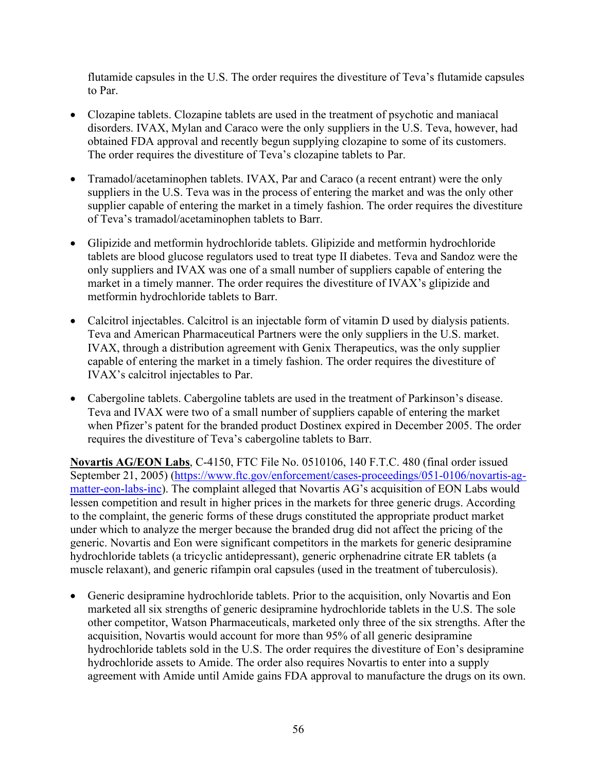flutamide capsules in the U.S. The order requires the divestiture of Teva's flutamide capsules to Par.

- Clozapine tablets. Clozapine tablets are used in the treatment of psychotic and maniacal disorders. IVAX, Mylan and Caraco were the only suppliers in the U.S. Teva, however, had obtained FDA approval and recently begun supplying clozapine to some of its customers. The order requires the divestiture of Teva's clozapine tablets to Par.
- Tramadol/acetaminophen tablets. IVAX, Par and Caraco (a recent entrant) were the only suppliers in the U.S. Teva was in the process of entering the market and was the only other supplier capable of entering the market in a timely fashion. The order requires the divestiture of Teva's tramadol/acetaminophen tablets to Barr.
- Glipizide and metformin hydrochloride tablets. Glipizide and metformin hydrochloride tablets are blood glucose regulators used to treat type II diabetes. Teva and Sandoz were the only suppliers and IVAX was one of a small number of suppliers capable of entering the market in a timely manner. The order requires the divestiture of IVAX's glipizide and metformin hydrochloride tablets to Barr.
- Calcitrol injectables. Calcitrol is an injectable form of vitamin D used by dialysis patients. Teva and American Pharmaceutical Partners were the only suppliers in the U.S. market. IVAX, through a distribution agreement with Genix Therapeutics, was the only supplier capable of entering the market in a timely fashion. The order requires the divestiture of IVAX's calcitrol injectables to Par.
- Cabergoline tablets. Cabergoline tablets are used in the treatment of Parkinson's disease. Teva and IVAX were two of a small number of suppliers capable of entering the market when Pfizer's patent for the branded product Dostinex expired in December 2005. The order requires the divestiture of Teva's cabergoline tablets to Barr.

**Novartis AG/EON Labs**, C-4150, FTC File No. 0510106, 140 F.T.C. 480 (final order issued September 21, 2005) [\(https://www.ftc.gov/enforcement/cases-proceedings/051-0106/novartis-ag](https://www.ftc.gov/enforcement/cases-proceedings/051-0106/novartis-ag-matter-eon-labs-inc)[matter-eon-labs-inc\)](https://www.ftc.gov/enforcement/cases-proceedings/051-0106/novartis-ag-matter-eon-labs-inc). The complaint alleged that Novartis AG's acquisition of EON Labs would lessen competition and result in higher prices in the markets for three generic drugs. According to the complaint, the generic forms of these drugs constituted the appropriate product market under which to analyze the merger because the branded drug did not affect the pricing of the generic. Novartis and Eon were significant competitors in the markets for generic desipramine hydrochloride tablets (a tricyclic antidepressant), generic orphenadrine citrate ER tablets (a muscle relaxant), and generic rifampin oral capsules (used in the treatment of tuberculosis).

• Generic desipramine hydrochloride tablets. Prior to the acquisition, only Novartis and Eon marketed all six strengths of generic desipramine hydrochloride tablets in the U.S. The sole other competitor, Watson Pharmaceuticals, marketed only three of the six strengths. After the acquisition, Novartis would account for more than 95% of all generic desipramine hydrochloride tablets sold in the U.S. The order requires the divestiture of Eon's desipramine hydrochloride assets to Amide. The order also requires Novartis to enter into a supply agreement with Amide until Amide gains FDA approval to manufacture the drugs on its own.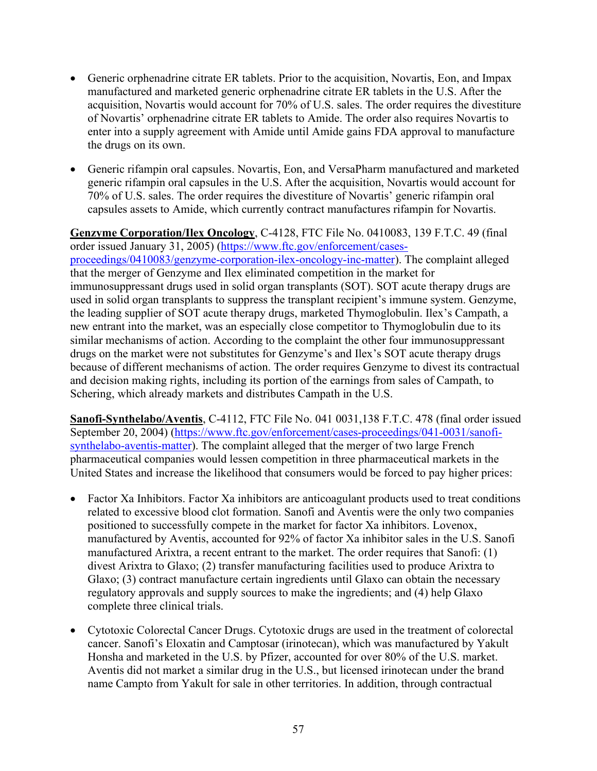- Generic orphenadrine citrate ER tablets. Prior to the acquisition, Novartis, Eon, and Impax manufactured and marketed generic orphenadrine citrate ER tablets in the U.S. After the acquisition, Novartis would account for 70% of U.S. sales. The order requires the divestiture of Novartis' orphenadrine citrate ER tablets to Amide. The order also requires Novartis to enter into a supply agreement with Amide until Amide gains FDA approval to manufacture the drugs on its own.
- Generic rifampin oral capsules. Novartis, Eon, and VersaPharm manufactured and marketed generic rifampin oral capsules in the U.S. After the acquisition, Novartis would account for 70% of U.S. sales. The order requires the divestiture of Novartis' generic rifampin oral capsules assets to Amide, which currently contract manufactures rifampin for Novartis.

**Genzyme Corporation/Ilex Oncology**, C-4128, FTC File No. 0410083, 139 F.T.C. 49 (final order issued January 31, 2005) [\(https://www.ftc.gov/enforcement/cases](https://www.ftc.gov/enforcement/cases-proceedings/0410083/genzyme-corporation-ilex-oncology-inc-matter)[proceedings/0410083/genzyme-corporation-ilex-oncology-inc-matter\)](https://www.ftc.gov/enforcement/cases-proceedings/0410083/genzyme-corporation-ilex-oncology-inc-matter). The complaint alleged that the merger of Genzyme and Ilex eliminated competition in the market for immunosuppressant drugs used in solid organ transplants (SOT). SOT acute therapy drugs are used in solid organ transplants to suppress the transplant recipient's immune system. Genzyme, the leading supplier of SOT acute therapy drugs, marketed Thymoglobulin. Ilex's Campath, a new entrant into the market, was an especially close competitor to Thymoglobulin due to its similar mechanisms of action. According to the complaint the other four immunosuppressant drugs on the market were not substitutes for Genzyme's and Ilex's SOT acute therapy drugs because of different mechanisms of action. The order requires Genzyme to divest its contractual and decision making rights, including its portion of the earnings from sales of Campath, to Schering, which already markets and distributes Campath in the U.S.

**Sanofi-Synthelabo/Aventis**, C-4112, FTC File No. 041 0031,138 F.T.C. 478 (final order issued September 20, 2004) [\(https://www.ftc.gov/enforcement/cases-proceedings/041-0031/sanofi](https://www.ftc.gov/enforcement/cases-proceedings/041-0031/sanofi-synthelabo-aventis-matter)[synthelabo-aventis-matter\)](https://www.ftc.gov/enforcement/cases-proceedings/041-0031/sanofi-synthelabo-aventis-matter). The complaint alleged that the merger of two large French pharmaceutical companies would lessen competition in three pharmaceutical markets in the United States and increase the likelihood that consumers would be forced to pay higher prices:

- Factor Xa Inhibitors. Factor Xa inhibitors are anticoagulant products used to treat conditions related to excessive blood clot formation. Sanofi and Aventis were the only two companies positioned to successfully compete in the market for factor Xa inhibitors. Lovenox, manufactured by Aventis, accounted for 92% of factor Xa inhibitor sales in the U.S. Sanofi manufactured Arixtra, a recent entrant to the market. The order requires that Sanofi: (1) divest Arixtra to Glaxo; (2) transfer manufacturing facilities used to produce Arixtra to Glaxo; (3) contract manufacture certain ingredients until Glaxo can obtain the necessary regulatory approvals and supply sources to make the ingredients; and (4) help Glaxo complete three clinical trials.
- Cytotoxic Colorectal Cancer Drugs. Cytotoxic drugs are used in the treatment of colorectal cancer. Sanofi's Eloxatin and Camptosar (irinotecan), which was manufactured by Yakult Honsha and marketed in the U.S. by Pfizer, accounted for over 80% of the U.S. market. Aventis did not market a similar drug in the U.S., but licensed irinotecan under the brand name Campto from Yakult for sale in other territories. In addition, through contractual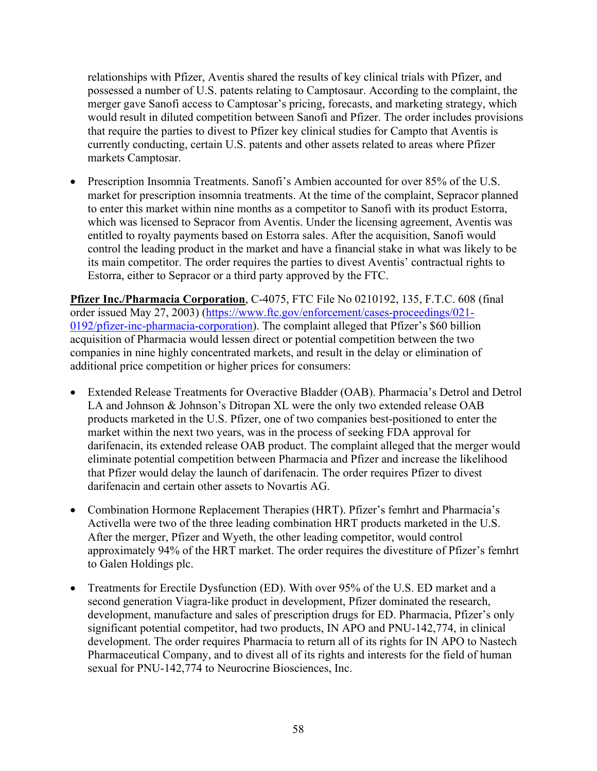relationships with Pfizer, Aventis shared the results of key clinical trials with Pfizer, and possessed a number of U.S. patents relating to Camptosaur. According to the complaint, the merger gave Sanofi access to Camptosar's pricing, forecasts, and marketing strategy, which would result in diluted competition between Sanofi and Pfizer. The order includes provisions that require the parties to divest to Pfizer key clinical studies for Campto that Aventis is currently conducting, certain U.S. patents and other assets related to areas where Pfizer markets Camptosar.

• Prescription Insomnia Treatments. Sanofi's Ambien accounted for over 85% of the U.S. market for prescription insomnia treatments. At the time of the complaint, Sepracor planned to enter this market within nine months as a competitor to Sanofi with its product Estorra, which was licensed to Sepracor from Aventis. Under the licensing agreement, Aventis was entitled to royalty payments based on Estorra sales. After the acquisition, Sanofi would control the leading product in the market and have a financial stake in what was likely to be its main competitor. The order requires the parties to divest Aventis' contractual rights to Estorra, either to Sepracor or a third party approved by the FTC.

**Pfizer Inc./Pharmacia Corporation**, C-4075, FTC File No 0210192, 135, F.T.C. 608 (final order issued May 27, 2003) [\(https://www.ftc.gov/enforcement/cases-proceedings/021-](https://www.ftc.gov/enforcement/cases-proceedings/021-0192/pfizer-inc-pharmacia-corporation) [0192/pfizer-inc-pharmacia-corporation\)](https://www.ftc.gov/enforcement/cases-proceedings/021-0192/pfizer-inc-pharmacia-corporation). The complaint alleged that Pfizer's \$60 billion acquisition of Pharmacia would lessen direct or potential competition between the two companies in nine highly concentrated markets, and result in the delay or elimination of additional price competition or higher prices for consumers:

- Extended Release Treatments for Overactive Bladder (OAB). Pharmacia's Detrol and Detrol LA and Johnson & Johnson's Ditropan XL were the only two extended release OAB products marketed in the U.S. Pfizer, one of two companies best-positioned to enter the market within the next two years, was in the process of seeking FDA approval for darifenacin, its extended release OAB product. The complaint alleged that the merger would eliminate potential competition between Pharmacia and Pfizer and increase the likelihood that Pfizer would delay the launch of darifenacin. The order requires Pfizer to divest darifenacin and certain other assets to Novartis AG.
- Combination Hormone Replacement Therapies (HRT). Pfizer's femhrt and Pharmacia's Activella were two of the three leading combination HRT products marketed in the U.S. After the merger, Pfizer and Wyeth, the other leading competitor, would control approximately 94% of the HRT market. The order requires the divestiture of Pfizer's femhrt to Galen Holdings plc.
- Treatments for Erectile Dysfunction (ED). With over 95% of the U.S. ED market and a second generation Viagra-like product in development, Pfizer dominated the research, development, manufacture and sales of prescription drugs for ED. Pharmacia, Pfizer's only significant potential competitor, had two products, IN APO and PNU-142,774, in clinical development. The order requires Pharmacia to return all of its rights for IN APO to Nastech Pharmaceutical Company, and to divest all of its rights and interests for the field of human sexual for PNU-142,774 to Neurocrine Biosciences, Inc.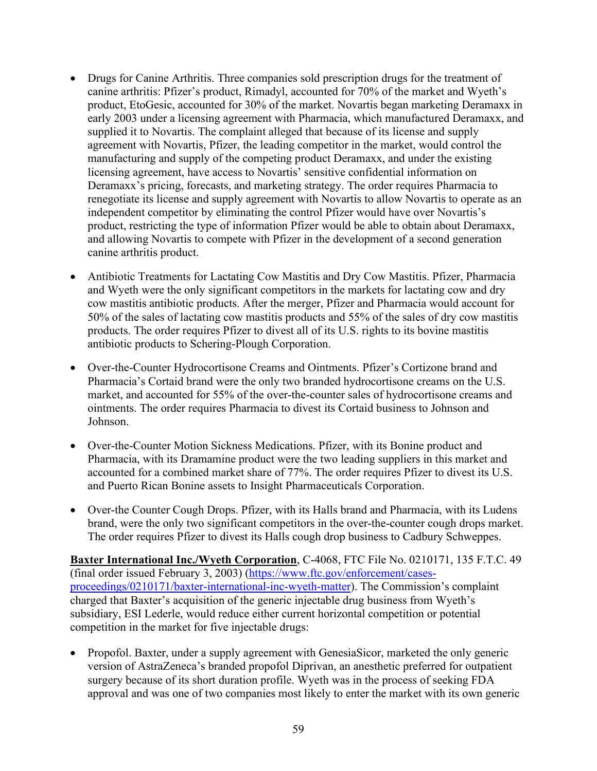- Drugs for Canine Arthritis. Three companies sold prescription drugs for the treatment of canine arthritis: Pfizer's product, Rimadyl, accounted for 70% of the market and Wyeth's product, EtoGesic, accounted for 30% of the market. Novartis began marketing Deramaxx in early 2003 under a licensing agreement with Pharmacia, which manufactured Deramaxx, and supplied it to Novartis. The complaint alleged that because of its license and supply agreement with Novartis, Pfizer, the leading competitor in the market, would control the manufacturing and supply of the competing product Deramaxx, and under the existing licensing agreement, have access to Novartis' sensitive confidential information on Deramaxx's pricing, forecasts, and marketing strategy. The order requires Pharmacia to renegotiate its license and supply agreement with Novartis to allow Novartis to operate as an independent competitor by eliminating the control Pfizer would have over Novartis's product, restricting the type of information Pfizer would be able to obtain about Deramaxx, and allowing Novartis to compete with Pfizer in the development of a second generation canine arthritis product.
- Antibiotic Treatments for Lactating Cow Mastitis and Dry Cow Mastitis. Pfizer, Pharmacia and Wyeth were the only significant competitors in the markets for lactating cow and dry cow mastitis antibiotic products. After the merger, Pfizer and Pharmacia would account for 50% of the sales of lactating cow mastitis products and 55% of the sales of dry cow mastitis products. The order requires Pfizer to divest all of its U.S. rights to its bovine mastitis antibiotic products to Schering-Plough Corporation.
- Over-the-Counter Hydrocortisone Creams and Ointments. Pfizer's Cortizone brand and Pharmacia's Cortaid brand were the only two branded hydrocortisone creams on the U.S. market, and accounted for 55% of the over-the-counter sales of hydrocortisone creams and ointments. The order requires Pharmacia to divest its Cortaid business to Johnson and Johnson.
- Over-the-Counter Motion Sickness Medications. Pfizer, with its Bonine product and Pharmacia, with its Dramamine product were the two leading suppliers in this market and accounted for a combined market share of 77%. The order requires Pfizer to divest its U.S. and Puerto Rican Bonine assets to Insight Pharmaceuticals Corporation.
- Over-the Counter Cough Drops. Pfizer, with its Halls brand and Pharmacia, with its Ludens brand, were the only two significant competitors in the over-the-counter cough drops market. The order requires Pfizer to divest its Halls cough drop business to Cadbury Schweppes.

**Baxter International Inc./Wyeth Corporation**, C-4068, FTC File No. 0210171, 135 F.T.C. 49 (final order issued February 3, 2003) [\(https://www.ftc.gov/enforcement/cases](https://www.ftc.gov/enforcement/cases-proceedings/0210171/baxter-international-inc-wyeth-matter)[proceedings/0210171/baxter-international-inc-wyeth-matter\)](https://www.ftc.gov/enforcement/cases-proceedings/0210171/baxter-international-inc-wyeth-matter). The Commission's complaint charged that Baxter's acquisition of the generic injectable drug business from Wyeth's subsidiary, ESI Lederle, would reduce either current horizontal competition or potential competition in the market for five injectable drugs:

• Propofol. Baxter, under a supply agreement with GenesiaSicor, marketed the only generic version of AstraZeneca's branded propofol Diprivan, an anesthetic preferred for outpatient surgery because of its short duration profile. Wyeth was in the process of seeking FDA approval and was one of two companies most likely to enter the market with its own generic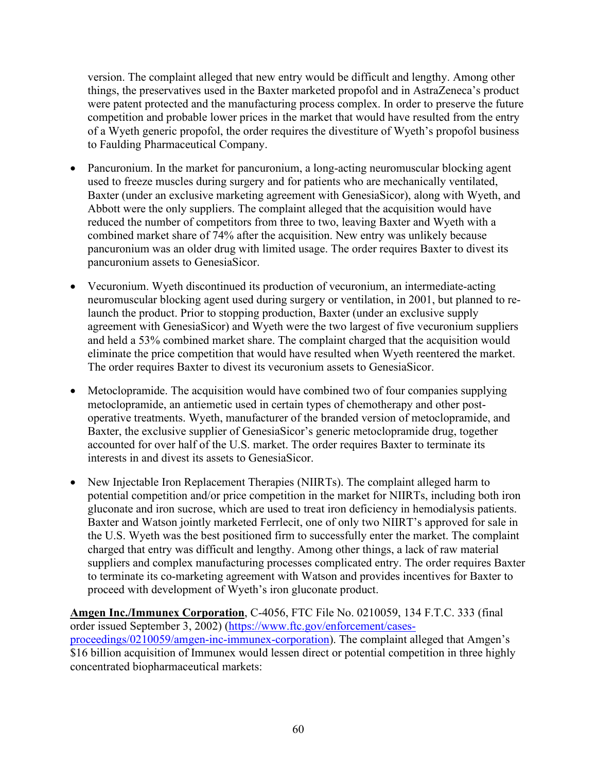version. The complaint alleged that new entry would be difficult and lengthy. Among other things, the preservatives used in the Baxter marketed propofol and in AstraZeneca's product were patent protected and the manufacturing process complex. In order to preserve the future competition and probable lower prices in the market that would have resulted from the entry of a Wyeth generic propofol, the order requires the divestiture of Wyeth's propofol business to Faulding Pharmaceutical Company.

- Pancuronium. In the market for pancuronium, a long-acting neuromuscular blocking agent used to freeze muscles during surgery and for patients who are mechanically ventilated, Baxter (under an exclusive marketing agreement with GenesiaSicor), along with Wyeth, and Abbott were the only suppliers. The complaint alleged that the acquisition would have reduced the number of competitors from three to two, leaving Baxter and Wyeth with a combined market share of 74% after the acquisition. New entry was unlikely because pancuronium was an older drug with limited usage. The order requires Baxter to divest its pancuronium assets to GenesiaSicor.
- Vecuronium. Wyeth discontinued its production of vecuronium, an intermediate-acting neuromuscular blocking agent used during surgery or ventilation, in 2001, but planned to relaunch the product. Prior to stopping production, Baxter (under an exclusive supply agreement with GenesiaSicor) and Wyeth were the two largest of five vecuronium suppliers and held a 53% combined market share. The complaint charged that the acquisition would eliminate the price competition that would have resulted when Wyeth reentered the market. The order requires Baxter to divest its vecuronium assets to GenesiaSicor.
- Metoclopramide. The acquisition would have combined two of four companies supplying metoclopramide, an antiemetic used in certain types of chemotherapy and other postoperative treatments. Wyeth, manufacturer of the branded version of metoclopramide, and Baxter, the exclusive supplier of GenesiaSicor's generic metoclopramide drug, together accounted for over half of the U.S. market. The order requires Baxter to terminate its interests in and divest its assets to GenesiaSicor.
- New Injectable Iron Replacement Therapies (NIIRTs). The complaint alleged harm to potential competition and/or price competition in the market for NIIRTs, including both iron gluconate and iron sucrose, which are used to treat iron deficiency in hemodialysis patients. Baxter and Watson jointly marketed Ferrlecit, one of only two NIIRT's approved for sale in the U.S. Wyeth was the best positioned firm to successfully enter the market. The complaint charged that entry was difficult and lengthy. Among other things, a lack of raw material suppliers and complex manufacturing processes complicated entry. The order requires Baxter to terminate its co-marketing agreement with Watson and provides incentives for Baxter to proceed with development of Wyeth's iron gluconate product.

**Amgen Inc./Immunex Corporation**, C-4056, FTC File No. 0210059, 134 F.T.C. 333 (final order issued September 3, 2002) [\(https://www.ftc.gov/enforcement/cases](https://www.ftc.gov/enforcement/cases-proceedings/0210059/amgen-inc-immunex-corporation)[proceedings/0210059/amgen-inc-immunex-corporation\)](https://www.ftc.gov/enforcement/cases-proceedings/0210059/amgen-inc-immunex-corporation). The complaint alleged that Amgen's \$16 billion acquisition of Immunex would lessen direct or potential competition in three highly concentrated biopharmaceutical markets: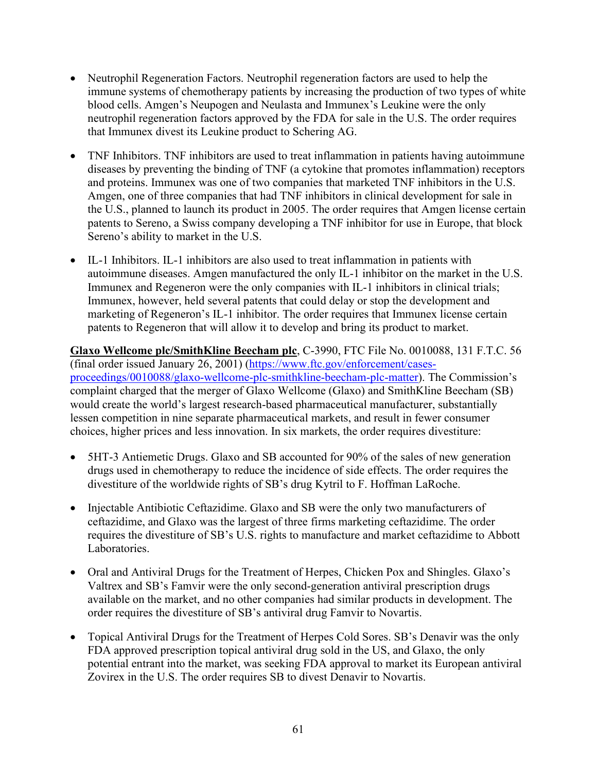- Neutrophil Regeneration Factors. Neutrophil regeneration factors are used to help the immune systems of chemotherapy patients by increasing the production of two types of white blood cells. Amgen's Neupogen and Neulasta and Immunex's Leukine were the only neutrophil regeneration factors approved by the FDA for sale in the U.S. The order requires that Immunex divest its Leukine product to Schering AG.
- TNF Inhibitors. TNF inhibitors are used to treat inflammation in patients having autoimmune diseases by preventing the binding of TNF (a cytokine that promotes inflammation) receptors and proteins. Immunex was one of two companies that marketed TNF inhibitors in the U.S. Amgen, one of three companies that had TNF inhibitors in clinical development for sale in the U.S., planned to launch its product in 2005. The order requires that Amgen license certain patents to Sereno, a Swiss company developing a TNF inhibitor for use in Europe, that block Sereno's ability to market in the U.S.
- IL-1 Inhibitors. IL-1 inhibitors are also used to treat inflammation in patients with autoimmune diseases. Amgen manufactured the only IL-1 inhibitor on the market in the U.S. Immunex and Regeneron were the only companies with IL-1 inhibitors in clinical trials; Immunex, however, held several patents that could delay or stop the development and marketing of Regeneron's IL-1 inhibitor. The order requires that Immunex license certain patents to Regeneron that will allow it to develop and bring its product to market.

**Glaxo Wellcome plc/SmithKline Beecham plc**, C-3990, FTC File No. 0010088, 131 F.T.C. 56 (final order issued January 26, 2001) [\(https://www.ftc.gov/enforcement/cases](https://www.ftc.gov/enforcement/cases-proceedings/0010088/glaxo-wellcome-plc-smithkline-beecham-plc-matter)[proceedings/0010088/glaxo-wellcome-plc-smithkline-beecham-plc-matter\)](https://www.ftc.gov/enforcement/cases-proceedings/0010088/glaxo-wellcome-plc-smithkline-beecham-plc-matter). The Commission's complaint charged that the merger of Glaxo Wellcome (Glaxo) and SmithKline Beecham (SB) would create the world's largest research-based pharmaceutical manufacturer, substantially lessen competition in nine separate pharmaceutical markets, and result in fewer consumer choices, higher prices and less innovation. In six markets, the order requires divestiture:

- 5HT-3 Antiemetic Drugs. Glaxo and SB accounted for 90% of the sales of new generation drugs used in chemotherapy to reduce the incidence of side effects. The order requires the divestiture of the worldwide rights of SB's drug Kytril to F. Hoffman LaRoche.
- Injectable Antibiotic Ceftazidime. Glaxo and SB were the only two manufacturers of ceftazidime, and Glaxo was the largest of three firms marketing ceftazidime. The order requires the divestiture of SB's U.S. rights to manufacture and market ceftazidime to Abbott Laboratories.
- Oral and Antiviral Drugs for the Treatment of Herpes, Chicken Pox and Shingles. Glaxo's Valtrex and SB's Famvir were the only second-generation antiviral prescription drugs available on the market, and no other companies had similar products in development. The order requires the divestiture of SB's antiviral drug Famvir to Novartis.
- Topical Antiviral Drugs for the Treatment of Herpes Cold Sores. SB's Denavir was the only FDA approved prescription topical antiviral drug sold in the US, and Glaxo, the only potential entrant into the market, was seeking FDA approval to market its European antiviral Zovirex in the U.S. The order requires SB to divest Denavir to Novartis.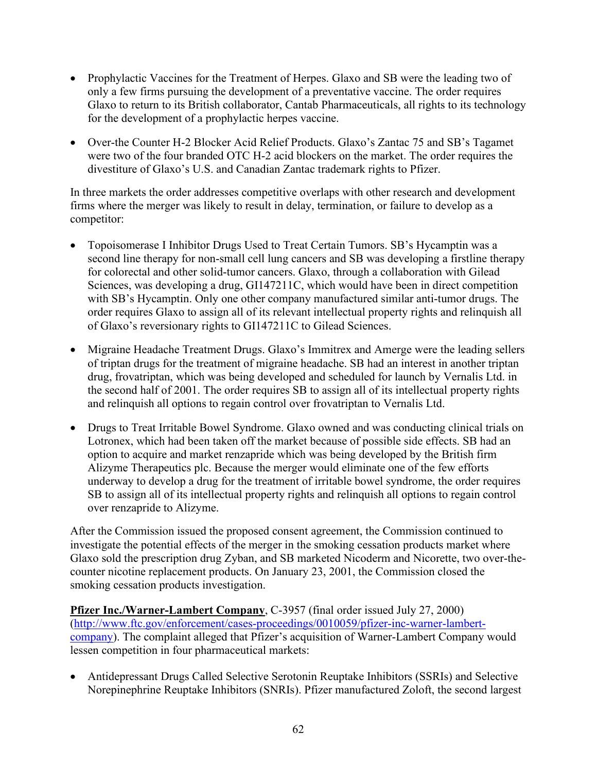- Prophylactic Vaccines for the Treatment of Herpes. Glaxo and SB were the leading two of only a few firms pursuing the development of a preventative vaccine. The order requires Glaxo to return to its British collaborator, Cantab Pharmaceuticals, all rights to its technology for the development of a prophylactic herpes vaccine.
- Over-the Counter H-2 Blocker Acid Relief Products. Glaxo's Zantac 75 and SB's Tagamet were two of the four branded OTC H-2 acid blockers on the market. The order requires the divestiture of Glaxo's U.S. and Canadian Zantac trademark rights to Pfizer.

In three markets the order addresses competitive overlaps with other research and development firms where the merger was likely to result in delay, termination, or failure to develop as a competitor:

- Topoisomerase I Inhibitor Drugs Used to Treat Certain Tumors. SB's Hycamptin was a second line therapy for non-small cell lung cancers and SB was developing a firstline therapy for colorectal and other solid-tumor cancers. Glaxo, through a collaboration with Gilead Sciences, was developing a drug, GI147211C, which would have been in direct competition with SB's Hycamptin. Only one other company manufactured similar anti-tumor drugs. The order requires Glaxo to assign all of its relevant intellectual property rights and relinquish all of Glaxo's reversionary rights to GI147211C to Gilead Sciences.
- Migraine Headache Treatment Drugs. Glaxo's Immitrex and Amerge were the leading sellers of triptan drugs for the treatment of migraine headache. SB had an interest in another triptan drug, frovatriptan, which was being developed and scheduled for launch by Vernalis Ltd. in the second half of 2001. The order requires SB to assign all of its intellectual property rights and relinquish all options to regain control over frovatriptan to Vernalis Ltd.
- Drugs to Treat Irritable Bowel Syndrome. Glaxo owned and was conducting clinical trials on Lotronex, which had been taken off the market because of possible side effects. SB had an option to acquire and market renzapride which was being developed by the British firm Alizyme Therapeutics plc. Because the merger would eliminate one of the few efforts underway to develop a drug for the treatment of irritable bowel syndrome, the order requires SB to assign all of its intellectual property rights and relinquish all options to regain control over renzapride to Alizyme.

After the Commission issued the proposed consent agreement, the Commission continued to investigate the potential effects of the merger in the smoking cessation products market where Glaxo sold the prescription drug Zyban, and SB marketed Nicoderm and Nicorette, two over-thecounter nicotine replacement products. On January 23, 2001, the Commission closed the smoking cessation products investigation.

**Pfizer Inc./Warner-Lambert Company**, C-3957 (final order issued July 27, 2000) [\(http://www.ftc.gov/enforcement/cases-proceedings/0010059/pfizer-inc-warner-lambert](http://www.ftc.gov/enforcement/cases-proceedings/0010059/pfizer-inc-warner-lambert-company)[company\)](http://www.ftc.gov/enforcement/cases-proceedings/0010059/pfizer-inc-warner-lambert-company). The complaint alleged that Pfizer's acquisition of Warner-Lambert Company would lessen competition in four pharmaceutical markets:

• Antidepressant Drugs Called Selective Serotonin Reuptake Inhibitors (SSRIs) and Selective Norepinephrine Reuptake Inhibitors (SNRIs). Pfizer manufactured Zoloft, the second largest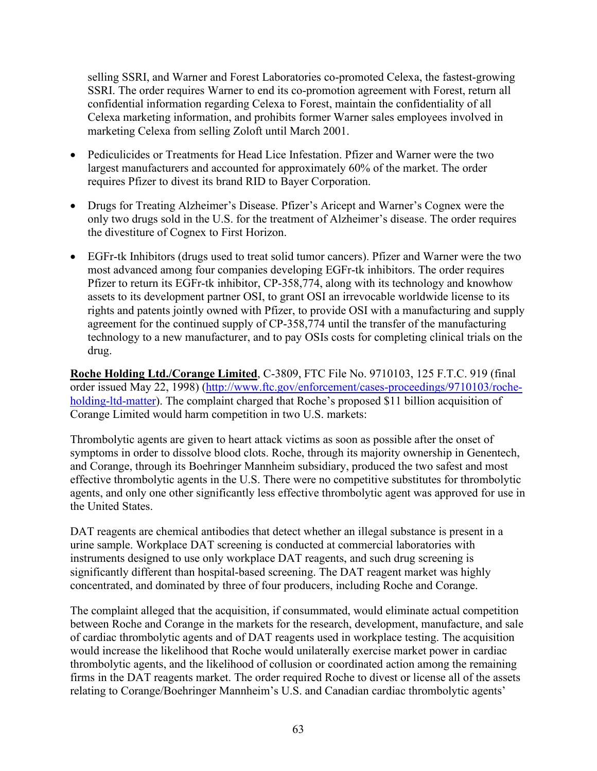selling SSRI, and Warner and Forest Laboratories co-promoted Celexa, the fastest-growing SSRI. The order requires Warner to end its co-promotion agreement with Forest, return all confidential information regarding Celexa to Forest, maintain the confidentiality of all Celexa marketing information, and prohibits former Warner sales employees involved in marketing Celexa from selling Zoloft until March 2001.

- Pediculicides or Treatments for Head Lice Infestation. Pfizer and Warner were the two largest manufacturers and accounted for approximately 60% of the market. The order requires Pfizer to divest its brand RID to Bayer Corporation.
- Drugs for Treating Alzheimer's Disease. Pfizer's Aricept and Warner's Cognex were the only two drugs sold in the U.S. for the treatment of Alzheimer's disease. The order requires the divestiture of Cognex to First Horizon.
- EGFr-tk Inhibitors (drugs used to treat solid tumor cancers). Pfizer and Warner were the two most advanced among four companies developing EGFr-tk inhibitors. The order requires Pfizer to return its EGFr-tk inhibitor, CP-358,774, along with its technology and knowhow assets to its development partner OSI, to grant OSI an irrevocable worldwide license to its rights and patents jointly owned with Pfizer, to provide OSI with a manufacturing and supply agreement for the continued supply of CP-358,774 until the transfer of the manufacturing technology to a new manufacturer, and to pay OSIs costs for completing clinical trials on the drug.

**Roche Holding Ltd./Corange Limited**, C-3809, FTC File No. 9710103, 125 F.T.C. 919 (final order issued May 22, 1998) [\(http://www.ftc.gov/enforcement/cases-proceedings/9710103/roche](http://www.ftc.gov/enforcement/cases-proceedings/9710103/roche-holding-ltd-matter)[holding-ltd-matter\)](http://www.ftc.gov/enforcement/cases-proceedings/9710103/roche-holding-ltd-matter). The complaint charged that Roche's proposed \$11 billion acquisition of Corange Limited would harm competition in two U.S. markets:

Thrombolytic agents are given to heart attack victims as soon as possible after the onset of symptoms in order to dissolve blood clots. Roche, through its majority ownership in Genentech, and Corange, through its Boehringer Mannheim subsidiary, produced the two safest and most effective thrombolytic agents in the U.S. There were no competitive substitutes for thrombolytic agents, and only one other significantly less effective thrombolytic agent was approved for use in the United States.

DAT reagents are chemical antibodies that detect whether an illegal substance is present in a urine sample. Workplace DAT screening is conducted at commercial laboratories with instruments designed to use only workplace DAT reagents, and such drug screening is significantly different than hospital-based screening. The DAT reagent market was highly concentrated, and dominated by three of four producers, including Roche and Corange.

The complaint alleged that the acquisition, if consummated, would eliminate actual competition between Roche and Corange in the markets for the research, development, manufacture, and sale of cardiac thrombolytic agents and of DAT reagents used in workplace testing. The acquisition would increase the likelihood that Roche would unilaterally exercise market power in cardiac thrombolytic agents, and the likelihood of collusion or coordinated action among the remaining firms in the DAT reagents market. The order required Roche to divest or license all of the assets relating to Corange/Boehringer Mannheim's U.S. and Canadian cardiac thrombolytic agents'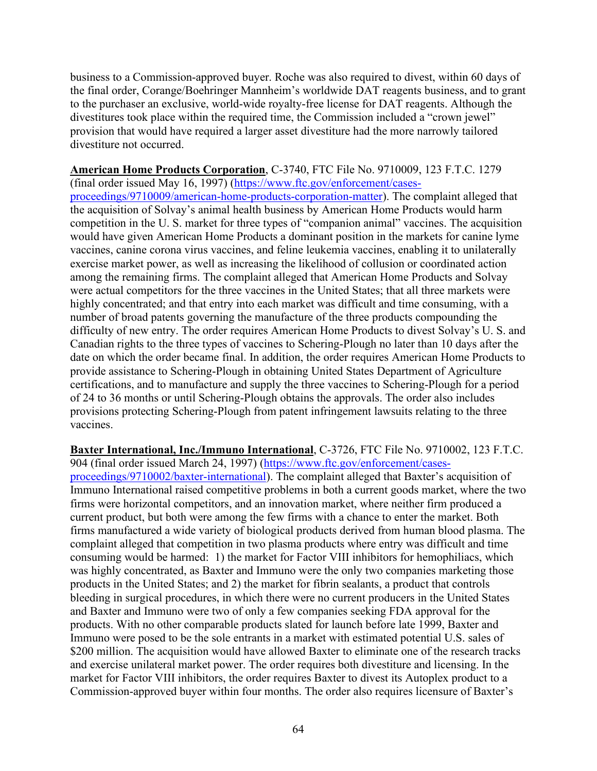business to a Commission-approved buyer. Roche was also required to divest, within 60 days of the final order, Corange/Boehringer Mannheim's worldwide DAT reagents business, and to grant to the purchaser an exclusive, world-wide royalty-free license for DAT reagents. Although the divestitures took place within the required time, the Commission included a "crown jewel" provision that would have required a larger asset divestiture had the more narrowly tailored divestiture not occurred.

**American Home Products Corporation**, C-3740, FTC File No. 9710009, 123 F.T.C. 1279

(final order issued May 16, 1997) [\(https://www.ftc.gov/enforcement/cases](https://www.ftc.gov/enforcement/cases-proceedings/9710009/american-home-products-corporation-matter)[proceedings/9710009/american-home-products-corporation-matter\)](https://www.ftc.gov/enforcement/cases-proceedings/9710009/american-home-products-corporation-matter). The complaint alleged that the acquisition of Solvay's animal health business by American Home Products would harm competition in the U. S. market for three types of "companion animal" vaccines. The acquisition would have given American Home Products a dominant position in the markets for canine lyme vaccines, canine corona virus vaccines, and feline leukemia vaccines, enabling it to unilaterally exercise market power, as well as increasing the likelihood of collusion or coordinated action among the remaining firms. The complaint alleged that American Home Products and Solvay were actual competitors for the three vaccines in the United States; that all three markets were highly concentrated; and that entry into each market was difficult and time consuming, with a number of broad patents governing the manufacture of the three products compounding the difficulty of new entry. The order requires American Home Products to divest Solvay's U. S. and Canadian rights to the three types of vaccines to Schering-Plough no later than 10 days after the date on which the order became final. In addition, the order requires American Home Products to provide assistance to Schering-Plough in obtaining United States Department of Agriculture certifications, and to manufacture and supply the three vaccines to Schering-Plough for a period of 24 to 36 months or until Schering-Plough obtains the approvals. The order also includes provisions protecting Schering-Plough from patent infringement lawsuits relating to the three vaccines.

**Baxter International, Inc./Immuno International**, C-3726, FTC File No. 9710002, 123 F.T.C. 904 (final order issued March 24, 1997) [\(https://www.ftc.gov/enforcement/cases](https://www.ftc.gov/enforcement/cases-proceedings/9710002/baxter-international)[proceedings/9710002/baxter-international\)](https://www.ftc.gov/enforcement/cases-proceedings/9710002/baxter-international). The complaint alleged that Baxter's acquisition of Immuno International raised competitive problems in both a current goods market, where the two firms were horizontal competitors, and an innovation market, where neither firm produced a current product, but both were among the few firms with a chance to enter the market. Both firms manufactured a wide variety of biological products derived from human blood plasma. The complaint alleged that competition in two plasma products where entry was difficult and time consuming would be harmed: 1) the market for Factor VIII inhibitors for hemophiliacs, which was highly concentrated, as Baxter and Immuno were the only two companies marketing those products in the United States; and 2) the market for fibrin sealants, a product that controls bleeding in surgical procedures, in which there were no current producers in the United States and Baxter and Immuno were two of only a few companies seeking FDA approval for the products. With no other comparable products slated for launch before late 1999, Baxter and Immuno were posed to be the sole entrants in a market with estimated potential U.S. sales of \$200 million. The acquisition would have allowed Baxter to eliminate one of the research tracks and exercise unilateral market power. The order requires both divestiture and licensing. In the market for Factor VIII inhibitors, the order requires Baxter to divest its Autoplex product to a Commission-approved buyer within four months. The order also requires licensure of Baxter's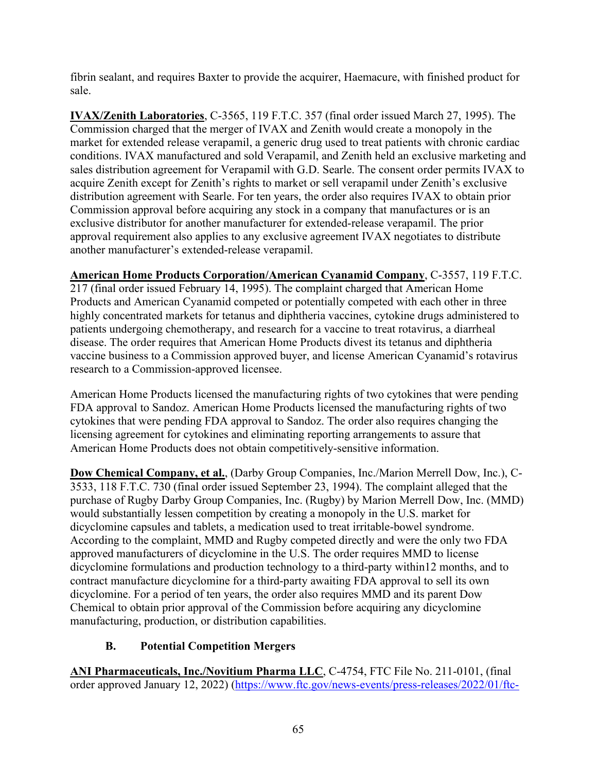fibrin sealant, and requires Baxter to provide the acquirer, Haemacure, with finished product for sale.

**IVAX/Zenith Laboratories**, C-3565, 119 F.T.C. 357 (final order issued March 27, 1995). The Commission charged that the merger of IVAX and Zenith would create a monopoly in the market for extended release verapamil, a generic drug used to treat patients with chronic cardiac conditions. IVAX manufactured and sold Verapamil, and Zenith held an exclusive marketing and sales distribution agreement for Verapamil with G.D. Searle. The consent order permits IVAX to acquire Zenith except for Zenith's rights to market or sell verapamil under Zenith's exclusive distribution agreement with Searle. For ten years, the order also requires IVAX to obtain prior Commission approval before acquiring any stock in a company that manufactures or is an exclusive distributor for another manufacturer for extended-release verapamil. The prior approval requirement also applies to any exclusive agreement IVAX negotiates to distribute another manufacturer's extended-release verapamil.

**American Home Products Corporation/American Cyanamid Company**, C-3557, 119 F.T.C.

217 (final order issued February 14, 1995). The complaint charged that American Home Products and American Cyanamid competed or potentially competed with each other in three highly concentrated markets for tetanus and diphtheria vaccines, cytokine drugs administered to patients undergoing chemotherapy, and research for a vaccine to treat rotavirus, a diarrheal disease. The order requires that American Home Products divest its tetanus and diphtheria vaccine business to a Commission approved buyer, and license American Cyanamid's rotavirus research to a Commission-approved licensee.

American Home Products licensed the manufacturing rights of two cytokines that were pending FDA approval to Sandoz. American Home Products licensed the manufacturing rights of two cytokines that were pending FDA approval to Sandoz. The order also requires changing the licensing agreement for cytokines and eliminating reporting arrangements to assure that American Home Products does not obtain competitively-sensitive information.

**Dow Chemical Company, et al.**, (Darby Group Companies, Inc./Marion Merrell Dow, Inc.), C-3533, 118 F.T.C. 730 (final order issued September 23, 1994). The complaint alleged that the purchase of Rugby Darby Group Companies, Inc. (Rugby) by Marion Merrell Dow, Inc. (MMD) would substantially lessen competition by creating a monopoly in the U.S. market for dicyclomine capsules and tablets, a medication used to treat irritable-bowel syndrome. According to the complaint, MMD and Rugby competed directly and were the only two FDA approved manufacturers of dicyclomine in the U.S. The order requires MMD to license dicyclomine formulations and production technology to a third-party within12 months, and to contract manufacture dicyclomine for a third-party awaiting FDA approval to sell its own dicyclomine. For a period of ten years, the order also requires MMD and its parent Dow Chemical to obtain prior approval of the Commission before acquiring any dicyclomine manufacturing, production, or distribution capabilities.

## **B. Potential Competition Mergers**

**ANI Pharmaceuticals, Inc./Novitium Pharma LLC**, C-4754, FTC File No. 211-0101, (final order approved January 12, 2022) [\(https://www.ftc.gov/news-events/press-releases/2022/01/ftc-](https://www.ftc.gov/news-events/press-releases/2022/01/ftc-approves-final-order-requiring-generic-drug-marketers-ani)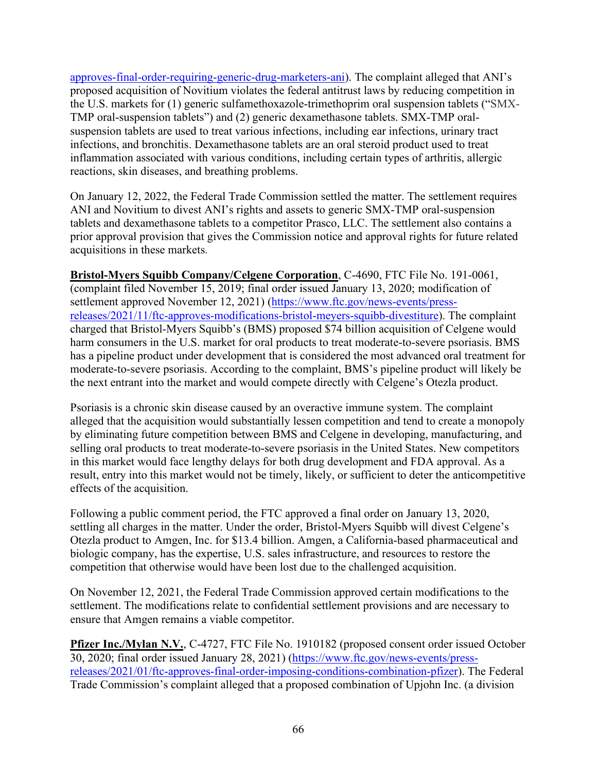[approves-final-order-requiring-generic-drug-marketers-ani\)](https://www.ftc.gov/news-events/press-releases/2022/01/ftc-approves-final-order-requiring-generic-drug-marketers-ani). The complaint alleged that ANI's proposed acquisition of Novitium violates the federal antitrust laws by reducing competition in the U.S. markets for (1) generic sulfamethoxazole-trimethoprim oral suspension tablets ("SMX-TMP oral-suspension tablets") and (2) generic dexamethasone tablets. SMX-TMP oralsuspension tablets are used to treat various infections, including ear infections, urinary tract infections, and bronchitis. Dexamethasone tablets are an oral steroid product used to treat inflammation associated with various conditions, including certain types of arthritis, allergic reactions, skin diseases, and breathing problems.

On January 12, 2022, the Federal Trade Commission settled the matter. The settlement requires ANI and Novitium to divest ANI's rights and assets to generic SMX-TMP oral-suspension tablets and dexamethasone tablets to a competitor Prasco, LLC. The settlement also contains a prior approval provision that gives the Commission notice and approval rights for future related acquisitions in these markets.

**Bristol-Myers Squibb Company/Celgene Corporation**, C-4690, FTC File No. 191-0061, (complaint filed November 15, 2019; final order issued January 13, 2020; modification of settlement approved November 12, 2021) [\(https://www.ftc.gov/news-events/press](https://www.ftc.gov/news-events/press-releases/2021/11/ftc-approves-modifications-bristol-meyers-squibb-divestiture)[releases/2021/11/ftc-approves-modifications-bristol-meyers-squibb-divestiture\)](https://www.ftc.gov/news-events/press-releases/2021/11/ftc-approves-modifications-bristol-meyers-squibb-divestiture). The complaint charged that Bristol-Myers Squibb's (BMS) proposed \$74 billion acquisition of Celgene would harm consumers in the U.S. market for oral products to treat moderate-to-severe psoriasis. BMS has a pipeline product under development that is considered the most advanced oral treatment for moderate-to-severe psoriasis. According to the complaint, BMS's pipeline product will likely be the next entrant into the market and would compete directly with Celgene's Otezla product.

Psoriasis is a chronic skin disease caused by an overactive immune system. The complaint alleged that the acquisition would substantially lessen competition and tend to create a monopoly by eliminating future competition between BMS and Celgene in developing, manufacturing, and selling oral products to treat moderate-to-severe psoriasis in the United States. New competitors in this market would face lengthy delays for both drug development and FDA approval. As a result, entry into this market would not be timely, likely, or sufficient to deter the anticompetitive effects of the acquisition.

Following a public comment period, the FTC approved a final order on January 13, 2020, settling all charges in the matter. Under the order, Bristol-Myers Squibb will divest Celgene's Otezla product to Amgen, Inc. for \$13.4 billion. Amgen, a California-based pharmaceutical and biologic company, has the expertise, U.S. sales infrastructure, and resources to restore the competition that otherwise would have been lost due to the challenged acquisition.

On November 12, 2021, the Federal Trade Commission approved certain modifications to the settlement. The modifications relate to confidential settlement provisions and are necessary to ensure that Amgen remains a viable competitor.

**Pfizer Inc./Mylan N.V.**, C-4727, FTC File No. 1910182 (proposed consent order issued October 30, 2020; final order issued January 28, 2021) [\(https://www.ftc.gov/news-events/press](https://www.ftc.gov/news-events/press-releases/2021/01/ftc-approves-final-order-imposing-conditions-combination-pfizer)[releases/2021/01/ftc-approves-final-order-imposing-conditions-combination-pfizer\)](https://www.ftc.gov/news-events/press-releases/2021/01/ftc-approves-final-order-imposing-conditions-combination-pfizer). The Federal Trade Commission's complaint alleged that a proposed combination of Upjohn Inc. (a division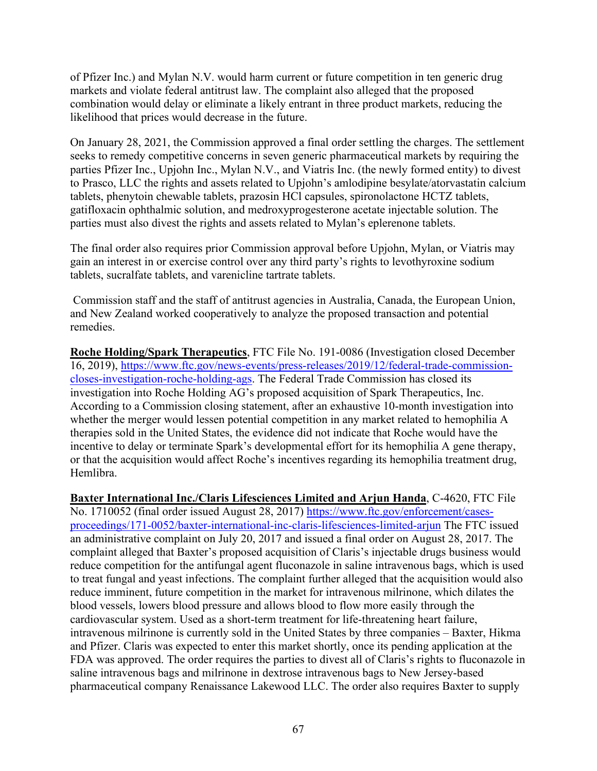of Pfizer Inc.) and Mylan N.V. would harm current or future competition in ten generic drug markets and violate federal antitrust law. The complaint also alleged that the proposed combination would delay or eliminate a likely entrant in three product markets, reducing the likelihood that prices would decrease in the future.

On January 28, 2021, the Commission approved a final order settling the charges. The settlement seeks to remedy competitive concerns in seven generic pharmaceutical markets by requiring the parties Pfizer Inc., Upjohn Inc., Mylan N.V., and Viatris Inc. (the newly formed entity) to divest to Prasco, LLC the rights and assets related to Upjohn's amlodipine besylate/atorvastatin calcium tablets, phenytoin chewable tablets, prazosin HCl capsules, spironolactone HCTZ tablets, gatifloxacin ophthalmic solution, and medroxyprogesterone acetate injectable solution. The parties must also divest the rights and assets related to Mylan's eplerenone tablets.

The final order also requires prior Commission approval before Upjohn, Mylan, or Viatris may gain an interest in or exercise control over any third party's rights to levothyroxine sodium tablets, sucralfate tablets, and varenicline tartrate tablets.

Commission staff and the staff of antitrust agencies in Australia, Canada, the European Union, and New Zealand worked cooperatively to analyze the proposed transaction and potential remedies.

**Roche Holding/Spark Therapeutics**, FTC File No. 191-0086 (Investigation closed December 16, 2019), [https://www.ftc.gov/news-events/press-releases/2019/12/federal-trade-commission](https://www.ftc.gov/news-events/press-releases/2019/12/federal-trade-commission-closes-investigation-roche-holding-ags)[closes-investigation-roche-holding-ags.](https://www.ftc.gov/news-events/press-releases/2019/12/federal-trade-commission-closes-investigation-roche-holding-ags) The Federal Trade Commission has closed its investigation into Roche Holding AG's proposed acquisition of Spark Therapeutics, Inc. According to a Commission closing statement, after an exhaustive 10-month investigation into whether the merger would lessen potential competition in any market related to hemophilia A therapies sold in the United States, the evidence did not indicate that Roche would have the incentive to delay or terminate Spark's developmental effort for its hemophilia A gene therapy, or that the acquisition would affect Roche's incentives regarding its hemophilia treatment drug, Hemlibra.

**Baxter International Inc./Claris Lifesciences Limited and Arjun Handa**, C-4620, FTC File No. 1710052 (final order issued August 28, 2017) [https://www.ftc.gov/enforcement/cases](https://www.ftc.gov/enforcement/cases-proceedings/171-0052/baxter-international-inc-claris-lifesciences-limited-arjun)[proceedings/171-0052/baxter-international-inc-claris-lifesciences-limited-arjun](https://www.ftc.gov/enforcement/cases-proceedings/171-0052/baxter-international-inc-claris-lifesciences-limited-arjun) The FTC issued an administrative complaint on July 20, 2017 and issued a final order on August 28, 2017. The complaint alleged that Baxter's proposed acquisition of Claris's injectable drugs business would reduce competition for the antifungal agent fluconazole in saline intravenous bags, which is used to treat fungal and yeast infections. The complaint further alleged that the acquisition would also reduce imminent, future competition in the market for intravenous milrinone, which dilates the blood vessels, lowers blood pressure and allows blood to flow more easily through the cardiovascular system. Used as a short-term treatment for life-threatening heart failure, intravenous milrinone is currently sold in the United States by three companies – Baxter, Hikma and Pfizer. Claris was expected to enter this market shortly, once its pending application at the FDA was approved. The order requires the parties to divest all of Claris's rights to fluconazole in saline intravenous bags and milrinone in dextrose intravenous bags to New Jersey-based pharmaceutical company Renaissance Lakewood LLC. The order also requires Baxter to supply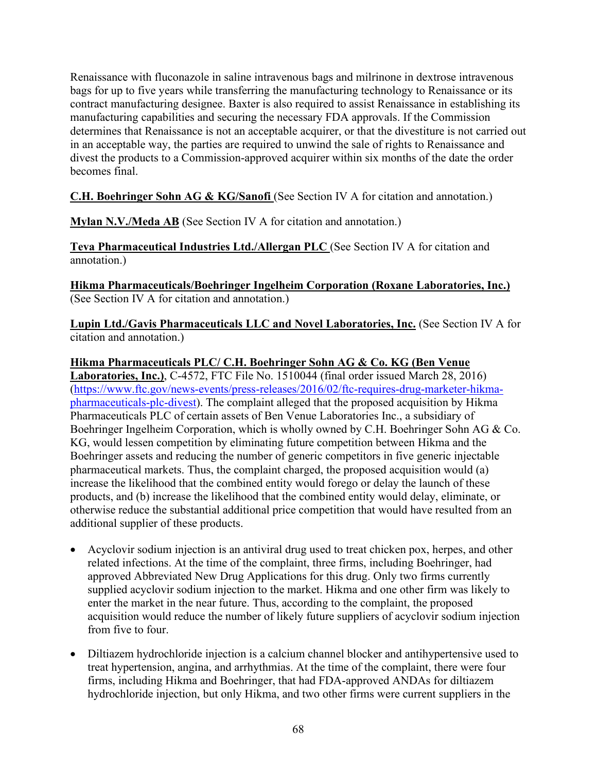Renaissance with fluconazole in saline intravenous bags and milrinone in dextrose intravenous bags for up to five years while transferring the manufacturing technology to Renaissance or its contract manufacturing designee. Baxter is also required to assist Renaissance in establishing its manufacturing capabilities and securing the necessary FDA approvals. If the Commission determines that Renaissance is not an acceptable acquirer, or that the divestiture is not carried out in an acceptable way, the parties are required to unwind the sale of rights to Renaissance and divest the products to a Commission-approved acquirer within six months of the date the order becomes final.

**C.H. Boehringer Sohn AG & KG/Sanofi** (See Section IV A for citation and annotation.)

**Mylan N.V./Meda AB** (See Section IV A for citation and annotation.)

**Teva Pharmaceutical Industries Ltd./Allergan PLC** (See Section IV A for citation and annotation.)

**Hikma Pharmaceuticals/Boehringer Ingelheim Corporation (Roxane Laboratories, Inc.)** (See Section IV A for citation and annotation.)

**Lupin Ltd./Gavis Pharmaceuticals LLC and Novel Laboratories, Inc.** (See Section IV A for citation and annotation.)

**Hikma Pharmaceuticals PLC/ C.H. Boehringer Sohn AG & Co. KG (Ben Venue Laboratories, Inc.)**, C-4572, FTC File No. 1510044 (final order issued March 28, 2016) [\(https://www.ftc.gov/news-events/press-releases/2016/02/ftc-requires-drug-marketer-hikma](https://www.ftc.gov/news-events/press-releases/2016/02/ftc-requires-drug-marketer-hikma-pharmaceuticals-plc-divest)[pharmaceuticals-plc-divest\)](https://www.ftc.gov/news-events/press-releases/2016/02/ftc-requires-drug-marketer-hikma-pharmaceuticals-plc-divest). The complaint alleged that the proposed acquisition by Hikma Pharmaceuticals PLC of certain assets of Ben Venue Laboratories Inc., a subsidiary of Boehringer Ingelheim Corporation, which is wholly owned by C.H. Boehringer Sohn AG & Co. KG, would lessen competition by eliminating future competition between Hikma and the Boehringer assets and reducing the number of generic competitors in five generic injectable pharmaceutical markets. Thus, the complaint charged, the proposed acquisition would (a) increase the likelihood that the combined entity would forego or delay the launch of these products, and (b) increase the likelihood that the combined entity would delay, eliminate, or otherwise reduce the substantial additional price competition that would have resulted from an additional supplier of these products.

- Acyclovir sodium injection is an antiviral drug used to treat chicken pox, herpes, and other related infections. At the time of the complaint, three firms, including Boehringer, had approved Abbreviated New Drug Applications for this drug. Only two firms currently supplied acyclovir sodium injection to the market. Hikma and one other firm was likely to enter the market in the near future. Thus, according to the complaint, the proposed acquisition would reduce the number of likely future suppliers of acyclovir sodium injection from five to four.
- Diltiazem hydrochloride injection is a calcium channel blocker and antihypertensive used to treat hypertension, angina, and arrhythmias. At the time of the complaint, there were four firms, including Hikma and Boehringer, that had FDA-approved ANDAs for diltiazem hydrochloride injection, but only Hikma, and two other firms were current suppliers in the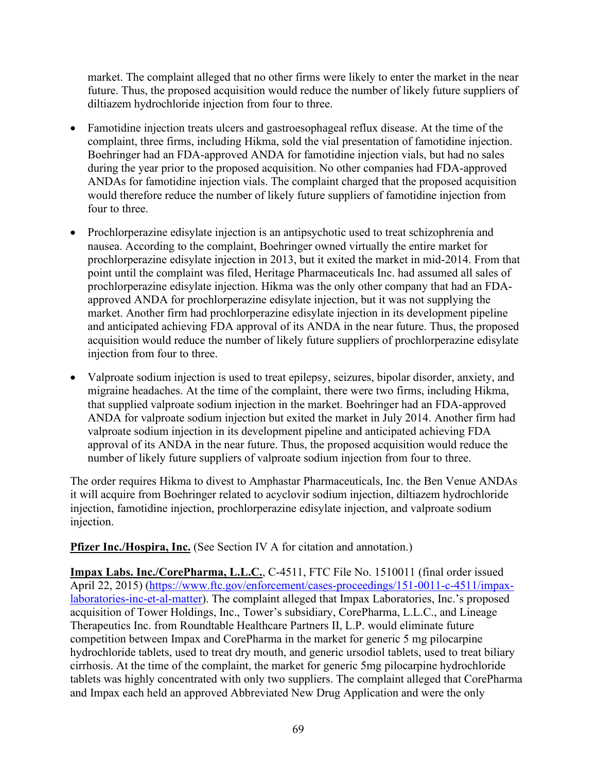market. The complaint alleged that no other firms were likely to enter the market in the near future. Thus, the proposed acquisition would reduce the number of likely future suppliers of diltiazem hydrochloride injection from four to three.

- Famotidine injection treats ulcers and gastroesophageal reflux disease. At the time of the complaint, three firms, including Hikma, sold the vial presentation of famotidine injection. Boehringer had an FDA-approved ANDA for famotidine injection vials, but had no sales during the year prior to the proposed acquisition. No other companies had FDA-approved ANDAs for famotidine injection vials. The complaint charged that the proposed acquisition would therefore reduce the number of likely future suppliers of famotidine injection from four to three.
- Prochlorperazine edisylate injection is an antipsychotic used to treat schizophrenia and nausea. According to the complaint, Boehringer owned virtually the entire market for prochlorperazine edisylate injection in 2013, but it exited the market in mid-2014. From that point until the complaint was filed, Heritage Pharmaceuticals Inc. had assumed all sales of prochlorperazine edisylate injection. Hikma was the only other company that had an FDAapproved ANDA for prochlorperazine edisylate injection, but it was not supplying the market. Another firm had prochlorperazine edisylate injection in its development pipeline and anticipated achieving FDA approval of its ANDA in the near future. Thus, the proposed acquisition would reduce the number of likely future suppliers of prochlorperazine edisylate injection from four to three.
- Valproate sodium injection is used to treat epilepsy, seizures, bipolar disorder, anxiety, and migraine headaches. At the time of the complaint, there were two firms, including Hikma, that supplied valproate sodium injection in the market. Boehringer had an FDA-approved ANDA for valproate sodium injection but exited the market in July 2014. Another firm had valproate sodium injection in its development pipeline and anticipated achieving FDA approval of its ANDA in the near future. Thus, the proposed acquisition would reduce the number of likely future suppliers of valproate sodium injection from four to three.

The order requires Hikma to divest to Amphastar Pharmaceuticals, Inc. the Ben Venue ANDAs it will acquire from Boehringer related to acyclovir sodium injection, diltiazem hydrochloride injection, famotidine injection, prochlorperazine edisylate injection, and valproate sodium injection.

**Pfizer Inc./Hospira, Inc.** (See Section IV A for citation and annotation.)

**Impax Labs. Inc./CorePharma, L.L.C.**, C-4511, FTC File No. 1510011 (final order issued April 22, 2015) [\(https://www.ftc.gov/enforcement/cases-proceedings/151-0011-c-4511/impax](https://www.ftc.gov/enforcement/cases-proceedings/151-0011-c-4511/impax-laboratories-inc-et-al-matter)[laboratories-inc-et-al-matter\)](https://www.ftc.gov/enforcement/cases-proceedings/151-0011-c-4511/impax-laboratories-inc-et-al-matter). The complaint alleged that Impax Laboratories, Inc.'s proposed acquisition of Tower Holdings, Inc., Tower's subsidiary, CorePharma, L.L.C., and Lineage Therapeutics Inc. from Roundtable Healthcare Partners II, L.P. would eliminate future competition between Impax and CorePharma in the market for generic 5 mg pilocarpine hydrochloride tablets, used to treat dry mouth, and generic ursodiol tablets, used to treat biliary cirrhosis. At the time of the complaint, the market for generic 5mg pilocarpine hydrochloride tablets was highly concentrated with only two suppliers. The complaint alleged that CorePharma and Impax each held an approved Abbreviated New Drug Application and were the only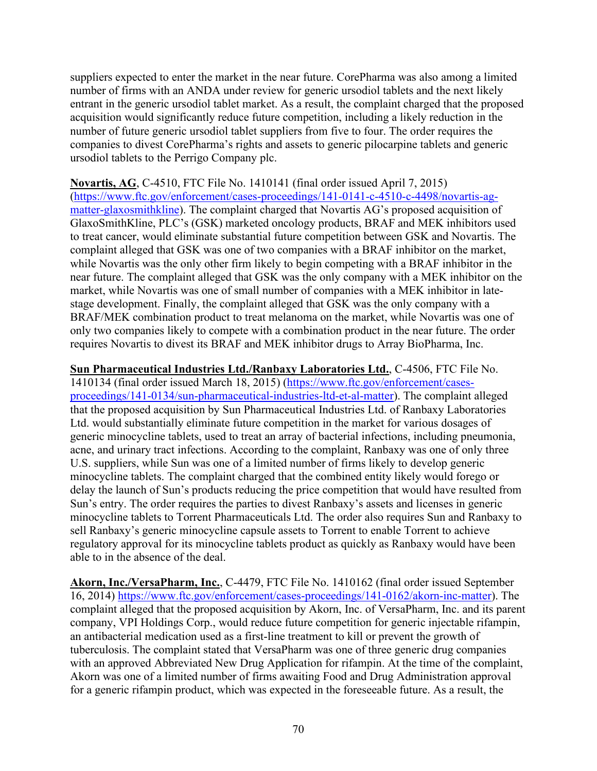suppliers expected to enter the market in the near future. CorePharma was also among a limited number of firms with an ANDA under review for generic ursodiol tablets and the next likely entrant in the generic ursodiol tablet market. As a result, the complaint charged that the proposed acquisition would significantly reduce future competition, including a likely reduction in the number of future generic ursodiol tablet suppliers from five to four. The order requires the companies to divest CorePharma's rights and assets to generic pilocarpine tablets and generic ursodiol tablets to the Perrigo Company plc.

**Novartis, AG**, C-4510, FTC File No. 1410141 (final order issued April 7, 2015) [\(https://www.ftc.gov/enforcement/cases-proceedings/141-0141-c-4510-c-4498/novartis-ag](https://www.ftc.gov/enforcement/cases-proceedings/141-0141-c-4510-c-4498/novartis-ag-matter-glaxosmithkline)[matter-glaxosmithkline\)](https://www.ftc.gov/enforcement/cases-proceedings/141-0141-c-4510-c-4498/novartis-ag-matter-glaxosmithkline). The complaint charged that Novartis AG's proposed acquisition of GlaxoSmithKline, PLC's (GSK) marketed oncology products, BRAF and MEK inhibitors used to treat cancer, would eliminate substantial future competition between GSK and Novartis. The complaint alleged that GSK was one of two companies with a BRAF inhibitor on the market, while Novartis was the only other firm likely to begin competing with a BRAF inhibitor in the near future. The complaint alleged that GSK was the only company with a MEK inhibitor on the market, while Novartis was one of small number of companies with a MEK inhibitor in latestage development. Finally, the complaint alleged that GSK was the only company with a BRAF/MEK combination product to treat melanoma on the market, while Novartis was one of only two companies likely to compete with a combination product in the near future. The order requires Novartis to divest its BRAF and MEK inhibitor drugs to Array BioPharma, Inc.

**Sun Pharmaceutical Industries Ltd./Ranbaxy Laboratories Ltd.**, C-4506, FTC File No. 1410134 (final order issued March 18, 2015) [\(https://www.ftc.gov/enforcement/cases](https://www.ftc.gov/enforcement/cases-proceedings/141-0134/sun-pharmaceutical-industries-ltd-et-al-matter)[proceedings/141-0134/sun-pharmaceutical-industries-ltd-et-al-matter\)](https://www.ftc.gov/enforcement/cases-proceedings/141-0134/sun-pharmaceutical-industries-ltd-et-al-matter). The complaint alleged that the proposed acquisition by Sun Pharmaceutical Industries Ltd. of Ranbaxy Laboratories Ltd. would substantially eliminate future competition in the market for various dosages of generic minocycline tablets, used to treat an array of bacterial infections, including pneumonia, acne, and urinary tract infections. According to the complaint, Ranbaxy was one of only three U.S. suppliers, while Sun was one of a limited number of firms likely to develop generic minocycline tablets. The complaint charged that the combined entity likely would forego or delay the launch of Sun's products reducing the price competition that would have resulted from Sun's entry. The order requires the parties to divest Ranbaxy's assets and licenses in generic minocycline tablets to Torrent Pharmaceuticals Ltd. The order also requires Sun and Ranbaxy to sell Ranbaxy's generic minocycline capsule assets to Torrent to enable Torrent to achieve regulatory approval for its minocycline tablets product as quickly as Ranbaxy would have been able to in the absence of the deal.

**Akorn, Inc./VersaPharm, Inc.**, C-4479, FTC File No. 1410162 (final order issued September 16, 2014) [https://www.ftc.gov/enforcement/cases-proceedings/141-0162/akorn-inc-matter\)](https://www.ftc.gov/enforcement/cases-proceedings/141-0162/akorn-inc-matter). The complaint alleged that the proposed acquisition by Akorn, Inc. of VersaPharm, Inc. and its parent company, VPI Holdings Corp., would reduce future competition for generic injectable rifampin, an antibacterial medication used as a first-line treatment to kill or prevent the growth of tuberculosis. The complaint stated that VersaPharm was one of three generic drug companies with an approved Abbreviated New Drug Application for rifampin. At the time of the complaint, Akorn was one of a limited number of firms awaiting Food and Drug Administration approval for a generic rifampin product, which was expected in the foreseeable future. As a result, the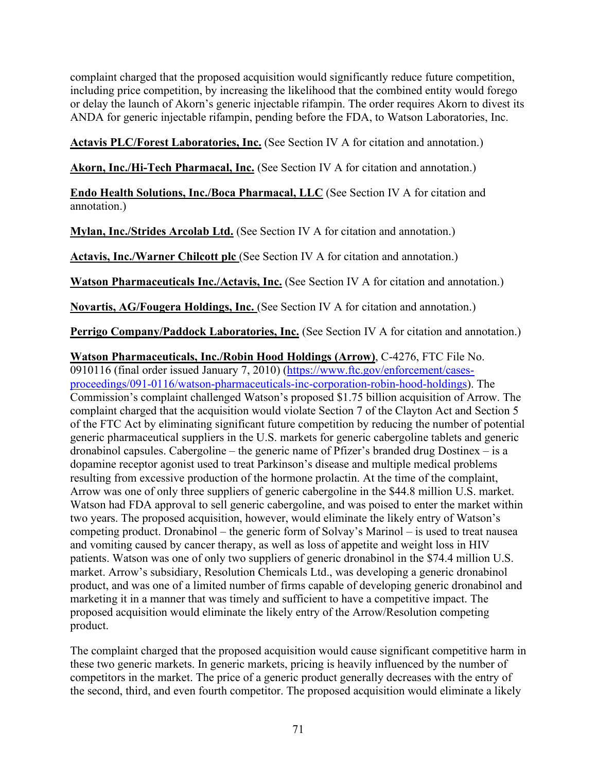complaint charged that the proposed acquisition would significantly reduce future competition, including price competition, by increasing the likelihood that the combined entity would forego or delay the launch of Akorn's generic injectable rifampin. The order requires Akorn to divest its ANDA for generic injectable rifampin, pending before the FDA, to Watson Laboratories, Inc.

**Actavis PLC/Forest Laboratories, Inc.** (See Section IV A for citation and annotation.)

**Akorn, Inc./Hi-Tech Pharmacal, Inc.** (See Section IV A for citation and annotation.)

**Endo Health Solutions, Inc./Boca Pharmacal, LLC** (See Section IV A for citation and annotation.)

**Mylan, Inc./Strides Arcolab Ltd.** (See Section IV A for citation and annotation.)

**Actavis, Inc./Warner Chilcott plc** (See Section IV A for citation and annotation.)

**Watson Pharmaceuticals Inc./Actavis, Inc.** (See Section IV A for citation and annotation.)

**Novartis, AG/Fougera Holdings, Inc.** (See Section IV A for citation and annotation.)

**Perrigo Company/Paddock Laboratories, Inc.** (See Section IV A for citation and annotation.)

**Watson Pharmaceuticals, Inc./Robin Hood Holdings (Arrow)**, C-4276, FTC File No.

0910116 (final order issued January 7, 2010) [\(https://www.ftc.gov/enforcement/cases](https://www.ftc.gov/enforcement/cases-proceedings/091-0116/watson-pharmaceuticals-inc-corporation-robin-hood-holdings)[proceedings/091-0116/watson-pharmaceuticals-inc-corporation-robin-hood-holdings\)](https://www.ftc.gov/enforcement/cases-proceedings/091-0116/watson-pharmaceuticals-inc-corporation-robin-hood-holdings). The Commission's complaint challenged Watson's proposed \$1.75 billion acquisition of Arrow. The complaint charged that the acquisition would violate Section 7 of the Clayton Act and Section 5 of the FTC Act by eliminating significant future competition by reducing the number of potential generic pharmaceutical suppliers in the U.S. markets for generic cabergoline tablets and generic dronabinol capsules. Cabergoline – the generic name of Pfizer's branded drug Dostinex – is a dopamine receptor agonist used to treat Parkinson's disease and multiple medical problems resulting from excessive production of the hormone prolactin. At the time of the complaint, Arrow was one of only three suppliers of generic cabergoline in the \$44.8 million U.S. market. Watson had FDA approval to sell generic cabergoline, and was poised to enter the market within two years. The proposed acquisition, however, would eliminate the likely entry of Watson's competing product. Dronabinol – the generic form of Solvay's Marinol – is used to treat nausea and vomiting caused by cancer therapy, as well as loss of appetite and weight loss in HIV patients. Watson was one of only two suppliers of generic dronabinol in the \$74.4 million U.S. market. Arrow's subsidiary, Resolution Chemicals Ltd., was developing a generic dronabinol product, and was one of a limited number of firms capable of developing generic dronabinol and marketing it in a manner that was timely and sufficient to have a competitive impact. The proposed acquisition would eliminate the likely entry of the Arrow/Resolution competing product.

The complaint charged that the proposed acquisition would cause significant competitive harm in these two generic markets. In generic markets, pricing is heavily influenced by the number of competitors in the market. The price of a generic product generally decreases with the entry of the second, third, and even fourth competitor. The proposed acquisition would eliminate a likely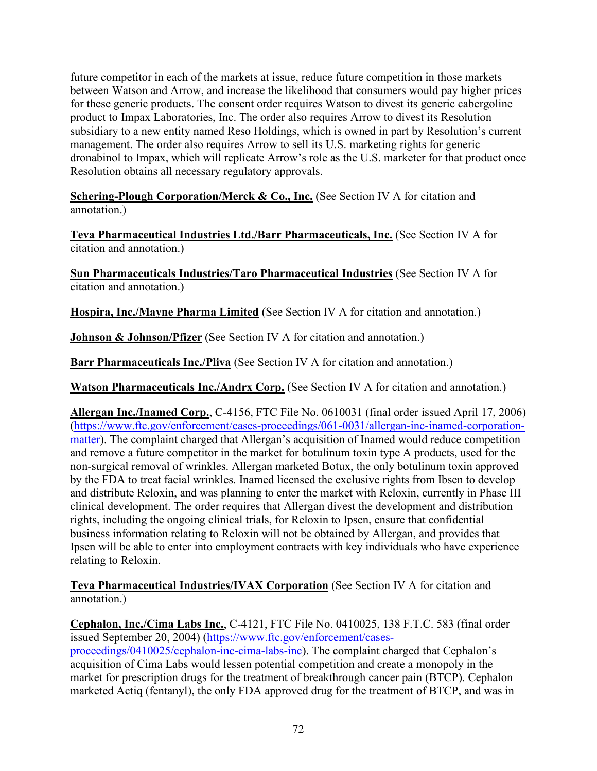future competitor in each of the markets at issue, reduce future competition in those markets between Watson and Arrow, and increase the likelihood that consumers would pay higher prices for these generic products. The consent order requires Watson to divest its generic cabergoline product to Impax Laboratories, Inc. The order also requires Arrow to divest its Resolution subsidiary to a new entity named Reso Holdings, which is owned in part by Resolution's current management. The order also requires Arrow to sell its U.S. marketing rights for generic dronabinol to Impax, which will replicate Arrow's role as the U.S. marketer for that product once Resolution obtains all necessary regulatory approvals.

**Schering-Plough Corporation/Merck & Co., Inc.** (See Section IV A for citation and annotation.)

**Teva Pharmaceutical Industries Ltd./Barr Pharmaceuticals, Inc.** (See Section IV A for citation and annotation.)

**Sun Pharmaceuticals Industries/Taro Pharmaceutical Industries** (See Section IV A for citation and annotation.)

**Hospira, Inc./Mayne Pharma Limited** (See Section IV A for citation and annotation.)

**Johnson & Johnson/Pfizer** (See Section IV A for citation and annotation.)

**Barr Pharmaceuticals Inc./Pliva** (See Section IV A for citation and annotation.)

**Watson Pharmaceuticals Inc./Andrx Corp.** (See Section IV A for citation and annotation.)

**Allergan Inc./Inamed Corp.**, C-4156, FTC File No. 0610031 (final order issued April 17, 2006) [\(https://www.ftc.gov/enforcement/cases-proceedings/061-0031/allergan-inc-inamed-corporation](https://www.ftc.gov/enforcement/cases-proceedings/061-0031/allergan-inc-inamed-corporation-matter)[matter\)](https://www.ftc.gov/enforcement/cases-proceedings/061-0031/allergan-inc-inamed-corporation-matter). The complaint charged that Allergan's acquisition of Inamed would reduce competition and remove a future competitor in the market for botulinum toxin type A products, used for the non-surgical removal of wrinkles. Allergan marketed Botux, the only botulinum toxin approved by the FDA to treat facial wrinkles. Inamed licensed the exclusive rights from Ibsen to develop and distribute Reloxin, and was planning to enter the market with Reloxin, currently in Phase III clinical development. The order requires that Allergan divest the development and distribution rights, including the ongoing clinical trials, for Reloxin to Ipsen, ensure that confidential business information relating to Reloxin will not be obtained by Allergan, and provides that Ipsen will be able to enter into employment contracts with key individuals who have experience relating to Reloxin.

**Teva Pharmaceutical Industries/IVAX Corporation** (See Section IV A for citation and annotation.)

**Cephalon, Inc./Cima Labs Inc.**, C-4121, FTC File No. 0410025, 138 F.T.C. 583 (final order issued September 20, 2004) [\(https://www.ftc.gov/enforcement/cases](https://www.ftc.gov/enforcement/cases-proceedings/0410025/cephalon-inc-cima-labs-inc)[proceedings/0410025/cephalon-inc-cima-labs-inc\)](https://www.ftc.gov/enforcement/cases-proceedings/0410025/cephalon-inc-cima-labs-inc). The complaint charged that Cephalon's acquisition of Cima Labs would lessen potential competition and create a monopoly in the market for prescription drugs for the treatment of breakthrough cancer pain (BTCP). Cephalon marketed Actiq (fentanyl), the only FDA approved drug for the treatment of BTCP, and was in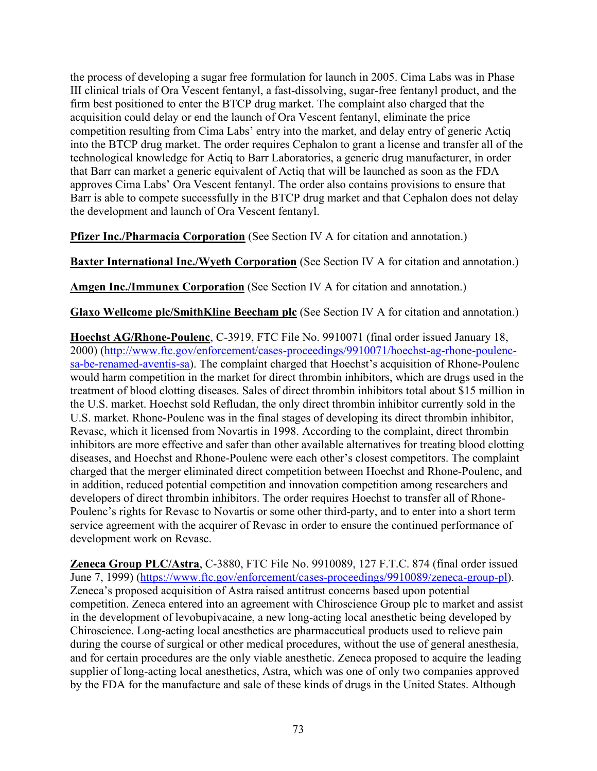the process of developing a sugar free formulation for launch in 2005. Cima Labs was in Phase III clinical trials of Ora Vescent fentanyl, a fast-dissolving, sugar-free fentanyl product, and the firm best positioned to enter the BTCP drug market. The complaint also charged that the acquisition could delay or end the launch of Ora Vescent fentanyl, eliminate the price competition resulting from Cima Labs' entry into the market, and delay entry of generic Actiq into the BTCP drug market. The order requires Cephalon to grant a license and transfer all of the technological knowledge for Actiq to Barr Laboratories, a generic drug manufacturer, in order that Barr can market a generic equivalent of Actiq that will be launched as soon as the FDA approves Cima Labs' Ora Vescent fentanyl. The order also contains provisions to ensure that Barr is able to compete successfully in the BTCP drug market and that Cephalon does not delay the development and launch of Ora Vescent fentanyl.

**Pfizer Inc./Pharmacia Corporation** (See Section IV A for citation and annotation.)

**Baxter International Inc./Wyeth Corporation** (See Section IV A for citation and annotation.)

**Amgen Inc./Immunex Corporation** (See Section IV A for citation and annotation.)

**Glaxo Wellcome plc/SmithKline Beecham plc** (See Section IV A for citation and annotation.)

**Hoechst AG/Rhone-Poulenc**, C-3919, FTC File No. 9910071 (final order issued January 18, 2000) [\(http://www.ftc.gov/enforcement/cases-proceedings/9910071/hoechst-ag-rhone-poulenc](http://www.ftc.gov/enforcement/cases-proceedings/9910071/hoechst-ag-rhone-poulenc-sa-be-renamed-aventis-sa)[sa-be-renamed-aventis-sa\)](http://www.ftc.gov/enforcement/cases-proceedings/9910071/hoechst-ag-rhone-poulenc-sa-be-renamed-aventis-sa). The complaint charged that Hoechst's acquisition of Rhone-Poulenc would harm competition in the market for direct thrombin inhibitors, which are drugs used in the treatment of blood clotting diseases. Sales of direct thrombin inhibitors total about \$15 million in the U.S. market. Hoechst sold Refludan, the only direct thrombin inhibitor currently sold in the U.S. market. Rhone-Poulenc was in the final stages of developing its direct thrombin inhibitor, Revasc, which it licensed from Novartis in 1998. According to the complaint, direct thrombin inhibitors are more effective and safer than other available alternatives for treating blood clotting diseases, and Hoechst and Rhone-Poulenc were each other's closest competitors. The complaint charged that the merger eliminated direct competition between Hoechst and Rhone-Poulenc, and in addition, reduced potential competition and innovation competition among researchers and developers of direct thrombin inhibitors. The order requires Hoechst to transfer all of Rhone-Poulenc's rights for Revasc to Novartis or some other third-party, and to enter into a short term service agreement with the acquirer of Revasc in order to ensure the continued performance of development work on Revasc.

**Zeneca Group PLC/Astra**, C-3880, FTC File No. 9910089, 127 F.T.C. 874 (final order issued June 7, 1999) [\(https://www.ftc.gov/enforcement/cases-proceedings/9910089/zeneca-group-pl\)](https://www.ftc.gov/enforcement/cases-proceedings/9910089/zeneca-group-pl). Zeneca's proposed acquisition of Astra raised antitrust concerns based upon potential competition. Zeneca entered into an agreement with Chiroscience Group plc to market and assist in the development of levobupivacaine, a new long-acting local anesthetic being developed by Chiroscience. Long-acting local anesthetics are pharmaceutical products used to relieve pain during the course of surgical or other medical procedures, without the use of general anesthesia, and for certain procedures are the only viable anesthetic. Zeneca proposed to acquire the leading supplier of long-acting local anesthetics, Astra, which was one of only two companies approved by the FDA for the manufacture and sale of these kinds of drugs in the United States. Although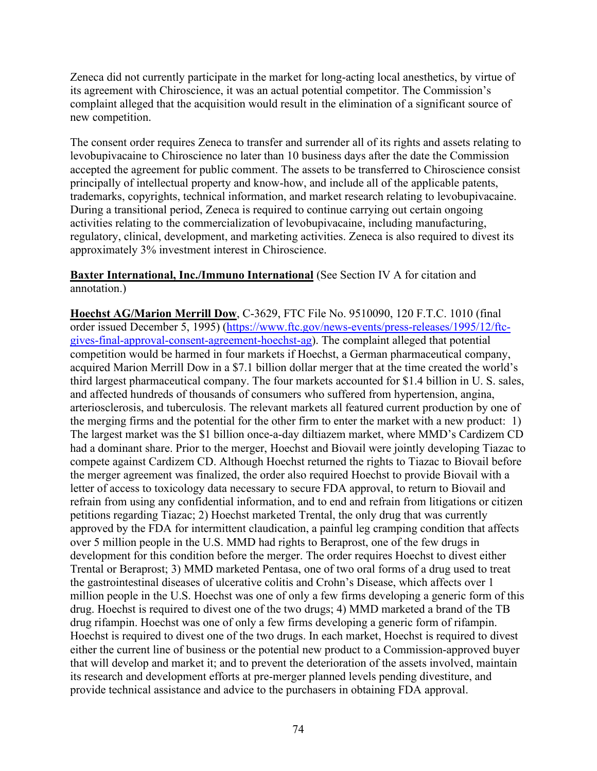Zeneca did not currently participate in the market for long-acting local anesthetics, by virtue of its agreement with Chiroscience, it was an actual potential competitor. The Commission's complaint alleged that the acquisition would result in the elimination of a significant source of new competition.

The consent order requires Zeneca to transfer and surrender all of its rights and assets relating to levobupivacaine to Chiroscience no later than 10 business days after the date the Commission accepted the agreement for public comment. The assets to be transferred to Chiroscience consist principally of intellectual property and know-how, and include all of the applicable patents, trademarks, copyrights, technical information, and market research relating to levobupivacaine. During a transitional period, Zeneca is required to continue carrying out certain ongoing activities relating to the commercialization of levobupivacaine, including manufacturing, regulatory, clinical, development, and marketing activities. Zeneca is also required to divest its approximately 3% investment interest in Chiroscience.

#### **Baxter International, Inc./Immuno International** (See Section IV A for citation and annotation.)

**Hoechst AG/Marion Merrill Dow**, C-3629, FTC File No. 9510090, 120 F.T.C. 1010 (final order issued December 5, 1995) [\(https://www.ftc.gov/news-events/press-releases/1995/12/ftc](https://www.ftc.gov/news-events/press-releases/1995/12/ftc-gives-final-approval-consent-agreement-hoechst-ag)[gives-final-approval-consent-agreement-hoechst-ag\)](https://www.ftc.gov/news-events/press-releases/1995/12/ftc-gives-final-approval-consent-agreement-hoechst-ag). The complaint alleged that potential competition would be harmed in four markets if Hoechst, a German pharmaceutical company, acquired Marion Merrill Dow in a \$7.1 billion dollar merger that at the time created the world's third largest pharmaceutical company. The four markets accounted for \$1.4 billion in U. S. sales, and affected hundreds of thousands of consumers who suffered from hypertension, angina, arteriosclerosis, and tuberculosis. The relevant markets all featured current production by one of the merging firms and the potential for the other firm to enter the market with a new product: 1) The largest market was the \$1 billion once-a-day diltiazem market, where MMD's Cardizem CD had a dominant share. Prior to the merger, Hoechst and Biovail were jointly developing Tiazac to compete against Cardizem CD. Although Hoechst returned the rights to Tiazac to Biovail before the merger agreement was finalized, the order also required Hoechst to provide Biovail with a letter of access to toxicology data necessary to secure FDA approval, to return to Biovail and refrain from using any confidential information, and to end and refrain from litigations or citizen petitions regarding Tiazac; 2) Hoechst marketed Trental, the only drug that was currently approved by the FDA for intermittent claudication, a painful leg cramping condition that affects over 5 million people in the U.S. MMD had rights to Beraprost, one of the few drugs in development for this condition before the merger. The order requires Hoechst to divest either Trental or Beraprost; 3) MMD marketed Pentasa, one of two oral forms of a drug used to treat the gastrointestinal diseases of ulcerative colitis and Crohn's Disease, which affects over 1 million people in the U.S. Hoechst was one of only a few firms developing a generic form of this drug. Hoechst is required to divest one of the two drugs; 4) MMD marketed a brand of the TB drug rifampin. Hoechst was one of only a few firms developing a generic form of rifampin. Hoechst is required to divest one of the two drugs. In each market, Hoechst is required to divest either the current line of business or the potential new product to a Commission-approved buyer that will develop and market it; and to prevent the deterioration of the assets involved, maintain its research and development efforts at pre-merger planned levels pending divestiture, and provide technical assistance and advice to the purchasers in obtaining FDA approval.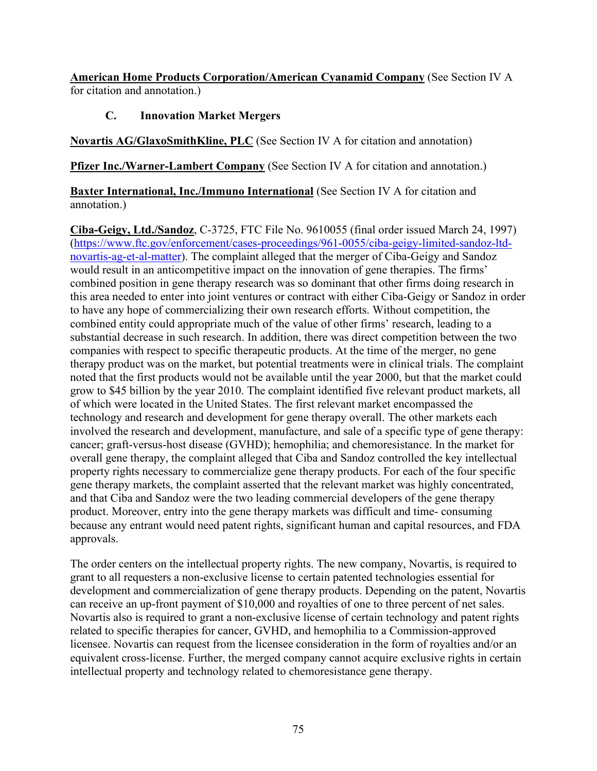**American Home Products Corporation/American Cyanamid Company** (See Section IV A for citation and annotation.)

### **C. Innovation Market Mergers**

**Novartis AG/GlaxoSmithKline, PLC** (See Section IV A for citation and annotation)

**Pfizer Inc./Warner-Lambert Company** (See Section IV A for citation and annotation.)

**Baxter International, Inc./Immuno International** (See Section IV A for citation and annotation.)

**Ciba-Geigy, Ltd./Sandoz**, C-3725, FTC File No. 9610055 (final order issued March 24, 1997) [\(https://www.ftc.gov/enforcement/cases-proceedings/961-0055/ciba-geigy-limited-sandoz-ltd](https://www.ftc.gov/enforcement/cases-proceedings/961-0055/ciba-geigy-limited-sandoz-ltd-novartis-ag-et-al-matter)[novartis-ag-et-al-matter\)](https://www.ftc.gov/enforcement/cases-proceedings/961-0055/ciba-geigy-limited-sandoz-ltd-novartis-ag-et-al-matter). The complaint alleged that the merger of Ciba-Geigy and Sandoz would result in an anticompetitive impact on the innovation of gene therapies. The firms' combined position in gene therapy research was so dominant that other firms doing research in this area needed to enter into joint ventures or contract with either Ciba-Geigy or Sandoz in order to have any hope of commercializing their own research efforts. Without competition, the combined entity could appropriate much of the value of other firms' research, leading to a substantial decrease in such research. In addition, there was direct competition between the two companies with respect to specific therapeutic products. At the time of the merger, no gene therapy product was on the market, but potential treatments were in clinical trials. The complaint noted that the first products would not be available until the year 2000, but that the market could grow to \$45 billion by the year 2010. The complaint identified five relevant product markets, all of which were located in the United States. The first relevant market encompassed the technology and research and development for gene therapy overall. The other markets each involved the research and development, manufacture, and sale of a specific type of gene therapy: cancer; graft-versus-host disease (GVHD); hemophilia; and chemoresistance. In the market for overall gene therapy, the complaint alleged that Ciba and Sandoz controlled the key intellectual property rights necessary to commercialize gene therapy products. For each of the four specific gene therapy markets, the complaint asserted that the relevant market was highly concentrated, and that Ciba and Sandoz were the two leading commercial developers of the gene therapy product. Moreover, entry into the gene therapy markets was difficult and time- consuming because any entrant would need patent rights, significant human and capital resources, and FDA approvals.

The order centers on the intellectual property rights. The new company, Novartis, is required to grant to all requesters a non-exclusive license to certain patented technologies essential for development and commercialization of gene therapy products. Depending on the patent, Novartis can receive an up-front payment of \$10,000 and royalties of one to three percent of net sales. Novartis also is required to grant a non-exclusive license of certain technology and patent rights related to specific therapies for cancer, GVHD, and hemophilia to a Commission-approved licensee. Novartis can request from the licensee consideration in the form of royalties and/or an equivalent cross-license. Further, the merged company cannot acquire exclusive rights in certain intellectual property and technology related to chemoresistance gene therapy.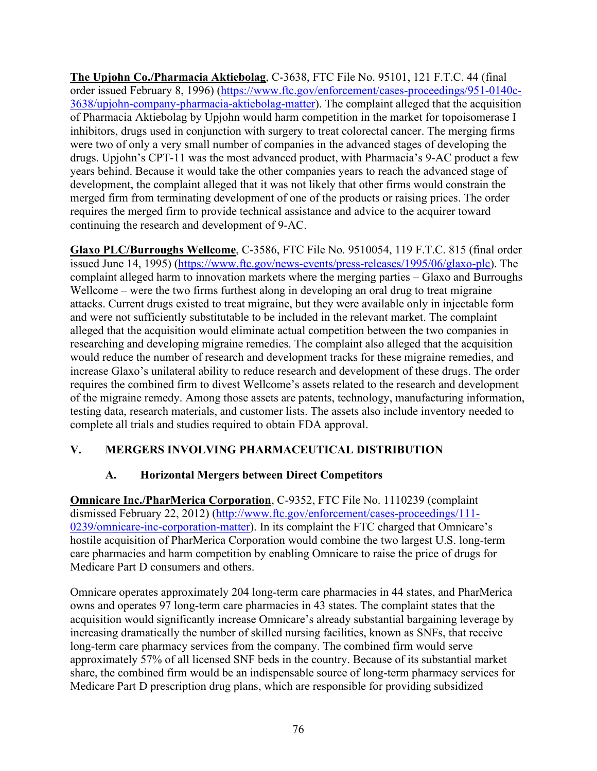**The Upjohn Co./Pharmacia Aktiebolag**, C-3638, FTC File No. 95101, 121 F.T.C. 44 (final order issued February 8, 1996) [\(https://www.ftc.gov/enforcement/cases-proceedings/951-0140c-](https://www.ftc.gov/enforcement/cases-proceedings/951-0140c-3638/upjohn-company-pharmacia-aktiebolag-matter)[3638/upjohn-company-pharmacia-aktiebolag-matter\)](https://www.ftc.gov/enforcement/cases-proceedings/951-0140c-3638/upjohn-company-pharmacia-aktiebolag-matter). The complaint alleged that the acquisition of Pharmacia Aktiebolag by Upjohn would harm competition in the market for topoisomerase I inhibitors, drugs used in conjunction with surgery to treat colorectal cancer. The merging firms were two of only a very small number of companies in the advanced stages of developing the drugs. Upjohn's CPT-11 was the most advanced product, with Pharmacia's 9-AC product a few years behind. Because it would take the other companies years to reach the advanced stage of development, the complaint alleged that it was not likely that other firms would constrain the merged firm from terminating development of one of the products or raising prices. The order requires the merged firm to provide technical assistance and advice to the acquirer toward continuing the research and development of 9-AC.

**Glaxo PLC/Burroughs Wellcome**, C-3586, FTC File No. 9510054, 119 F.T.C. 815 (final order issued June 14, 1995) [\(https://www.ftc.gov/news-events/press-releases/1995/06/glaxo-plc\)](https://www.ftc.gov/news-events/press-releases/1995/06/glaxo-plc). The complaint alleged harm to innovation markets where the merging parties – Glaxo and Burroughs Wellcome – were the two firms furthest along in developing an oral drug to treat migraine attacks. Current drugs existed to treat migraine, but they were available only in injectable form and were not sufficiently substitutable to be included in the relevant market. The complaint alleged that the acquisition would eliminate actual competition between the two companies in researching and developing migraine remedies. The complaint also alleged that the acquisition would reduce the number of research and development tracks for these migraine remedies, and increase Glaxo's unilateral ability to reduce research and development of these drugs. The order requires the combined firm to divest Wellcome's assets related to the research and development of the migraine remedy. Among those assets are patents, technology, manufacturing information, testing data, research materials, and customer lists. The assets also include inventory needed to complete all trials and studies required to obtain FDA approval.

## **V. MERGERS INVOLVING PHARMACEUTICAL DISTRIBUTION**

### **A. Horizontal Mergers between Direct Competitors**

**Omnicare Inc./PharMerica Corporation**, C-9352, FTC File No. 1110239 (complaint dismissed February 22, 2012) [\(http://www.ftc.gov/enforcement/cases-proceedings/111-](http://www.ftc.gov/enforcement/cases-proceedings/111-0239/omnicare-inc-corporation-matter) [0239/omnicare-inc-corporation-matter\)](http://www.ftc.gov/enforcement/cases-proceedings/111-0239/omnicare-inc-corporation-matter). In its complaint the FTC charged that Omnicare's hostile acquisition of PharMerica Corporation would combine the two largest U.S. long-term care pharmacies and harm competition by enabling Omnicare to raise the price of drugs for Medicare Part D consumers and others.

Omnicare operates approximately 204 long-term care pharmacies in 44 states, and PharMerica owns and operates 97 long-term care pharmacies in 43 states. The complaint states that the acquisition would significantly increase Omnicare's already substantial bargaining leverage by increasing dramatically the number of skilled nursing facilities, known as SNFs, that receive long-term care pharmacy services from the company. The combined firm would serve approximately 57% of all licensed SNF beds in the country. Because of its substantial market share, the combined firm would be an indispensable source of long-term pharmacy services for Medicare Part D prescription drug plans, which are responsible for providing subsidized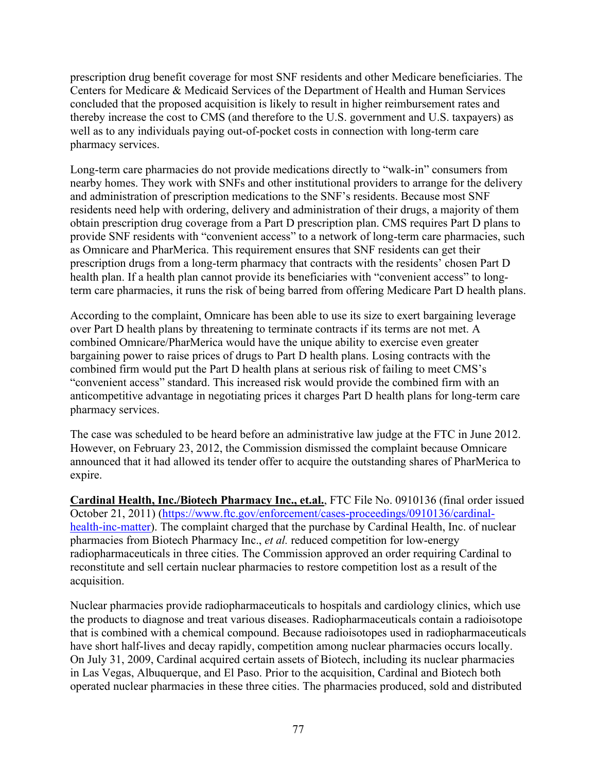prescription drug benefit coverage for most SNF residents and other Medicare beneficiaries. The Centers for Medicare & Medicaid Services of the Department of Health and Human Services concluded that the proposed acquisition is likely to result in higher reimbursement rates and thereby increase the cost to CMS (and therefore to the U.S. government and U.S. taxpayers) as well as to any individuals paying out-of-pocket costs in connection with long-term care pharmacy services.

Long-term care pharmacies do not provide medications directly to "walk-in" consumers from nearby homes. They work with SNFs and other institutional providers to arrange for the delivery and administration of prescription medications to the SNF's residents. Because most SNF residents need help with ordering, delivery and administration of their drugs, a majority of them obtain prescription drug coverage from a Part D prescription plan. CMS requires Part D plans to provide SNF residents with "convenient access" to a network of long-term care pharmacies, such as Omnicare and PharMerica. This requirement ensures that SNF residents can get their prescription drugs from a long-term pharmacy that contracts with the residents' chosen Part D health plan. If a health plan cannot provide its beneficiaries with "convenient access" to longterm care pharmacies, it runs the risk of being barred from offering Medicare Part D health plans.

According to the complaint, Omnicare has been able to use its size to exert bargaining leverage over Part D health plans by threatening to terminate contracts if its terms are not met. A combined Omnicare/PharMerica would have the unique ability to exercise even greater bargaining power to raise prices of drugs to Part D health plans. Losing contracts with the combined firm would put the Part D health plans at serious risk of failing to meet CMS's "convenient access" standard. This increased risk would provide the combined firm with an anticompetitive advantage in negotiating prices it charges Part D health plans for long-term care pharmacy services.

The case was scheduled to be heard before an administrative law judge at the FTC in June 2012. However, on February 23, 2012, the Commission dismissed the complaint because Omnicare announced that it had allowed its tender offer to acquire the outstanding shares of PharMerica to expire.

**Cardinal Health, Inc./Biotech Pharmacy Inc., et.al.**, FTC File No. 0910136 (final order issued October 21, 2011) [\(https://www.ftc.gov/enforcement/cases-proceedings/0910136/cardinal](https://www.ftc.gov/enforcement/cases-proceedings/0910136/cardinal-health-inc-matter)[health-inc-matter\)](https://www.ftc.gov/enforcement/cases-proceedings/0910136/cardinal-health-inc-matter). The complaint charged that the purchase by Cardinal Health, Inc. of nuclear pharmacies from Biotech Pharmacy Inc., *et al.* reduced competition for low-energy radiopharmaceuticals in three cities. The Commission approved an order requiring Cardinal to reconstitute and sell certain nuclear pharmacies to restore competition lost as a result of the acquisition.

Nuclear pharmacies provide radiopharmaceuticals to hospitals and cardiology clinics, which use the products to diagnose and treat various diseases. Radiopharmaceuticals contain a radioisotope that is combined with a chemical compound. Because radioisotopes used in radiopharmaceuticals have short half-lives and decay rapidly, competition among nuclear pharmacies occurs locally. On July 31, 2009, Cardinal acquired certain assets of Biotech, including its nuclear pharmacies in Las Vegas, Albuquerque, and El Paso. Prior to the acquisition, Cardinal and Biotech both operated nuclear pharmacies in these three cities. The pharmacies produced, sold and distributed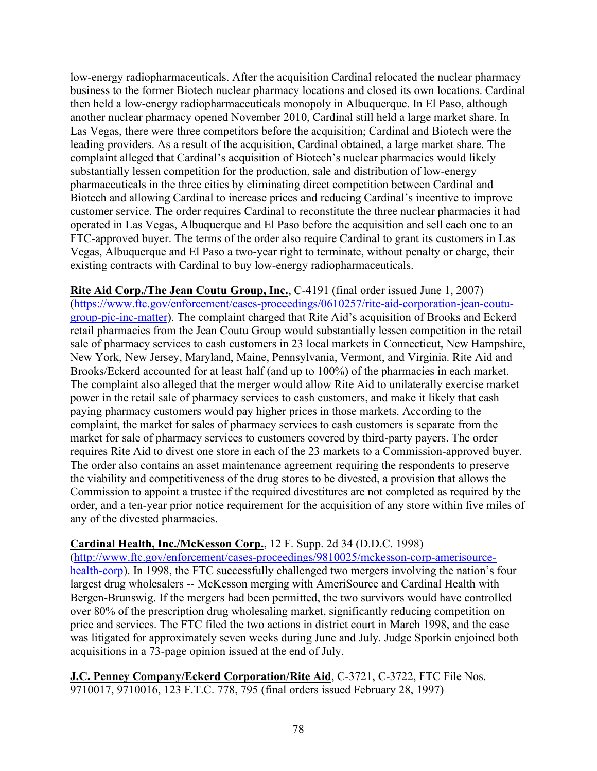low-energy radiopharmaceuticals. After the acquisition Cardinal relocated the nuclear pharmacy business to the former Biotech nuclear pharmacy locations and closed its own locations. Cardinal then held a low-energy radiopharmaceuticals monopoly in Albuquerque. In El Paso, although another nuclear pharmacy opened November 2010, Cardinal still held a large market share. In Las Vegas, there were three competitors before the acquisition; Cardinal and Biotech were the leading providers. As a result of the acquisition, Cardinal obtained, a large market share. The complaint alleged that Cardinal's acquisition of Biotech's nuclear pharmacies would likely substantially lessen competition for the production, sale and distribution of low-energy pharmaceuticals in the three cities by eliminating direct competition between Cardinal and Biotech and allowing Cardinal to increase prices and reducing Cardinal's incentive to improve customer service. The order requires Cardinal to reconstitute the three nuclear pharmacies it had operated in Las Vegas, Albuquerque and El Paso before the acquisition and sell each one to an FTC-approved buyer. The terms of the order also require Cardinal to grant its customers in Las Vegas, Albuquerque and El Paso a two-year right to terminate, without penalty or charge, their existing contracts with Cardinal to buy low-energy radiopharmaceuticals.

**Rite Aid Corp./The Jean Coutu Group, Inc.**, C-4191 (final order issued June 1, 2007) [\(https://www.ftc.gov/enforcement/cases-proceedings/0610257/rite-aid-corporation-jean-coutu](https://www.ftc.gov/enforcement/cases-proceedings/0610257/rite-aid-corporation-jean-coutu-group-pjc-inc-matter)[group-pjc-inc-matter\)](https://www.ftc.gov/enforcement/cases-proceedings/0610257/rite-aid-corporation-jean-coutu-group-pjc-inc-matter). The complaint charged that Rite Aid's acquisition of Brooks and Eckerd retail pharmacies from the Jean Coutu Group would substantially lessen competition in the retail sale of pharmacy services to cash customers in 23 local markets in Connecticut, New Hampshire, New York, New Jersey, Maryland, Maine, Pennsylvania, Vermont, and Virginia. Rite Aid and Brooks/Eckerd accounted for at least half (and up to 100%) of the pharmacies in each market. The complaint also alleged that the merger would allow Rite Aid to unilaterally exercise market power in the retail sale of pharmacy services to cash customers, and make it likely that cash paying pharmacy customers would pay higher prices in those markets. According to the complaint, the market for sales of pharmacy services to cash customers is separate from the market for sale of pharmacy services to customers covered by third-party payers. The order requires Rite Aid to divest one store in each of the 23 markets to a Commission-approved buyer. The order also contains an asset maintenance agreement requiring the respondents to preserve the viability and competitiveness of the drug stores to be divested, a provision that allows the Commission to appoint a trustee if the required divestitures are not completed as required by the order, and a ten-year prior notice requirement for the acquisition of any store within five miles of any of the divested pharmacies.

### **Cardinal Health, Inc./McKesson Corp.**, 12 F. Supp. 2d 34 (D.D.C. 1998)

[\(http://www.ftc.gov/enforcement/cases-proceedings/9810025/mckesson-corp-amerisource](http://www.ftc.gov/enforcement/cases-proceedings/9810025/mckesson-corp-amerisource-health-corp)[health-corp\)](http://www.ftc.gov/enforcement/cases-proceedings/9810025/mckesson-corp-amerisource-health-corp). In 1998, the FTC successfully challenged two mergers involving the nation's four largest drug wholesalers -- McKesson merging with AmeriSource and Cardinal Health with Bergen-Brunswig. If the mergers had been permitted, the two survivors would have controlled over 80% of the prescription drug wholesaling market, significantly reducing competition on price and services. The FTC filed the two actions in district court in March 1998, and the case was litigated for approximately seven weeks during June and July. Judge Sporkin enjoined both acquisitions in a 73-page opinion issued at the end of July.

**J.C. Penney Company/Eckerd Corporation/Rite Aid**, C-3721, C-3722, FTC File Nos. 9710017, 9710016, 123 F.T.C. 778, 795 (final orders issued February 28, 1997)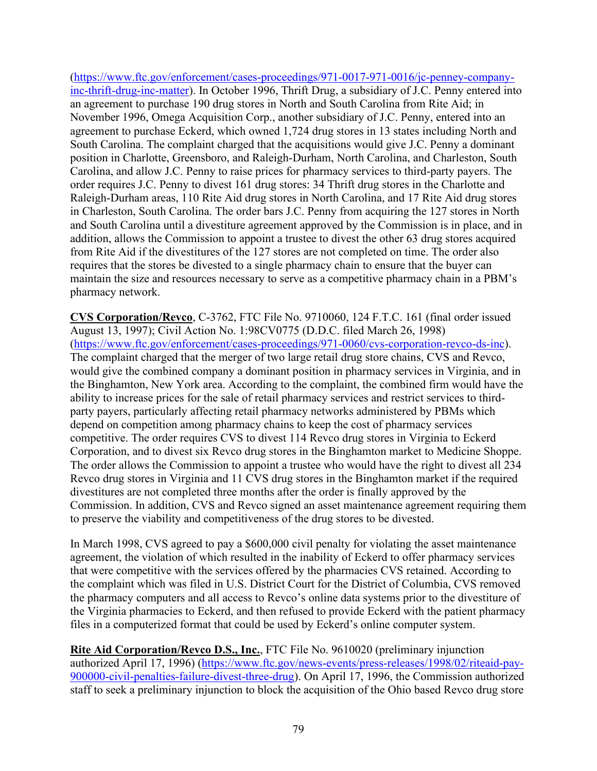[\(https://www.ftc.gov/enforcement/cases-proceedings/971-0017-971-0016/jc-penney-company](https://www.ftc.gov/enforcement/cases-proceedings/971-0017-971-0016/jc-penney-company-inc-thrift-drug-inc-matter)[inc-thrift-drug-inc-matter\)](https://www.ftc.gov/enforcement/cases-proceedings/971-0017-971-0016/jc-penney-company-inc-thrift-drug-inc-matter). In October 1996, Thrift Drug, a subsidiary of J.C. Penny entered into an agreement to purchase 190 drug stores in North and South Carolina from Rite Aid; in November 1996, Omega Acquisition Corp., another subsidiary of J.C. Penny, entered into an agreement to purchase Eckerd, which owned 1,724 drug stores in 13 states including North and South Carolina. The complaint charged that the acquisitions would give J.C. Penny a dominant position in Charlotte, Greensboro, and Raleigh-Durham, North Carolina, and Charleston, South Carolina, and allow J.C. Penny to raise prices for pharmacy services to third-party payers. The order requires J.C. Penny to divest 161 drug stores: 34 Thrift drug stores in the Charlotte and Raleigh-Durham areas, 110 Rite Aid drug stores in North Carolina, and 17 Rite Aid drug stores in Charleston, South Carolina. The order bars J.C. Penny from acquiring the 127 stores in North and South Carolina until a divestiture agreement approved by the Commission is in place, and in addition, allows the Commission to appoint a trustee to divest the other 63 drug stores acquired from Rite Aid if the divestitures of the 127 stores are not completed on time. The order also requires that the stores be divested to a single pharmacy chain to ensure that the buyer can maintain the size and resources necessary to serve as a competitive pharmacy chain in a PBM's pharmacy network.

**CVS Corporation/Revco**, C-3762, FTC File No. 9710060, 124 F.T.C. 161 (final order issued August 13, 1997); Civil Action No. 1:98CV0775 (D.D.C. filed March 26, 1998) [\(https://www.ftc.gov/enforcement/cases-proceedings/971-0060/cvs-corporation-revco-ds-inc\)](https://www.ftc.gov/enforcement/cases-proceedings/971-0060/cvs-corporation-revco-ds-inc). The complaint charged that the merger of two large retail drug store chains, CVS and Revco, would give the combined company a dominant position in pharmacy services in Virginia, and in the Binghamton, New York area. According to the complaint, the combined firm would have the ability to increase prices for the sale of retail pharmacy services and restrict services to thirdparty payers, particularly affecting retail pharmacy networks administered by PBMs which depend on competition among pharmacy chains to keep the cost of pharmacy services competitive. The order requires CVS to divest 114 Revco drug stores in Virginia to Eckerd Corporation, and to divest six Revco drug stores in the Binghamton market to Medicine Shoppe. The order allows the Commission to appoint a trustee who would have the right to divest all 234 Revco drug stores in Virginia and 11 CVS drug stores in the Binghamton market if the required divestitures are not completed three months after the order is finally approved by the Commission. In addition, CVS and Revco signed an asset maintenance agreement requiring them to preserve the viability and competitiveness of the drug stores to be divested.

In March 1998, CVS agreed to pay a \$600,000 civil penalty for violating the asset maintenance agreement, the violation of which resulted in the inability of Eckerd to offer pharmacy services that were competitive with the services offered by the pharmacies CVS retained. According to the complaint which was filed in U.S. District Court for the District of Columbia, CVS removed the pharmacy computers and all access to Revco's online data systems prior to the divestiture of the Virginia pharmacies to Eckerd, and then refused to provide Eckerd with the patient pharmacy files in a computerized format that could be used by Eckerd's online computer system.

**Rite Aid Corporation/Revco D.S., Inc.**, FTC File No. 9610020 (preliminary injunction authorized April 17, 1996) [\(https://www.ftc.gov/news-events/press-releases/1998/02/riteaid-pay-](https://www.ftc.gov/news-events/press-releases/1998/02/riteaid-pay-900000-civil-penalties-failure-divest-three-drug)[900000-civil-penalties-failure-divest-three-drug\)](https://www.ftc.gov/news-events/press-releases/1998/02/riteaid-pay-900000-civil-penalties-failure-divest-three-drug). On April 17, 1996, the Commission authorized staff to seek a preliminary injunction to block the acquisition of the Ohio based Revco drug store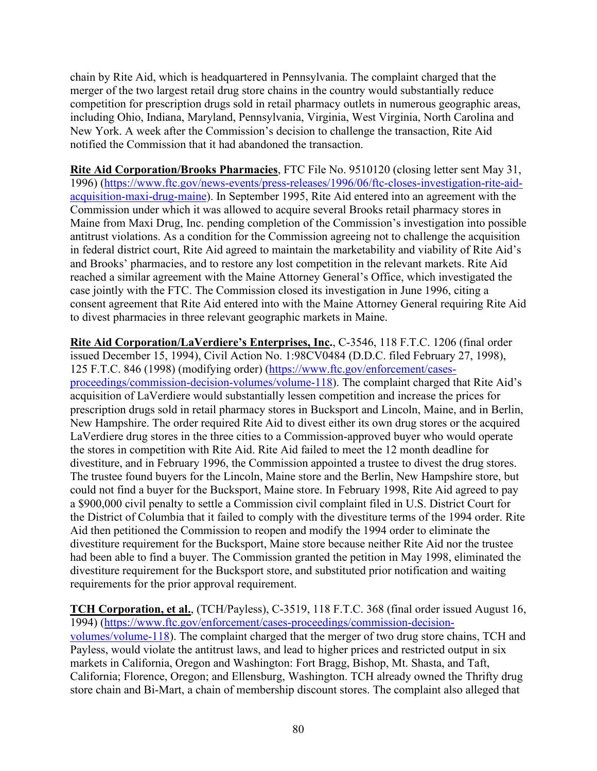chain by Rite Aid, which is headquartered in Pennsylvania. The complaint charged that the merger of the two largest retail drug store chains in the country would substantially reduce competition for prescription drugs sold in retail pharmacy outlets in numerous geographic areas, including Ohio, Indiana, Maryland, Pennsylvania, Virginia, West Virginia, North Carolina and New York. A week after the Commission's decision to challenge the transaction, Rite Aid notified the Commission that it had abandoned the transaction.

**Rite Aid Corporation/Brooks Pharmacies**, FTC File No. 9510120 (closing letter sent May 31, 1996) [\(https://www.ftc.gov/news-events/press-releases/1996/06/ftc-closes-investigation-rite-aid](https://www.ftc.gov/news-events/press-releases/1996/06/ftc-closes-investigation-rite-aid-acquisition-maxi-drug-maine)[acquisition-maxi-drug-maine\)](https://www.ftc.gov/news-events/press-releases/1996/06/ftc-closes-investigation-rite-aid-acquisition-maxi-drug-maine). In September 1995, Rite Aid entered into an agreement with the Commission under which it was allowed to acquire several Brooks retail pharmacy stores in Maine from Maxi Drug, Inc. pending completion of the Commission's investigation into possible antitrust violations. As a condition for the Commission agreeing not to challenge the acquisition in federal district court, Rite Aid agreed to maintain the marketability and viability of Rite Aid's and Brooks' pharmacies, and to restore any lost competition in the relevant markets. Rite Aid reached a similar agreement with the Maine Attorney General's Office, which investigated the case jointly with the FTC. The Commission closed its investigation in June 1996, citing a consent agreement that Rite Aid entered into with the Maine Attorney General requiring Rite Aid to divest pharmacies in three relevant geographic markets in Maine.

**Rite Aid Corporation/LaVerdiere's Enterprises, Inc.**, C-3546, 118 F.T.C. 1206 (final order issued December 15, 1994), Civil Action No. 1:98CV0484 (D.D.C. filed February 27, 1998), 125 F.T.C. 846 (1998) (modifying order) [\(https://www.ftc.gov/enforcement/cases](https://www.ftc.gov/enforcement/cases-proceedings/commission-decision-volumes/volume-118)[proceedings/commission-decision-volumes/volume-118\)](https://www.ftc.gov/enforcement/cases-proceedings/commission-decision-volumes/volume-118). The complaint charged that Rite Aid's acquisition of LaVerdiere would substantially lessen competition and increase the prices for prescription drugs sold in retail pharmacy stores in Bucksport and Lincoln, Maine, and in Berlin, New Hampshire. The order required Rite Aid to divest either its own drug stores or the acquired LaVerdiere drug stores in the three cities to a Commission-approved buyer who would operate the stores in competition with Rite Aid. Rite Aid failed to meet the 12 month deadline for divestiture, and in February 1996, the Commission appointed a trustee to divest the drug stores. The trustee found buyers for the Lincoln, Maine store and the Berlin, New Hampshire store, but could not find a buyer for the Bucksport, Maine store. In February 1998, Rite Aid agreed to pay a \$900,000 civil penalty to settle a Commission civil complaint filed in U.S. District Court for the District of Columbia that it failed to comply with the divestiture terms of the 1994 order. Rite Aid then petitioned the Commission to reopen and modify the 1994 order to eliminate the divestiture requirement for the Bucksport, Maine store because neither Rite Aid nor the trustee had been able to find a buyer. The Commission granted the petition in May 1998, eliminated the divestiture requirement for the Bucksport store, and substituted prior notification and waiting requirements for the prior approval requirement.

**TCH Corporation, et al.**, (TCH/Payless), C-3519, 118 F.T.C. 368 (final order issued August 16, 1994) [\(https://www.ftc.gov/enforcement/cases-proceedings/commission-decision](https://www.ftc.gov/enforcement/cases-proceedings/commission-decision-volumes/volume-118)[volumes/volume-118\)](https://www.ftc.gov/enforcement/cases-proceedings/commission-decision-volumes/volume-118). The complaint charged that the merger of two drug store chains, TCH and Payless, would violate the antitrust laws, and lead to higher prices and restricted output in six markets in California, Oregon and Washington: Fort Bragg, Bishop, Mt. Shasta, and Taft, California; Florence, Oregon; and Ellensburg, Washington. TCH already owned the Thrifty drug store chain and Bi-Mart, a chain of membership discount stores. The complaint also alleged that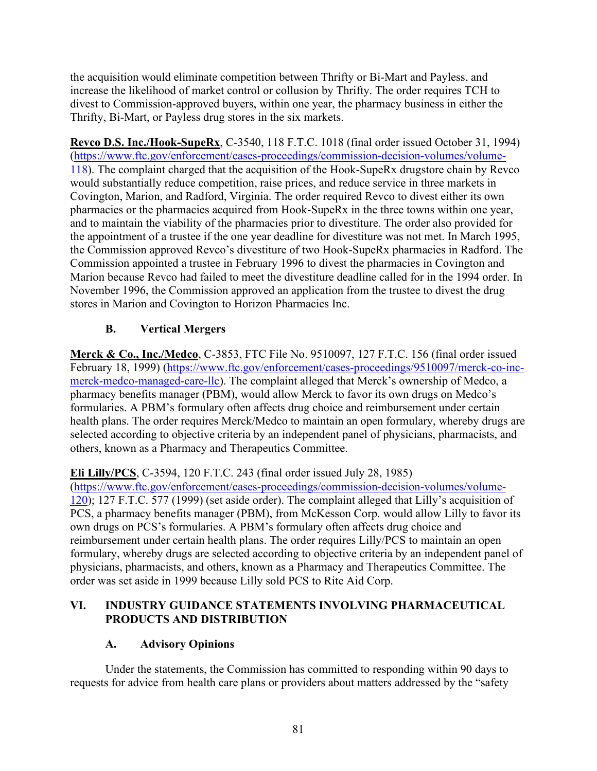the acquisition would eliminate competition between Thrifty or Bi-Mart and Payless, and increase the likelihood of market control or collusion by Thrifty. The order requires TCH to divest to Commission-approved buyers, within one year, the pharmacy business in either the Thrifty, Bi-Mart, or Payless drug stores in the six markets.

**Revco D.S. Inc./Hook-SupeRx**, C-3540, 118 F.T.C. 1018 (final order issued October 31, 1994) [\(https://www.ftc.gov/enforcement/cases-proceedings/commission-decision-volumes/volume-](https://www.ftc.gov/enforcement/cases-proceedings/commission-decision-volumes/volume-118)[118\)](https://www.ftc.gov/enforcement/cases-proceedings/commission-decision-volumes/volume-118). The complaint charged that the acquisition of the Hook-SupeRx drugstore chain by Revco would substantially reduce competition, raise prices, and reduce service in three markets in Covington, Marion, and Radford, Virginia. The order required Revco to divest either its own pharmacies or the pharmacies acquired from Hook-SupeRx in the three towns within one year, and to maintain the viability of the pharmacies prior to divestiture. The order also provided for the appointment of a trustee if the one year deadline for divestiture was not met. In March 1995, the Commission approved Revco's divestiture of two Hook-SupeRx pharmacies in Radford. The Commission appointed a trustee in February 1996 to divest the pharmacies in Covington and Marion because Revco had failed to meet the divestiture deadline called for in the 1994 order. In November 1996, the Commission approved an application from the trustee to divest the drug stores in Marion and Covington to Horizon Pharmacies Inc.

# **B. Vertical Mergers**

**Merck & Co., Inc./Medco**, C-3853, FTC File No. 9510097, 127 F.T.C. 156 (final order issued February 18, 1999) [\(https://www.ftc.gov/enforcement/cases-proceedings/9510097/merck-co-inc](https://www.ftc.gov/enforcement/cases-proceedings/9510097/merck-co-inc-merck-medco-managed-care-llc)[merck-medco-managed-care-llc\)](https://www.ftc.gov/enforcement/cases-proceedings/9510097/merck-co-inc-merck-medco-managed-care-llc). The complaint alleged that Merck's ownership of Medco, a pharmacy benefits manager (PBM), would allow Merck to favor its own drugs on Medco's formularies. A PBM's formulary often affects drug choice and reimbursement under certain health plans. The order requires Merck/Medco to maintain an open formulary, whereby drugs are selected according to objective criteria by an independent panel of physicians, pharmacists, and others, known as a Pharmacy and Therapeutics Committee.

## **Eli Lilly/PCS**, C-3594, 120 F.T.C. 243 (final order issued July 28, 1985)

[\(https://www.ftc.gov/enforcement/cases-proceedings/commission-decision-volumes/volume-](https://www.ftc.gov/enforcement/cases-proceedings/commission-decision-volumes/volume-120)[120\)](https://www.ftc.gov/enforcement/cases-proceedings/commission-decision-volumes/volume-120); 127 F.T.C. 577 (1999) (set aside order). The complaint alleged that Lilly's acquisition of PCS, a pharmacy benefits manager (PBM), from McKesson Corp. would allow Lilly to favor its own drugs on PCS's formularies. A PBM's formulary often affects drug choice and reimbursement under certain health plans. The order requires Lilly/PCS to maintain an open formulary, whereby drugs are selected according to objective criteria by an independent panel of physicians, pharmacists, and others, known as a Pharmacy and Therapeutics Committee. The order was set aside in 1999 because Lilly sold PCS to Rite Aid Corp.

## **VI. INDUSTRY GUIDANCE STATEMENTS INVOLVING PHARMACEUTICAL PRODUCTS AND DISTRIBUTION**

## **A. Advisory Opinions**

Under the statements, the Commission has committed to responding within 90 days to requests for advice from health care plans or providers about matters addressed by the "safety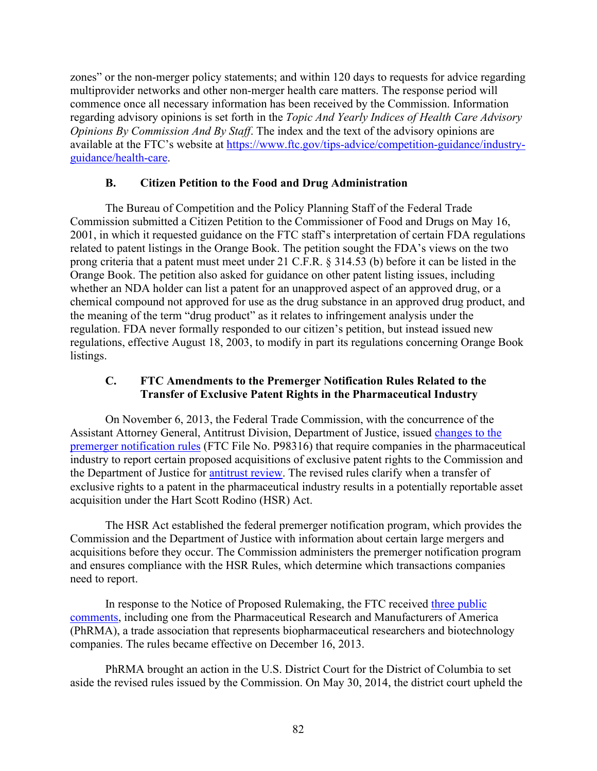zones" or the non-merger policy statements; and within 120 days to requests for advice regarding multiprovider networks and other non-merger health care matters. The response period will commence once all necessary information has been received by the Commission. Information regarding advisory opinions is set forth in the *Topic And Yearly Indices of Health Care Advisory Opinions By Commission And By Staff*. The index and the text of the advisory opinions are available at the FTC's website at [https://www.ftc.gov/tips-advice/competition-guidance/industry](https://www.ftc.gov/tips-advice/competition-guidance/industry-guidance/health-care)[guidance/health-care.](https://www.ftc.gov/tips-advice/competition-guidance/industry-guidance/health-care)

### **B. Citizen Petition to the Food and Drug Administration**

The Bureau of Competition and the Policy Planning Staff of the Federal Trade Commission submitted a Citizen Petition to the Commissioner of Food and Drugs on May 16, 2001, in which it requested guidance on the FTC staff's interpretation of certain FDA regulations related to patent listings in the Orange Book. The petition sought the FDA's views on the two prong criteria that a patent must meet under 21 C.F.R. § 314.53 (b) before it can be listed in the Orange Book. The petition also asked for guidance on other patent listing issues, including whether an NDA holder can list a patent for an unapproved aspect of an approved drug, or a chemical compound not approved for use as the drug substance in an approved drug product, and the meaning of the term "drug product" as it relates to infringement analysis under the regulation. FDA never formally responded to our citizen's petition, but instead issued new regulations, effective August 18, 2003, to modify in part its regulations concerning Orange Book listings.

### **C. FTC Amendments to the Premerger Notification Rules Related to the Transfer of Exclusive Patent Rights in the Pharmaceutical Industry**

On November 6, 2013, the Federal Trade Commission, with the concurrence of the Assistant Attorney General, Antitrust Division, Department of Justice, issued [changes to the](http://www.ftc.gov/sites/default/files/documents/federal_register_notices/2013/11/131115premergerfrn.pdf)  [premerger notification rules](http://www.ftc.gov/sites/default/files/documents/federal_register_notices/2013/11/131115premergerfrn.pdf) (FTC File No. P98316) that require companies in the pharmaceutical industry to report certain proposed acquisitions of exclusive patent rights to the Commission and the Department of Justice for [antitrust](http://www.ftc.gov/opa/reporter/competition/mergers.shtml) review. The revised rules clarify when a transfer of exclusive rights to a patent in the pharmaceutical industry results in a potentially reportable asset acquisition under the Hart Scott Rodino (HSR) Act.

The HSR Act established the federal premerger notification program, which provides the Commission and the Department of Justice with information about certain large mergers and acquisitions before they occur. The Commission administers the premerger notification program and ensures compliance with the HSR Rules, which determine which transactions companies need to report.

In response to the Notice of Proposed Rulemaking, the FTC received [three public](http://www.ftc.gov/os/comments/premergeriprights/index.shtm)  [comments,](http://www.ftc.gov/os/comments/premergeriprights/index.shtm) including one from the Pharmaceutical Research and Manufacturers of America (PhRMA), a trade association that represents biopharmaceutical researchers and biotechnology companies. The rules became effective on December 16, 2013.

PhRMA brought an action in the U.S. District Court for the District of Columbia to set aside the revised rules issued by the Commission. On May 30, 2014, the district court upheld the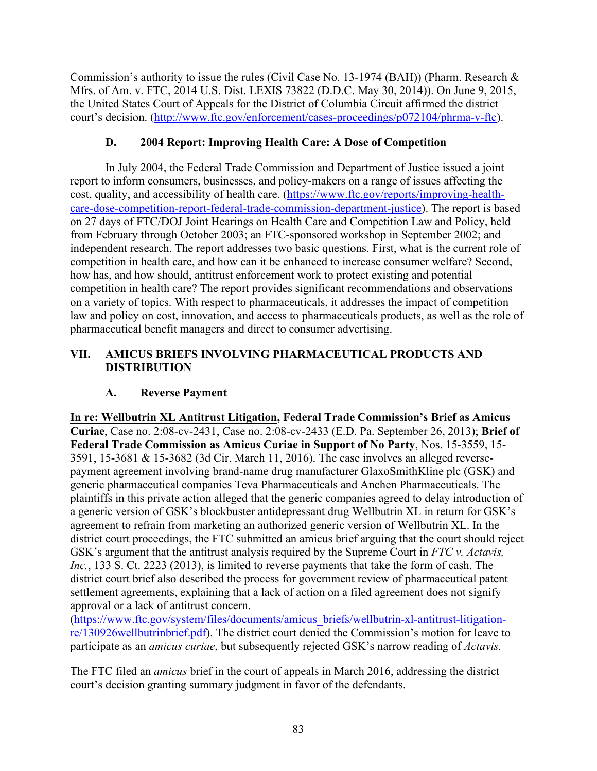Commission's authority to issue the rules (Civil Case No. 13-1974 (BAH)) (Pharm. Research & Mfrs. of Am. v. FTC, 2014 U.S. Dist. LEXIS 73822 (D.D.C. May 30, 2014)). On June 9, 2015, the United States Court of Appeals for the District of Columbia Circuit affirmed the district court's decision. [\(http://www.ftc.gov/enforcement/cases-proceedings/p072104/phrma-v-ftc\)](http://www.ftc.gov/enforcement/cases-proceedings/p072104/phrma-v-ftc).

### **D. 2004 Report: Improving Health Care: A Dose of Competition**

In July 2004, the Federal Trade Commission and Department of Justice issued a joint report to inform consumers, businesses, and policy-makers on a range of issues affecting the cost, quality, and accessibility of health care. [\(https://www.ftc.gov/reports/improving-health](https://www.ftc.gov/reports/improving-health-care-dose-competition-report-federal-trade-commission-department-justice)[care-dose-competition-report-federal-trade-commission-department-justice\)](https://www.ftc.gov/reports/improving-health-care-dose-competition-report-federal-trade-commission-department-justice). The report is based on 27 days of FTC/DOJ Joint Hearings on Health Care and Competition Law and Policy, held from February through October 2003; an FTC-sponsored workshop in September 2002; and independent research. The report addresses two basic questions. First, what is the current role of competition in health care, and how can it be enhanced to increase consumer welfare? Second, how has, and how should, antitrust enforcement work to protect existing and potential competition in health care? The report provides significant recommendations and observations on a variety of topics. With respect to pharmaceuticals, it addresses the impact of competition law and policy on cost, innovation, and access to pharmaceuticals products, as well as the role of pharmaceutical benefit managers and direct to consumer advertising.

### **VII. AMICUS BRIEFS INVOLVING PHARMACEUTICAL PRODUCTS AND DISTRIBUTION**

## **A. Reverse Payment**

**In re: Wellbutrin XL Antitrust Litigation, Federal Trade Commission's Brief as Amicus Curiae**, Case no. 2:08-cv-2431, Case no. 2:08-cv-2433 (E.D. Pa. September 26, 2013); **Brief of Federal Trade Commission as Amicus Curiae in Support of No Party**, Nos. 15-3559, 15- 3591, 15-3681 & 15-3682 (3d Cir. March 11, 2016). The case involves an alleged reversepayment agreement involving brand-name drug manufacturer GlaxoSmithKline plc (GSK) and generic pharmaceutical companies Teva Pharmaceuticals and Anchen Pharmaceuticals. The plaintiffs in this private action alleged that the generic companies agreed to delay introduction of a generic version of GSK's blockbuster antidepressant drug Wellbutrin XL in return for GSK's agreement to refrain from marketing an authorized generic version of Wellbutrin XL. In the district court proceedings, the FTC submitted an amicus brief arguing that the court should reject GSK's argument that the antitrust analysis required by the Supreme Court in *FTC v. Actavis, Inc.*, 133 S. Ct. 2223 (2013), is limited to reverse payments that take the form of cash. The district court brief also described the process for government review of pharmaceutical patent settlement agreements, explaining that a lack of action on a filed agreement does not signify approval or a lack of antitrust concern.

[\(https://www.ftc.gov/system/files/documents/amicus\\_briefs/wellbutrin-xl-antitrust-litigation](https://www.ftc.gov/system/files/documents/amicus_briefs/wellbutrin-xl-antitrust-litigation-re/130926wellbutrinbrief.pdf)[re/130926wellbutrinbrief.pdf\)](https://www.ftc.gov/system/files/documents/amicus_briefs/wellbutrin-xl-antitrust-litigation-re/130926wellbutrinbrief.pdf). The district court denied the Commission's motion for leave to participate as an *amicus curiae*, but subsequently rejected GSK's narrow reading of *Actavis.*

The FTC filed an *amicus* brief in the court of appeals in March 2016, addressing the district court's decision granting summary judgment in favor of the defendants.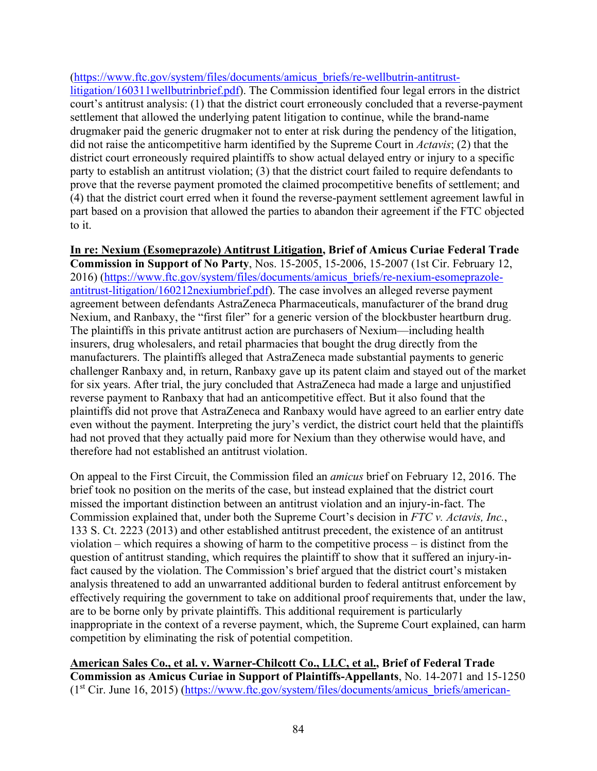#### [\(https://www.ftc.gov/system/files/documents/amicus\\_briefs/re-wellbutrin-antitrust-](https://www.ftc.gov/system/files/documents/amicus_briefs/re-wellbutrin-antitrust-litigation/160311wellbutrinbrief.pdf)

[litigation/160311wellbutrinbrief.pdf\)](https://www.ftc.gov/system/files/documents/amicus_briefs/re-wellbutrin-antitrust-litigation/160311wellbutrinbrief.pdf). The Commission identified four legal errors in the district court's antitrust analysis: (1) that the district court erroneously concluded that a reverse-payment settlement that allowed the underlying patent litigation to continue, while the brand-name drugmaker paid the generic drugmaker not to enter at risk during the pendency of the litigation, did not raise the anticompetitive harm identified by the Supreme Court in *Actavis*; (2) that the district court erroneously required plaintiffs to show actual delayed entry or injury to a specific party to establish an antitrust violation; (3) that the district court failed to require defendants to prove that the reverse payment promoted the claimed procompetitive benefits of settlement; and (4) that the district court erred when it found the reverse-payment settlement agreement lawful in part based on a provision that allowed the parties to abandon their agreement if the FTC objected to it.

**In re: Nexium (Esomeprazole) Antitrust Litigation, Brief of Amicus Curiae Federal Trade Commission in Support of No Party**, Nos. 15-2005, 15-2006, 15-2007 (1st Cir. February 12, 2016) [\(https://www.ftc.gov/system/files/documents/amicus\\_briefs/re-nexium-esomeprazole](https://www.ftc.gov/system/files/documents/amicus_briefs/re-nexium-esomeprazole-antitrust-litigation/160212nexiumbrief.pdf)[antitrust-litigation/160212nexiumbrief.pdf\)](https://www.ftc.gov/system/files/documents/amicus_briefs/re-nexium-esomeprazole-antitrust-litigation/160212nexiumbrief.pdf). The case involves an alleged reverse payment agreement between defendants AstraZeneca Pharmaceuticals, manufacturer of the brand drug Nexium, and Ranbaxy, the "first filer" for a generic version of the blockbuster heartburn drug. The plaintiffs in this private antitrust action are purchasers of Nexium—including health insurers, drug wholesalers, and retail pharmacies that bought the drug directly from the manufacturers. The plaintiffs alleged that AstraZeneca made substantial payments to generic challenger Ranbaxy and, in return, Ranbaxy gave up its patent claim and stayed out of the market for six years. After trial, the jury concluded that AstraZeneca had made a large and unjustified reverse payment to Ranbaxy that had an anticompetitive effect. But it also found that the plaintiffs did not prove that AstraZeneca and Ranbaxy would have agreed to an earlier entry date even without the payment. Interpreting the jury's verdict, the district court held that the plaintiffs had not proved that they actually paid more for Nexium than they otherwise would have, and therefore had not established an antitrust violation.

On appeal to the First Circuit, the Commission filed an *amicus* brief on February 12, 2016. The brief took no position on the merits of the case, but instead explained that the district court missed the important distinction between an antitrust violation and an injury-in-fact. The Commission explained that, under both the Supreme Court's decision in *FTC v. Actavis, Inc.*, 133 S. Ct. 2223 (2013) and other established antitrust precedent, the existence of an antitrust violation – which requires a showing of harm to the competitive process – is distinct from the question of antitrust standing, which requires the plaintiff to show that it suffered an injury-infact caused by the violation. The Commission's brief argued that the district court's mistaken analysis threatened to add an unwarranted additional burden to federal antitrust enforcement by effectively requiring the government to take on additional proof requirements that, under the law, are to be borne only by private plaintiffs. This additional requirement is particularly inappropriate in the context of a reverse payment, which, the Supreme Court explained, can harm competition by eliminating the risk of potential competition.

**American Sales Co., et al. v. Warner-Chilcott Co., LLC, et al., Brief of Federal Trade Commission as Amicus Curiae in Support of Plaintiffs-Appellants**, No. 14-2071 and 15-1250 (1<sup>st</sup> Cir. June 16, 2015) [\(https://www.ftc.gov/system/files/documents/amicus\\_briefs/american-](https://www.ftc.gov/system/files/documents/amicus_briefs/american-sales-co.et-al.plaintiffs-appellants-v.warner-chilcott-co.llc-et-al.defendants-appellees/1506warner-chilcottamicusbrief.pdf)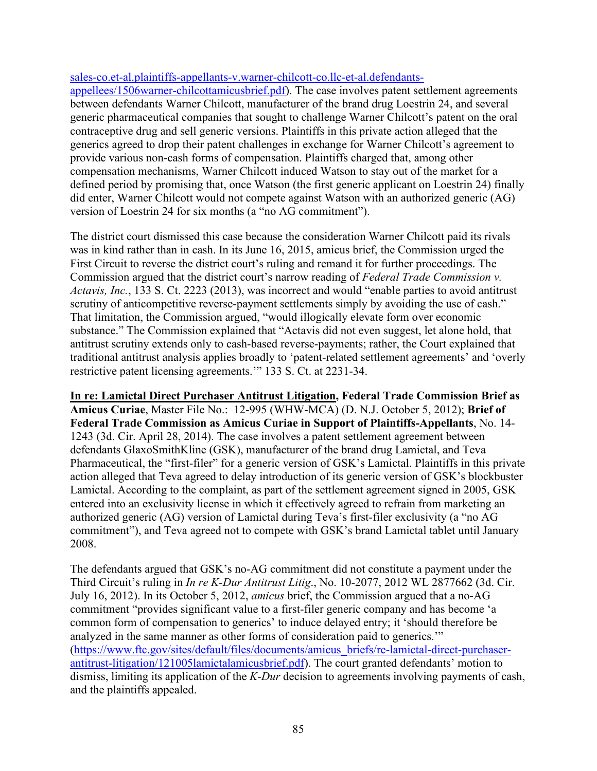#### [sales-co.et-al.plaintiffs-appellants-v.warner-chilcott-co.llc-et-al.defendants-](https://www.ftc.gov/system/files/documents/amicus_briefs/american-sales-co.et-al.plaintiffs-appellants-v.warner-chilcott-co.llc-et-al.defendants-appellees/1506warner-chilcottamicusbrief.pdf)

[appellees/1506warner-chilcottamicusbrief.pdf\)](https://www.ftc.gov/system/files/documents/amicus_briefs/american-sales-co.et-al.plaintiffs-appellants-v.warner-chilcott-co.llc-et-al.defendants-appellees/1506warner-chilcottamicusbrief.pdf). The case involves patent settlement agreements between defendants Warner Chilcott, manufacturer of the brand drug Loestrin 24, and several generic pharmaceutical companies that sought to challenge Warner Chilcott's patent on the oral contraceptive drug and sell generic versions. Plaintiffs in this private action alleged that the generics agreed to drop their patent challenges in exchange for Warner Chilcott's agreement to provide various non-cash forms of compensation. Plaintiffs charged that, among other compensation mechanisms, Warner Chilcott induced Watson to stay out of the market for a defined period by promising that, once Watson (the first generic applicant on Loestrin 24) finally did enter, Warner Chilcott would not compete against Watson with an authorized generic (AG) version of Loestrin 24 for six months (a "no AG commitment").

The district court dismissed this case because the consideration Warner Chilcott paid its rivals was in kind rather than in cash. In its June 16, 2015, amicus brief, the Commission urged the First Circuit to reverse the district court's ruling and remand it for further proceedings. The Commission argued that the district court's narrow reading of *Federal Trade Commission v. Actavis, Inc.*, 133 S. Ct. 2223 (2013), was incorrect and would "enable parties to avoid antitrust scrutiny of anticompetitive reverse-payment settlements simply by avoiding the use of cash." That limitation, the Commission argued, "would illogically elevate form over economic substance." The Commission explained that "Actavis did not even suggest, let alone hold, that antitrust scrutiny extends only to cash-based reverse-payments; rather, the Court explained that traditional antitrust analysis applies broadly to 'patent-related settlement agreements' and 'overly restrictive patent licensing agreements.'" 133 S. Ct. at 2231-34.

**In re: Lamictal Direct Purchaser Antitrust Litigation, Federal Trade Commission Brief as Amicus Curiae**, Master File No.: 12-995 (WHW-MCA) (D. N.J. October 5, 2012); **Brief of Federal Trade Commission as Amicus Curiae in Support of Plaintiffs-Appellants**, No. 14- 1243 (3d. Cir. April 28, 2014). The case involves a patent settlement agreement between defendants GlaxoSmithKline (GSK), manufacturer of the brand drug Lamictal, and Teva Pharmaceutical, the "first-filer" for a generic version of GSK's Lamictal. Plaintiffs in this private action alleged that Teva agreed to delay introduction of its generic version of GSK's blockbuster Lamictal. According to the complaint, as part of the settlement agreement signed in 2005, GSK entered into an exclusivity license in which it effectively agreed to refrain from marketing an authorized generic (AG) version of Lamictal during Teva's first-filer exclusivity (a "no AG commitment"), and Teva agreed not to compete with GSK's brand Lamictal tablet until January 2008.

The defendants argued that GSK's no-AG commitment did not constitute a payment under the Third Circuit's ruling in *In re K-Dur Antitrust Litig*., No. 10-2077, 2012 WL 2877662 (3d. Cir. July 16, 2012). In its October 5, 2012, *amicus* brief, the Commission argued that a no-AG commitment "provides significant value to a first-filer generic company and has become 'a common form of compensation to generics' to induce delayed entry; it 'should therefore be analyzed in the same manner as other forms of consideration paid to generics.'" [\(https://www.ftc.gov/sites/default/files/documents/amicus\\_briefs/re-lamictal-direct-purchaser](https://www.ftc.gov/sites/default/files/documents/amicus_briefs/re-lamictal-direct-purchaser-antitrust-litigation/121005lamictalamicusbrief.pdf)[antitrust-litigation/121005lamictalamicusbrief.pdf\)](https://www.ftc.gov/sites/default/files/documents/amicus_briefs/re-lamictal-direct-purchaser-antitrust-litigation/121005lamictalamicusbrief.pdf). The court granted defendants' motion to dismiss, limiting its application of the *K-Dur* decision to agreements involving payments of cash, and the plaintiffs appealed.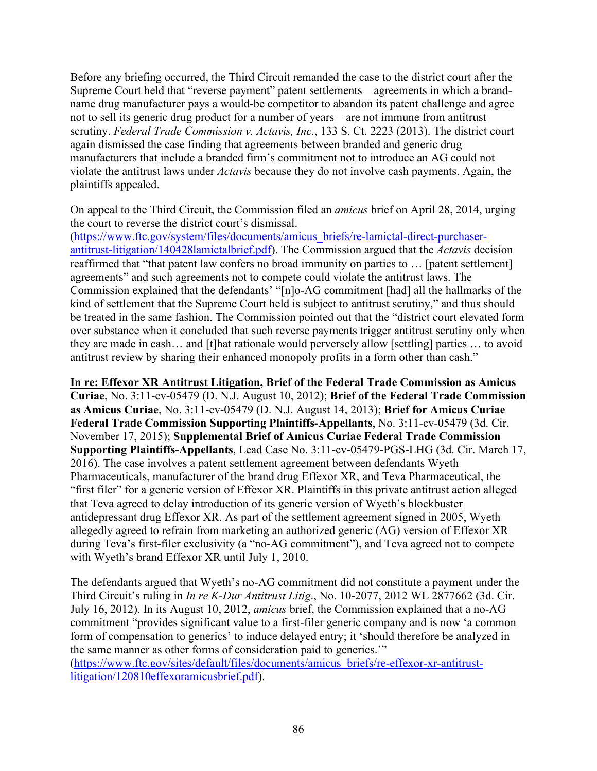Before any briefing occurred, the Third Circuit remanded the case to the district court after the Supreme Court held that "reverse payment" patent settlements – agreements in which a brandname drug manufacturer pays a would-be competitor to abandon its patent challenge and agree not to sell its generic drug product for a number of years – are not immune from antitrust scrutiny. *Federal Trade Commission v. Actavis, Inc.*, 133 S. Ct. 2223 (2013). The district court again dismissed the case finding that agreements between branded and generic drug manufacturers that include a branded firm's commitment not to introduce an AG could not violate the antitrust laws under *Actavis* because they do not involve cash payments. Again, the plaintiffs appealed.

On appeal to the Third Circuit, the Commission filed an *amicus* brief on April 28, 2014, urging the court to reverse the district court's dismissal.

[\(https://www.ftc.gov/system/files/documents/amicus\\_briefs/re-lamictal-direct-purchaser](https://www.ftc.gov/system/files/documents/amicus_briefs/re-lamictal-direct-purchaser-antitrust-litigation/140428lamictalbrief.pdf)[antitrust-litigation/140428lamictalbrief.pdf\)](https://www.ftc.gov/system/files/documents/amicus_briefs/re-lamictal-direct-purchaser-antitrust-litigation/140428lamictalbrief.pdf). The Commission argued that the *Actavis* decision reaffirmed that "that patent law confers no broad immunity on parties to … [patent settlement] agreements" and such agreements not to compete could violate the antitrust laws. The Commission explained that the defendants' "[n]o-AG commitment [had] all the hallmarks of the kind of settlement that the Supreme Court held is subject to antitrust scrutiny," and thus should be treated in the same fashion. The Commission pointed out that the "district court elevated form over substance when it concluded that such reverse payments trigger antitrust scrutiny only when they are made in cash… and [t]hat rationale would perversely allow [settling] parties … to avoid antitrust review by sharing their enhanced monopoly profits in a form other than cash."

**In re: Effexor XR Antitrust Litigation, Brief of the Federal Trade Commission as Amicus Curiae**, No. 3:11-cv-05479 (D. N.J. August 10, 2012); **Brief of the Federal Trade Commission as Amicus Curiae**, No. 3:11-cv-05479 (D. N.J. August 14, 2013); **Brief for Amicus Curiae Federal Trade Commission Supporting Plaintiffs-Appellants**, No. 3:11-cv-05479 (3d. Cir. November 17, 2015); **Supplemental Brief of Amicus Curiae Federal Trade Commission Supporting Plaintiffs-Appellants**, Lead Case No. 3:11-cv-05479-PGS-LHG (3d. Cir. March 17, 2016). The case involves a patent settlement agreement between defendants Wyeth Pharmaceuticals, manufacturer of the brand drug Effexor XR, and Teva Pharmaceutical, the "first filer" for a generic version of Effexor XR. Plaintiffs in this private antitrust action alleged that Teva agreed to delay introduction of its generic version of Wyeth's blockbuster antidepressant drug Effexor XR. As part of the settlement agreement signed in 2005, Wyeth allegedly agreed to refrain from marketing an authorized generic (AG) version of Effexor XR during Teva's first-filer exclusivity (a "no-AG commitment"), and Teva agreed not to compete with Wyeth's brand Effexor XR until July 1, 2010.

The defendants argued that Wyeth's no-AG commitment did not constitute a payment under the Third Circuit's ruling in *In re K-Dur Antitrust Litig*., No. 10-2077, 2012 WL 2877662 (3d. Cir. July 16, 2012). In its August 10, 2012, *amicus* brief, the Commission explained that a no-AG commitment "provides significant value to a first-filer generic company and is now 'a common form of compensation to generics' to induce delayed entry; it 'should therefore be analyzed in the same manner as other forms of consideration paid to generics.'"

[\(https://www.ftc.gov/sites/default/files/documents/amicus\\_briefs/re-effexor-xr-antitrust](https://www.ftc.gov/sites/default/files/documents/amicus_briefs/re-effexor-xr-antitrust-litigation/120810effexoramicusbrief.pdf)[litigation/120810effexoramicusbrief.pdf\)](https://www.ftc.gov/sites/default/files/documents/amicus_briefs/re-effexor-xr-antitrust-litigation/120810effexoramicusbrief.pdf).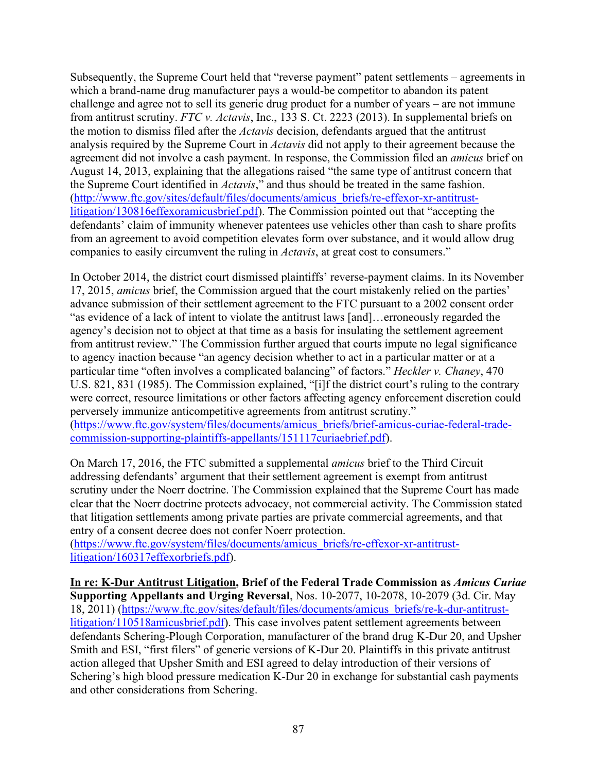Subsequently, the Supreme Court held that "reverse payment" patent settlements – agreements in which a brand-name drug manufacturer pays a would-be competitor to abandon its patent challenge and agree not to sell its generic drug product for a number of years – are not immune from antitrust scrutiny. *FTC v. Actavis*, Inc., 133 S. Ct. 2223 (2013). In supplemental briefs on the motion to dismiss filed after the *Actavis* decision, defendants argued that the antitrust analysis required by the Supreme Court in *Actavis* did not apply to their agreement because the agreement did not involve a cash payment. In response, the Commission filed an *amicus* brief on August 14, 2013, explaining that the allegations raised "the same type of antitrust concern that the Supreme Court identified in *Actavis*," and thus should be treated in the same fashion. [\(http://www.ftc.gov/sites/default/files/documents/amicus\\_briefs/re-effexor-xr-antitrust](http://www.ftc.gov/sites/default/files/documents/amicus_briefs/re-effexor-xr-antitrust-litigation/130816effexoramicusbrief.pdf)[litigation/130816effexoramicusbrief.pdf\)](http://www.ftc.gov/sites/default/files/documents/amicus_briefs/re-effexor-xr-antitrust-litigation/130816effexoramicusbrief.pdf). The Commission pointed out that "accepting the defendants' claim of immunity whenever patentees use vehicles other than cash to share profits from an agreement to avoid competition elevates form over substance, and it would allow drug companies to easily circumvent the ruling in *Actavis*, at great cost to consumers."

In October 2014, the district court dismissed plaintiffs' reverse-payment claims. In its November 17, 2015, *amicus* brief, the Commission argued that the court mistakenly relied on the parties' advance submission of their settlement agreement to the FTC pursuant to a 2002 consent order "as evidence of a lack of intent to violate the antitrust laws [and]…erroneously regarded the agency's decision not to object at that time as a basis for insulating the settlement agreement from antitrust review." The Commission further argued that courts impute no legal significance to agency inaction because "an agency decision whether to act in a particular matter or at a particular time "often involves a complicated balancing" of factors." *Heckler v. Chaney*, 470 U.S. 821, 831 (1985). The Commission explained, "[i]f the district court's ruling to the contrary were correct, resource limitations or other factors affecting agency enforcement discretion could perversely immunize anticompetitive agreements from antitrust scrutiny."

[\(https://www.ftc.gov/system/files/documents/amicus\\_briefs/brief-amicus-curiae-federal-trade](https://www.ftc.gov/system/files/documents/amicus_briefs/brief-amicus-curiae-federal-trade-commission-supporting-plaintiffs-appellants/151117curiaebrief.pdf)[commission-supporting-plaintiffs-appellants/151117curiaebrief.pdf\)](https://www.ftc.gov/system/files/documents/amicus_briefs/brief-amicus-curiae-federal-trade-commission-supporting-plaintiffs-appellants/151117curiaebrief.pdf).

On March 17, 2016, the FTC submitted a supplemental *amicus* brief to the Third Circuit addressing defendants' argument that their settlement agreement is exempt from antitrust scrutiny under the Noerr doctrine. The Commission explained that the Supreme Court has made clear that the Noerr doctrine protects advocacy, not commercial activity. The Commission stated that litigation settlements among private parties are private commercial agreements, and that entry of a consent decree does not confer Noerr protection.

[\(https://www.ftc.gov/system/files/documents/amicus\\_briefs/re-effexor-xr-antitrust](https://www.ftc.gov/system/files/documents/amicus_briefs/re-effexor-xr-antitrust-litigation/160317effexorbriefs.pdf)[litigation/160317effexorbriefs.pdf\)](https://www.ftc.gov/system/files/documents/amicus_briefs/re-effexor-xr-antitrust-litigation/160317effexorbriefs.pdf).

**In re: K-Dur Antitrust Litigation, Brief of the Federal Trade Commission as** *Amicus Curiae* **Supporting Appellants and Urging Reversal**, Nos. 10-2077, 10-2078, 10-2079 (3d. Cir. May 18, 2011) [\(https://www.ftc.gov/sites/default/files/documents/amicus\\_briefs/re-k-dur-antitrust](https://www.ftc.gov/sites/default/files/documents/amicus_briefs/re-k-dur-antitrust-litigation/110518amicusbrief.pdf)[litigation/110518amicusbrief.pdf\)](https://www.ftc.gov/sites/default/files/documents/amicus_briefs/re-k-dur-antitrust-litigation/110518amicusbrief.pdf). This case involves patent settlement agreements between defendants Schering-Plough Corporation, manufacturer of the brand drug K-Dur 20, and Upsher Smith and ESI, "first filers" of generic versions of K-Dur 20. Plaintiffs in this private antitrust action alleged that Upsher Smith and ESI agreed to delay introduction of their versions of Schering's high blood pressure medication K-Dur 20 in exchange for substantial cash payments and other considerations from Schering.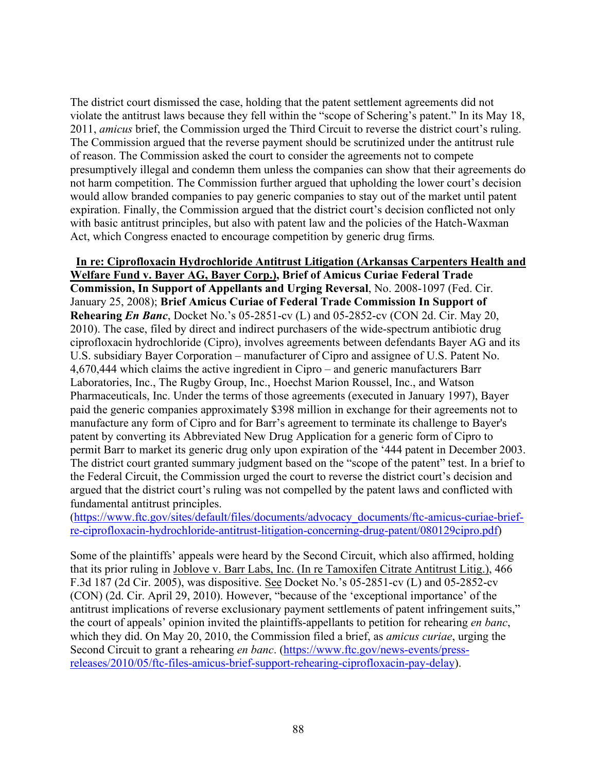The district court dismissed the case, holding that the patent settlement agreements did not violate the antitrust laws because they fell within the "scope of Schering's patent." In its May 18, 2011, *amicus* brief, the Commission urged the Third Circuit to reverse the district court's ruling. The Commission argued that the reverse payment should be scrutinized under the antitrust rule of reason. The Commission asked the court to consider the agreements not to compete presumptively illegal and condemn them unless the companies can show that their agreements do not harm competition. The Commission further argued that upholding the lower court's decision would allow branded companies to pay generic companies to stay out of the market until patent expiration. Finally, the Commission argued that the district court's decision conflicted not only with basic antitrust principles, but also with patent law and the policies of the Hatch-Waxman Act, which Congress enacted to encourage competition by generic drug firms*.*

### **In re: Ciprofloxacin Hydrochloride Antitrust Litigation (Arkansas Carpenters Health and Welfare Fund v. Bayer AG, Bayer Corp.), Brief of Amicus Curiae Federal Trade Commission, In Support of Appellants and Urging Reversal**, No. 2008-1097 (Fed. Cir. January 25, 2008); **Brief Amicus Curiae of Federal Trade Commission In Support of Rehearing** *En Banc*, Docket No.'s 05-2851-cv (L) and 05-2852-cv (CON 2d. Cir. May 20, 2010). The case, filed by direct and indirect purchasers of the wide-spectrum antibiotic drug ciprofloxacin hydrochloride (Cipro), involves agreements between defendants Bayer AG and its U.S. subsidiary Bayer Corporation – manufacturer of Cipro and assignee of U.S. Patent No. 4,670,444 which claims the active ingredient in Cipro – and generic manufacturers Barr Laboratories, Inc., The Rugby Group, Inc., Hoechst Marion Roussel, Inc., and Watson Pharmaceuticals, Inc. Under the terms of those agreements (executed in January 1997), Bayer paid the generic companies approximately \$398 million in exchange for their agreements not to manufacture any form of Cipro and for Barr's agreement to terminate its challenge to Bayer's patent by converting its Abbreviated New Drug Application for a generic form of Cipro to permit Barr to market its generic drug only upon expiration of the '444 patent in December 2003. The district court granted summary judgment based on the "scope of the patent" test. In a brief to the Federal Circuit, the Commission urged the court to reverse the district court's decision and argued that the district court's ruling was not compelled by the patent laws and conflicted with fundamental antitrust principles.

[\(https://www.ftc.gov/sites/default/files/documents/advocacy\\_documents/ftc-amicus-curiae-brief](https://www.ftc.gov/sites/default/files/documents/advocacy_documents/ftc-amicus-curiae-brief-re-ciprofloxacin-hydrochloride-antitrust-litigation-concerning-drug-patent/080129cipro.pdf)[re-ciprofloxacin-hydrochloride-antitrust-litigation-concerning-drug-patent/080129cipro.pdf\)](https://www.ftc.gov/sites/default/files/documents/advocacy_documents/ftc-amicus-curiae-brief-re-ciprofloxacin-hydrochloride-antitrust-litigation-concerning-drug-patent/080129cipro.pdf)

Some of the plaintiffs' appeals were heard by the Second Circuit, which also affirmed, holding that its prior ruling in Joblove v. Barr Labs, Inc. (In re Tamoxifen Citrate Antitrust Litig.), 466 F.3d 187 (2d Cir. 2005), was dispositive. See Docket No.'s 05-2851-cv (L) and 05-2852-cv (CON) (2d. Cir. April 29, 2010). However, "because of the 'exceptional importance' of the antitrust implications of reverse exclusionary payment settlements of patent infringement suits," the court of appeals' opinion invited the plaintiffs-appellants to petition for rehearing *en banc*, which they did. On May 20, 2010, the Commission filed a brief, as *amicus curiae*, urging the Second Circuit to grant a rehearing *en banc*. [\(https://www.ftc.gov/news-events/press](https://www.ftc.gov/news-events/press-releases/2010/05/ftc-files-amicus-brief-support-rehearing-ciprofloxacin-pay-delay)[releases/2010/05/ftc-files-amicus-brief-support-rehearing-ciprofloxacin-pay-delay\)](https://www.ftc.gov/news-events/press-releases/2010/05/ftc-files-amicus-brief-support-rehearing-ciprofloxacin-pay-delay).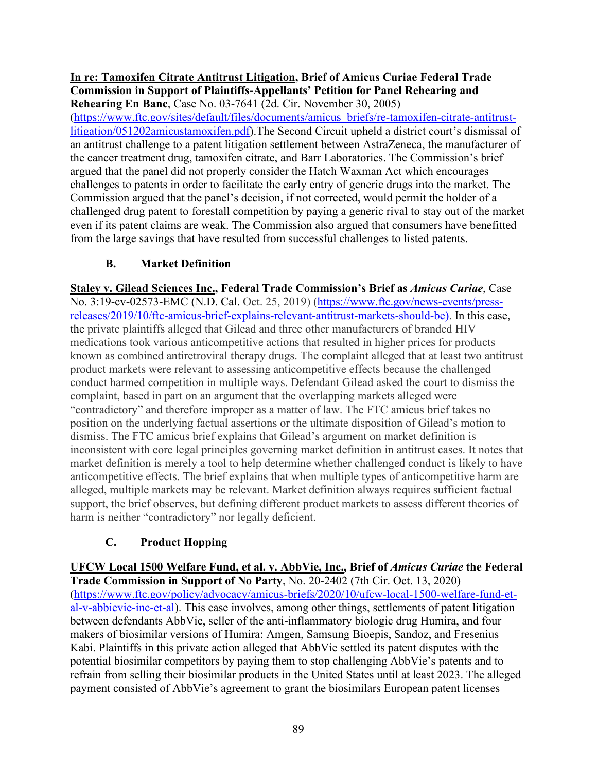#### **In re: Tamoxifen Citrate Antitrust Litigation, Brief of Amicus Curiae Federal Trade Commission in Support of Plaintiffs-Appellants' Petition for Panel Rehearing and Rehearing En Banc**, Case No. 03-7641 (2d. Cir. November 30, 2005)

[\(https://www.ftc.gov/sites/default/files/documents/amicus\\_briefs/re-tamoxifen-citrate-antitrust](https://www.ftc.gov/sites/default/files/documents/amicus_briefs/re-tamoxifen-citrate-antitrust-litigation/051202amicustamoxifen.pdf)[litigation/051202amicustamoxifen.pdf\)](https://www.ftc.gov/sites/default/files/documents/amicus_briefs/re-tamoxifen-citrate-antitrust-litigation/051202amicustamoxifen.pdf).The Second Circuit upheld a district court's dismissal of an antitrust challenge to a patent litigation settlement between AstraZeneca, the manufacturer of the cancer treatment drug, tamoxifen citrate, and Barr Laboratories. The Commission's brief argued that the panel did not properly consider the Hatch Waxman Act which encourages challenges to patents in order to facilitate the early entry of generic drugs into the market. The Commission argued that the panel's decision, if not corrected, would permit the holder of a challenged drug patent to forestall competition by paying a generic rival to stay out of the market even if its patent claims are weak. The Commission also argued that consumers have benefitted from the large savings that have resulted from successful challenges to listed patents.

# **B. Market Definition**

**Staley v. Gilead Sciences Inc., Federal Trade Commission's Brief as** *Amicus Curiae*, Case No. 3:19-cv-02573-EMC (N.D. Cal. Oct. 25, 2019) [\(https://www.ftc.gov/news-events/press](https://www.ftc.gov/news-events/press-releases/2019/10/ftc-amicus-brief-explains-relevant-antitrust-markets-should-be)[releases/2019/10/ftc-amicus-brief-explains-relevant-antitrust-markets-should-be\)](https://www.ftc.gov/news-events/press-releases/2019/10/ftc-amicus-brief-explains-relevant-antitrust-markets-should-be). In this case, the private plaintiffs alleged that Gilead and three other manufacturers of branded HIV medications took various anticompetitive actions that resulted in higher prices for products known as combined antiretroviral therapy drugs. The complaint alleged that at least two antitrust product markets were relevant to assessing anticompetitive effects because the challenged conduct harmed competition in multiple ways. Defendant Gilead asked the court to dismiss the complaint, based in part on an argument that the overlapping markets alleged were "contradictory" and therefore improper as a matter of law. The FTC amicus brief takes no position on the underlying factual assertions or the ultimate disposition of Gilead's motion to dismiss. The FTC amicus brief explains that Gilead's argument on market definition is inconsistent with core legal principles governing market definition in antitrust cases. It notes that market definition is merely a tool to help determine whether challenged conduct is likely to have anticompetitive effects. The brief explains that when multiple types of anticompetitive harm are alleged, multiple markets may be relevant. Market definition always requires sufficient factual support, the brief observes, but defining different product markets to assess different theories of harm is neither "contradictory" nor legally deficient.

## **C. Product Hopping**

**UFCW Local 1500 Welfare Fund, et al. v. AbbVie, Inc., Brief of** *Amicus Curiae* **the Federal Trade Commission in Support of No Party**, No. 20-2402 (7th Cir. Oct. 13, 2020) [\(https://www.ftc.gov/policy/advocacy/amicus-briefs/2020/10/ufcw-local-1500-welfare-fund-et](https://www.ftc.gov/policy/advocacy/amicus-briefs/2020/10/ufcw-local-1500-welfare-fund-et-al-v-abbievie-inc-et-al)[al-v-abbievie-inc-et-al\)](https://www.ftc.gov/policy/advocacy/amicus-briefs/2020/10/ufcw-local-1500-welfare-fund-et-al-v-abbievie-inc-et-al). This case involves, among other things, settlements of patent litigation between defendants AbbVie, seller of the anti-inflammatory biologic drug Humira, and four makers of biosimilar versions of Humira: Amgen, Samsung Bioepis, Sandoz, and Fresenius Kabi. Plaintiffs in this private action alleged that AbbVie settled its patent disputes with the potential biosimilar competitors by paying them to stop challenging AbbVie's patents and to refrain from selling their biosimilar products in the United States until at least 2023. The alleged payment consisted of AbbVie's agreement to grant the biosimilars European patent licenses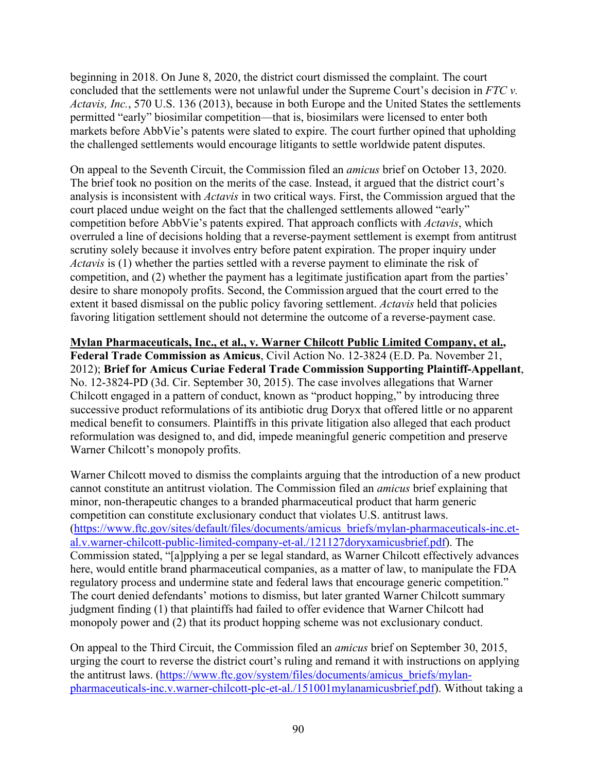beginning in 2018. On June 8, 2020, the district court dismissed the complaint. The court concluded that the settlements were not unlawful under the Supreme Court's decision in *FTC v. Actavis, Inc.*, 570 U.S. 136 (2013), because in both Europe and the United States the settlements permitted "early" biosimilar competition—that is, biosimilars were licensed to enter both markets before AbbVie's patents were slated to expire. The court further opined that upholding the challenged settlements would encourage litigants to settle worldwide patent disputes.

On appeal to the Seventh Circuit, the Commission filed an *amicus* brief on October 13, 2020. The brief took no position on the merits of the case. Instead, it argued that the district court's analysis is inconsistent with *Actavis* in two critical ways. First, the Commission argued that the court placed undue weight on the fact that the challenged settlements allowed "early" competition before AbbVie's patents expired. That approach conflicts with *Actavis*, which overruled a line of decisions holding that a reverse-payment settlement is exempt from antitrust scrutiny solely because it involves entry before patent expiration. The proper inquiry under *Actavis* is (1) whether the parties settled with a reverse payment to eliminate the risk of competition, and (2) whether the payment has a legitimate justification apart from the parties' desire to share monopoly profits. Second, the Commission argued that the court erred to the extent it based dismissal on the public policy favoring settlement. *Actavis* held that policies favoring litigation settlement should not determine the outcome of a reverse-payment case.

**Mylan Pharmaceuticals, Inc., et al., v. Warner Chilcott Public Limited Company, et al., Federal Trade Commission as Amicus**, Civil Action No. 12-3824 (E.D. Pa. November 21, 2012); **Brief for Amicus Curiae Federal Trade Commission Supporting Plaintiff-Appellant**, No. 12-3824-PD (3d. Cir. September 30, 2015). The case involves allegations that Warner Chilcott engaged in a pattern of conduct, known as "product hopping," by introducing three successive product reformulations of its antibiotic drug Doryx that offered little or no apparent medical benefit to consumers. Plaintiffs in this private litigation also alleged that each product reformulation was designed to, and did, impede meaningful generic competition and preserve Warner Chilcott's monopoly profits.

Warner Chilcott moved to dismiss the complaints arguing that the introduction of a new product cannot constitute an antitrust violation. The Commission filed an *amicus* brief explaining that minor, non-therapeutic changes to a branded pharmaceutical product that harm generic competition can constitute exclusionary conduct that violates U.S. antitrust laws. [\(https://www.ftc.gov/sites/default/files/documents/amicus\\_briefs/mylan-pharmaceuticals-inc.et](https://www.ftc.gov/sites/default/files/documents/amicus_briefs/mylan-pharmaceuticals-inc.et-al.v.warner-chilcott-public-limited-company-et-al./121127doryxamicusbrief.pdf)[al.v.warner-chilcott-public-limited-company-et-al./121127doryxamicusbrief.pdf\)](https://www.ftc.gov/sites/default/files/documents/amicus_briefs/mylan-pharmaceuticals-inc.et-al.v.warner-chilcott-public-limited-company-et-al./121127doryxamicusbrief.pdf). The Commission stated, "[a]pplying a per se legal standard, as Warner Chilcott effectively advances here, would entitle brand pharmaceutical companies, as a matter of law, to manipulate the FDA regulatory process and undermine state and federal laws that encourage generic competition." The court denied defendants' motions to dismiss, but later granted Warner Chilcott summary judgment finding (1) that plaintiffs had failed to offer evidence that Warner Chilcott had monopoly power and (2) that its product hopping scheme was not exclusionary conduct.

On appeal to the Third Circuit, the Commission filed an *amicus* brief on September 30, 2015, urging the court to reverse the district court's ruling and remand it with instructions on applying the antitrust laws. [\(https://www.ftc.gov/system/files/documents/amicus\\_briefs/mylan](https://www.ftc.gov/system/files/documents/amicus_briefs/mylan-pharmaceuticals-inc.v.warner-chilcott-plc-et-al./151001mylanamicusbrief.pdf)[pharmaceuticals-inc.v.warner-chilcott-plc-et-al./151001mylanamicusbrief.pdf\)](https://www.ftc.gov/system/files/documents/amicus_briefs/mylan-pharmaceuticals-inc.v.warner-chilcott-plc-et-al./151001mylanamicusbrief.pdf). Without taking a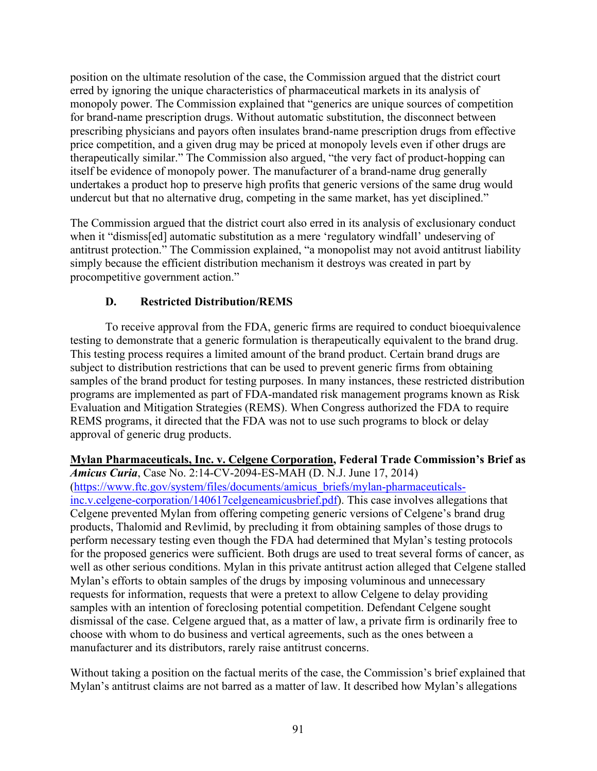position on the ultimate resolution of the case, the Commission argued that the district court erred by ignoring the unique characteristics of pharmaceutical markets in its analysis of monopoly power. The Commission explained that "generics are unique sources of competition for brand-name prescription drugs. Without automatic substitution, the disconnect between prescribing physicians and payors often insulates brand-name prescription drugs from effective price competition, and a given drug may be priced at monopoly levels even if other drugs are therapeutically similar." The Commission also argued, "the very fact of product-hopping can itself be evidence of monopoly power. The manufacturer of a brand-name drug generally undertakes a product hop to preserve high profits that generic versions of the same drug would undercut but that no alternative drug, competing in the same market, has yet disciplined."

The Commission argued that the district court also erred in its analysis of exclusionary conduct when it "dismiss[ed] automatic substitution as a mere 'regulatory windfall' undeserving of antitrust protection." The Commission explained, "a monopolist may not avoid antitrust liability simply because the efficient distribution mechanism it destroys was created in part by procompetitive government action."

### **D. Restricted Distribution/REMS**

To receive approval from the FDA, generic firms are required to conduct bioequivalence testing to demonstrate that a generic formulation is therapeutically equivalent to the brand drug. This testing process requires a limited amount of the brand product. Certain brand drugs are subject to distribution restrictions that can be used to prevent generic firms from obtaining samples of the brand product for testing purposes. In many instances, these restricted distribution programs are implemented as part of FDA-mandated risk management programs known as Risk Evaluation and Mitigation Strategies (REMS). When Congress authorized the FDA to require REMS programs, it directed that the FDA was not to use such programs to block or delay approval of generic drug products.

**Mylan Pharmaceuticals, Inc. v. Celgene Corporation, Federal Trade Commission's Brief as**  *Amicus Curia*, Case No. 2:14-CV-2094-ES-MAH (D. N.J. June 17, 2014) [\(https://www.ftc.gov/system/files/documents/amicus\\_briefs/mylan-pharmaceuticals](https://www.ftc.gov/system/files/documents/amicus_briefs/mylan-pharmaceuticals-inc.v.celgene-corporation/140617celgeneamicusbrief.pdf)[inc.v.celgene-corporation/140617celgeneamicusbrief.pdf\)](https://www.ftc.gov/system/files/documents/amicus_briefs/mylan-pharmaceuticals-inc.v.celgene-corporation/140617celgeneamicusbrief.pdf). This case involves allegations that Celgene prevented Mylan from offering competing generic versions of Celgene's brand drug products, Thalomid and Revlimid, by precluding it from obtaining samples of those drugs to perform necessary testing even though the FDA had determined that Mylan's testing protocols for the proposed generics were sufficient. Both drugs are used to treat several forms of cancer, as well as other serious conditions. Mylan in this private antitrust action alleged that Celgene stalled Mylan's efforts to obtain samples of the drugs by imposing voluminous and unnecessary requests for information, requests that were a pretext to allow Celgene to delay providing samples with an intention of foreclosing potential competition. Defendant Celgene sought dismissal of the case. Celgene argued that, as a matter of law, a private firm is ordinarily free to choose with whom to do business and vertical agreements, such as the ones between a manufacturer and its distributors, rarely raise antitrust concerns.

Without taking a position on the factual merits of the case, the Commission's brief explained that Mylan's antitrust claims are not barred as a matter of law. It described how Mylan's allegations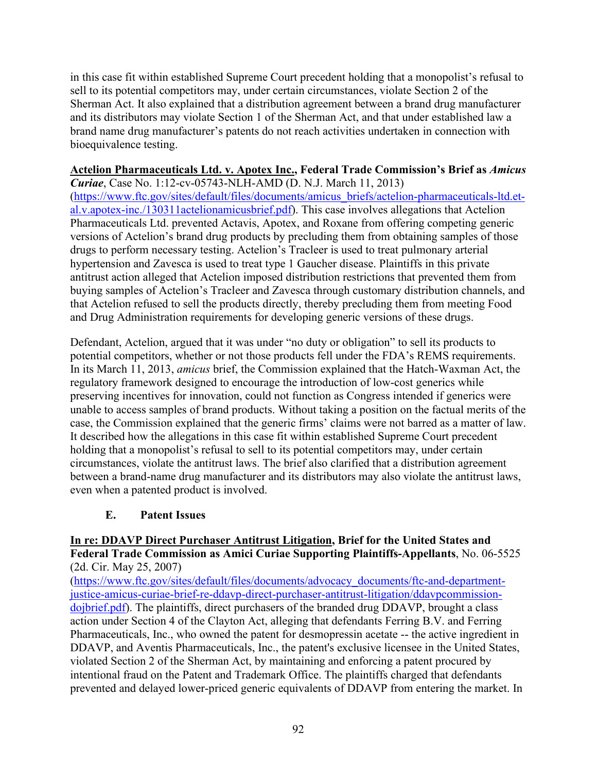in this case fit within established Supreme Court precedent holding that a monopolist's refusal to sell to its potential competitors may, under certain circumstances, violate Section 2 of the Sherman Act. It also explained that a distribution agreement between a brand drug manufacturer and its distributors may violate Section 1 of the Sherman Act, and that under established law a brand name drug manufacturer's patents do not reach activities undertaken in connection with bioequivalence testing.

### **Actelion Pharmaceuticals Ltd. v. Apotex Inc., Federal Trade Commission's Brief as** *Amicus*

*Curiae*, Case No. 1:12-cv-05743-NLH-AMD (D. N.J. March 11, 2013) [\(https://www.ftc.gov/sites/default/files/documents/amicus\\_briefs/actelion-pharmaceuticals-ltd.et](https://www.ftc.gov/sites/default/files/documents/amicus_briefs/actelion-pharmaceuticals-ltd.et-al.v.apotex-inc./130311actelionamicusbrief.pdf)[al.v.apotex-inc./130311actelionamicusbrief.pdf\)](https://www.ftc.gov/sites/default/files/documents/amicus_briefs/actelion-pharmaceuticals-ltd.et-al.v.apotex-inc./130311actelionamicusbrief.pdf). This case involves allegations that Actelion Pharmaceuticals Ltd. prevented Actavis, Apotex, and Roxane from offering competing generic versions of Actelion's brand drug products by precluding them from obtaining samples of those drugs to perform necessary testing. Actelion's Tracleer is used to treat pulmonary arterial hypertension and Zavesca is used to treat type 1 Gaucher disease. Plaintiffs in this private antitrust action alleged that Actelion imposed distribution restrictions that prevented them from buying samples of Actelion's Tracleer and Zavesca through customary distribution channels, and that Actelion refused to sell the products directly, thereby precluding them from meeting Food and Drug Administration requirements for developing generic versions of these drugs.

Defendant, Actelion, argued that it was under "no duty or obligation" to sell its products to potential competitors, whether or not those products fell under the FDA's REMS requirements. In its March 11, 2013, *amicus* brief, the Commission explained that the Hatch-Waxman Act, the regulatory framework designed to encourage the introduction of low-cost generics while preserving incentives for innovation, could not function as Congress intended if generics were unable to access samples of brand products. Without taking a position on the factual merits of the case, the Commission explained that the generic firms' claims were not barred as a matter of law. It described how the allegations in this case fit within established Supreme Court precedent holding that a monopolist's refusal to sell to its potential competitors may, under certain circumstances, violate the antitrust laws. The brief also clarified that a distribution agreement between a brand-name drug manufacturer and its distributors may also violate the antitrust laws, even when a patented product is involved.

### **E. Patent Issues**

#### **In re: DDAVP Direct Purchaser Antitrust Litigation, Brief for the United States and Federal Trade Commission as Amici Curiae Supporting Plaintiffs-Appellants**, No. 06-5525 (2d. Cir. May 25, 2007)

[\(https://www.ftc.gov/sites/default/files/documents/advocacy\\_documents/ftc-and-department](https://www.ftc.gov/sites/default/files/documents/advocacy_documents/ftc-and-department-justice-amicus-curiae-brief-re-ddavp-direct-purchaser-antitrust-litigation/ddavpcommission-dojbrief.pdf)[justice-amicus-curiae-brief-re-ddavp-direct-purchaser-antitrust-litigation/ddavpcommission](https://www.ftc.gov/sites/default/files/documents/advocacy_documents/ftc-and-department-justice-amicus-curiae-brief-re-ddavp-direct-purchaser-antitrust-litigation/ddavpcommission-dojbrief.pdf)[dojbrief.pdf\)](https://www.ftc.gov/sites/default/files/documents/advocacy_documents/ftc-and-department-justice-amicus-curiae-brief-re-ddavp-direct-purchaser-antitrust-litigation/ddavpcommission-dojbrief.pdf). The plaintiffs, direct purchasers of the branded drug DDAVP, brought a class action under Section 4 of the Clayton Act, alleging that defendants Ferring B.V. and Ferring Pharmaceuticals, Inc., who owned the patent for desmopressin acetate -- the active ingredient in DDAVP, and Aventis Pharmaceuticals, Inc., the patent's exclusive licensee in the United States, violated Section 2 of the Sherman Act, by maintaining and enforcing a patent procured by intentional fraud on the Patent and Trademark Office. The plaintiffs charged that defendants prevented and delayed lower-priced generic equivalents of DDAVP from entering the market. In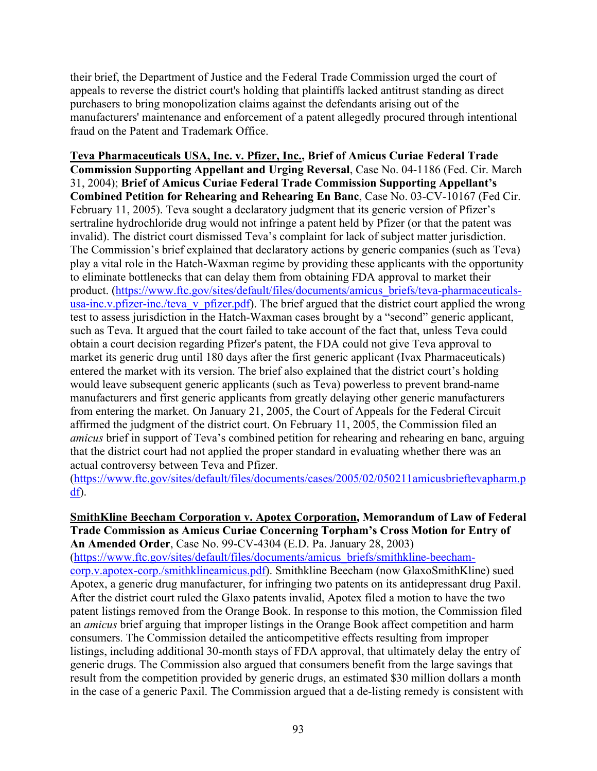their brief, the Department of Justice and the Federal Trade Commission urged the court of appeals to reverse the district court's holding that plaintiffs lacked antitrust standing as direct purchasers to bring monopolization claims against the defendants arising out of the manufacturers' maintenance and enforcement of a patent allegedly procured through intentional fraud on the Patent and Trademark Office.

**Teva Pharmaceuticals USA, Inc. v. Pfizer, Inc., Brief of Amicus Curiae Federal Trade Commission Supporting Appellant and Urging Reversal**, Case No. 04-1186 (Fed. Cir. March 31, 2004); **Brief of Amicus Curiae Federal Trade Commission Supporting Appellant's Combined Petition for Rehearing and Rehearing En Banc**, Case No. 03-CV-10167 (Fed Cir. February 11, 2005). Teva sought a declaratory judgment that its generic version of Pfizer's sertraline hydrochloride drug would not infringe a patent held by Pfizer (or that the patent was invalid). The district court dismissed Teva's complaint for lack of subject matter jurisdiction. The Commission's brief explained that declaratory actions by generic companies (such as Teva) play a vital role in the Hatch-Waxman regime by providing these applicants with the opportunity to eliminate bottlenecks that can delay them from obtaining FDA approval to market their product. [\(https://www.ftc.gov/sites/default/files/documents/amicus\\_briefs/teva-pharmaceuticals](https://www.ftc.gov/sites/default/files/documents/amicus_briefs/teva-pharmaceuticals-usa-inc.v.pfizer-inc./teva_v_pfizer.pdf)[usa-inc.v.pfizer-inc./teva\\_v\\_pfizer.pdf\)](https://www.ftc.gov/sites/default/files/documents/amicus_briefs/teva-pharmaceuticals-usa-inc.v.pfizer-inc./teva_v_pfizer.pdf). The brief argued that the district court applied the wrong test to assess jurisdiction in the Hatch-Waxman cases brought by a "second" generic applicant, such as Teva. It argued that the court failed to take account of the fact that, unless Teva could obtain a court decision regarding Pfizer's patent, the FDA could not give Teva approval to market its generic drug until 180 days after the first generic applicant (Ivax Pharmaceuticals) entered the market with its version. The brief also explained that the district court's holding would leave subsequent generic applicants (such as Teva) powerless to prevent brand-name manufacturers and first generic applicants from greatly delaying other generic manufacturers from entering the market. On January 21, 2005, the Court of Appeals for the Federal Circuit affirmed the judgment of the district court. On February 11, 2005, the Commission filed an *amicus* brief in support of Teva's combined petition for rehearing and rehearing en banc, arguing that the district court had not applied the proper standard in evaluating whether there was an actual controversy between Teva and Pfizer.

[\(https://www.ftc.gov/sites/default/files/documents/cases/2005/02/050211amicusbrieftevapharm.p](https://www.ftc.gov/sites/default/files/documents/cases/2005/02/050211amicusbrieftevapharm.pdf) [df\)](https://www.ftc.gov/sites/default/files/documents/cases/2005/02/050211amicusbrieftevapharm.pdf).

### **SmithKline Beecham Corporation v. Apotex Corporation, Memorandum of Law of Federal Trade Commission as Amicus Curiae Concerning Torpham's Cross Motion for Entry of**

**An Amended Order**, Case No. 99-CV-4304 (E.D. Pa. January 28, 2003) [\(https://www.ftc.gov/sites/default/files/documents/amicus\\_briefs/smithkline-beecham](https://www.ftc.gov/sites/default/files/documents/amicus_briefs/smithkline-beecham-corp.v.apotex-corp./smithklineamicus.pdf)[corp.v.apotex-corp./smithklineamicus.pdf\)](https://www.ftc.gov/sites/default/files/documents/amicus_briefs/smithkline-beecham-corp.v.apotex-corp./smithklineamicus.pdf). Smithkline Beecham (now GlaxoSmithKline) sued Apotex, a generic drug manufacturer, for infringing two patents on its antidepressant drug Paxil. After the district court ruled the Glaxo patents invalid, Apotex filed a motion to have the two patent listings removed from the Orange Book. In response to this motion, the Commission filed an *amicus* brief arguing that improper listings in the Orange Book affect competition and harm consumers. The Commission detailed the anticompetitive effects resulting from improper listings, including additional 30-month stays of FDA approval, that ultimately delay the entry of generic drugs. The Commission also argued that consumers benefit from the large savings that result from the competition provided by generic drugs, an estimated \$30 million dollars a month in the case of a generic Paxil. The Commission argued that a de-listing remedy is consistent with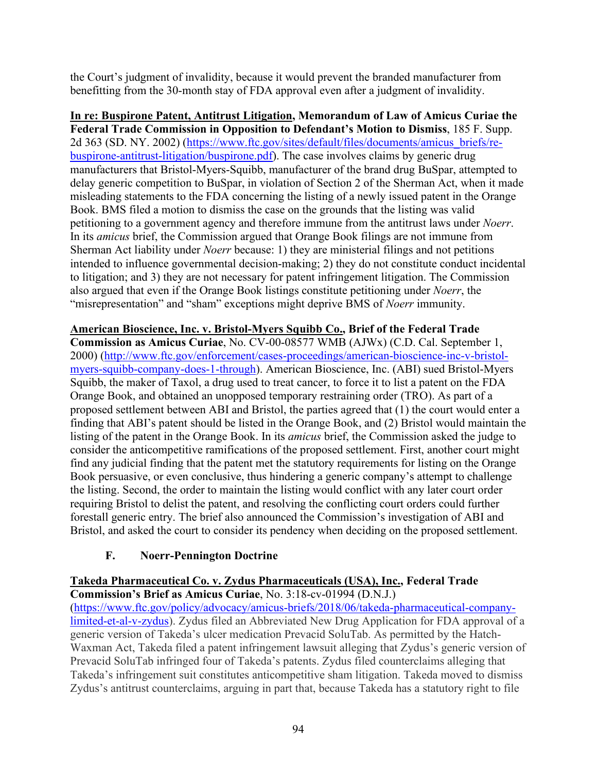the Court's judgment of invalidity, because it would prevent the branded manufacturer from benefitting from the 30-month stay of FDA approval even after a judgment of invalidity.

**In re: Buspirone Patent, Antitrust Litigation, Memorandum of Law of Amicus Curiae the Federal Trade Commission in Opposition to Defendant's Motion to Dismiss**, 185 F. Supp. 2d 363 (SD. NY. 2002) [\(https://www.ftc.gov/sites/default/files/documents/amicus\\_briefs/re](https://www.ftc.gov/sites/default/files/documents/amicus_briefs/re-buspirone-antitrust-litigation/buspirone.pdf)[buspirone-antitrust-litigation/buspirone.pdf\)](https://www.ftc.gov/sites/default/files/documents/amicus_briefs/re-buspirone-antitrust-litigation/buspirone.pdf). The case involves claims by generic drug manufacturers that Bristol-Myers-Squibb, manufacturer of the brand drug BuSpar, attempted to delay generic competition to BuSpar, in violation of Section 2 of the Sherman Act, when it made misleading statements to the FDA concerning the listing of a newly issued patent in the Orange Book. BMS filed a motion to dismiss the case on the grounds that the listing was valid petitioning to a government agency and therefore immune from the antitrust laws under *Noerr*. In its *amicus* brief, the Commission argued that Orange Book filings are not immune from Sherman Act liability under *Noerr* because: 1) they are ministerial filings and not petitions intended to influence governmental decision-making; 2) they do not constitute conduct incidental to litigation; and 3) they are not necessary for patent infringement litigation. The Commission also argued that even if the Orange Book listings constitute petitioning under *Noerr*, the "misrepresentation" and "sham" exceptions might deprive BMS of *Noerr* immunity.

**American Bioscience, Inc. v. Bristol-Myers Squibb Co., Brief of the Federal Trade Commission as Amicus Curiae**, No. CV-00-08577 WMB (AJWx) (C.D. Cal. September 1, 2000) [\(http://www.ftc.gov/enforcement/cases-proceedings/american-bioscience-inc-v-bristol](http://www.ftc.gov/enforcement/cases-proceedings/american-bioscience-inc-v-bristol-myers-squibb-company-does-1-through)[myers-squibb-company-does-1-through\)](http://www.ftc.gov/enforcement/cases-proceedings/american-bioscience-inc-v-bristol-myers-squibb-company-does-1-through). American Bioscience, Inc. (ABI) sued Bristol-Myers Squibb, the maker of Taxol, a drug used to treat cancer, to force it to list a patent on the FDA Orange Book, and obtained an unopposed temporary restraining order (TRO). As part of a proposed settlement between ABI and Bristol, the parties agreed that (1) the court would enter a finding that ABI's patent should be listed in the Orange Book, and (2) Bristol would maintain the listing of the patent in the Orange Book. In its *amicus* brief, the Commission asked the judge to consider the anticompetitive ramifications of the proposed settlement. First, another court might find any judicial finding that the patent met the statutory requirements for listing on the Orange Book persuasive, or even conclusive, thus hindering a generic company's attempt to challenge the listing. Second, the order to maintain the listing would conflict with any later court order requiring Bristol to delist the patent, and resolving the conflicting court orders could further forestall generic entry. The brief also announced the Commission's investigation of ABI and Bristol, and asked the court to consider its pendency when deciding on the proposed settlement.

# **F. Noerr-Pennington Doctrine**

## **Takeda Pharmaceutical Co. v. Zydus Pharmaceuticals (USA), Inc., Federal Trade**

**Commission's Brief as Amicus Curiae**, No. 3:18-cv-01994 (D.N.J.)

[\(https://www.ftc.gov/policy/advocacy/amicus-briefs/2018/06/takeda-pharmaceutical-company](https://www.ftc.gov/policy/advocacy/amicus-briefs/2018/06/takeda-pharmaceutical-company-limited-et-al-v-zydus)[limited-et-al-v-zydus\)](https://www.ftc.gov/policy/advocacy/amicus-briefs/2018/06/takeda-pharmaceutical-company-limited-et-al-v-zydus). Zydus filed an Abbreviated New Drug Application for FDA approval of a generic version of Takeda's ulcer medication Prevacid SoluTab. As permitted by the Hatch-Waxman Act, Takeda filed a patent infringement lawsuit alleging that Zydus's generic version of Prevacid SoluTab infringed four of Takeda's patents. Zydus filed counterclaims alleging that Takeda's infringement suit constitutes anticompetitive sham litigation. Takeda moved to dismiss Zydus's antitrust counterclaims, arguing in part that, because Takeda has a statutory right to file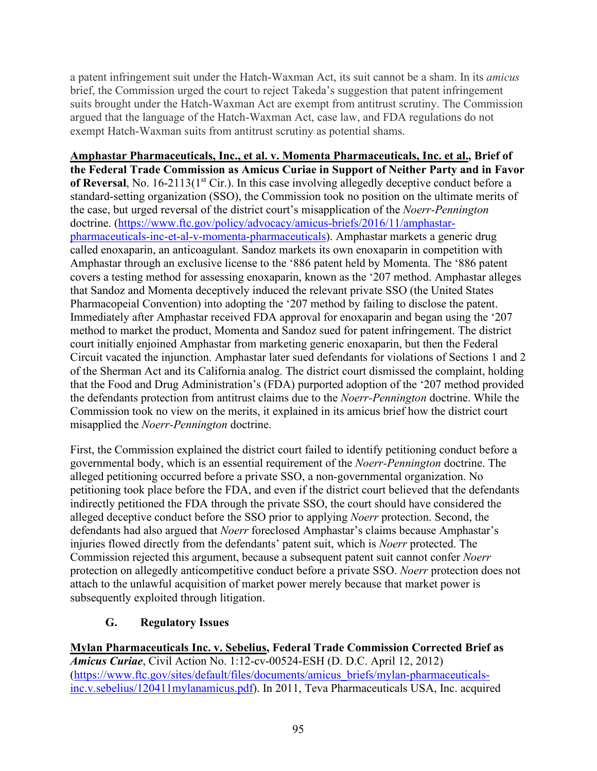a patent infringement suit under the Hatch-Waxman Act, its suit cannot be a sham. In its *amicus* brief, the Commission urged the court to reject Takeda's suggestion that patent infringement suits brought under the Hatch-Waxman Act are exempt from antitrust scrutiny. The Commission argued that the language of the Hatch-Waxman Act, case law, and FDA regulations do not exempt Hatch-Waxman suits from antitrust scrutiny as potential shams.

**Amphastar Pharmaceuticals, Inc., et al. v. Momenta Pharmaceuticals, Inc. et al., Brief of the Federal Trade Commission as Amicus Curiae in Support of Neither Party and in Favor**  of Reversal, No. 16-2113(1<sup>st</sup> Cir.). In this case involving allegedly deceptive conduct before a standard-setting organization (SSO), the Commission took no position on the ultimate merits of the case, but urged reversal of the district court's misapplication of the *Noerr-Pennington* doctrine. [\(https://www.ftc.gov/policy/advocacy/amicus-briefs/2016/11/amphastar](https://www.ftc.gov/policy/advocacy/amicus-briefs/2016/11/amphastar-pharmaceuticals-inc-et-al-v-momenta-pharmaceuticals)[pharmaceuticals-inc-et-al-v-momenta-pharmaceuticals\)](https://www.ftc.gov/policy/advocacy/amicus-briefs/2016/11/amphastar-pharmaceuticals-inc-et-al-v-momenta-pharmaceuticals). Amphastar markets a generic drug called enoxaparin, an anticoagulant. Sandoz markets its own enoxaparin in competition with Amphastar through an exclusive license to the '886 patent held by Momenta. The '886 patent covers a testing method for assessing enoxaparin, known as the '207 method. Amphastar alleges that Sandoz and Momenta deceptively induced the relevant private SSO (the United States Pharmacopeial Convention) into adopting the '207 method by failing to disclose the patent. Immediately after Amphastar received FDA approval for enoxaparin and began using the '207 method to market the product, Momenta and Sandoz sued for patent infringement. The district court initially enjoined Amphastar from marketing generic enoxaparin, but then the Federal Circuit vacated the injunction. Amphastar later sued defendants for violations of Sections 1 and 2 of the Sherman Act and its California analog. The district court dismissed the complaint, holding that the Food and Drug Administration's (FDA) purported adoption of the '207 method provided the defendants protection from antitrust claims due to the *Noerr-Pennington* doctrine. While the Commission took no view on the merits, it explained in its amicus brief how the district court misapplied the *Noerr-Pennington* doctrine.

First, the Commission explained the district court failed to identify petitioning conduct before a governmental body, which is an essential requirement of the *Noerr-Pennington* doctrine. The alleged petitioning occurred before a private SSO, a non-governmental organization. No petitioning took place before the FDA, and even if the district court believed that the defendants indirectly petitioned the FDA through the private SSO, the court should have considered the alleged deceptive conduct before the SSO prior to applying *Noerr* protection. Second, the defendants had also argued that *Noerr* foreclosed Amphastar's claims because Amphastar's injuries flowed directly from the defendants' patent suit, which is *Noerr* protected. The Commission rejected this argument, because a subsequent patent suit cannot confer *Noerr* protection on allegedly anticompetitive conduct before a private SSO. *Noerr* protection does not attach to the unlawful acquisition of market power merely because that market power is subsequently exploited through litigation.

## **G. Regulatory Issues**

**Mylan Pharmaceuticals Inc. v. Sebelius, Federal Trade Commission Corrected Brief as**  *Amicus Curiae*, Civil Action No. 1:12-cv-00524-ESH (D. D.C. April 12, 2012) [\(https://www.ftc.gov/sites/default/files/documents/amicus\\_briefs/mylan-pharmaceuticals](https://www.ftc.gov/sites/default/files/documents/amicus_briefs/mylan-pharmaceuticals-inc.v.sebelius/120411mylanamicus.pdf)[inc.v.sebelius/120411mylanamicus.pdf\)](https://www.ftc.gov/sites/default/files/documents/amicus_briefs/mylan-pharmaceuticals-inc.v.sebelius/120411mylanamicus.pdf). In 2011, Teva Pharmaceuticals USA, Inc. acquired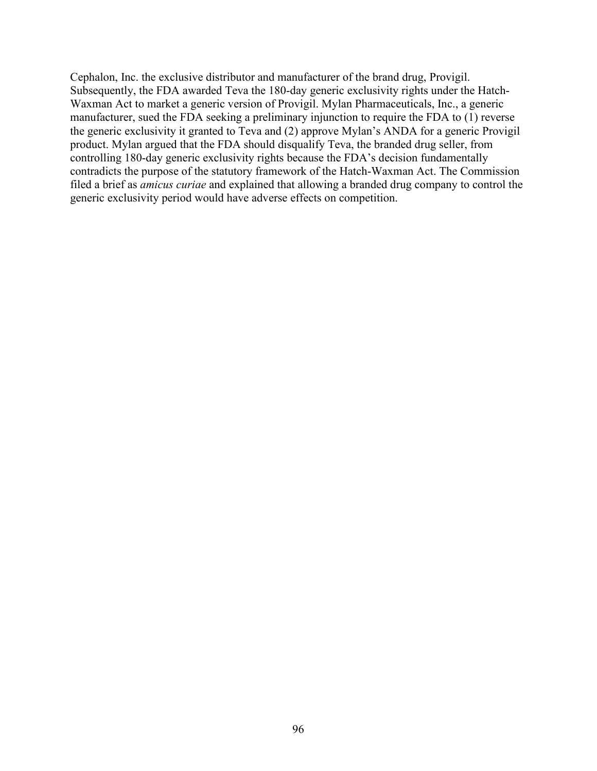Cephalon, Inc. the exclusive distributor and manufacturer of the brand drug, Provigil. Subsequently, the FDA awarded Teva the 180-day generic exclusivity rights under the Hatch-Waxman Act to market a generic version of Provigil. Mylan Pharmaceuticals, Inc., a generic manufacturer, sued the FDA seeking a preliminary injunction to require the FDA to (1) reverse the generic exclusivity it granted to Teva and (2) approve Mylan's ANDA for a generic Provigil product. Mylan argued that the FDA should disqualify Teva, the branded drug seller, from controlling 180-day generic exclusivity rights because the FDA's decision fundamentally contradicts the purpose of the statutory framework of the Hatch-Waxman Act. The Commission filed a brief as *amicus curiae* and explained that allowing a branded drug company to control the generic exclusivity period would have adverse effects on competition.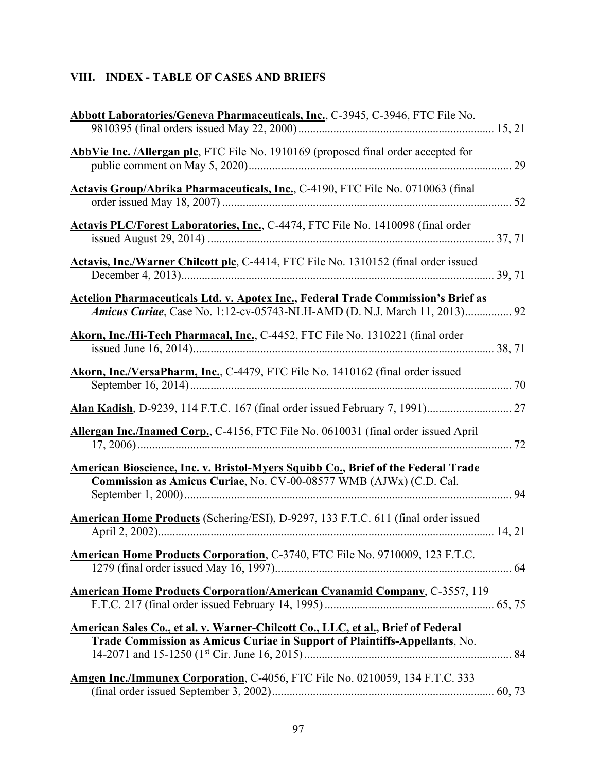# **VIII. INDEX - TABLE OF CASES AND BRIEFS**

| Abbott Laboratories/Geneva Pharmaceuticals, Inc., C-3945, C-3946, FTC File No.                                                                                 |
|----------------------------------------------------------------------------------------------------------------------------------------------------------------|
|                                                                                                                                                                |
| AbbVie Inc. /Allergan plc, FTC File No. 1910169 (proposed final order accepted for                                                                             |
| <b>Actavis Group/Abrika Pharmaceuticals, Inc., C-4190, FTC File No. 0710063 (final</b>                                                                         |
| Actavis PLC/Forest Laboratories, Inc., C-4474, FTC File No. 1410098 (final order                                                                               |
| Actavis, Inc./Warner Chilcott plc, C-4414, FTC File No. 1310152 (final order issued                                                                            |
| Actelion Pharmaceuticals Ltd. v. Apotex Inc., Federal Trade Commission's Brief as<br>Amicus Curiae, Case No. 1:12-cv-05743-NLH-AMD (D. N.J. March 11, 2013) 92 |
| Akorn, Inc./Hi-Tech Pharmacal, Inc., C-4452, FTC File No. 1310221 (final order                                                                                 |
| Akorn, Inc./VersaPharm, Inc., C-4479, FTC File No. 1410162 (final order issued                                                                                 |
|                                                                                                                                                                |
| Allergan Inc./Inamed Corp., C-4156, FTC File No. 0610031 (final order issued April                                                                             |
| American Bioscience, Inc. v. Bristol-Myers Squibb Co., Brief of the Federal Trade<br>Commission as Amicus Curiae, No. CV-00-08577 WMB (AJWx) (C.D. Cal.        |
| American Home Products (Schering/ESI), D-9297, 133 F.T.C. 611 (final order issued                                                                              |
| <b>American Home Products Corporation, C-3740, FTC File No. 9710009, 123 F.T.C.</b>                                                                            |
| <b>American Home Products Corporation/American Cyanamid Company, C-3557, 119</b>                                                                               |
| American Sales Co., et al. v. Warner-Chilcott Co., LLC, et al., Brief of Federal<br>Trade Commission as Amicus Curiae in Support of Plaintiffs-Appellants, No. |
| Amgen Inc./Immunex Corporation, C-4056, FTC File No. 0210059, 134 F.T.C. 333                                                                                   |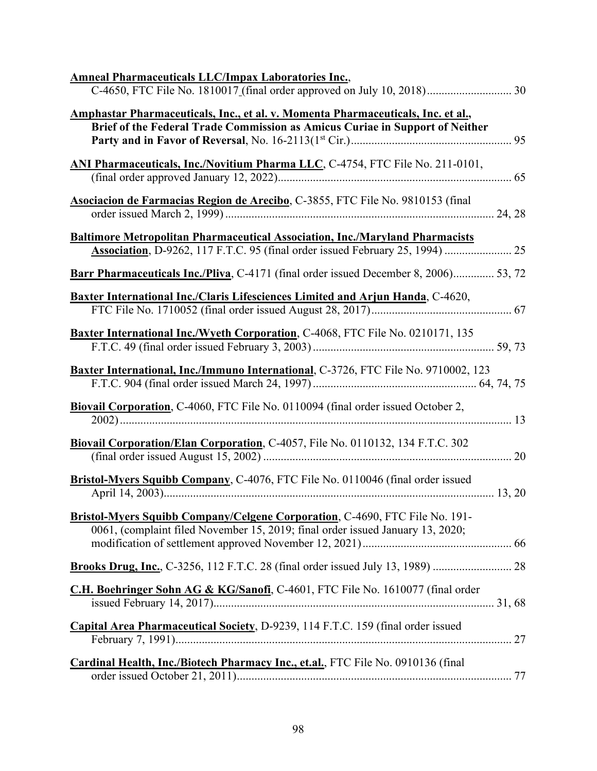| <b>Amneal Pharmaceuticals LLC/Impax Laboratories Inc.,</b>                                                                                                    |
|---------------------------------------------------------------------------------------------------------------------------------------------------------------|
| Amphastar Pharmaceuticals, Inc., et al. v. Momenta Pharmaceuticals, Inc. et al.,                                                                              |
| Brief of the Federal Trade Commission as Amicus Curiae in Support of Neither                                                                                  |
| ANI Pharmaceuticals, Inc./Novitium Pharma LLC, C-4754, FTC File No. 211-0101,                                                                                 |
| Asociacion de Farmacias Region de Arecibo, C-3855, FTC File No. 9810153 (final                                                                                |
| <b>Baltimore Metropolitan Pharmaceutical Association, Inc./Maryland Pharmacists</b>                                                                           |
| <b>Barr Pharmaceuticals Inc./Pliva, C-4171 (final order issued December 8, 2006) 53, 72</b>                                                                   |
| <b>Baxter International Inc./Claris Lifesciences Limited and Arjun Handa, C-4620,</b>                                                                         |
| <b>Baxter International Inc./Wyeth Corporation, C-4068, FTC File No. 0210171, 135</b>                                                                         |
| Baxter International, Inc./Immuno International, C-3726, FTC File No. 9710002, 123                                                                            |
| Biovail Corporation, C-4060, FTC File No. 0110094 (final order issued October 2,                                                                              |
| Biovail Corporation/Elan Corporation, C-4057, File No. 0110132, 134 F.T.C. 302                                                                                |
| Bristol-Myers Squibb Company, C-4076, FTC File No. 0110046 (final order issued                                                                                |
| Bristol-Myers Squibb Company/Celgene Corporation, C-4690, FTC File No. 191-<br>0061, (complaint filed November 15, 2019; final order issued January 13, 2020; |
|                                                                                                                                                               |
| C.H. Boehringer Sohn AG & KG/Sanofi, C-4601, FTC File No. 1610077 (final order                                                                                |
| Capital Area Pharmaceutical Society, D-9239, 114 F.T.C. 159 (final order issued                                                                               |
| Cardinal Health, Inc./Biotech Pharmacy Inc., et.al., FTC File No. 0910136 (final                                                                              |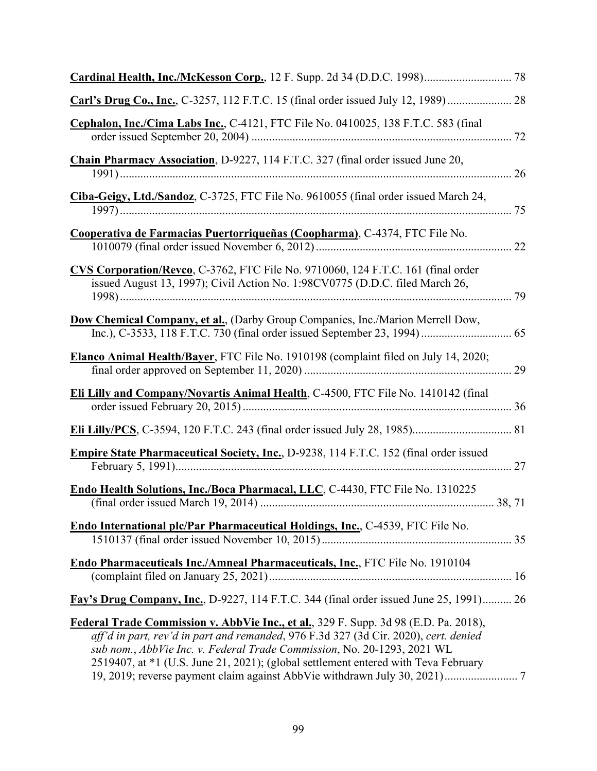| Cephalon, Inc./Cima Labs Inc., C-4121, FTC File No. 0410025, 138 F.T.C. 583 (final                                                                                                                                                                                                                                                            |        |
|-----------------------------------------------------------------------------------------------------------------------------------------------------------------------------------------------------------------------------------------------------------------------------------------------------------------------------------------------|--------|
| Chain Pharmacy Association, D-9227, 114 F.T.C. 327 (final order issued June 20,                                                                                                                                                                                                                                                               |        |
| Ciba-Geigy, Ltd./Sandoz, C-3725, FTC File No. 9610055 (final order issued March 24,                                                                                                                                                                                                                                                           |        |
| Cooperativa de Farmacias Puertorriqueñas (Coopharma), C-4374, FTC File No.                                                                                                                                                                                                                                                                    |        |
| CVS Corporation/Revco, C-3762, FTC File No. 9710060, 124 F.T.C. 161 (final order<br>issued August 13, 1997); Civil Action No. 1:98CV0775 (D.D.C. filed March 26,                                                                                                                                                                              |        |
| Dow Chemical Company, et al., (Darby Group Companies, Inc./Marion Merrell Dow,                                                                                                                                                                                                                                                                |        |
| Elanco Animal Health/Bayer, FTC File No. 1910198 (complaint filed on July 14, 2020;                                                                                                                                                                                                                                                           |        |
| Eli Lilly and Company/Novartis Animal Health, C-4500, FTC File No. 1410142 (final                                                                                                                                                                                                                                                             |        |
|                                                                                                                                                                                                                                                                                                                                               |        |
| <b>Empire State Pharmaceutical Society, Inc., D-9238, 114 F.T.C. 152 (final order issued</b>                                                                                                                                                                                                                                                  |        |
| Endo Health Solutions, Inc./Boca Pharmacal, LLC, C-4430, FTC File No. 1310225                                                                                                                                                                                                                                                                 | 38, 71 |
| Endo International plc/Par Pharmaceutical Holdings, Inc., C-4539, FTC File No.                                                                                                                                                                                                                                                                |        |
| <b>Endo Pharmaceuticals Inc./Amneal Pharmaceuticals, Inc., FTC File No. 1910104</b>                                                                                                                                                                                                                                                           |        |
| Fay's Drug Company, Inc., D-9227, 114 F.T.C. 344 (final order issued June 25, 1991) 26                                                                                                                                                                                                                                                        |        |
| Federal Trade Commission v. AbbVie Inc., et al., 329 F. Supp. 3d 98 (E.D. Pa. 2018),<br>aff'd in part, rev'd in part and remanded, 976 F.3d 327 (3d Cir. 2020), cert. denied<br>sub nom., AbbVie Inc. v. Federal Trade Commission, No. 20-1293, 2021 WL<br>2519407, at *1 (U.S. June 21, 2021); (global settlement entered with Teva February |        |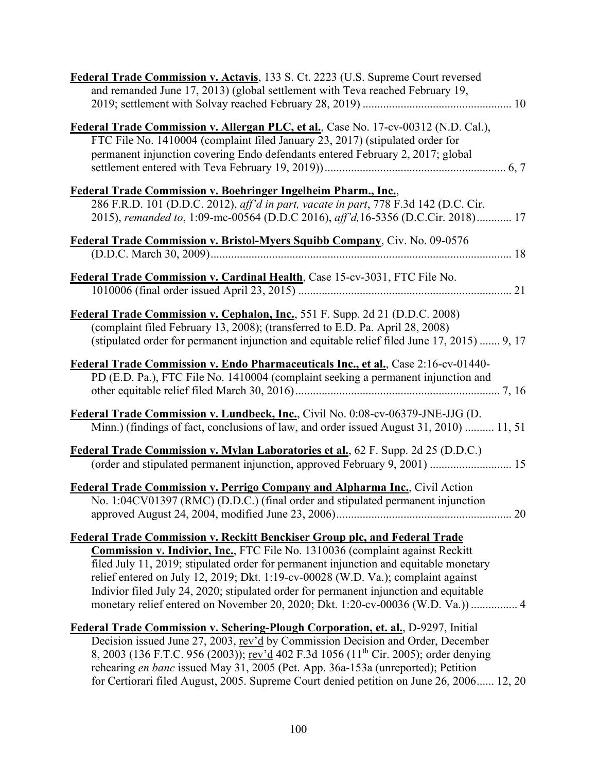| Federal Trade Commission v. Actavis, 133 S. Ct. 2223 (U.S. Supreme Court reversed<br>and remanded June 17, 2013) (global settlement with Teva reached February 19,                                                                                                                                                                                                                                                                                                                                                           |
|------------------------------------------------------------------------------------------------------------------------------------------------------------------------------------------------------------------------------------------------------------------------------------------------------------------------------------------------------------------------------------------------------------------------------------------------------------------------------------------------------------------------------|
| Federal Trade Commission v. Allergan PLC, et al., Case No. 17-cv-00312 (N.D. Cal.),<br>FTC File No. 1410004 (complaint filed January 23, 2017) (stipulated order for<br>permanent injunction covering Endo defendants entered February 2, 2017; global                                                                                                                                                                                                                                                                       |
| Federal Trade Commission v. Boehringer Ingelheim Pharm., Inc.,<br>286 F.R.D. 101 (D.D.C. 2012), aff'd in part, vacate in part, 778 F.3d 142 (D.C. Cir.<br>2015), remanded to, 1:09-mc-00564 (D.D.C 2016), aff'd, 16-5356 (D.C.Cir. 2018) 17                                                                                                                                                                                                                                                                                  |
| Federal Trade Commission v. Bristol-Myers Squibb Company, Civ. No. 09-0576                                                                                                                                                                                                                                                                                                                                                                                                                                                   |
| Federal Trade Commission v. Cardinal Health, Case 15-cv-3031, FTC File No.                                                                                                                                                                                                                                                                                                                                                                                                                                                   |
| Federal Trade Commission v. Cephalon, Inc., 551 F. Supp. 2d 21 (D.D.C. 2008)<br>(complaint filed February 13, 2008); (transferred to E.D. Pa. April 28, 2008)<br>(stipulated order for permanent injunction and equitable relief filed June 17, 2015)  9, 17                                                                                                                                                                                                                                                                 |
| Federal Trade Commission v. Endo Pharmaceuticals Inc., et al., Case 2:16-cv-01440-<br>PD (E.D. Pa.), FTC File No. 1410004 (complaint seeking a permanent injunction and                                                                                                                                                                                                                                                                                                                                                      |
| Federal Trade Commission v. Lundbeck, Inc., Civil No. 0:08-cv-06379-JNE-JJG (D.<br>Minn.) (findings of fact, conclusions of law, and order issued August 31, 2010)  11, 51                                                                                                                                                                                                                                                                                                                                                   |
| Federal Trade Commission v. Mylan Laboratories et al., 62 F. Supp. 2d 25 (D.D.C.)<br>(order and stipulated permanent injunction, approved February 9, 2001)  15                                                                                                                                                                                                                                                                                                                                                              |
| <b>Federal Trade Commission v. Perrigo Company and Alpharma Inc., Civil Action</b><br>No. 1:04CV01397 (RMC) (D.D.C.) (final order and stipulated permanent injunction                                                                                                                                                                                                                                                                                                                                                        |
| <b>Federal Trade Commission v. Reckitt Benckiser Group plc, and Federal Trade</b><br>Commission v. Indivior, Inc., FTC File No. 1310036 (complaint against Reckitt<br>filed July 11, 2019; stipulated order for permanent injunction and equitable monetary<br>relief entered on July 12, 2019; Dkt. 1:19-cv-00028 (W.D. Va.); complaint against<br>Indivior filed July 24, 2020; stipulated order for permanent injunction and equitable<br>monetary relief entered on November 20, 2020; Dkt. 1:20-cv-00036 (W.D. Va.))  4 |
| Federal Trade Commission v. Schering-Plough Corporation, et. al., D-9297, Initial<br>Decision issued June 27, 2003, rev'd by Commission Decision and Order, December<br>8, 2003 (136 F.T.C. 956 (2003)); rev'd 402 F.3d 1056 (11 <sup>th</sup> Cir. 2005); order denying<br>rehearing en banc issued May 31, 2005 (Pet. App. 36a-153a (unreported); Petition<br>for Certiorari filed August, 2005. Supreme Court denied petition on June 26, 2006 12, 20                                                                     |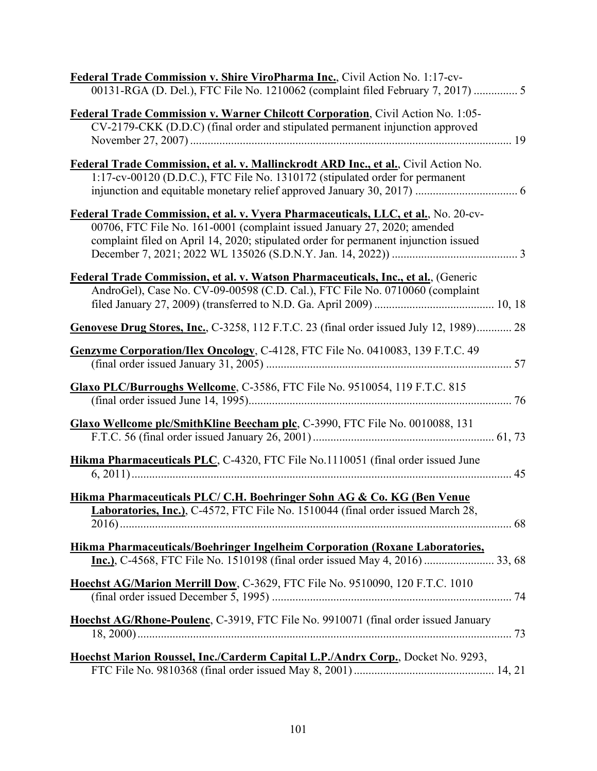| Federal Trade Commission v. Shire ViroPharma Inc., Civil Action No. 1:17-cv-<br>00131-RGA (D. Del.), FTC File No. 1210062 (complaint filed February 7, 2017)  5                                                                                       |
|-------------------------------------------------------------------------------------------------------------------------------------------------------------------------------------------------------------------------------------------------------|
| Federal Trade Commission v. Warner Chilcott Corporation, Civil Action No. 1:05-<br>CV-2179-CKK (D.D.C) (final order and stipulated permanent injunction approved                                                                                      |
| Federal Trade Commission, et al. v. Mallinckrodt ARD Inc., et al., Civil Action No.<br>1:17-cv-00120 (D.D.C.), FTC File No. 1310172 (stipulated order for permanent                                                                                   |
| Federal Trade Commission, et al. v. Vyera Pharmaceuticals, LLC, et al., No. 20-cv-<br>00706, FTC File No. 161-0001 (complaint issued January 27, 2020; amended<br>complaint filed on April 14, 2020; stipulated order for permanent injunction issued |
| Federal Trade Commission, et al. v. Watson Pharmaceuticals, Inc., et al., (Generic<br>AndroGel), Case No. CV-09-00598 (C.D. Cal.), FTC File No. 0710060 (complaint                                                                                    |
| Genovese Drug Stores, Inc., C-3258, 112 F.T.C. 23 (final order issued July 12, 1989) 28                                                                                                                                                               |
| Genzyme Corporation/Ilex Oncology, C-4128, FTC File No. 0410083, 139 F.T.C. 49                                                                                                                                                                        |
| Glaxo PLC/Burroughs Wellcome, C-3586, FTC File No. 9510054, 119 F.T.C. 815                                                                                                                                                                            |
| Glaxo Wellcome plc/SmithKline Beecham plc, C-3990, FTC File No. 0010088, 131                                                                                                                                                                          |
| Hikma Pharmaceuticals PLC, C-4320, FTC File No.1110051 (final order issued June                                                                                                                                                                       |
| Hikma Pharmaceuticals PLC/ C.H. Boehringer Sohn AG & Co. KG (Ben Venue<br><b>Laboratories, Inc.</b> ), C-4572, FTC File No. 1510044 (final order issued March 28,                                                                                     |
| Hikma Pharmaceuticals/Boehringer Ingelheim Corporation (Roxane Laboratories,                                                                                                                                                                          |
| Hoechst AG/Marion Merrill Dow, C-3629, FTC File No. 9510090, 120 F.T.C. 1010                                                                                                                                                                          |
| Hoechst AG/Rhone-Poulenc, C-3919, FTC File No. 9910071 (final order issued January                                                                                                                                                                    |
| Hoechst Marion Roussel, Inc./Carderm Capital L.P./Andrx Corp., Docket No. 9293,                                                                                                                                                                       |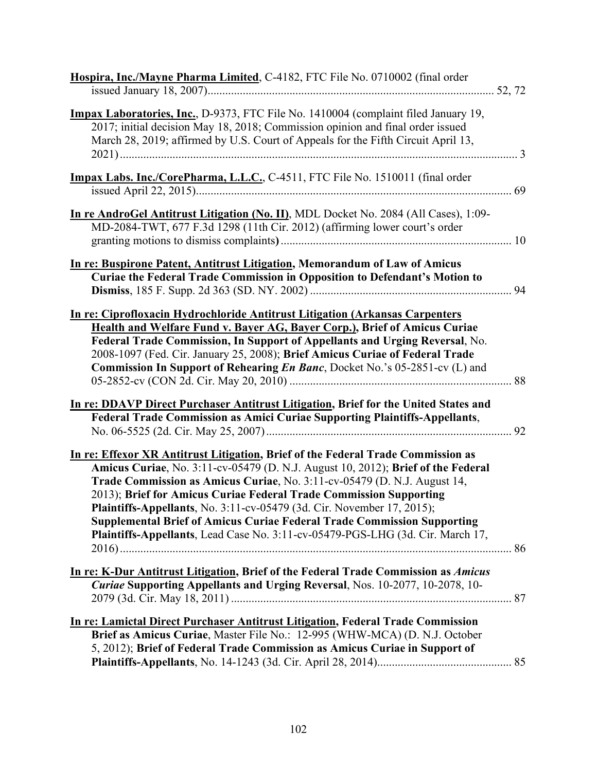| Hospira, Inc./Mayne Pharma Limited, C-4182, FTC File No. 0710002 (final order                                                                                                                                                                                                                                                                                                                                                                                                                                                                                        |  |
|----------------------------------------------------------------------------------------------------------------------------------------------------------------------------------------------------------------------------------------------------------------------------------------------------------------------------------------------------------------------------------------------------------------------------------------------------------------------------------------------------------------------------------------------------------------------|--|
| <b>Impax Laboratories, Inc., D-9373, FTC File No. 1410004 (complaint filed January 19,</b><br>2017; initial decision May 18, 2018; Commission opinion and final order issued<br>March 28, 2019; affirmed by U.S. Court of Appeals for the Fifth Circuit April 13,                                                                                                                                                                                                                                                                                                    |  |
| Impax Labs. Inc./CorePharma, L.L.C., C-4511, FTC File No. 1510011 (final order                                                                                                                                                                                                                                                                                                                                                                                                                                                                                       |  |
| In re AndroGel Antitrust Litigation (No. II), MDL Docket No. 2084 (All Cases), 1:09-<br>MD-2084-TWT, 677 F.3d 1298 (11th Cir. 2012) (affirming lower court's order                                                                                                                                                                                                                                                                                                                                                                                                   |  |
| In re: Buspirone Patent, Antitrust Litigation, Memorandum of Law of Amicus<br>Curiae the Federal Trade Commission in Opposition to Defendant's Motion to                                                                                                                                                                                                                                                                                                                                                                                                             |  |
| In re: Ciprofloxacin Hydrochloride Antitrust Litigation (Arkansas Carpenters<br>Health and Welfare Fund v. Bayer AG, Bayer Corp.), Brief of Amicus Curiae<br>Federal Trade Commission, In Support of Appellants and Urging Reversal, No.<br>2008-1097 (Fed. Cir. January 25, 2008); Brief Amicus Curiae of Federal Trade<br>Commission In Support of Rehearing En Banc, Docket No.'s 05-2851-cv (L) and                                                                                                                                                              |  |
| In re: DDAVP Direct Purchaser Antitrust Litigation, Brief for the United States and<br><b>Federal Trade Commission as Amici Curiae Supporting Plaintiffs-Appellants,</b>                                                                                                                                                                                                                                                                                                                                                                                             |  |
| In re: Effexor XR Antitrust Litigation, Brief of the Federal Trade Commission as<br>Amicus Curiae, No. 3:11-cv-05479 (D. N.J. August 10, 2012); Brief of the Federal<br>Trade Commission as Amicus Curiae, No. 3:11-cv-05479 (D. N.J. August 14,<br>2013); Brief for Amicus Curiae Federal Trade Commission Supporting<br>Plaintiffs-Appellants, No. 3:11-cv-05479 (3d. Cir. November 17, 2015);<br><b>Supplemental Brief of Amicus Curiae Federal Trade Commission Supporting</b><br>Plaintiffs-Appellants, Lead Case No. 3:11-cv-05479-PGS-LHG (3d. Cir. March 17, |  |
| In re: K-Dur Antitrust Litigation, Brief of the Federal Trade Commission as Amicus<br>Curiae Supporting Appellants and Urging Reversal, Nos. 10-2077, 10-2078, 10-                                                                                                                                                                                                                                                                                                                                                                                                   |  |
| In re: Lamictal Direct Purchaser Antitrust Litigation, Federal Trade Commission<br>Brief as Amicus Curiae, Master File No.: 12-995 (WHW-MCA) (D. N.J. October<br>5, 2012); Brief of Federal Trade Commission as Amicus Curiae in Support of                                                                                                                                                                                                                                                                                                                          |  |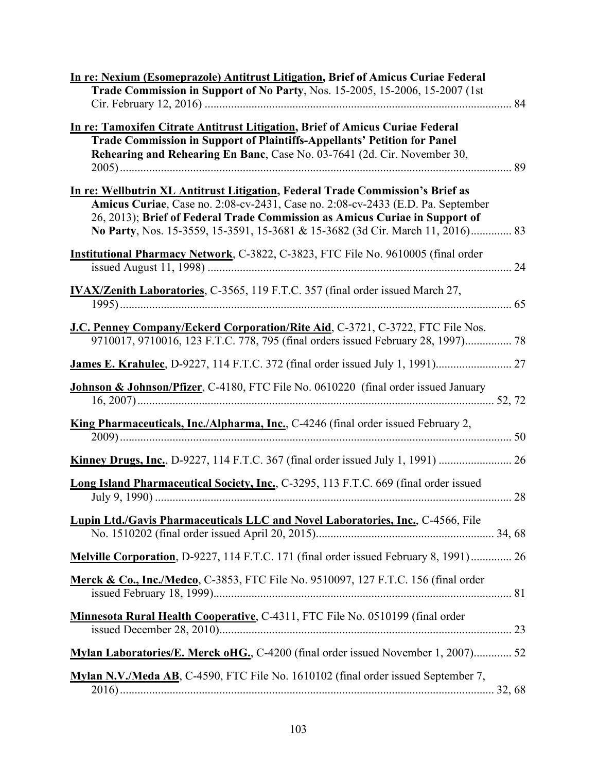| In re: Nexium (Esomeprazole) Antitrust Litigation, Brief of Amicus Curiae Federal<br>Trade Commission in Support of No Party, Nos. 15-2005, 15-2006, 15-2007 (1st                                                                                                                                                                  |
|------------------------------------------------------------------------------------------------------------------------------------------------------------------------------------------------------------------------------------------------------------------------------------------------------------------------------------|
|                                                                                                                                                                                                                                                                                                                                    |
| In re: Tamoxifen Citrate Antitrust Litigation, Brief of Amicus Curiae Federal<br><b>Trade Commission in Support of Plaintiffs-Appellants' Petition for Panel</b><br>Rehearing and Rehearing En Banc, Case No. 03-7641 (2d. Cir. November 30,                                                                                       |
| In re: Wellbutrin XL Antitrust Litigation, Federal Trade Commission's Brief as<br>Amicus Curiae, Case no. 2:08-cv-2431, Case no. 2:08-cv-2433 (E.D. Pa. September<br>26, 2013); Brief of Federal Trade Commission as Amicus Curiae in Support of<br>No Party, Nos. 15-3559, 15-3591, 15-3681 & 15-3682 (3d Cir. March 11, 2016) 83 |
| Institutional Pharmacy Network, C-3822, C-3823, FTC File No. 9610005 (final order                                                                                                                                                                                                                                                  |
| <b>IVAX/Zenith Laboratories</b> , C-3565, 119 F.T.C. 357 (final order issued March 27,                                                                                                                                                                                                                                             |
| J.C. Penney Company/Eckerd Corporation/Rite Aid, C-3721, C-3722, FTC File Nos.<br>9710017, 9710016, 123 F.T.C. 778, 795 (final orders issued February 28, 1997) 78                                                                                                                                                                 |
|                                                                                                                                                                                                                                                                                                                                    |
| <b>Johnson &amp; Johnson/Pfizer, C-4180, FTC File No. 0610220</b> (final order issued January                                                                                                                                                                                                                                      |
| <b>King Pharmaceuticals, Inc./Alpharma, Inc., C-4246 (final order issued February 2,</b>                                                                                                                                                                                                                                           |
|                                                                                                                                                                                                                                                                                                                                    |
| Long Island Pharmaceutical Society, Inc., C-3295, 113 F.T.C. 669 (final order issued                                                                                                                                                                                                                                               |
| <b>Lupin Ltd./Gavis Pharmaceuticals LLC and Novel Laboratories, Inc., C-4566, File</b>                                                                                                                                                                                                                                             |
| Melville Corporation, D-9227, 114 F.T.C. 171 (final order issued February 8, 1991) 26                                                                                                                                                                                                                                              |
| Merck & Co., Inc./Medco, C-3853, FTC File No. 9510097, 127 F.T.C. 156 (final order                                                                                                                                                                                                                                                 |
| Minnesota Rural Health Cooperative, C-4311, FTC File No. 0510199 (final order                                                                                                                                                                                                                                                      |
| Mylan Laboratories/E. Merck oHG., C-4200 (final order issued November 1, 2007) 52                                                                                                                                                                                                                                                  |
| Mylan N.V./Meda AB, C-4590, FTC File No. 1610102 (final order issued September 7,                                                                                                                                                                                                                                                  |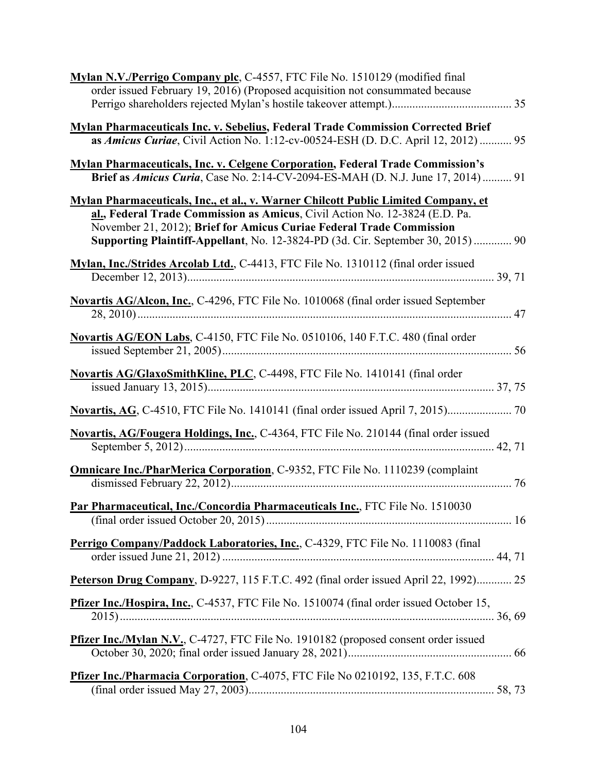| Mylan N.V./Perrigo Company plc, C-4557, FTC File No. 1510129 (modified final<br>order issued February 19, 2016) (Proposed acquisition not consummated because                                                                                                                                                                 |
|-------------------------------------------------------------------------------------------------------------------------------------------------------------------------------------------------------------------------------------------------------------------------------------------------------------------------------|
|                                                                                                                                                                                                                                                                                                                               |
| <b>Mylan Pharmaceuticals Inc. v. Sebelius, Federal Trade Commission Corrected Brief</b><br>as Amicus Curiae, Civil Action No. 1:12-cv-00524-ESH (D. D.C. April 12, 2012) 95                                                                                                                                                   |
| <b>Mylan Pharmaceuticals, Inc. v. Celgene Corporation, Federal Trade Commission's</b><br>Brief as Amicus Curia, Case No. 2:14-CV-2094-ES-MAH (D. N.J. June 17, 2014)  91                                                                                                                                                      |
| Mylan Pharmaceuticals, Inc., et al., v. Warner Chilcott Public Limited Company, et<br>al., Federal Trade Commission as Amicus, Civil Action No. 12-3824 (E.D. Pa.<br>November 21, 2012); Brief for Amicus Curiae Federal Trade Commission<br>Supporting Plaintiff-Appellant, No. 12-3824-PD (3d. Cir. September 30, 2015)  90 |
| Mylan, Inc./Strides Arcolab Ltd., C-4413, FTC File No. 1310112 (final order issued                                                                                                                                                                                                                                            |
| Novartis AG/Alcon, Inc., C-4296, FTC File No. 1010068 (final order issued September                                                                                                                                                                                                                                           |
| Novartis AG/EON Labs, C-4150, FTC File No. 0510106, 140 F.T.C. 480 (final order                                                                                                                                                                                                                                               |
| Novartis AG/GlaxoSmithKline, PLC, C-4498, FTC File No. 1410141 (final order                                                                                                                                                                                                                                                   |
| Novartis, AG, C-4510, FTC File No. 1410141 (final order issued April 7, 2015)                                                                                                                                                                                                                                                 |
| Novartis, AG/Fougera Holdings, Inc., C-4364, FTC File No. 210144 (final order issued                                                                                                                                                                                                                                          |
| <b>Omnicare Inc./PharMerica Corporation, C-9352, FTC File No. 1110239 (complaint</b>                                                                                                                                                                                                                                          |
| Par Pharmaceutical, Inc./Concordia Pharmaceuticals Inc., FTC File No. 1510030                                                                                                                                                                                                                                                 |
| Perrigo Company/Paddock Laboratories, Inc., C-4329, FTC File No. 1110083 (final                                                                                                                                                                                                                                               |
| Peterson Drug Company, D-9227, 115 F.T.C. 492 (final order issued April 22, 1992) 25                                                                                                                                                                                                                                          |
| <b>Pfizer Inc./Hospira, Inc., C-4537, FTC File No. 1510074 (final order issued October 15,</b>                                                                                                                                                                                                                                |
| Pfizer Inc./Mylan N.V., C-4727, FTC File No. 1910182 (proposed consent order issued                                                                                                                                                                                                                                           |
| Pfizer Inc./Pharmacia Corporation, C-4075, FTC File No 0210192, 135, F.T.C. 608                                                                                                                                                                                                                                               |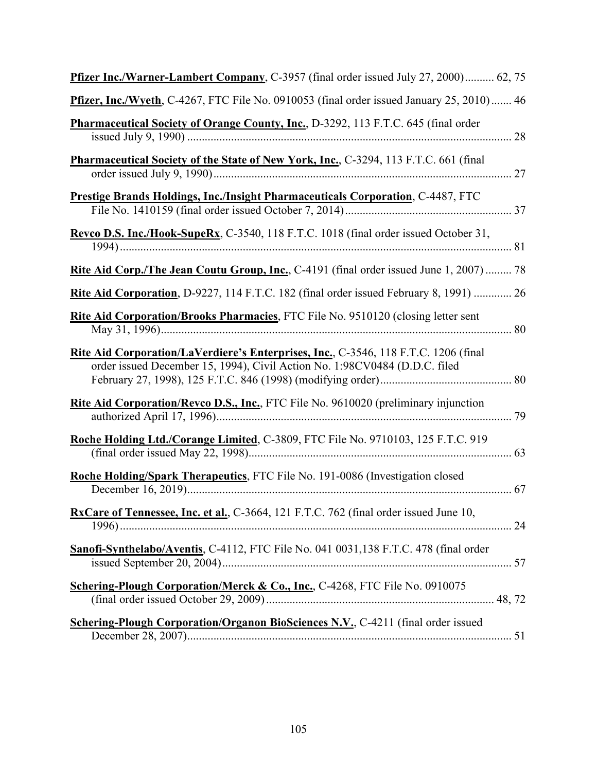| Pfizer Inc./Warner-Lambert Company, C-3957 (final order issued July 27, 2000) 62, 75                                                                              |
|-------------------------------------------------------------------------------------------------------------------------------------------------------------------|
| Pfizer, Inc./Wyeth, C-4267, FTC File No. 0910053 (final order issued January 25, 2010) 46                                                                         |
| Pharmaceutical Society of Orange County, Inc., D-3292, 113 F.T.C. 645 (final order                                                                                |
| Pharmaceutical Society of the State of New York, Inc., C-3294, 113 F.T.C. 661 (final                                                                              |
| Prestige Brands Holdings, Inc./Insight Pharmaceuticals Corporation, C-4487, FTC                                                                                   |
| Revco D.S. Inc./Hook-SupeRx, C-3540, 118 F.T.C. 1018 (final order issued October 31,                                                                              |
| Rite Aid Corp./The Jean Coutu Group, Inc., C-4191 (final order issued June 1, 2007)  78                                                                           |
| Rite Aid Corporation, D-9227, 114 F.T.C. 182 (final order issued February 8, 1991)  26                                                                            |
| Rite Aid Corporation/Brooks Pharmacies, FTC File No. 9510120 (closing letter sent                                                                                 |
| Rite Aid Corporation/LaVerdiere's Enterprises, Inc., C-3546, 118 F.T.C. 1206 (final<br>order issued December 15, 1994), Civil Action No. 1:98CV0484 (D.D.C. filed |
| Rite Aid Corporation/Revco D.S., Inc., FTC File No. 9610020 (preliminary injunction                                                                               |
| Roche Holding Ltd./Corange Limited, C-3809, FTC File No. 9710103, 125 F.T.C. 919                                                                                  |
| Roche Holding/Spark Therapeutics, FTC File No. 191-0086 (Investigation closed                                                                                     |
| RxCare of Tennessee, Inc. et al., C-3664, 121 F.T.C. 762 (final order issued June 10,                                                                             |
| Sanofi-Synthelabo/Aventis, C-4112, FTC File No. 041 0031,138 F.T.C. 478 (final order                                                                              |
| Schering-Plough Corporation/Merck & Co., Inc., C-4268, FTC File No. 0910075                                                                                       |
| <b>Schering-Plough Corporation/Organon BioSciences N.V., C-4211 (final order issued</b>                                                                           |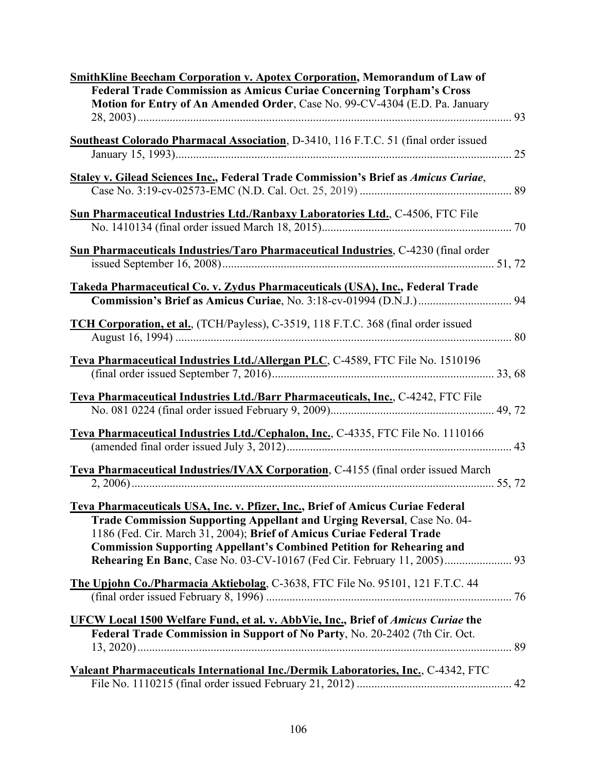| <b>SmithKline Beecham Corporation v. Apotex Corporation, Memorandum of Law of</b>                                                                          |
|------------------------------------------------------------------------------------------------------------------------------------------------------------|
| <b>Federal Trade Commission as Amicus Curiae Concerning Torpham's Cross</b><br>Motion for Entry of An Amended Order, Case No. 99-CV-4304 (E.D. Pa. January |
|                                                                                                                                                            |
|                                                                                                                                                            |
| Southeast Colorado Pharmacal Association, D-3410, 116 F.T.C. 51 (final order issued                                                                        |
| 25                                                                                                                                                         |
| <b>Staley v. Gilead Sciences Inc., Federal Trade Commission's Brief as Amicus Curiae,</b>                                                                  |
|                                                                                                                                                            |
| <b>Sun Pharmaceutical Industries Ltd./Ranbaxy Laboratories Ltd., C-4506, FTC File</b>                                                                      |
|                                                                                                                                                            |
| Sun Pharmaceuticals Industries/Taro Pharmaceutical Industries, C-4230 (final order                                                                         |
|                                                                                                                                                            |
| Takeda Pharmaceutical Co. v. Zydus Pharmaceuticals (USA), Inc., Federal Trade                                                                              |
|                                                                                                                                                            |
|                                                                                                                                                            |
| TCH Corporation, et al., (TCH/Payless), C-3519, 118 F.T.C. 368 (final order issued                                                                         |
|                                                                                                                                                            |
| Teva Pharmaceutical Industries Ltd./Allergan PLC, C-4589, FTC File No. 1510196                                                                             |
|                                                                                                                                                            |
|                                                                                                                                                            |
| Teva Pharmaceutical Industries Ltd./Barr Pharmaceuticals, Inc., C-4242, FTC File                                                                           |
|                                                                                                                                                            |
| Teva Pharmaceutical Industries Ltd./Cephalon, Inc., C-4335, FTC File No. 1110166                                                                           |
|                                                                                                                                                            |
| Teva Pharmaceutical Industries/IVAX Corporation, C-4155 (final order issued March                                                                          |
|                                                                                                                                                            |
| Teva Pharmaceuticals USA, Inc. v. Pfizer, Inc., Brief of Amicus Curiae Federal                                                                             |
| Trade Commission Supporting Appellant and Urging Reversal, Case No. 04-                                                                                    |
| 1186 (Fed. Cir. March 31, 2004); Brief of Amicus Curiae Federal Trade                                                                                      |
| <b>Commission Supporting Appellant's Combined Petition for Rehearing and</b>                                                                               |
|                                                                                                                                                            |
| The Upjohn Co./Pharmacia Aktiebolag, C-3638, FTC File No. 95101, 121 F.T.C. 44                                                                             |
|                                                                                                                                                            |
|                                                                                                                                                            |
| <b>UFCW Local 1500 Welfare Fund, et al. v. AbbVie, Inc., Brief of Amicus Curiae the</b>                                                                    |
| Federal Trade Commission in Support of No Party, No. 20-2402 (7th Cir. Oct.                                                                                |
|                                                                                                                                                            |
| Valeant Pharmaceuticals International Inc./Dermik Laboratories, Inc., C-4342, FTC                                                                          |
|                                                                                                                                                            |